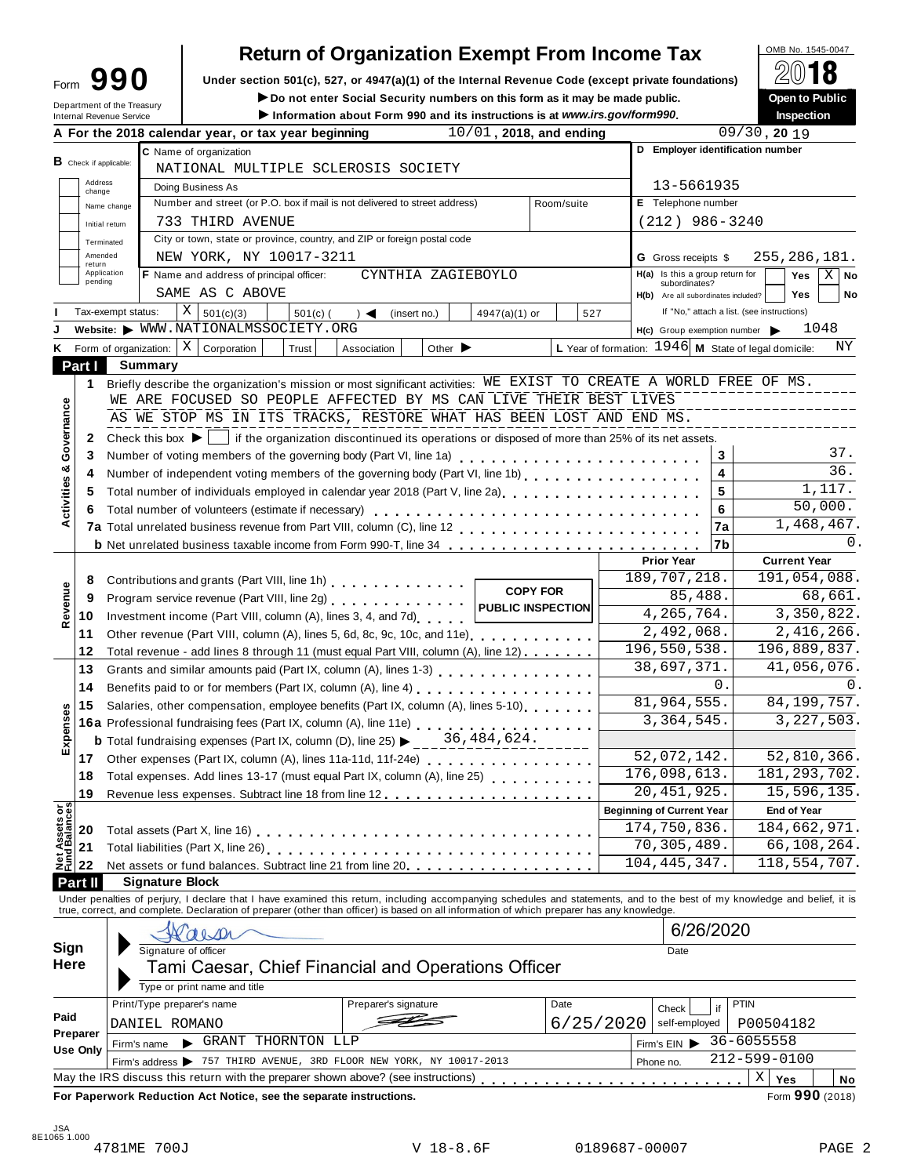| orm | י וΩי |  |
|-----|-------|--|
|     |       |  |

# **Return of Organization Exempt From Income Tax**

**Under section 501(c), 527, or 4947(a)(1) of the Internal Revenue Code (except private foundations)** Form **990** À¾µ¼

Form **JJU** Under section 501(c), 527, or 4947(a)(1) or the internal Revenue Code (except private foundations)<br>
Department of the Treasury **Department of the Treasury Department of the Treasury** 

|                                              | Department of the Treasury<br>Internal Revenue Service | ► Do not enter Social Security numbers on this form as it may be made public.<br>Information about Form 990 and its instructions is at www.irs.gov/form990.                                                                       |                                 |                          |                                                      | Open to Public<br><b>Inspection</b>                          |  |  |  |  |
|----------------------------------------------|--------------------------------------------------------|-----------------------------------------------------------------------------------------------------------------------------------------------------------------------------------------------------------------------------------|---------------------------------|--------------------------|------------------------------------------------------|--------------------------------------------------------------|--|--|--|--|
|                                              |                                                        | A For the 2018 calendar year, or tax year beginning                                                                                                                                                                               |                                 | 10/01, 2018, and ending  |                                                      | $09/30$ , 20 19                                              |  |  |  |  |
|                                              |                                                        | C Name of organization                                                                                                                                                                                                            |                                 |                          |                                                      | D Employer identification number                             |  |  |  |  |
| $B$ Check if applicable:                     |                                                        | NATIONAL MULTIPLE SCLEROSIS SOCIETY                                                                                                                                                                                               |                                 |                          |                                                      |                                                              |  |  |  |  |
| Address<br>change                            |                                                        | Doing Business As                                                                                                                                                                                                                 |                                 |                          | 13-5661935                                           |                                                              |  |  |  |  |
|                                              | Name change                                            | Number and street (or P.O. box if mail is not delivered to street address)                                                                                                                                                        |                                 | Room/suite               | E Telephone number                                   |                                                              |  |  |  |  |
|                                              | Initial return                                         | 733 THIRD AVENUE                                                                                                                                                                                                                  | $(212)$ 986-3240                |                          |                                                      |                                                              |  |  |  |  |
|                                              | Terminated                                             | City or town, state or province, country, and ZIP or foreign postal code                                                                                                                                                          |                                 |                          |                                                      |                                                              |  |  |  |  |
| Amended                                      |                                                        | NEW YORK, NY 10017-3211                                                                                                                                                                                                           |                                 |                          | <b>G</b> Gross receipts \$                           | 255,286,181.                                                 |  |  |  |  |
| return                                       | Application                                            | F Name and address of principal officer:                                                                                                                                                                                          | CYNTHIA ZAGIEBOYLO              |                          | $H(a)$ Is this a group return for                    | Yes<br>$X \mid$ No                                           |  |  |  |  |
| pending                                      |                                                        | SAME AS C ABOVE                                                                                                                                                                                                                   |                                 |                          | subordinates?<br>H(b) Are all subordinates included? | <b>Yes</b><br>No                                             |  |  |  |  |
|                                              | Tax-exempt status:                                     | Χ<br>501(c)(3)<br>$501(c)$ (<br>$\rightarrow$ $\blacktriangleleft$                                                                                                                                                                | $4947(a)(1)$ or<br>(insert no.) | 527                      |                                                      | If "No," attach a list. (see instructions)                   |  |  |  |  |
|                                              |                                                        | Website: WWW.NATIONALMSSOCIETY.ORG                                                                                                                                                                                                |                                 |                          |                                                      | 1048<br>H(c) Group exemption number                          |  |  |  |  |
|                                              | K Form of organization:                                | $X \vert$ Corporation<br>Trust<br>Association                                                                                                                                                                                     | Other $\blacktriangleright$     |                          |                                                      | L Year of formation: $1946$ M State of legal domicile:<br>ΝY |  |  |  |  |
| Part I                                       | Summary                                                |                                                                                                                                                                                                                                   |                                 |                          |                                                      |                                                              |  |  |  |  |
|                                              |                                                        | Briefly describe the organization's mission or most significant activities: WE EXIST TO CREATE A WORLD FREE OF MS.                                                                                                                |                                 |                          |                                                      |                                                              |  |  |  |  |
| 1.                                           |                                                        | WE ARE FOCUSED SO PEOPLE AFFECTED BY MS CAN LIVE THEIR BEST LIVES                                                                                                                                                                 |                                 |                          |                                                      |                                                              |  |  |  |  |
|                                              |                                                        | AS WE STOP MS IN ITS TRACKS, RESTORE WHAT HAS BEEN LOST AND END MS.                                                                                                                                                               |                                 |                          |                                                      |                                                              |  |  |  |  |
|                                              |                                                        |                                                                                                                                                                                                                                   |                                 |                          |                                                      |                                                              |  |  |  |  |
| Governance<br>2                              | Check this box $\blacktriangleright$                   | if the organization discontinued its operations or disposed of more than 25% of its net assets.                                                                                                                                   |                                 |                          |                                                      |                                                              |  |  |  |  |
| 3<br>ಳ                                       |                                                        | Number of voting members of the governing body (Part VI, line 1a)                                                                                                                                                                 |                                 |                          |                                                      | 37.<br>3                                                     |  |  |  |  |
| 4                                            |                                                        | Number of independent voting members of the governing body (Part VI, line 1b)                                                                                                                                                     |                                 |                          |                                                      | $\overline{36}$ .<br>$\overline{\mathbf{4}}$                 |  |  |  |  |
| Activities<br>5                              |                                                        | Total number of individuals employed in calendar year 2018 (Part V, line 2a)<br>The 2a)                                                                                                                                           |                                 |                          |                                                      | 1,117.<br>5                                                  |  |  |  |  |
| 6                                            |                                                        | Total number of volunteers (estimate if necessary)                                                                                                                                                                                |                                 |                          |                                                      | 50,000.<br>6                                                 |  |  |  |  |
|                                              |                                                        |                                                                                                                                                                                                                                   |                                 |                          |                                                      | 1,468,467.<br>7a                                             |  |  |  |  |
|                                              |                                                        | <b>b</b> Net unrelated business taxable income from Form 990-T, line 34                                                                                                                                                           |                                 |                          |                                                      | 0.<br>7b                                                     |  |  |  |  |
|                                              |                                                        |                                                                                                                                                                                                                                   |                                 |                          | <b>Prior Year</b>                                    | <b>Current Year</b>                                          |  |  |  |  |
| 8                                            |                                                        | Contributions and grants (Part VIII, line 1h) Contributions and grants (Part VIII, line 1h)                                                                                                                                       |                                 | <b>COPY FOR</b>          | 189,707,218.                                         | 191,054,088.                                                 |  |  |  |  |
| 9                                            |                                                        | Program service revenue (Part VIII, line 2g)                                                                                                                                                                                      | 85,488.                         | 68,661.                  |                                                      |                                                              |  |  |  |  |
| Revenue<br>10                                |                                                        | Investment income (Part VIII, column (A), lines 3, 4, and 7d)                                                                                                                                                                     |                                 | <b>PUBLIC INSPECTION</b> | $\overline{4,265,764}$ .                             | 3,350,822.                                                   |  |  |  |  |
| 11                                           |                                                        | Other revenue (Part VIII, column (A), lines 5, 6d, 8c, 9c, 10c, and 11e) [100]                                                                                                                                                    |                                 |                          | 2,492,068.                                           | 2,416,266.                                                   |  |  |  |  |
| 12                                           |                                                        | Total revenue - add lines 8 through 11 (must equal Part VIII, column (A), line 12)                                                                                                                                                |                                 |                          | 196,550,538.                                         | 196,889,837.                                                 |  |  |  |  |
| 13                                           |                                                        |                                                                                                                                                                                                                                   |                                 |                          | 38,697,371.                                          | 41,056,076.                                                  |  |  |  |  |
| 14                                           |                                                        | Benefits paid to or for members (Part IX, column (A), line 4)                                                                                                                                                                     |                                 |                          |                                                      | 0.<br>0.                                                     |  |  |  |  |
| 15                                           |                                                        | Salaries, other compensation, employee benefits (Part IX, column (A), lines 5-10)                                                                                                                                                 |                                 |                          | 81,964,555.                                          | 84, 199, 757.                                                |  |  |  |  |
|                                              |                                                        | 16a Professional fundraising fees (Part IX, column (A), line 11e)<br>16a Professional fundraising fees (Part IX, column (A), line 11e)                                                                                            |                                 |                          | 3, 364, 545.                                         | 3, 227, 503.                                                 |  |  |  |  |
| Expenses                                     |                                                        | <b>b</b> Total fundraising expenses (Part IX, column (D), line 25) $\blacktriangleright$                                                                                                                                          | 36,484,624.                     |                          |                                                      |                                                              |  |  |  |  |
| 17                                           |                                                        | Other expenses (Part IX, column (A), lines 11a-11d, 11f-24e)                                                                                                                                                                      |                                 |                          | 52,072,142.                                          | 52,810,366.                                                  |  |  |  |  |
| 18                                           |                                                        | Total expenses. Add lines 13-17 (must equal Part IX, column (A), line 25)                                                                                                                                                         |                                 |                          | 176,098,613.                                         | 181, 293, 702.                                               |  |  |  |  |
| 19                                           |                                                        |                                                                                                                                                                                                                                   |                                 |                          | 20, 451, 925.                                        | 15, 596, 135.                                                |  |  |  |  |
|                                              |                                                        |                                                                                                                                                                                                                                   |                                 |                          | <b>Beginning of Current Year</b>                     | <b>End of Year</b>                                           |  |  |  |  |
| 20                                           |                                                        |                                                                                                                                                                                                                                   |                                 |                          | 174,750,836.                                         | 184,662,971.                                                 |  |  |  |  |
| 21                                           |                                                        |                                                                                                                                                                                                                                   |                                 | 70,305,489.              | 66,108,264.                                          |                                                              |  |  |  |  |
| <b>Net Assets or<br/>Fund Balances</b><br>22 |                                                        | Net assets or fund balances. Subtract line 21 from line 20 [11, 11, 11, 11, 11, 11, 11, 11]                                                                                                                                       |                                 |                          | 104, 445, 347.                                       | 118,554,707.                                                 |  |  |  |  |
| Part II                                      |                                                        | <b>Signature Block</b>                                                                                                                                                                                                            |                                 |                          |                                                      |                                                              |  |  |  |  |
|                                              |                                                        | Under penalties of perjury, I declare that I have examined this return, including accompanying schedules and statements, and to the best of my knowledge and belief, it is<br>true, correct, and complete. Declaration of prepare |                                 |                          |                                                      |                                                              |  |  |  |  |
|                                              |                                                        |                                                                                                                                                                                                                                   |                                 |                          |                                                      |                                                              |  |  |  |  |
|                                              |                                                        |                                                                                                                                                                                                                                   |                                 | 6/26/2020                |                                                      |                                                              |  |  |  |  |
| Sign                                         |                                                        | Signature of officer                                                                                                                                                                                                              | Date                            |                          |                                                      |                                                              |  |  |  |  |
| Here                                         |                                                        | Tami Caesar, Chief Financial and Operations Officer                                                                                                                                                                               |                                 |                          |                                                      |                                                              |  |  |  |  |
|                                              |                                                        | Type or print name and title                                                                                                                                                                                                      |                                 |                          |                                                      |                                                              |  |  |  |  |
|                                              |                                                        | Print/Type preparer's name<br>Preparer's signature                                                                                                                                                                                |                                 | Date                     | Check                                                | <b>PTIN</b><br>if                                            |  |  |  |  |
| Paid                                         |                                                        | DANIEL ROMANO                                                                                                                                                                                                                     |                                 | 6/25/2020                | self-employed                                        | P00504182                                                    |  |  |  |  |
| Preparer                                     |                                                        |                                                                                                                                                                                                                                   |                                 |                          |                                                      | 36-6055558                                                   |  |  |  |  |
|                                              | GRANT THORNTON LLP<br>Firm's name                      |                                                                                                                                                                                                                                   |                                 |                          |                                                      | Firm's $EIN$                                                 |  |  |  |  |
| <b>Use Only</b>                              |                                                        |                                                                                                                                                                                                                                   |                                 |                          |                                                      |                                                              |  |  |  |  |
|                                              |                                                        | Firm's address > 757 THIRD AVENUE, 3RD FLOOR NEW YORK, NY 10017-2013<br>May the IRS discuss this return with the preparer shown above? (see instructions)                                                                         |                                 |                          | Phone no.                                            | 212-599-0100<br>X<br>Yes<br>No                               |  |  |  |  |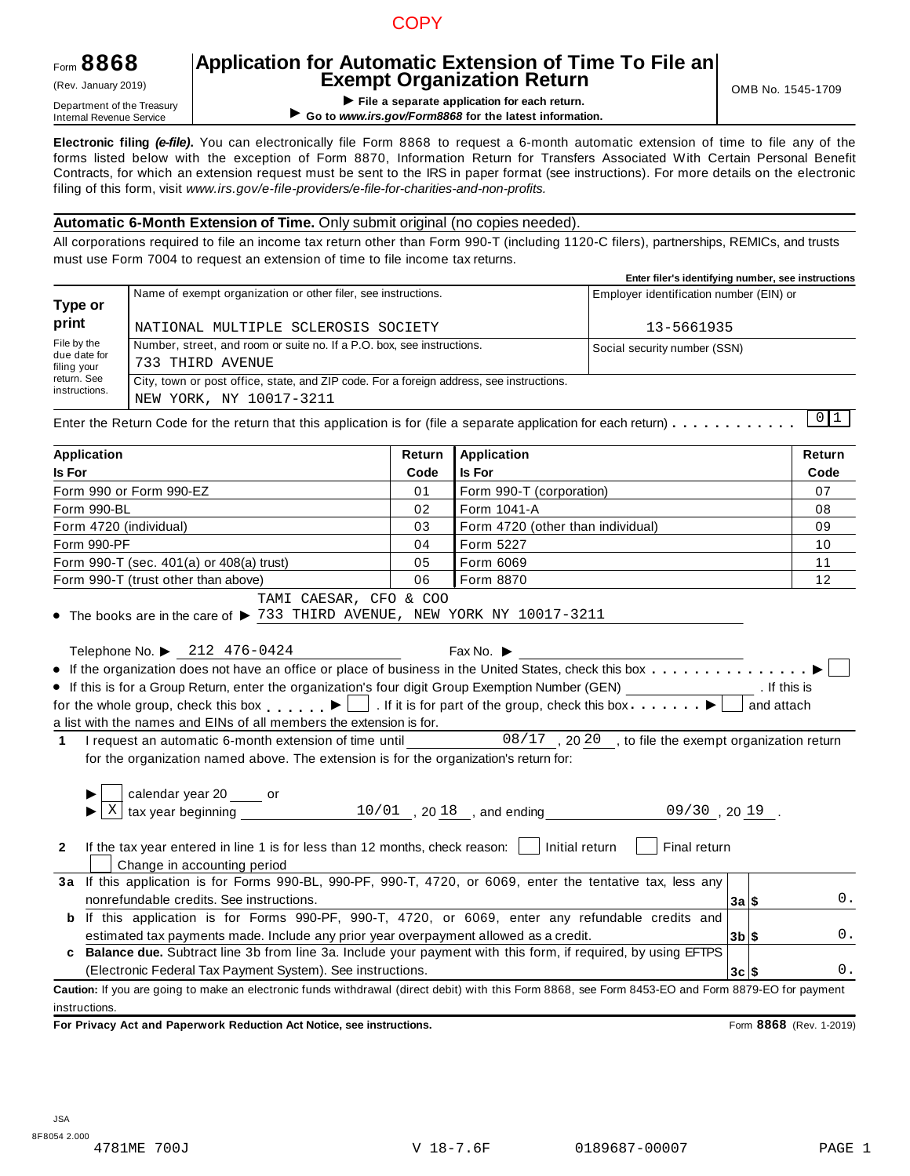# **COPY**

# Form **8868**

# **Application for Automatic Extension of Time To File an Exempt Organization Return** (Rev. January 2019) OMB No. 1545-1709

**EXEMPL OF GET APPLY THE APPLY THE APPLY THE APPLY THE APPLY THE APPLY THE APPLY THE APPLY THE APPLY THE APPLY THE APPLY THE APPLY THE APPLY THE APPLY THE APPLY THE APPLY THE APPLY THE APPLY THE APPLY THE APPLY THE APPLY T** ▶ Go to www.irs.gov/Form8868 for the latest information.

**Electronic filing** *(e-file)***.** You can electronically file Form 8868 to request a 6-month automatic extension of time to file any of the forms listed below with the exception of Form 8870, Information Return for Transfers Associated With Certain Personal Benefit Contracts, for which an extension request must be sent to the IRS in paper format (see instructions). For more details on the electronic filing of this form, visit *www.irs.gov/e-file-providers/e-file-for-charities-and-non-profits.*

### **Automatic 6-Month Extension of Time.** Only submit original (no copies needed).

All corporations required to file an income tax return other than Form 990-T (including 1120-C filers), partnerships, REMICs, and trusts must use Form 7004 to request an extension of time to file income tax returns.

|                                            |                                                                                                                     | Enter filer's identifying number, see instructions |
|--------------------------------------------|---------------------------------------------------------------------------------------------------------------------|----------------------------------------------------|
| Type or                                    | Name of exempt organization or other filer, see instructions.                                                       | Employer identification number (EIN) or            |
| print                                      | NATIONAL MULTIPLE SCLEROSIS SOCIETY                                                                                 | 13-5661935                                         |
| File by the<br>due date for<br>filing your | Number, street, and room or suite no. If a P.O. box, see instructions.<br>733 THIRD AVENUE                          | Social security number (SSN)                       |
| return. See<br>instructions.               | City, town or post office, state, and ZIP code. For a foreign address, see instructions.<br>NEW YORK, NY 10017-3211 | .                                                  |

Enter the Return Code for the return that this application is for (file a separate application for each return)  $\dots \dots \dots$  $0 1$ 

| <b>Application</b>                                                                                                                                                                                                                                      | Return         | <b>Application</b>                |         | Return |
|---------------------------------------------------------------------------------------------------------------------------------------------------------------------------------------------------------------------------------------------------------|----------------|-----------------------------------|---------|--------|
| <b>Is For</b>                                                                                                                                                                                                                                           | Code           | Is For                            |         | Code   |
| Form 990 or Form 990-EZ                                                                                                                                                                                                                                 | 0 <sub>1</sub> | Form 990-T (corporation)          |         | 07     |
| Form 990-BL                                                                                                                                                                                                                                             | 02             | Form 1041-A                       |         | 08     |
| Form 4720 (individual)                                                                                                                                                                                                                                  | 03             | Form 4720 (other than individual) |         | 09     |
| Form 990-PF                                                                                                                                                                                                                                             | 04             | Form 5227                         |         | 10     |
| Form 990-T (sec. 401(a) or 408(a) trust)                                                                                                                                                                                                                | 05             | Form 6069                         |         | 11     |
| Form 990-T (trust other than above)                                                                                                                                                                                                                     | 06             | Form 8870                         |         | 12     |
| • The books are in the care of $\blacktriangleright$ 733 THIRD AVENUE, NEW YORK NY 10017-3211<br>Telephone No. ▶ 212 476-0424                                                                                                                           |                | Fax No. $\blacktriangleright$     |         |        |
|                                                                                                                                                                                                                                                         |                |                                   |         |        |
| • If this is for a Group Return, enter the organization's four digit Group Exemption Number (GEN) _________________. If this is<br>for the whole group, check this box $\Box$ . If it is for part of the group, check this box $\Box$ $\Box$ and attach |                |                                   |         |        |
| a list with the names and EINs of all members the extension is for.                                                                                                                                                                                     |                |                                   |         |        |
|                                                                                                                                                                                                                                                         |                |                                   |         |        |
| I request an automatic 6-month extension of time until 08/17, 2020, to file the exempt organization return<br>$\mathbf 1$                                                                                                                               |                |                                   |         |        |
| for the organization named above. The extension is for the organization's return for:                                                                                                                                                                   |                |                                   |         |        |
|                                                                                                                                                                                                                                                         |                |                                   |         |        |
|                                                                                                                                                                                                                                                         |                |                                   |         |        |
|                                                                                                                                                                                                                                                         |                |                                   |         |        |
| If the tax year entered in line 1 is for less than 12 months, check reason: $\vert$   Initial return  <br>$\mathbf{2}$<br>Change in accounting period                                                                                                   |                | Final return                      |         |        |
| 3a If this application is for Forms 990-BL, 990-PF, 990-T, 4720, or 6069, enter the tentative tax, less any                                                                                                                                             |                |                                   |         |        |
| nonrefundable credits. See instructions.                                                                                                                                                                                                                |                |                                   | 3a S    | 0.     |
| b If this application is for Forms 990-PF, 990-T, 4720, or 6069, enter any refundable credits and                                                                                                                                                       |                |                                   |         |        |
| estimated tax payments made. Include any prior year overpayment allowed as a credit.                                                                                                                                                                    |                |                                   | $3b$ \$ | 0.     |
| c Balance due. Subtract line 3b from line 3a. Include your payment with this form, if required, by using EFTPS                                                                                                                                          |                |                                   |         |        |
| (Electronic Federal Tax Payment System). See instructions.                                                                                                                                                                                              |                |                                   | 3c   \$ | 0.     |
| Caution: If you are going to make an electronic funds withdrawal (direct debit) with this Form 8868, see Form 8453-EO and Form 8879-EO for payment                                                                                                      |                |                                   |         |        |
| instructions.                                                                                                                                                                                                                                           |                |                                   |         |        |
|                                                                                                                                                                                                                                                         |                |                                   |         |        |

**For Privacy Act and Paperwork Reduction Act Notice, see instructions.** Form **8868** (Rev. 1-2019)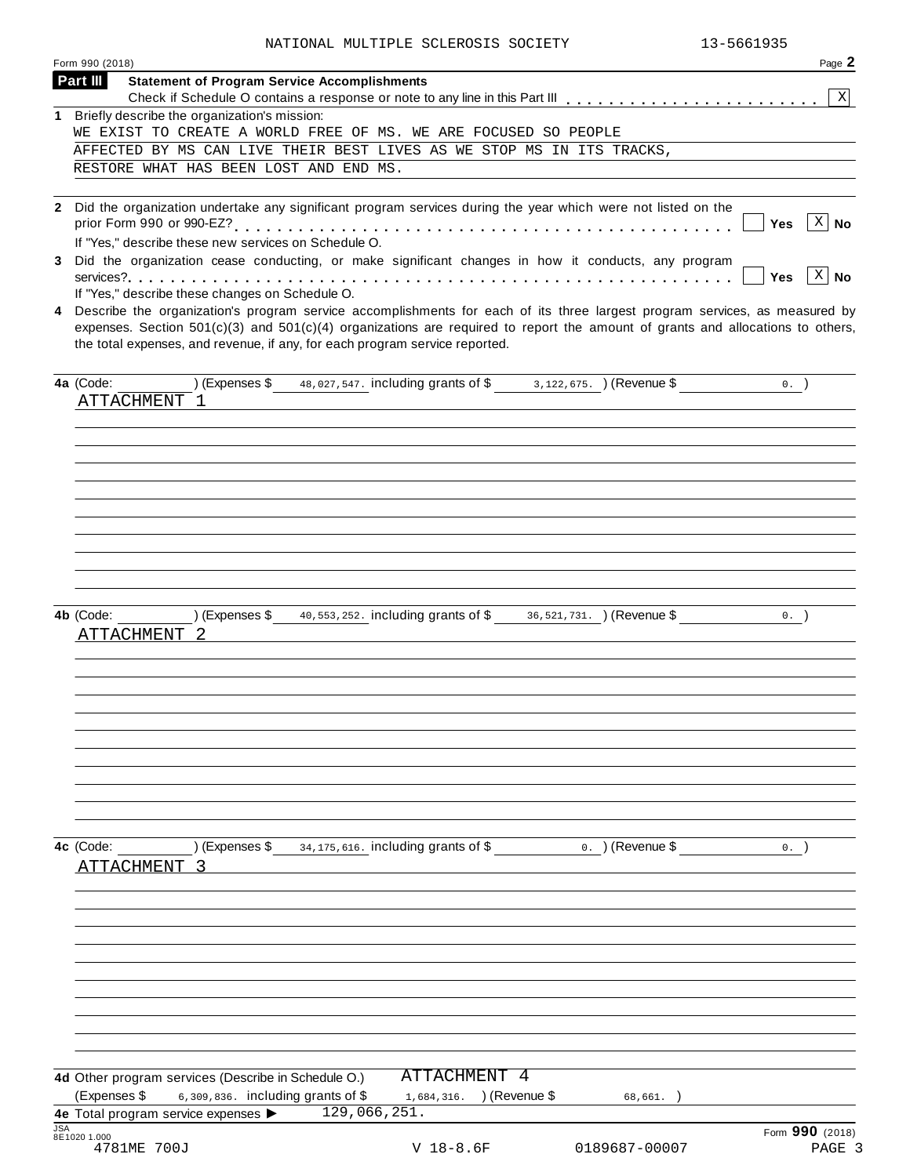|            | Form 990 (2018)                                                                                                                                                                                                                                                                                                                                                                                      | Page 2                 |
|------------|------------------------------------------------------------------------------------------------------------------------------------------------------------------------------------------------------------------------------------------------------------------------------------------------------------------------------------------------------------------------------------------------------|------------------------|
|            | Part III<br><b>Statement of Program Service Accomplishments</b>                                                                                                                                                                                                                                                                                                                                      |                        |
|            | 1 Briefly describe the organization's mission:                                                                                                                                                                                                                                                                                                                                                       | $\mathbf{X}$           |
|            | WE EXIST TO CREATE A WORLD FREE OF MS. WE ARE FOCUSED SO PEOPLE                                                                                                                                                                                                                                                                                                                                      |                        |
|            | AFFECTED BY MS CAN LIVE THEIR BEST LIVES AS WE STOP MS IN ITS TRACKS,                                                                                                                                                                                                                                                                                                                                |                        |
|            | RESTORE WHAT HAS BEEN LOST AND END MS.                                                                                                                                                                                                                                                                                                                                                               |                        |
|            |                                                                                                                                                                                                                                                                                                                                                                                                      |                        |
|            | 2 Did the organization undertake any significant program services during the year which were not listed on the<br>If "Yes," describe these new services on Schedule O.                                                                                                                                                                                                                               | $X \mid No$<br>Yes     |
| 3          | Did the organization cease conducting, or make significant changes in how it conducts, any program                                                                                                                                                                                                                                                                                                   | $ X $ No<br><b>Yes</b> |
|            | If "Yes," describe these changes on Schedule O.<br>4 Describe the organization's program service accomplishments for each of its three largest program services, as measured by<br>expenses. Section $501(c)(3)$ and $501(c)(4)$ organizations are required to report the amount of grants and allocations to others,<br>the total expenses, and revenue, if any, for each program service reported. |                        |
|            | (Expenses \$48,027,547. including grants of \$3,122,675. ) (Revenue \$<br>4a (Code:<br>ATTACHMENT 1                                                                                                                                                                                                                                                                                                  | $0.$ )                 |
|            |                                                                                                                                                                                                                                                                                                                                                                                                      |                        |
|            | (Expenses \$ $\frac{40,553,252}$ including grants of \$ $\frac{36,521,731}$ (Revenue \$<br>4b (Code:<br>ATTACHMENT 2                                                                                                                                                                                                                                                                                 | 0.                     |
|            | $(Express $ 34, 175, 616. including grants of $ 100]$<br>o. ) (Revenue \$<br>4c (Code:<br>ATTACHMENT 3                                                                                                                                                                                                                                                                                               | 0.                     |
|            | ATTACHMENT 4                                                                                                                                                                                                                                                                                                                                                                                         |                        |
|            | 4d Other program services (Describe in Schedule O.)<br>(Expenses \$<br>6,309,836. including grants of \$<br>1,684,316. ) (Revenue \$<br>68,661.                                                                                                                                                                                                                                                      |                        |
|            | 129,066,251.<br>4e Total program service expenses                                                                                                                                                                                                                                                                                                                                                    |                        |
| <b>JSA</b> |                                                                                                                                                                                                                                                                                                                                                                                                      | Form 990 (2018)        |
|            | 8E1020 1.000<br>4781ME 700J<br>$V$ 18-8.6F<br>0189687-00007                                                                                                                                                                                                                                                                                                                                          | PAGE 3                 |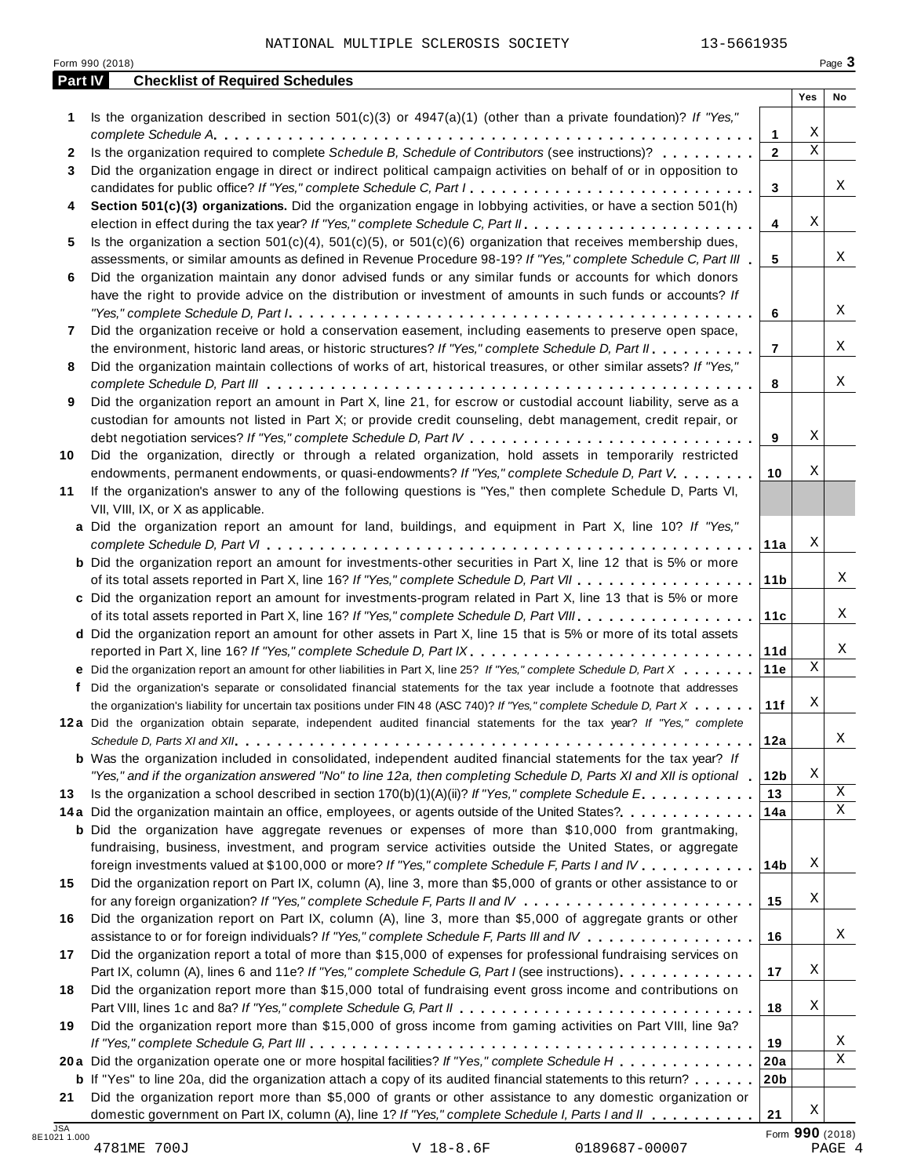| Part IV | <b>Checklist of Required Schedules</b>                                                                                    |                                | Yes         | No              |
|---------|---------------------------------------------------------------------------------------------------------------------------|--------------------------------|-------------|-----------------|
|         |                                                                                                                           |                                |             |                 |
| 1       | Is the organization described in section $501(c)(3)$ or $4947(a)(1)$ (other than a private foundation)? If "Yes,"         |                                | Χ           |                 |
|         | Is the organization required to complete Schedule B, Schedule of Contributors (see instructions)?                         | $\mathbf{1}$<br>$\overline{2}$ | $\mathbf X$ |                 |
| 2       |                                                                                                                           |                                |             |                 |
| 3       | Did the organization engage in direct or indirect political campaign activities on behalf of or in opposition to          |                                |             | Χ               |
|         | candidates for public office? If "Yes," complete Schedule C, Part I.                                                      | 3                              |             |                 |
| 4       | Section 501(c)(3) organizations. Did the organization engage in lobbying activities, or have a section 501(h)             |                                | Χ           |                 |
|         |                                                                                                                           | 4                              |             |                 |
| 5       | Is the organization a section $501(c)(4)$ , $501(c)(5)$ , or $501(c)(6)$ organization that receives membership dues,      |                                |             | Χ               |
|         | assessments, or similar amounts as defined in Revenue Procedure 98-19? If "Yes," complete Schedule C, Part III            | 5                              |             |                 |
| 6       | Did the organization maintain any donor advised funds or any similar funds or accounts for which donors                   |                                |             |                 |
|         | have the right to provide advice on the distribution or investment of amounts in such funds or accounts? If               |                                |             | X               |
|         |                                                                                                                           | 6                              |             |                 |
| 7       | Did the organization receive or hold a conservation easement, including easements to preserve open space,                 |                                |             |                 |
|         | the environment, historic land areas, or historic structures? If "Yes," complete Schedule D, Part II.                     | $\overline{7}$                 |             | X               |
| 8       | Did the organization maintain collections of works of art, historical treasures, or other similar assets? If "Yes,"       |                                |             |                 |
|         |                                                                                                                           | 8                              |             | Χ               |
| 9       | Did the organization report an amount in Part X, line 21, for escrow or custodial account liability, serve as a           |                                |             |                 |
|         | custodian for amounts not listed in Part X; or provide credit counseling, debt management, credit repair, or              |                                |             |                 |
|         |                                                                                                                           | 9                              | Χ           |                 |
| 10      | Did the organization, directly or through a related organization, hold assets in temporarily restricted                   |                                |             |                 |
|         | endowments, permanent endowments, or quasi-endowments? If "Yes," complete Schedule D, Part V.                             | 10                             | Χ           |                 |
| 11      | If the organization's answer to any of the following questions is "Yes," then complete Schedule D, Parts VI,              |                                |             |                 |
|         | VII, VIII, IX, or X as applicable.                                                                                        |                                |             |                 |
|         | a Did the organization report an amount for land, buildings, and equipment in Part X, line 10? If "Yes,"                  |                                |             |                 |
|         |                                                                                                                           | 11a                            | Χ           |                 |
|         | <b>b</b> Did the organization report an amount for investments-other securities in Part X, line 12 that is 5% or more     |                                |             |                 |
|         |                                                                                                                           | 11 <sub>b</sub>                |             | X               |
|         | c Did the organization report an amount for investments-program related in Part X, line 13 that is 5% or more             |                                |             |                 |
|         |                                                                                                                           | 11c                            |             | Χ               |
|         | d Did the organization report an amount for other assets in Part X, line 15 that is 5% or more of its total assets        |                                |             |                 |
|         | reported in Part X, line 16? If "Yes," complete Schedule D, Part IX.                                                      | 11d                            |             | Χ               |
|         | e Did the organization report an amount for other liabilities in Part X, line 25? If "Yes," complete Schedule D, Part X   | 11e                            | Χ           |                 |
|         | f Did the organization's separate or consolidated financial statements for the tax year include a footnote that addresses |                                |             |                 |
|         | the organization's liability for uncertain tax positions under FIN 48 (ASC 740)? If "Yes," complete Schedule D, Part X    | 11f                            | Χ           |                 |
|         | 12a Did the organization obtain separate, independent audited financial statements for the tax year? If "Yes," complete   |                                |             |                 |
|         |                                                                                                                           | 12a                            |             | Χ               |
|         | <b>b</b> Was the organization included in consolidated, independent audited financial statements for the tax year? If     |                                |             |                 |
|         | "Yes," and if the organization answered "No" to line 12a, then completing Schedule D, Parts XI and XII is optional 1      | 12 <sub>b</sub>                | Χ           |                 |
| 13      | Is the organization a school described in section $170(b)(1)(A)(ii)?$ If "Yes," complete Schedule E.                      | 13                             |             | X               |
|         | 14a Did the organization maintain an office, employees, or agents outside of the United States?.                          | 14a                            |             | $\mathbf X$     |
|         | <b>b</b> Did the organization have aggregate revenues or expenses of more than \$10,000 from grantmaking,                 |                                |             |                 |
|         | fundraising, business, investment, and program service activities outside the United States, or aggregate                 |                                |             |                 |
|         | foreign investments valued at \$100,000 or more? If "Yes," complete Schedule F, Parts I and IV                            | 14b                            | Χ           |                 |
| 15      | Did the organization report on Part IX, column (A), line 3, more than \$5,000 of grants or other assistance to or         |                                |             |                 |
|         |                                                                                                                           | 15                             | Χ           |                 |
| 16      | Did the organization report on Part IX, column (A), line 3, more than \$5,000 of aggregate grants or other                |                                |             |                 |
|         | assistance to or for foreign individuals? If "Yes," complete Schedule F, Parts III and IV                                 | 16                             |             | Χ               |
| 17      | Did the organization report a total of more than \$15,000 of expenses for professional fundraising services on            |                                |             |                 |
|         | Part IX, column (A), lines 6 and 11e? If "Yes," complete Schedule G, Part I (see instructions)                            | 17                             | Χ           |                 |
| 18      | Did the organization report more than \$15,000 total of fundraising event gross income and contributions on               |                                |             |                 |
|         |                                                                                                                           | 18                             | Χ           |                 |
| 19      | Did the organization report more than \$15,000 of gross income from gaming activities on Part VIII, line 9a?              |                                |             |                 |
|         |                                                                                                                           | 19                             |             | Χ               |
|         | 20a Did the organization operate one or more hospital facilities? If "Yes," complete Schedule H                           | 20a                            |             | $\mathbf X$     |
|         | <b>b</b> If "Yes" to line 20a, did the organization attach a copy of its audited financial statements to this return?     | 20 <sub>b</sub>                |             |                 |
| 21      | Did the organization report more than \$5,000 of grants or other assistance to any domestic organization or               |                                |             |                 |
|         | domestic government on Part IX, column (A), line 1? If "Yes," complete Schedule I, Parts I and II                         | 21                             | Χ           |                 |
|         |                                                                                                                           |                                |             | Form 990 (2018) |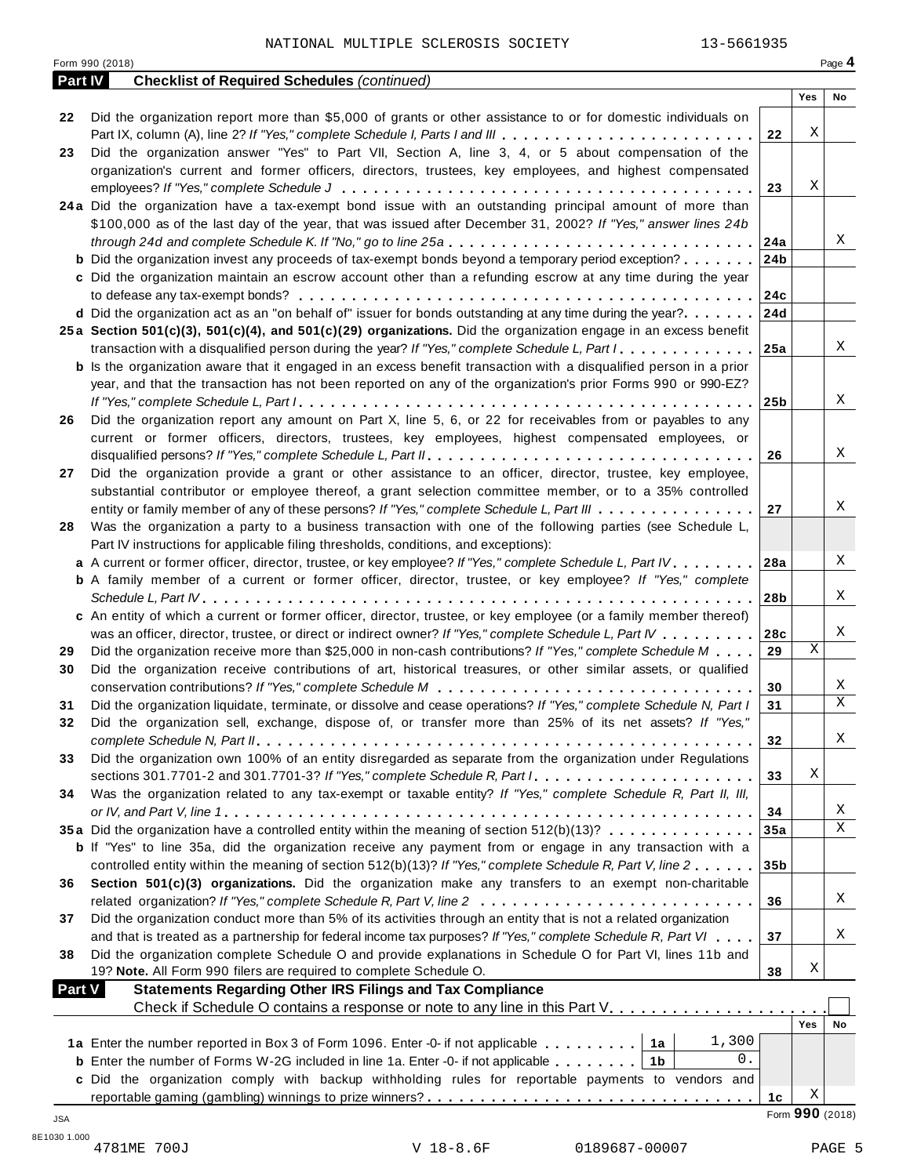|            | Form 990 (2018)                                                                                                                        |                 |                 | Page 4 |
|------------|----------------------------------------------------------------------------------------------------------------------------------------|-----------------|-----------------|--------|
|            | <b>Checklist of Required Schedules (continued)</b><br>Part IV                                                                          |                 |                 |        |
|            |                                                                                                                                        |                 | Yes             | No     |
| 22         | Did the organization report more than \$5,000 of grants or other assistance to or for domestic individuals on                          |                 | Χ               |        |
|            | Part IX, column (A), line 2? If "Yes," complete Schedule I, Parts I and III                                                            | 22              |                 |        |
| 23         | Did the organization answer "Yes" to Part VII, Section A, line 3, 4, or 5 about compensation of the                                    |                 |                 |        |
|            | organization's current and former officers, directors, trustees, key employees, and highest compensated                                |                 | Χ               |        |
|            | 24a Did the organization have a tax-exempt bond issue with an outstanding principal amount of more than                                | 23              |                 |        |
|            | \$100,000 as of the last day of the year, that was issued after December 31, 2002? If "Yes," answer lines 24b                          |                 |                 |        |
|            |                                                                                                                                        | 24a             |                 | Χ      |
|            | <b>b</b> Did the organization invest any proceeds of tax-exempt bonds beyond a temporary period exception?                             | 24b             |                 |        |
|            | c Did the organization maintain an escrow account other than a refunding escrow at any time during the year                            |                 |                 |        |
|            |                                                                                                                                        | 24c             |                 |        |
|            | d Did the organization act as an "on behalf of" issuer for bonds outstanding at any time during the year?                              | 24d             |                 |        |
|            | 25a Section 501(c)(3), 501(c)(4), and 501(c)(29) organizations. Did the organization engage in an excess benefit                       |                 |                 |        |
|            | transaction with a disqualified person during the year? If "Yes," complete Schedule L, Part $1, \ldots, \ldots, 1$                     |                 |                 | X      |
|            | <b>b</b> Is the organization aware that it engaged in an excess benefit transaction with a disqualified person in a prior              |                 |                 |        |
|            | year, and that the transaction has not been reported on any of the organization's prior Forms 990 or 990-EZ?                           |                 |                 |        |
|            |                                                                                                                                        | 25b             |                 | Χ      |
| 26         | Did the organization report any amount on Part X, line 5, 6, or 22 for receivables from or payables to any                             |                 |                 |        |
|            | current or former officers, directors, trustees, key employees, highest compensated employees, or                                      |                 |                 |        |
|            |                                                                                                                                        | 26              |                 | Χ      |
| 27         | Did the organization provide a grant or other assistance to an officer, director, trustee, key employee,                               |                 |                 |        |
|            | substantial contributor or employee thereof, a grant selection committee member, or to a 35% controlled                                |                 |                 |        |
|            | entity or family member of any of these persons? If "Yes," complete Schedule L, Part III                                               | 27              |                 | Χ      |
| 28         | Was the organization a party to a business transaction with one of the following parties (see Schedule L,                              |                 |                 |        |
|            | Part IV instructions for applicable filing thresholds, conditions, and exceptions):                                                    |                 |                 |        |
|            | a A current or former officer, director, trustee, or key employee? If "Yes," complete Schedule L, Part IV                              | <b>28a</b>      |                 | Χ      |
|            | <b>b</b> A family member of a current or former officer, director, trustee, or key employee? If "Yes," complete                        |                 |                 |        |
|            |                                                                                                                                        | 28b             |                 | Χ      |
|            | c An entity of which a current or former officer, director, trustee, or key employee (or a family member thereof)                      |                 |                 |        |
|            | was an officer, director, trustee, or direct or indirect owner? If "Yes," complete Schedule L, Part IV                                 | 28c             |                 | Χ      |
| 29         | Did the organization receive more than \$25,000 in non-cash contributions? If "Yes," complete Schedule M                               | 29              | Χ               |        |
| 30         | Did the organization receive contributions of art, historical treasures, or other similar assets, or qualified                         |                 |                 |        |
|            |                                                                                                                                        | 30              |                 | Χ      |
| 31         | Did the organization liquidate, terminate, or dissolve and cease operations? If "Yes," complete Schedule N, Part I                     | 31              |                 | X      |
| 32         | Did the organization sell, exchange, dispose of, or transfer more than 25% of its net assets? If "Yes,"                                |                 |                 |        |
|            |                                                                                                                                        | 32              |                 | Χ      |
| 33         | Did the organization own 100% of an entity disregarded as separate from the organization under Regulations                             |                 |                 |        |
|            | sections 301.7701-2 and 301.7701-3? If "Yes," complete Schedule R, Part I.                                                             | 33              | Χ               |        |
| 34         | Was the organization related to any tax-exempt or taxable entity? If "Yes," complete Schedule R, Part II, III,                         |                 |                 |        |
|            |                                                                                                                                        | 34              |                 | Χ      |
|            | 35a Did the organization have a controlled entity within the meaning of section 512(b)(13)?                                            | 35a             |                 | X      |
|            | <b>b</b> If "Yes" to line 35a, did the organization receive any payment from or engage in any transaction with a                       |                 |                 |        |
|            | controlled entity within the meaning of section 512(b)(13)? If "Yes," complete Schedule R, Part V, line 2                              | 35 <sub>b</sub> |                 |        |
| 36         | Section 501(c)(3) organizations. Did the organization make any transfers to an exempt non-charitable                                   |                 |                 |        |
|            | related organization? If "Yes," complete Schedule R, Part V, line 2                                                                    | 36              |                 | Χ      |
| 37         | Did the organization conduct more than 5% of its activities through an entity that is not a related organization                       |                 |                 | Χ      |
|            | and that is treated as a partnership for federal income tax purposes? If "Yes," complete Schedule R, Part VI                           | 37              |                 |        |
| 38         | Did the organization complete Schedule O and provide explanations in Schedule O for Part VI, lines 11b and                             |                 | Χ               |        |
|            | 19? Note. All Form 990 filers are required to complete Schedule O.<br><b>Statements Regarding Other IRS Filings and Tax Compliance</b> | 38              |                 |        |
|            | <b>Part V</b><br>Check if Schedule O contains a response or note to any line in this Part V.                                           |                 |                 |        |
|            |                                                                                                                                        |                 | <b>Yes</b>      | No     |
|            | 1,300<br>1a Enter the number reported in Box 3 of Form 1096. Enter -0- if not applicable   1a                                          |                 |                 |        |
|            | 0.<br><b>b</b> Enter the number of Forms W-2G included in line 1a. Enter -0- if not applicable $\ldots \ldots$   1b                    |                 |                 |        |
|            | c Did the organization comply with backup withholding rules for reportable payments to vendors and                                     |                 |                 |        |
|            |                                                                                                                                        | 1c              | Χ               |        |
| <b>JSA</b> |                                                                                                                                        |                 | Form 990 (2018) |        |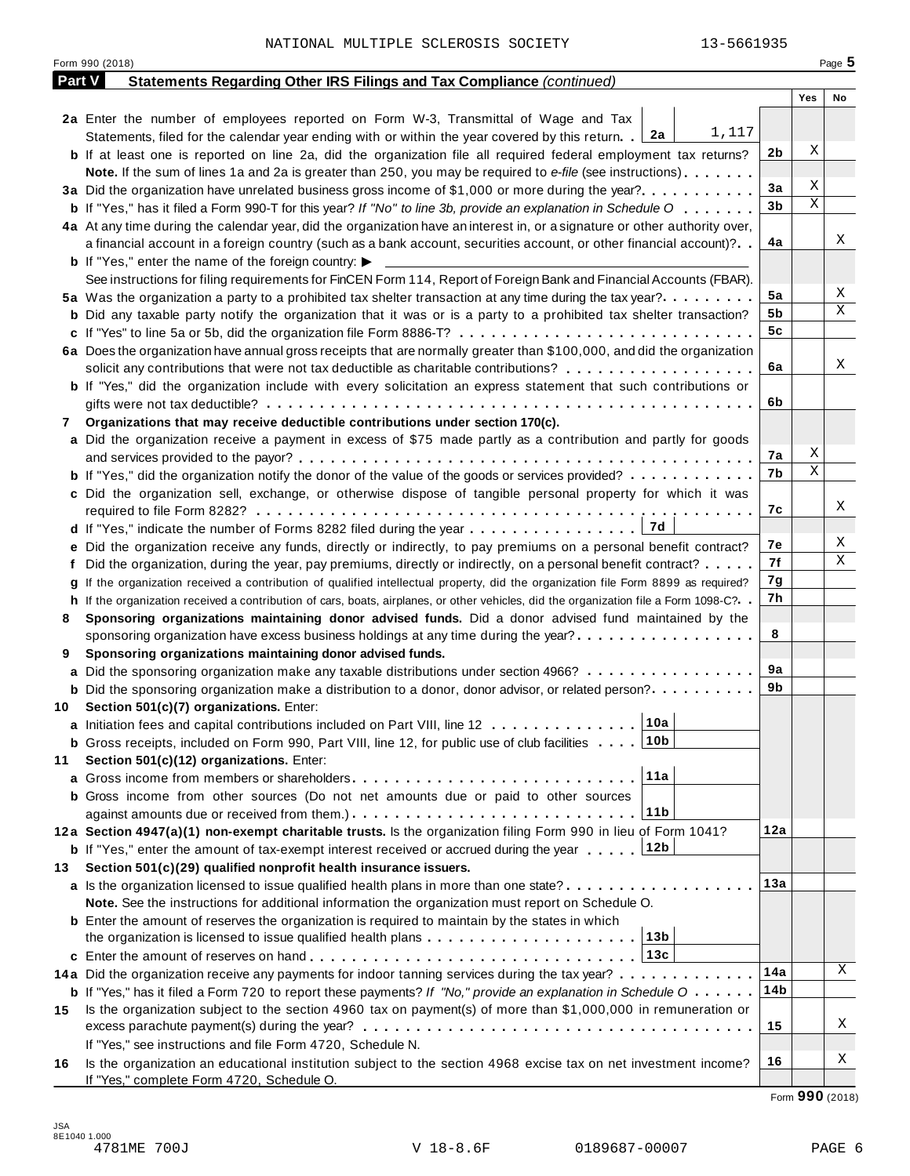| Part V<br>Statements Regarding Other IRS Filings and Tax Compliance (continued)<br>Yes<br>2a Enter the number of employees reported on Form W-3, Transmittal of Wage and Tax<br>1,117<br>Statements, filed for the calendar year ending with or within the year covered by this return. 2a<br>Χ<br>2b<br><b>b</b> If at least one is reported on line 2a, did the organization file all required federal employment tax returns?<br><b>Note.</b> If the sum of lines 1a and 2a is greater than 250, you may be required to e-file (see instructions).<br>Χ<br>3a<br>3a Did the organization have unrelated business gross income of \$1,000 or more during the year?<br>Χ<br>3b<br><b>b</b> If "Yes," has it filed a Form 990-T for this year? If "No" to line 3b, provide an explanation in Schedule O<br>4a At any time during the calendar year, did the organization have an interest in, or a signature or other authority over,<br>4a<br>a financial account in a foreign country (such as a bank account, securities account, or other financial account)?<br><b>b</b> If "Yes," enter the name of the foreign country: $\blacktriangleright$<br>See instructions for filing requirements for FinCEN Form 114, Report of Foreign Bank and Financial Accounts (FBAR).<br>5a<br>5a Was the organization a party to a prohibited tax shelter transaction at any time during the tax year?<br>5b<br><b>b</b> Did any taxable party notify the organization that it was or is a party to a prohibited tax shelter transaction?<br>5c<br>c If "Yes" to line 5a or 5b, did the organization file Form 8886-T?<br>6a Does the organization have annual gross receipts that are normally greater than \$100,000, and did the organization<br>6a<br>solicit any contributions that were not tax deductible as charitable contributions?<br><b>b</b> If "Yes," did the organization include with every solicitation an express statement that such contributions or<br>6b<br>Organizations that may receive deductible contributions under section 170(c).<br>7<br>a Did the organization receive a payment in excess of \$75 made partly as a contribution and partly for goods<br>Χ<br>7а<br>Χ<br>7b<br><b>b</b> If "Yes," did the organization notify the donor of the value of the goods or services provided?<br>c Did the organization sell, exchange, or otherwise dispose of tangible personal property for which it was<br>7с<br>  7d<br><b>d</b> If "Yes," indicate the number of Forms 8282 filed during the year $\dots \dots \dots \dots \dots$<br>7е<br>e Did the organization receive any funds, directly or indirectly, to pay premiums on a personal benefit contract?<br>7f<br>f Did the organization, during the year, pay premiums, directly or indirectly, on a personal benefit contract?<br>7g<br>If the organization received a contribution of qualified intellectual property, did the organization file Form 8899 as required?<br>7h<br>h If the organization received a contribution of cars, boats, airplanes, or other vehicles, did the organization file a Form 1098-C?<br>Sponsoring organizations maintaining donor advised funds. Did a donor advised fund maintained by the<br>8<br>8<br>sponsoring organization have excess business holdings at any time during the year?<br>Sponsoring organizations maintaining donor advised funds.<br>9<br>9а<br>a Did the sponsoring organization make any taxable distributions under section 4966?<br>9b<br><b>b</b> Did the sponsoring organization make a distribution to a donor, donor advisor, or related person?<br>10 Section 501(c)(7) organizations. Enter:<br> 10a <br>a Initiation fees and capital contributions included on Part VIII, line 12<br>∣10b<br><b>b</b> Gross receipts, included on Form 990, Part VIII, line 12, for public use of club facilities $\ldots$ .<br>Section 501(c)(12) organizations. Enter:<br>11<br>11a<br>b Gross income from other sources (Do not net amounts due or paid to other sources<br>11b<br>12a<br>12a Section 4947(a)(1) non-exempt charitable trusts. Is the organization filing Form 990 in lieu of Form 1041?<br>12b<br><b>b</b> If "Yes," enter the amount of tax-exempt interest received or accrued during the year<br>Section 501(c)(29) qualified nonprofit health insurance issuers.<br>13<br>13а<br>a Is the organization licensed to issue qualified health plans in more than one state?<br>Note. See the instructions for additional information the organization must report on Schedule O.<br><b>b</b> Enter the amount of reserves the organization is required to maintain by the states in which<br>13b<br>the organization is licensed to issue qualified health plans $\ldots \ldots \ldots \ldots \ldots \ldots \ldots$<br>13c<br>14a<br>14a Did the organization receive any payments for indoor tanning services during the tax year?<br>14b<br><b>b</b> If "Yes," has it filed a Form 720 to report these payments? If "No," provide an explanation in Schedule $0 \cdot \cdot \cdot \cdot$<br>Is the organization subject to the section 4960 tax on payment(s) of more than \$1,000,000 in remuneration or<br>15<br>15<br>If "Yes," see instructions and file Form 4720, Schedule N.<br>16<br>Is the organization an educational institution subject to the section 4968 excise tax on net investment income?<br>16 | Form 990 (2018)                           |  | Page 5 |
|-----------------------------------------------------------------------------------------------------------------------------------------------------------------------------------------------------------------------------------------------------------------------------------------------------------------------------------------------------------------------------------------------------------------------------------------------------------------------------------------------------------------------------------------------------------------------------------------------------------------------------------------------------------------------------------------------------------------------------------------------------------------------------------------------------------------------------------------------------------------------------------------------------------------------------------------------------------------------------------------------------------------------------------------------------------------------------------------------------------------------------------------------------------------------------------------------------------------------------------------------------------------------------------------------------------------------------------------------------------------------------------------------------------------------------------------------------------------------------------------------------------------------------------------------------------------------------------------------------------------------------------------------------------------------------------------------------------------------------------------------------------------------------------------------------------------------------------------------------------------------------------------------------------------------------------------------------------------------------------------------------------------------------------------------------------------------------------------------------------------------------------------------------------------------------------------------------------------------------------------------------------------------------------------------------------------------------------------------------------------------------------------------------------------------------------------------------------------------------------------------------------------------------------------------------------------------------------------------------------------------------------------------------------------------------------------------------------------------------------------------------------------------------------------------------------------------------------------------------------------------------------------------------------------------------------------------------------------------------------------------------------------------------------------------------------------------------------------------------------------------------------------------------------------------------------------------------------------------------------------------------------------------------------------------------------------------------------------------------------------------------------------------------------------------------------------------------------------------------------------------------------------------------------------------------------------------------------------------------------------------------------------------------------------------------------------------------------------------------------------------------------------------------------------------------------------------------------------------------------------------------------------------------------------------------------------------------------------------------------------------------------------------------------------------------------------------------------------------------------------------------------------------------------------------------------------------------------------------------------------------------------------------------------------------------------------------------------------------------------------------------------------------------------------------------------------------------------------------------------------------------------------------------------------------------------------------------------------------------------------------------------------------------------------------------------------------------------------------------------------------------------------------------------------------------------------------------------------------------------------------------------------------------------------------------------------------------------------------------------------------------------------------------------------------------------------------------------------------------------------------------------------------------------------------------------------------------------------------------------------------------------------------------------------------------------------------------------------------------------------------------|-------------------------------------------|--|--------|
|                                                                                                                                                                                                                                                                                                                                                                                                                                                                                                                                                                                                                                                                                                                                                                                                                                                                                                                                                                                                                                                                                                                                                                                                                                                                                                                                                                                                                                                                                                                                                                                                                                                                                                                                                                                                                                                                                                                                                                                                                                                                                                                                                                                                                                                                                                                                                                                                                                                                                                                                                                                                                                                                                                                                                                                                                                                                                                                                                                                                                                                                                                                                                                                                                                                                                                                                                                                                                                                                                                                                                                                                                                                                                                                                                                                                                                                                                                                                                                                                                                                                                                                                                                                                                                                                                                                                                                                                                                                                                                                                                                                                                                                                                                                                                                                                                                                                                                                                                                                                                                                                                                                                                                                                                                                                                                                                                                             |                                           |  |        |
|                                                                                                                                                                                                                                                                                                                                                                                                                                                                                                                                                                                                                                                                                                                                                                                                                                                                                                                                                                                                                                                                                                                                                                                                                                                                                                                                                                                                                                                                                                                                                                                                                                                                                                                                                                                                                                                                                                                                                                                                                                                                                                                                                                                                                                                                                                                                                                                                                                                                                                                                                                                                                                                                                                                                                                                                                                                                                                                                                                                                                                                                                                                                                                                                                                                                                                                                                                                                                                                                                                                                                                                                                                                                                                                                                                                                                                                                                                                                                                                                                                                                                                                                                                                                                                                                                                                                                                                                                                                                                                                                                                                                                                                                                                                                                                                                                                                                                                                                                                                                                                                                                                                                                                                                                                                                                                                                                                             |                                           |  | No     |
|                                                                                                                                                                                                                                                                                                                                                                                                                                                                                                                                                                                                                                                                                                                                                                                                                                                                                                                                                                                                                                                                                                                                                                                                                                                                                                                                                                                                                                                                                                                                                                                                                                                                                                                                                                                                                                                                                                                                                                                                                                                                                                                                                                                                                                                                                                                                                                                                                                                                                                                                                                                                                                                                                                                                                                                                                                                                                                                                                                                                                                                                                                                                                                                                                                                                                                                                                                                                                                                                                                                                                                                                                                                                                                                                                                                                                                                                                                                                                                                                                                                                                                                                                                                                                                                                                                                                                                                                                                                                                                                                                                                                                                                                                                                                                                                                                                                                                                                                                                                                                                                                                                                                                                                                                                                                                                                                                                             |                                           |  |        |
|                                                                                                                                                                                                                                                                                                                                                                                                                                                                                                                                                                                                                                                                                                                                                                                                                                                                                                                                                                                                                                                                                                                                                                                                                                                                                                                                                                                                                                                                                                                                                                                                                                                                                                                                                                                                                                                                                                                                                                                                                                                                                                                                                                                                                                                                                                                                                                                                                                                                                                                                                                                                                                                                                                                                                                                                                                                                                                                                                                                                                                                                                                                                                                                                                                                                                                                                                                                                                                                                                                                                                                                                                                                                                                                                                                                                                                                                                                                                                                                                                                                                                                                                                                                                                                                                                                                                                                                                                                                                                                                                                                                                                                                                                                                                                                                                                                                                                                                                                                                                                                                                                                                                                                                                                                                                                                                                                                             |                                           |  |        |
|                                                                                                                                                                                                                                                                                                                                                                                                                                                                                                                                                                                                                                                                                                                                                                                                                                                                                                                                                                                                                                                                                                                                                                                                                                                                                                                                                                                                                                                                                                                                                                                                                                                                                                                                                                                                                                                                                                                                                                                                                                                                                                                                                                                                                                                                                                                                                                                                                                                                                                                                                                                                                                                                                                                                                                                                                                                                                                                                                                                                                                                                                                                                                                                                                                                                                                                                                                                                                                                                                                                                                                                                                                                                                                                                                                                                                                                                                                                                                                                                                                                                                                                                                                                                                                                                                                                                                                                                                                                                                                                                                                                                                                                                                                                                                                                                                                                                                                                                                                                                                                                                                                                                                                                                                                                                                                                                                                             |                                           |  |        |
|                                                                                                                                                                                                                                                                                                                                                                                                                                                                                                                                                                                                                                                                                                                                                                                                                                                                                                                                                                                                                                                                                                                                                                                                                                                                                                                                                                                                                                                                                                                                                                                                                                                                                                                                                                                                                                                                                                                                                                                                                                                                                                                                                                                                                                                                                                                                                                                                                                                                                                                                                                                                                                                                                                                                                                                                                                                                                                                                                                                                                                                                                                                                                                                                                                                                                                                                                                                                                                                                                                                                                                                                                                                                                                                                                                                                                                                                                                                                                                                                                                                                                                                                                                                                                                                                                                                                                                                                                                                                                                                                                                                                                                                                                                                                                                                                                                                                                                                                                                                                                                                                                                                                                                                                                                                                                                                                                                             |                                           |  |        |
|                                                                                                                                                                                                                                                                                                                                                                                                                                                                                                                                                                                                                                                                                                                                                                                                                                                                                                                                                                                                                                                                                                                                                                                                                                                                                                                                                                                                                                                                                                                                                                                                                                                                                                                                                                                                                                                                                                                                                                                                                                                                                                                                                                                                                                                                                                                                                                                                                                                                                                                                                                                                                                                                                                                                                                                                                                                                                                                                                                                                                                                                                                                                                                                                                                                                                                                                                                                                                                                                                                                                                                                                                                                                                                                                                                                                                                                                                                                                                                                                                                                                                                                                                                                                                                                                                                                                                                                                                                                                                                                                                                                                                                                                                                                                                                                                                                                                                                                                                                                                                                                                                                                                                                                                                                                                                                                                                                             |                                           |  |        |
|                                                                                                                                                                                                                                                                                                                                                                                                                                                                                                                                                                                                                                                                                                                                                                                                                                                                                                                                                                                                                                                                                                                                                                                                                                                                                                                                                                                                                                                                                                                                                                                                                                                                                                                                                                                                                                                                                                                                                                                                                                                                                                                                                                                                                                                                                                                                                                                                                                                                                                                                                                                                                                                                                                                                                                                                                                                                                                                                                                                                                                                                                                                                                                                                                                                                                                                                                                                                                                                                                                                                                                                                                                                                                                                                                                                                                                                                                                                                                                                                                                                                                                                                                                                                                                                                                                                                                                                                                                                                                                                                                                                                                                                                                                                                                                                                                                                                                                                                                                                                                                                                                                                                                                                                                                                                                                                                                                             |                                           |  |        |
|                                                                                                                                                                                                                                                                                                                                                                                                                                                                                                                                                                                                                                                                                                                                                                                                                                                                                                                                                                                                                                                                                                                                                                                                                                                                                                                                                                                                                                                                                                                                                                                                                                                                                                                                                                                                                                                                                                                                                                                                                                                                                                                                                                                                                                                                                                                                                                                                                                                                                                                                                                                                                                                                                                                                                                                                                                                                                                                                                                                                                                                                                                                                                                                                                                                                                                                                                                                                                                                                                                                                                                                                                                                                                                                                                                                                                                                                                                                                                                                                                                                                                                                                                                                                                                                                                                                                                                                                                                                                                                                                                                                                                                                                                                                                                                                                                                                                                                                                                                                                                                                                                                                                                                                                                                                                                                                                                                             |                                           |  |        |
|                                                                                                                                                                                                                                                                                                                                                                                                                                                                                                                                                                                                                                                                                                                                                                                                                                                                                                                                                                                                                                                                                                                                                                                                                                                                                                                                                                                                                                                                                                                                                                                                                                                                                                                                                                                                                                                                                                                                                                                                                                                                                                                                                                                                                                                                                                                                                                                                                                                                                                                                                                                                                                                                                                                                                                                                                                                                                                                                                                                                                                                                                                                                                                                                                                                                                                                                                                                                                                                                                                                                                                                                                                                                                                                                                                                                                                                                                                                                                                                                                                                                                                                                                                                                                                                                                                                                                                                                                                                                                                                                                                                                                                                                                                                                                                                                                                                                                                                                                                                                                                                                                                                                                                                                                                                                                                                                                                             |                                           |  | Χ      |
|                                                                                                                                                                                                                                                                                                                                                                                                                                                                                                                                                                                                                                                                                                                                                                                                                                                                                                                                                                                                                                                                                                                                                                                                                                                                                                                                                                                                                                                                                                                                                                                                                                                                                                                                                                                                                                                                                                                                                                                                                                                                                                                                                                                                                                                                                                                                                                                                                                                                                                                                                                                                                                                                                                                                                                                                                                                                                                                                                                                                                                                                                                                                                                                                                                                                                                                                                                                                                                                                                                                                                                                                                                                                                                                                                                                                                                                                                                                                                                                                                                                                                                                                                                                                                                                                                                                                                                                                                                                                                                                                                                                                                                                                                                                                                                                                                                                                                                                                                                                                                                                                                                                                                                                                                                                                                                                                                                             |                                           |  |        |
|                                                                                                                                                                                                                                                                                                                                                                                                                                                                                                                                                                                                                                                                                                                                                                                                                                                                                                                                                                                                                                                                                                                                                                                                                                                                                                                                                                                                                                                                                                                                                                                                                                                                                                                                                                                                                                                                                                                                                                                                                                                                                                                                                                                                                                                                                                                                                                                                                                                                                                                                                                                                                                                                                                                                                                                                                                                                                                                                                                                                                                                                                                                                                                                                                                                                                                                                                                                                                                                                                                                                                                                                                                                                                                                                                                                                                                                                                                                                                                                                                                                                                                                                                                                                                                                                                                                                                                                                                                                                                                                                                                                                                                                                                                                                                                                                                                                                                                                                                                                                                                                                                                                                                                                                                                                                                                                                                                             |                                           |  |        |
|                                                                                                                                                                                                                                                                                                                                                                                                                                                                                                                                                                                                                                                                                                                                                                                                                                                                                                                                                                                                                                                                                                                                                                                                                                                                                                                                                                                                                                                                                                                                                                                                                                                                                                                                                                                                                                                                                                                                                                                                                                                                                                                                                                                                                                                                                                                                                                                                                                                                                                                                                                                                                                                                                                                                                                                                                                                                                                                                                                                                                                                                                                                                                                                                                                                                                                                                                                                                                                                                                                                                                                                                                                                                                                                                                                                                                                                                                                                                                                                                                                                                                                                                                                                                                                                                                                                                                                                                                                                                                                                                                                                                                                                                                                                                                                                                                                                                                                                                                                                                                                                                                                                                                                                                                                                                                                                                                                             |                                           |  | Χ      |
|                                                                                                                                                                                                                                                                                                                                                                                                                                                                                                                                                                                                                                                                                                                                                                                                                                                                                                                                                                                                                                                                                                                                                                                                                                                                                                                                                                                                                                                                                                                                                                                                                                                                                                                                                                                                                                                                                                                                                                                                                                                                                                                                                                                                                                                                                                                                                                                                                                                                                                                                                                                                                                                                                                                                                                                                                                                                                                                                                                                                                                                                                                                                                                                                                                                                                                                                                                                                                                                                                                                                                                                                                                                                                                                                                                                                                                                                                                                                                                                                                                                                                                                                                                                                                                                                                                                                                                                                                                                                                                                                                                                                                                                                                                                                                                                                                                                                                                                                                                                                                                                                                                                                                                                                                                                                                                                                                                             |                                           |  | Χ      |
|                                                                                                                                                                                                                                                                                                                                                                                                                                                                                                                                                                                                                                                                                                                                                                                                                                                                                                                                                                                                                                                                                                                                                                                                                                                                                                                                                                                                                                                                                                                                                                                                                                                                                                                                                                                                                                                                                                                                                                                                                                                                                                                                                                                                                                                                                                                                                                                                                                                                                                                                                                                                                                                                                                                                                                                                                                                                                                                                                                                                                                                                                                                                                                                                                                                                                                                                                                                                                                                                                                                                                                                                                                                                                                                                                                                                                                                                                                                                                                                                                                                                                                                                                                                                                                                                                                                                                                                                                                                                                                                                                                                                                                                                                                                                                                                                                                                                                                                                                                                                                                                                                                                                                                                                                                                                                                                                                                             |                                           |  |        |
|                                                                                                                                                                                                                                                                                                                                                                                                                                                                                                                                                                                                                                                                                                                                                                                                                                                                                                                                                                                                                                                                                                                                                                                                                                                                                                                                                                                                                                                                                                                                                                                                                                                                                                                                                                                                                                                                                                                                                                                                                                                                                                                                                                                                                                                                                                                                                                                                                                                                                                                                                                                                                                                                                                                                                                                                                                                                                                                                                                                                                                                                                                                                                                                                                                                                                                                                                                                                                                                                                                                                                                                                                                                                                                                                                                                                                                                                                                                                                                                                                                                                                                                                                                                                                                                                                                                                                                                                                                                                                                                                                                                                                                                                                                                                                                                                                                                                                                                                                                                                                                                                                                                                                                                                                                                                                                                                                                             |                                           |  |        |
|                                                                                                                                                                                                                                                                                                                                                                                                                                                                                                                                                                                                                                                                                                                                                                                                                                                                                                                                                                                                                                                                                                                                                                                                                                                                                                                                                                                                                                                                                                                                                                                                                                                                                                                                                                                                                                                                                                                                                                                                                                                                                                                                                                                                                                                                                                                                                                                                                                                                                                                                                                                                                                                                                                                                                                                                                                                                                                                                                                                                                                                                                                                                                                                                                                                                                                                                                                                                                                                                                                                                                                                                                                                                                                                                                                                                                                                                                                                                                                                                                                                                                                                                                                                                                                                                                                                                                                                                                                                                                                                                                                                                                                                                                                                                                                                                                                                                                                                                                                                                                                                                                                                                                                                                                                                                                                                                                                             |                                           |  | Χ      |
|                                                                                                                                                                                                                                                                                                                                                                                                                                                                                                                                                                                                                                                                                                                                                                                                                                                                                                                                                                                                                                                                                                                                                                                                                                                                                                                                                                                                                                                                                                                                                                                                                                                                                                                                                                                                                                                                                                                                                                                                                                                                                                                                                                                                                                                                                                                                                                                                                                                                                                                                                                                                                                                                                                                                                                                                                                                                                                                                                                                                                                                                                                                                                                                                                                                                                                                                                                                                                                                                                                                                                                                                                                                                                                                                                                                                                                                                                                                                                                                                                                                                                                                                                                                                                                                                                                                                                                                                                                                                                                                                                                                                                                                                                                                                                                                                                                                                                                                                                                                                                                                                                                                                                                                                                                                                                                                                                                             |                                           |  |        |
|                                                                                                                                                                                                                                                                                                                                                                                                                                                                                                                                                                                                                                                                                                                                                                                                                                                                                                                                                                                                                                                                                                                                                                                                                                                                                                                                                                                                                                                                                                                                                                                                                                                                                                                                                                                                                                                                                                                                                                                                                                                                                                                                                                                                                                                                                                                                                                                                                                                                                                                                                                                                                                                                                                                                                                                                                                                                                                                                                                                                                                                                                                                                                                                                                                                                                                                                                                                                                                                                                                                                                                                                                                                                                                                                                                                                                                                                                                                                                                                                                                                                                                                                                                                                                                                                                                                                                                                                                                                                                                                                                                                                                                                                                                                                                                                                                                                                                                                                                                                                                                                                                                                                                                                                                                                                                                                                                                             |                                           |  |        |
|                                                                                                                                                                                                                                                                                                                                                                                                                                                                                                                                                                                                                                                                                                                                                                                                                                                                                                                                                                                                                                                                                                                                                                                                                                                                                                                                                                                                                                                                                                                                                                                                                                                                                                                                                                                                                                                                                                                                                                                                                                                                                                                                                                                                                                                                                                                                                                                                                                                                                                                                                                                                                                                                                                                                                                                                                                                                                                                                                                                                                                                                                                                                                                                                                                                                                                                                                                                                                                                                                                                                                                                                                                                                                                                                                                                                                                                                                                                                                                                                                                                                                                                                                                                                                                                                                                                                                                                                                                                                                                                                                                                                                                                                                                                                                                                                                                                                                                                                                                                                                                                                                                                                                                                                                                                                                                                                                                             |                                           |  |        |
|                                                                                                                                                                                                                                                                                                                                                                                                                                                                                                                                                                                                                                                                                                                                                                                                                                                                                                                                                                                                                                                                                                                                                                                                                                                                                                                                                                                                                                                                                                                                                                                                                                                                                                                                                                                                                                                                                                                                                                                                                                                                                                                                                                                                                                                                                                                                                                                                                                                                                                                                                                                                                                                                                                                                                                                                                                                                                                                                                                                                                                                                                                                                                                                                                                                                                                                                                                                                                                                                                                                                                                                                                                                                                                                                                                                                                                                                                                                                                                                                                                                                                                                                                                                                                                                                                                                                                                                                                                                                                                                                                                                                                                                                                                                                                                                                                                                                                                                                                                                                                                                                                                                                                                                                                                                                                                                                                                             |                                           |  |        |
|                                                                                                                                                                                                                                                                                                                                                                                                                                                                                                                                                                                                                                                                                                                                                                                                                                                                                                                                                                                                                                                                                                                                                                                                                                                                                                                                                                                                                                                                                                                                                                                                                                                                                                                                                                                                                                                                                                                                                                                                                                                                                                                                                                                                                                                                                                                                                                                                                                                                                                                                                                                                                                                                                                                                                                                                                                                                                                                                                                                                                                                                                                                                                                                                                                                                                                                                                                                                                                                                                                                                                                                                                                                                                                                                                                                                                                                                                                                                                                                                                                                                                                                                                                                                                                                                                                                                                                                                                                                                                                                                                                                                                                                                                                                                                                                                                                                                                                                                                                                                                                                                                                                                                                                                                                                                                                                                                                             |                                           |  |        |
|                                                                                                                                                                                                                                                                                                                                                                                                                                                                                                                                                                                                                                                                                                                                                                                                                                                                                                                                                                                                                                                                                                                                                                                                                                                                                                                                                                                                                                                                                                                                                                                                                                                                                                                                                                                                                                                                                                                                                                                                                                                                                                                                                                                                                                                                                                                                                                                                                                                                                                                                                                                                                                                                                                                                                                                                                                                                                                                                                                                                                                                                                                                                                                                                                                                                                                                                                                                                                                                                                                                                                                                                                                                                                                                                                                                                                                                                                                                                                                                                                                                                                                                                                                                                                                                                                                                                                                                                                                                                                                                                                                                                                                                                                                                                                                                                                                                                                                                                                                                                                                                                                                                                                                                                                                                                                                                                                                             |                                           |  |        |
|                                                                                                                                                                                                                                                                                                                                                                                                                                                                                                                                                                                                                                                                                                                                                                                                                                                                                                                                                                                                                                                                                                                                                                                                                                                                                                                                                                                                                                                                                                                                                                                                                                                                                                                                                                                                                                                                                                                                                                                                                                                                                                                                                                                                                                                                                                                                                                                                                                                                                                                                                                                                                                                                                                                                                                                                                                                                                                                                                                                                                                                                                                                                                                                                                                                                                                                                                                                                                                                                                                                                                                                                                                                                                                                                                                                                                                                                                                                                                                                                                                                                                                                                                                                                                                                                                                                                                                                                                                                                                                                                                                                                                                                                                                                                                                                                                                                                                                                                                                                                                                                                                                                                                                                                                                                                                                                                                                             |                                           |  |        |
|                                                                                                                                                                                                                                                                                                                                                                                                                                                                                                                                                                                                                                                                                                                                                                                                                                                                                                                                                                                                                                                                                                                                                                                                                                                                                                                                                                                                                                                                                                                                                                                                                                                                                                                                                                                                                                                                                                                                                                                                                                                                                                                                                                                                                                                                                                                                                                                                                                                                                                                                                                                                                                                                                                                                                                                                                                                                                                                                                                                                                                                                                                                                                                                                                                                                                                                                                                                                                                                                                                                                                                                                                                                                                                                                                                                                                                                                                                                                                                                                                                                                                                                                                                                                                                                                                                                                                                                                                                                                                                                                                                                                                                                                                                                                                                                                                                                                                                                                                                                                                                                                                                                                                                                                                                                                                                                                                                             |                                           |  |        |
|                                                                                                                                                                                                                                                                                                                                                                                                                                                                                                                                                                                                                                                                                                                                                                                                                                                                                                                                                                                                                                                                                                                                                                                                                                                                                                                                                                                                                                                                                                                                                                                                                                                                                                                                                                                                                                                                                                                                                                                                                                                                                                                                                                                                                                                                                                                                                                                                                                                                                                                                                                                                                                                                                                                                                                                                                                                                                                                                                                                                                                                                                                                                                                                                                                                                                                                                                                                                                                                                                                                                                                                                                                                                                                                                                                                                                                                                                                                                                                                                                                                                                                                                                                                                                                                                                                                                                                                                                                                                                                                                                                                                                                                                                                                                                                                                                                                                                                                                                                                                                                                                                                                                                                                                                                                                                                                                                                             |                                           |  | Χ      |
|                                                                                                                                                                                                                                                                                                                                                                                                                                                                                                                                                                                                                                                                                                                                                                                                                                                                                                                                                                                                                                                                                                                                                                                                                                                                                                                                                                                                                                                                                                                                                                                                                                                                                                                                                                                                                                                                                                                                                                                                                                                                                                                                                                                                                                                                                                                                                                                                                                                                                                                                                                                                                                                                                                                                                                                                                                                                                                                                                                                                                                                                                                                                                                                                                                                                                                                                                                                                                                                                                                                                                                                                                                                                                                                                                                                                                                                                                                                                                                                                                                                                                                                                                                                                                                                                                                                                                                                                                                                                                                                                                                                                                                                                                                                                                                                                                                                                                                                                                                                                                                                                                                                                                                                                                                                                                                                                                                             |                                           |  |        |
|                                                                                                                                                                                                                                                                                                                                                                                                                                                                                                                                                                                                                                                                                                                                                                                                                                                                                                                                                                                                                                                                                                                                                                                                                                                                                                                                                                                                                                                                                                                                                                                                                                                                                                                                                                                                                                                                                                                                                                                                                                                                                                                                                                                                                                                                                                                                                                                                                                                                                                                                                                                                                                                                                                                                                                                                                                                                                                                                                                                                                                                                                                                                                                                                                                                                                                                                                                                                                                                                                                                                                                                                                                                                                                                                                                                                                                                                                                                                                                                                                                                                                                                                                                                                                                                                                                                                                                                                                                                                                                                                                                                                                                                                                                                                                                                                                                                                                                                                                                                                                                                                                                                                                                                                                                                                                                                                                                             |                                           |  | Χ      |
|                                                                                                                                                                                                                                                                                                                                                                                                                                                                                                                                                                                                                                                                                                                                                                                                                                                                                                                                                                                                                                                                                                                                                                                                                                                                                                                                                                                                                                                                                                                                                                                                                                                                                                                                                                                                                                                                                                                                                                                                                                                                                                                                                                                                                                                                                                                                                                                                                                                                                                                                                                                                                                                                                                                                                                                                                                                                                                                                                                                                                                                                                                                                                                                                                                                                                                                                                                                                                                                                                                                                                                                                                                                                                                                                                                                                                                                                                                                                                                                                                                                                                                                                                                                                                                                                                                                                                                                                                                                                                                                                                                                                                                                                                                                                                                                                                                                                                                                                                                                                                                                                                                                                                                                                                                                                                                                                                                             |                                           |  | Χ      |
|                                                                                                                                                                                                                                                                                                                                                                                                                                                                                                                                                                                                                                                                                                                                                                                                                                                                                                                                                                                                                                                                                                                                                                                                                                                                                                                                                                                                                                                                                                                                                                                                                                                                                                                                                                                                                                                                                                                                                                                                                                                                                                                                                                                                                                                                                                                                                                                                                                                                                                                                                                                                                                                                                                                                                                                                                                                                                                                                                                                                                                                                                                                                                                                                                                                                                                                                                                                                                                                                                                                                                                                                                                                                                                                                                                                                                                                                                                                                                                                                                                                                                                                                                                                                                                                                                                                                                                                                                                                                                                                                                                                                                                                                                                                                                                                                                                                                                                                                                                                                                                                                                                                                                                                                                                                                                                                                                                             |                                           |  |        |
|                                                                                                                                                                                                                                                                                                                                                                                                                                                                                                                                                                                                                                                                                                                                                                                                                                                                                                                                                                                                                                                                                                                                                                                                                                                                                                                                                                                                                                                                                                                                                                                                                                                                                                                                                                                                                                                                                                                                                                                                                                                                                                                                                                                                                                                                                                                                                                                                                                                                                                                                                                                                                                                                                                                                                                                                                                                                                                                                                                                                                                                                                                                                                                                                                                                                                                                                                                                                                                                                                                                                                                                                                                                                                                                                                                                                                                                                                                                                                                                                                                                                                                                                                                                                                                                                                                                                                                                                                                                                                                                                                                                                                                                                                                                                                                                                                                                                                                                                                                                                                                                                                                                                                                                                                                                                                                                                                                             |                                           |  |        |
|                                                                                                                                                                                                                                                                                                                                                                                                                                                                                                                                                                                                                                                                                                                                                                                                                                                                                                                                                                                                                                                                                                                                                                                                                                                                                                                                                                                                                                                                                                                                                                                                                                                                                                                                                                                                                                                                                                                                                                                                                                                                                                                                                                                                                                                                                                                                                                                                                                                                                                                                                                                                                                                                                                                                                                                                                                                                                                                                                                                                                                                                                                                                                                                                                                                                                                                                                                                                                                                                                                                                                                                                                                                                                                                                                                                                                                                                                                                                                                                                                                                                                                                                                                                                                                                                                                                                                                                                                                                                                                                                                                                                                                                                                                                                                                                                                                                                                                                                                                                                                                                                                                                                                                                                                                                                                                                                                                             |                                           |  |        |
|                                                                                                                                                                                                                                                                                                                                                                                                                                                                                                                                                                                                                                                                                                                                                                                                                                                                                                                                                                                                                                                                                                                                                                                                                                                                                                                                                                                                                                                                                                                                                                                                                                                                                                                                                                                                                                                                                                                                                                                                                                                                                                                                                                                                                                                                                                                                                                                                                                                                                                                                                                                                                                                                                                                                                                                                                                                                                                                                                                                                                                                                                                                                                                                                                                                                                                                                                                                                                                                                                                                                                                                                                                                                                                                                                                                                                                                                                                                                                                                                                                                                                                                                                                                                                                                                                                                                                                                                                                                                                                                                                                                                                                                                                                                                                                                                                                                                                                                                                                                                                                                                                                                                                                                                                                                                                                                                                                             |                                           |  |        |
|                                                                                                                                                                                                                                                                                                                                                                                                                                                                                                                                                                                                                                                                                                                                                                                                                                                                                                                                                                                                                                                                                                                                                                                                                                                                                                                                                                                                                                                                                                                                                                                                                                                                                                                                                                                                                                                                                                                                                                                                                                                                                                                                                                                                                                                                                                                                                                                                                                                                                                                                                                                                                                                                                                                                                                                                                                                                                                                                                                                                                                                                                                                                                                                                                                                                                                                                                                                                                                                                                                                                                                                                                                                                                                                                                                                                                                                                                                                                                                                                                                                                                                                                                                                                                                                                                                                                                                                                                                                                                                                                                                                                                                                                                                                                                                                                                                                                                                                                                                                                                                                                                                                                                                                                                                                                                                                                                                             |                                           |  |        |
|                                                                                                                                                                                                                                                                                                                                                                                                                                                                                                                                                                                                                                                                                                                                                                                                                                                                                                                                                                                                                                                                                                                                                                                                                                                                                                                                                                                                                                                                                                                                                                                                                                                                                                                                                                                                                                                                                                                                                                                                                                                                                                                                                                                                                                                                                                                                                                                                                                                                                                                                                                                                                                                                                                                                                                                                                                                                                                                                                                                                                                                                                                                                                                                                                                                                                                                                                                                                                                                                                                                                                                                                                                                                                                                                                                                                                                                                                                                                                                                                                                                                                                                                                                                                                                                                                                                                                                                                                                                                                                                                                                                                                                                                                                                                                                                                                                                                                                                                                                                                                                                                                                                                                                                                                                                                                                                                                                             |                                           |  |        |
|                                                                                                                                                                                                                                                                                                                                                                                                                                                                                                                                                                                                                                                                                                                                                                                                                                                                                                                                                                                                                                                                                                                                                                                                                                                                                                                                                                                                                                                                                                                                                                                                                                                                                                                                                                                                                                                                                                                                                                                                                                                                                                                                                                                                                                                                                                                                                                                                                                                                                                                                                                                                                                                                                                                                                                                                                                                                                                                                                                                                                                                                                                                                                                                                                                                                                                                                                                                                                                                                                                                                                                                                                                                                                                                                                                                                                                                                                                                                                                                                                                                                                                                                                                                                                                                                                                                                                                                                                                                                                                                                                                                                                                                                                                                                                                                                                                                                                                                                                                                                                                                                                                                                                                                                                                                                                                                                                                             |                                           |  |        |
|                                                                                                                                                                                                                                                                                                                                                                                                                                                                                                                                                                                                                                                                                                                                                                                                                                                                                                                                                                                                                                                                                                                                                                                                                                                                                                                                                                                                                                                                                                                                                                                                                                                                                                                                                                                                                                                                                                                                                                                                                                                                                                                                                                                                                                                                                                                                                                                                                                                                                                                                                                                                                                                                                                                                                                                                                                                                                                                                                                                                                                                                                                                                                                                                                                                                                                                                                                                                                                                                                                                                                                                                                                                                                                                                                                                                                                                                                                                                                                                                                                                                                                                                                                                                                                                                                                                                                                                                                                                                                                                                                                                                                                                                                                                                                                                                                                                                                                                                                                                                                                                                                                                                                                                                                                                                                                                                                                             |                                           |  |        |
|                                                                                                                                                                                                                                                                                                                                                                                                                                                                                                                                                                                                                                                                                                                                                                                                                                                                                                                                                                                                                                                                                                                                                                                                                                                                                                                                                                                                                                                                                                                                                                                                                                                                                                                                                                                                                                                                                                                                                                                                                                                                                                                                                                                                                                                                                                                                                                                                                                                                                                                                                                                                                                                                                                                                                                                                                                                                                                                                                                                                                                                                                                                                                                                                                                                                                                                                                                                                                                                                                                                                                                                                                                                                                                                                                                                                                                                                                                                                                                                                                                                                                                                                                                                                                                                                                                                                                                                                                                                                                                                                                                                                                                                                                                                                                                                                                                                                                                                                                                                                                                                                                                                                                                                                                                                                                                                                                                             |                                           |  |        |
|                                                                                                                                                                                                                                                                                                                                                                                                                                                                                                                                                                                                                                                                                                                                                                                                                                                                                                                                                                                                                                                                                                                                                                                                                                                                                                                                                                                                                                                                                                                                                                                                                                                                                                                                                                                                                                                                                                                                                                                                                                                                                                                                                                                                                                                                                                                                                                                                                                                                                                                                                                                                                                                                                                                                                                                                                                                                                                                                                                                                                                                                                                                                                                                                                                                                                                                                                                                                                                                                                                                                                                                                                                                                                                                                                                                                                                                                                                                                                                                                                                                                                                                                                                                                                                                                                                                                                                                                                                                                                                                                                                                                                                                                                                                                                                                                                                                                                                                                                                                                                                                                                                                                                                                                                                                                                                                                                                             |                                           |  |        |
|                                                                                                                                                                                                                                                                                                                                                                                                                                                                                                                                                                                                                                                                                                                                                                                                                                                                                                                                                                                                                                                                                                                                                                                                                                                                                                                                                                                                                                                                                                                                                                                                                                                                                                                                                                                                                                                                                                                                                                                                                                                                                                                                                                                                                                                                                                                                                                                                                                                                                                                                                                                                                                                                                                                                                                                                                                                                                                                                                                                                                                                                                                                                                                                                                                                                                                                                                                                                                                                                                                                                                                                                                                                                                                                                                                                                                                                                                                                                                                                                                                                                                                                                                                                                                                                                                                                                                                                                                                                                                                                                                                                                                                                                                                                                                                                                                                                                                                                                                                                                                                                                                                                                                                                                                                                                                                                                                                             |                                           |  |        |
|                                                                                                                                                                                                                                                                                                                                                                                                                                                                                                                                                                                                                                                                                                                                                                                                                                                                                                                                                                                                                                                                                                                                                                                                                                                                                                                                                                                                                                                                                                                                                                                                                                                                                                                                                                                                                                                                                                                                                                                                                                                                                                                                                                                                                                                                                                                                                                                                                                                                                                                                                                                                                                                                                                                                                                                                                                                                                                                                                                                                                                                                                                                                                                                                                                                                                                                                                                                                                                                                                                                                                                                                                                                                                                                                                                                                                                                                                                                                                                                                                                                                                                                                                                                                                                                                                                                                                                                                                                                                                                                                                                                                                                                                                                                                                                                                                                                                                                                                                                                                                                                                                                                                                                                                                                                                                                                                                                             |                                           |  |        |
|                                                                                                                                                                                                                                                                                                                                                                                                                                                                                                                                                                                                                                                                                                                                                                                                                                                                                                                                                                                                                                                                                                                                                                                                                                                                                                                                                                                                                                                                                                                                                                                                                                                                                                                                                                                                                                                                                                                                                                                                                                                                                                                                                                                                                                                                                                                                                                                                                                                                                                                                                                                                                                                                                                                                                                                                                                                                                                                                                                                                                                                                                                                                                                                                                                                                                                                                                                                                                                                                                                                                                                                                                                                                                                                                                                                                                                                                                                                                                                                                                                                                                                                                                                                                                                                                                                                                                                                                                                                                                                                                                                                                                                                                                                                                                                                                                                                                                                                                                                                                                                                                                                                                                                                                                                                                                                                                                                             |                                           |  |        |
|                                                                                                                                                                                                                                                                                                                                                                                                                                                                                                                                                                                                                                                                                                                                                                                                                                                                                                                                                                                                                                                                                                                                                                                                                                                                                                                                                                                                                                                                                                                                                                                                                                                                                                                                                                                                                                                                                                                                                                                                                                                                                                                                                                                                                                                                                                                                                                                                                                                                                                                                                                                                                                                                                                                                                                                                                                                                                                                                                                                                                                                                                                                                                                                                                                                                                                                                                                                                                                                                                                                                                                                                                                                                                                                                                                                                                                                                                                                                                                                                                                                                                                                                                                                                                                                                                                                                                                                                                                                                                                                                                                                                                                                                                                                                                                                                                                                                                                                                                                                                                                                                                                                                                                                                                                                                                                                                                                             |                                           |  |        |
|                                                                                                                                                                                                                                                                                                                                                                                                                                                                                                                                                                                                                                                                                                                                                                                                                                                                                                                                                                                                                                                                                                                                                                                                                                                                                                                                                                                                                                                                                                                                                                                                                                                                                                                                                                                                                                                                                                                                                                                                                                                                                                                                                                                                                                                                                                                                                                                                                                                                                                                                                                                                                                                                                                                                                                                                                                                                                                                                                                                                                                                                                                                                                                                                                                                                                                                                                                                                                                                                                                                                                                                                                                                                                                                                                                                                                                                                                                                                                                                                                                                                                                                                                                                                                                                                                                                                                                                                                                                                                                                                                                                                                                                                                                                                                                                                                                                                                                                                                                                                                                                                                                                                                                                                                                                                                                                                                                             |                                           |  |        |
|                                                                                                                                                                                                                                                                                                                                                                                                                                                                                                                                                                                                                                                                                                                                                                                                                                                                                                                                                                                                                                                                                                                                                                                                                                                                                                                                                                                                                                                                                                                                                                                                                                                                                                                                                                                                                                                                                                                                                                                                                                                                                                                                                                                                                                                                                                                                                                                                                                                                                                                                                                                                                                                                                                                                                                                                                                                                                                                                                                                                                                                                                                                                                                                                                                                                                                                                                                                                                                                                                                                                                                                                                                                                                                                                                                                                                                                                                                                                                                                                                                                                                                                                                                                                                                                                                                                                                                                                                                                                                                                                                                                                                                                                                                                                                                                                                                                                                                                                                                                                                                                                                                                                                                                                                                                                                                                                                                             |                                           |  |        |
|                                                                                                                                                                                                                                                                                                                                                                                                                                                                                                                                                                                                                                                                                                                                                                                                                                                                                                                                                                                                                                                                                                                                                                                                                                                                                                                                                                                                                                                                                                                                                                                                                                                                                                                                                                                                                                                                                                                                                                                                                                                                                                                                                                                                                                                                                                                                                                                                                                                                                                                                                                                                                                                                                                                                                                                                                                                                                                                                                                                                                                                                                                                                                                                                                                                                                                                                                                                                                                                                                                                                                                                                                                                                                                                                                                                                                                                                                                                                                                                                                                                                                                                                                                                                                                                                                                                                                                                                                                                                                                                                                                                                                                                                                                                                                                                                                                                                                                                                                                                                                                                                                                                                                                                                                                                                                                                                                                             |                                           |  |        |
|                                                                                                                                                                                                                                                                                                                                                                                                                                                                                                                                                                                                                                                                                                                                                                                                                                                                                                                                                                                                                                                                                                                                                                                                                                                                                                                                                                                                                                                                                                                                                                                                                                                                                                                                                                                                                                                                                                                                                                                                                                                                                                                                                                                                                                                                                                                                                                                                                                                                                                                                                                                                                                                                                                                                                                                                                                                                                                                                                                                                                                                                                                                                                                                                                                                                                                                                                                                                                                                                                                                                                                                                                                                                                                                                                                                                                                                                                                                                                                                                                                                                                                                                                                                                                                                                                                                                                                                                                                                                                                                                                                                                                                                                                                                                                                                                                                                                                                                                                                                                                                                                                                                                                                                                                                                                                                                                                                             |                                           |  |        |
|                                                                                                                                                                                                                                                                                                                                                                                                                                                                                                                                                                                                                                                                                                                                                                                                                                                                                                                                                                                                                                                                                                                                                                                                                                                                                                                                                                                                                                                                                                                                                                                                                                                                                                                                                                                                                                                                                                                                                                                                                                                                                                                                                                                                                                                                                                                                                                                                                                                                                                                                                                                                                                                                                                                                                                                                                                                                                                                                                                                                                                                                                                                                                                                                                                                                                                                                                                                                                                                                                                                                                                                                                                                                                                                                                                                                                                                                                                                                                                                                                                                                                                                                                                                                                                                                                                                                                                                                                                                                                                                                                                                                                                                                                                                                                                                                                                                                                                                                                                                                                                                                                                                                                                                                                                                                                                                                                                             |                                           |  |        |
|                                                                                                                                                                                                                                                                                                                                                                                                                                                                                                                                                                                                                                                                                                                                                                                                                                                                                                                                                                                                                                                                                                                                                                                                                                                                                                                                                                                                                                                                                                                                                                                                                                                                                                                                                                                                                                                                                                                                                                                                                                                                                                                                                                                                                                                                                                                                                                                                                                                                                                                                                                                                                                                                                                                                                                                                                                                                                                                                                                                                                                                                                                                                                                                                                                                                                                                                                                                                                                                                                                                                                                                                                                                                                                                                                                                                                                                                                                                                                                                                                                                                                                                                                                                                                                                                                                                                                                                                                                                                                                                                                                                                                                                                                                                                                                                                                                                                                                                                                                                                                                                                                                                                                                                                                                                                                                                                                                             |                                           |  |        |
|                                                                                                                                                                                                                                                                                                                                                                                                                                                                                                                                                                                                                                                                                                                                                                                                                                                                                                                                                                                                                                                                                                                                                                                                                                                                                                                                                                                                                                                                                                                                                                                                                                                                                                                                                                                                                                                                                                                                                                                                                                                                                                                                                                                                                                                                                                                                                                                                                                                                                                                                                                                                                                                                                                                                                                                                                                                                                                                                                                                                                                                                                                                                                                                                                                                                                                                                                                                                                                                                                                                                                                                                                                                                                                                                                                                                                                                                                                                                                                                                                                                                                                                                                                                                                                                                                                                                                                                                                                                                                                                                                                                                                                                                                                                                                                                                                                                                                                                                                                                                                                                                                                                                                                                                                                                                                                                                                                             |                                           |  |        |
|                                                                                                                                                                                                                                                                                                                                                                                                                                                                                                                                                                                                                                                                                                                                                                                                                                                                                                                                                                                                                                                                                                                                                                                                                                                                                                                                                                                                                                                                                                                                                                                                                                                                                                                                                                                                                                                                                                                                                                                                                                                                                                                                                                                                                                                                                                                                                                                                                                                                                                                                                                                                                                                                                                                                                                                                                                                                                                                                                                                                                                                                                                                                                                                                                                                                                                                                                                                                                                                                                                                                                                                                                                                                                                                                                                                                                                                                                                                                                                                                                                                                                                                                                                                                                                                                                                                                                                                                                                                                                                                                                                                                                                                                                                                                                                                                                                                                                                                                                                                                                                                                                                                                                                                                                                                                                                                                                                             |                                           |  |        |
|                                                                                                                                                                                                                                                                                                                                                                                                                                                                                                                                                                                                                                                                                                                                                                                                                                                                                                                                                                                                                                                                                                                                                                                                                                                                                                                                                                                                                                                                                                                                                                                                                                                                                                                                                                                                                                                                                                                                                                                                                                                                                                                                                                                                                                                                                                                                                                                                                                                                                                                                                                                                                                                                                                                                                                                                                                                                                                                                                                                                                                                                                                                                                                                                                                                                                                                                                                                                                                                                                                                                                                                                                                                                                                                                                                                                                                                                                                                                                                                                                                                                                                                                                                                                                                                                                                                                                                                                                                                                                                                                                                                                                                                                                                                                                                                                                                                                                                                                                                                                                                                                                                                                                                                                                                                                                                                                                                             |                                           |  |        |
|                                                                                                                                                                                                                                                                                                                                                                                                                                                                                                                                                                                                                                                                                                                                                                                                                                                                                                                                                                                                                                                                                                                                                                                                                                                                                                                                                                                                                                                                                                                                                                                                                                                                                                                                                                                                                                                                                                                                                                                                                                                                                                                                                                                                                                                                                                                                                                                                                                                                                                                                                                                                                                                                                                                                                                                                                                                                                                                                                                                                                                                                                                                                                                                                                                                                                                                                                                                                                                                                                                                                                                                                                                                                                                                                                                                                                                                                                                                                                                                                                                                                                                                                                                                                                                                                                                                                                                                                                                                                                                                                                                                                                                                                                                                                                                                                                                                                                                                                                                                                                                                                                                                                                                                                                                                                                                                                                                             |                                           |  | Χ      |
|                                                                                                                                                                                                                                                                                                                                                                                                                                                                                                                                                                                                                                                                                                                                                                                                                                                                                                                                                                                                                                                                                                                                                                                                                                                                                                                                                                                                                                                                                                                                                                                                                                                                                                                                                                                                                                                                                                                                                                                                                                                                                                                                                                                                                                                                                                                                                                                                                                                                                                                                                                                                                                                                                                                                                                                                                                                                                                                                                                                                                                                                                                                                                                                                                                                                                                                                                                                                                                                                                                                                                                                                                                                                                                                                                                                                                                                                                                                                                                                                                                                                                                                                                                                                                                                                                                                                                                                                                                                                                                                                                                                                                                                                                                                                                                                                                                                                                                                                                                                                                                                                                                                                                                                                                                                                                                                                                                             |                                           |  |        |
|                                                                                                                                                                                                                                                                                                                                                                                                                                                                                                                                                                                                                                                                                                                                                                                                                                                                                                                                                                                                                                                                                                                                                                                                                                                                                                                                                                                                                                                                                                                                                                                                                                                                                                                                                                                                                                                                                                                                                                                                                                                                                                                                                                                                                                                                                                                                                                                                                                                                                                                                                                                                                                                                                                                                                                                                                                                                                                                                                                                                                                                                                                                                                                                                                                                                                                                                                                                                                                                                                                                                                                                                                                                                                                                                                                                                                                                                                                                                                                                                                                                                                                                                                                                                                                                                                                                                                                                                                                                                                                                                                                                                                                                                                                                                                                                                                                                                                                                                                                                                                                                                                                                                                                                                                                                                                                                                                                             |                                           |  |        |
|                                                                                                                                                                                                                                                                                                                                                                                                                                                                                                                                                                                                                                                                                                                                                                                                                                                                                                                                                                                                                                                                                                                                                                                                                                                                                                                                                                                                                                                                                                                                                                                                                                                                                                                                                                                                                                                                                                                                                                                                                                                                                                                                                                                                                                                                                                                                                                                                                                                                                                                                                                                                                                                                                                                                                                                                                                                                                                                                                                                                                                                                                                                                                                                                                                                                                                                                                                                                                                                                                                                                                                                                                                                                                                                                                                                                                                                                                                                                                                                                                                                                                                                                                                                                                                                                                                                                                                                                                                                                                                                                                                                                                                                                                                                                                                                                                                                                                                                                                                                                                                                                                                                                                                                                                                                                                                                                                                             |                                           |  | Χ      |
|                                                                                                                                                                                                                                                                                                                                                                                                                                                                                                                                                                                                                                                                                                                                                                                                                                                                                                                                                                                                                                                                                                                                                                                                                                                                                                                                                                                                                                                                                                                                                                                                                                                                                                                                                                                                                                                                                                                                                                                                                                                                                                                                                                                                                                                                                                                                                                                                                                                                                                                                                                                                                                                                                                                                                                                                                                                                                                                                                                                                                                                                                                                                                                                                                                                                                                                                                                                                                                                                                                                                                                                                                                                                                                                                                                                                                                                                                                                                                                                                                                                                                                                                                                                                                                                                                                                                                                                                                                                                                                                                                                                                                                                                                                                                                                                                                                                                                                                                                                                                                                                                                                                                                                                                                                                                                                                                                                             |                                           |  |        |
|                                                                                                                                                                                                                                                                                                                                                                                                                                                                                                                                                                                                                                                                                                                                                                                                                                                                                                                                                                                                                                                                                                                                                                                                                                                                                                                                                                                                                                                                                                                                                                                                                                                                                                                                                                                                                                                                                                                                                                                                                                                                                                                                                                                                                                                                                                                                                                                                                                                                                                                                                                                                                                                                                                                                                                                                                                                                                                                                                                                                                                                                                                                                                                                                                                                                                                                                                                                                                                                                                                                                                                                                                                                                                                                                                                                                                                                                                                                                                                                                                                                                                                                                                                                                                                                                                                                                                                                                                                                                                                                                                                                                                                                                                                                                                                                                                                                                                                                                                                                                                                                                                                                                                                                                                                                                                                                                                                             |                                           |  | Χ      |
|                                                                                                                                                                                                                                                                                                                                                                                                                                                                                                                                                                                                                                                                                                                                                                                                                                                                                                                                                                                                                                                                                                                                                                                                                                                                                                                                                                                                                                                                                                                                                                                                                                                                                                                                                                                                                                                                                                                                                                                                                                                                                                                                                                                                                                                                                                                                                                                                                                                                                                                                                                                                                                                                                                                                                                                                                                                                                                                                                                                                                                                                                                                                                                                                                                                                                                                                                                                                                                                                                                                                                                                                                                                                                                                                                                                                                                                                                                                                                                                                                                                                                                                                                                                                                                                                                                                                                                                                                                                                                                                                                                                                                                                                                                                                                                                                                                                                                                                                                                                                                                                                                                                                                                                                                                                                                                                                                                             | If "Yes," complete Form 4720, Schedule O. |  |        |

Form **990** (2018)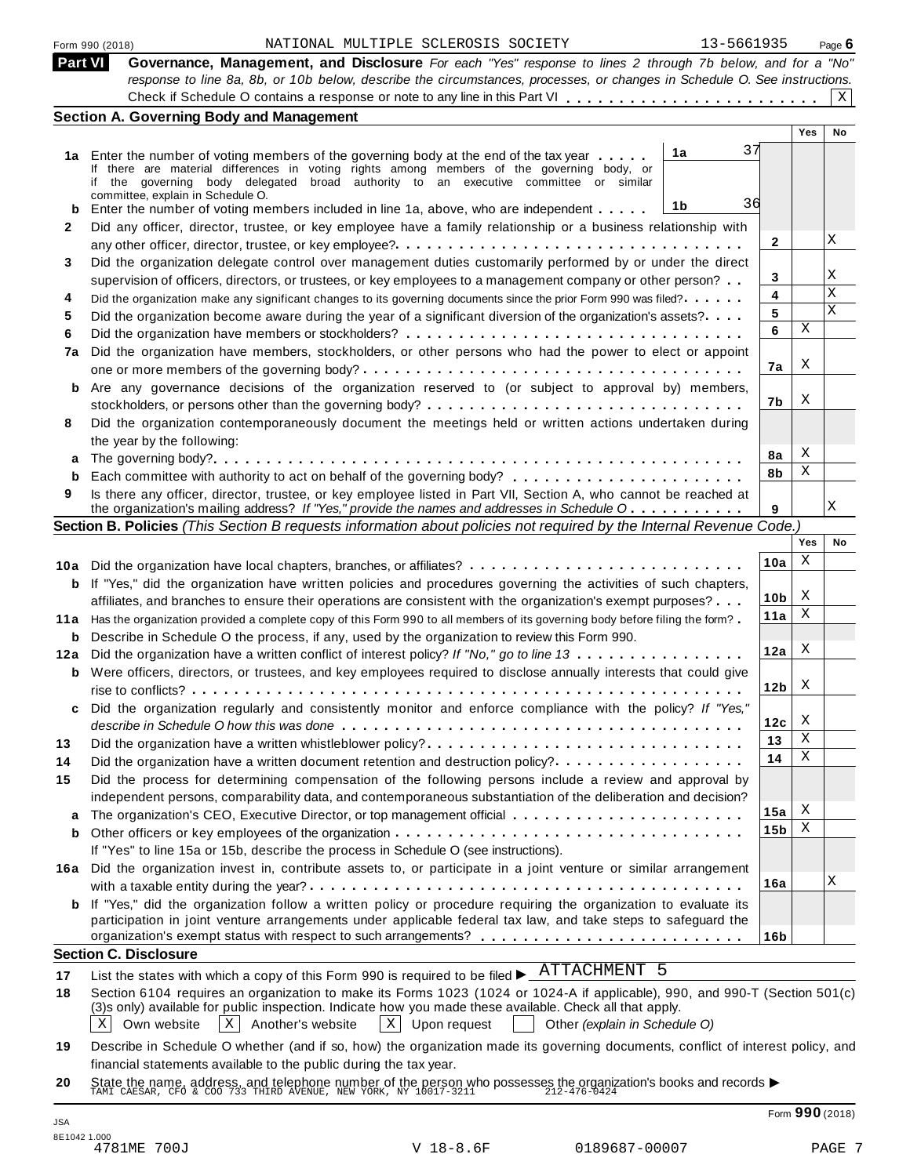| Part VI | Governance, Management, and Disclosure For each "Yes" response to lines 2 through 7b below, and for a "No"                |
|---------|---------------------------------------------------------------------------------------------------------------------------|
|         | response to line 8a, 8b, or 10b below, describe the circumstances, processes, or changes in Schedule O. See instructions. |
|         |                                                                                                                           |

|      |                                                                                                                                                                                    |    |                 | Yes        | No          |
|------|------------------------------------------------------------------------------------------------------------------------------------------------------------------------------------|----|-----------------|------------|-------------|
|      | 1a<br>1a Enter the number of voting members of the governing body at the end of the tax year                                                                                       | 37 |                 |            |             |
|      | If there are material differences in voting rights among members of the governing body, or<br>if the governing body delegated broad authority to an executive committee or similar |    |                 |            |             |
|      | committee, explain in Schedule O.                                                                                                                                                  |    |                 |            |             |
| b    | 1b<br>Enter the number of voting members included in line 1a, above, who are independent                                                                                           | 36 |                 |            |             |
| 2    | Did any officer, director, trustee, or key employee have a family relationship or a business relationship with                                                                     |    |                 |            |             |
|      |                                                                                                                                                                                    |    | 2               |            | Χ           |
| 3    | Did the organization delegate control over management duties customarily performed by or under the direct                                                                          |    |                 |            |             |
|      | supervision of officers, directors, or trustees, or key employees to a management company or other person?                                                                         |    | 3               |            | Χ           |
| 4    | Did the organization make any significant changes to its governing documents since the prior Form 990 was filed?                                                                   |    | 4               |            | $\mathbf x$ |
| 5    | Did the organization become aware during the year of a significant diversion of the organization's assets?                                                                         |    | 5               |            | X           |
| 6    |                                                                                                                                                                                    |    | 6               | Χ          |             |
| 7a   | Did the organization have members, stockholders, or other persons who had the power to elect or appoint                                                                            |    |                 |            |             |
|      |                                                                                                                                                                                    |    | 7a              | X          |             |
|      | Are any governance decisions of the organization reserved to (or subject to approval by) members,                                                                                  |    |                 |            |             |
| b    |                                                                                                                                                                                    |    | 7b              | Χ          |             |
| 8    | stockholders, or persons other than the governing body? $\dots \dots \dots \dots \dots \dots \dots \dots \dots \dots \dots \dots$                                                  |    |                 |            |             |
|      | Did the organization contemporaneously document the meetings held or written actions undertaken during                                                                             |    |                 |            |             |
|      | the year by the following:                                                                                                                                                         |    | 8а              | X          |             |
| а    |                                                                                                                                                                                    |    | 8b              | Χ          |             |
| b    |                                                                                                                                                                                    |    |                 |            |             |
| 9    | Is there any officer, director, trustee, or key employee listed in Part VII, Section A, who cannot be reached at                                                                   |    |                 |            | X           |
|      | the organization's mailing address? If "Yes," provide the names and addresses in Schedule O                                                                                        |    | 9               |            |             |
|      | Section B. Policies (This Section B requests information about policies not required by the Internal Revenue Code.)                                                                |    |                 | <b>Yes</b> |             |
|      |                                                                                                                                                                                    |    |                 |            |             |
|      |                                                                                                                                                                                    |    | 10a             | Χ          |             |
| b    | If "Yes," did the organization have written policies and procedures governing the activities of such chapters,                                                                     |    |                 |            |             |
|      | affiliates, and branches to ensure their operations are consistent with the organization's exempt purposes?                                                                        |    | 10 <sub>b</sub> | X          |             |
| 11 a | Has the organization provided a complete copy of this Form 990 to all members of its governing body before filing the form?                                                        |    | 11a             | Χ          |             |
| b    | Describe in Schedule O the process, if any, used by the organization to review this Form 990.                                                                                      |    |                 |            |             |
| 12a  | Did the organization have a written conflict of interest policy? If "No," go to line 13                                                                                            |    | 12a             | Χ          |             |
| b    | Were officers, directors, or trustees, and key employees required to disclose annually interests that could give                                                                   |    |                 |            |             |
|      |                                                                                                                                                                                    |    | 12 <sub>b</sub> | X          |             |
| c    | Did the organization regularly and consistently monitor and enforce compliance with the policy? If "Yes,"                                                                          |    |                 |            |             |
|      |                                                                                                                                                                                    |    | 12c             | X          |             |
| 13   |                                                                                                                                                                                    |    | 13              | Χ          |             |
| 14   | Did the organization have a written document retention and destruction policy?                                                                                                     |    | 14              | Χ          |             |
| 15   | Did the process for determining compensation of the following persons include a review and approval by                                                                             |    |                 |            |             |
|      | independent persons, comparability data, and contemporaneous substantiation of the deliberation and decision?                                                                      |    |                 |            |             |
| a    |                                                                                                                                                                                    |    | 15a             | X          |             |
| b    |                                                                                                                                                                                    |    | 15 <sub>b</sub> | Χ          |             |
|      |                                                                                                                                                                                    |    |                 |            |             |
|      | If "Yes" to line 15a or 15b, describe the process in Schedule O (see instructions).                                                                                                |    |                 |            |             |
|      | 16a Did the organization invest in, contribute assets to, or participate in a joint venture or similar arrangement                                                                 |    | 16a             |            | Χ           |
|      |                                                                                                                                                                                    |    |                 |            |             |
|      | <b>b</b> If "Yes," did the organization follow a written policy or procedure requiring the organization to evaluate its                                                            |    |                 |            |             |
|      | participation in joint venture arrangements under applicable federal tax law, and take steps to safeguard the                                                                      |    |                 |            |             |
|      |                                                                                                                                                                                    |    | 16 <sub>b</sub> |            |             |
|      | <b>Section C. Disclosure</b>                                                                                                                                                       |    |                 |            |             |
| 17   | List the states with which a copy of this Form 990 is required to be filed $\blacktriangleright$ ATTACHMENT 5                                                                      |    |                 |            |             |
|      | Section 6104 requires an organization to make its Forms 1023 (1024 or 1024-A if applicable), 990, and 990-T (Section 501(c)                                                        |    |                 |            |             |

**18** (3)s only) available for public inspection. Indicate how you made these available. Check all that apply.

 $\boxed{\text{X}}$  Own website  $\boxed{\text{X}}$  Another's website  $\boxed{\text{X}}$  Upon request  $\boxed{\text{O}}$  Other *(explain in Schedule O)*  $\boxed{\text{X}}$  Another's website

**19** Describe in Schedule O whether (and if so, how) the organization made its governing documents, conflict of interest policy, and financial statements available to the public during the tax year.

**20** Inflaticial statements available to the public during the tax year.<br>State the name, address, and telephone number of the person who possesses the organization's books and records <br>TAMI CAESAR, CFO & COO 733 THIRD AVENUE, N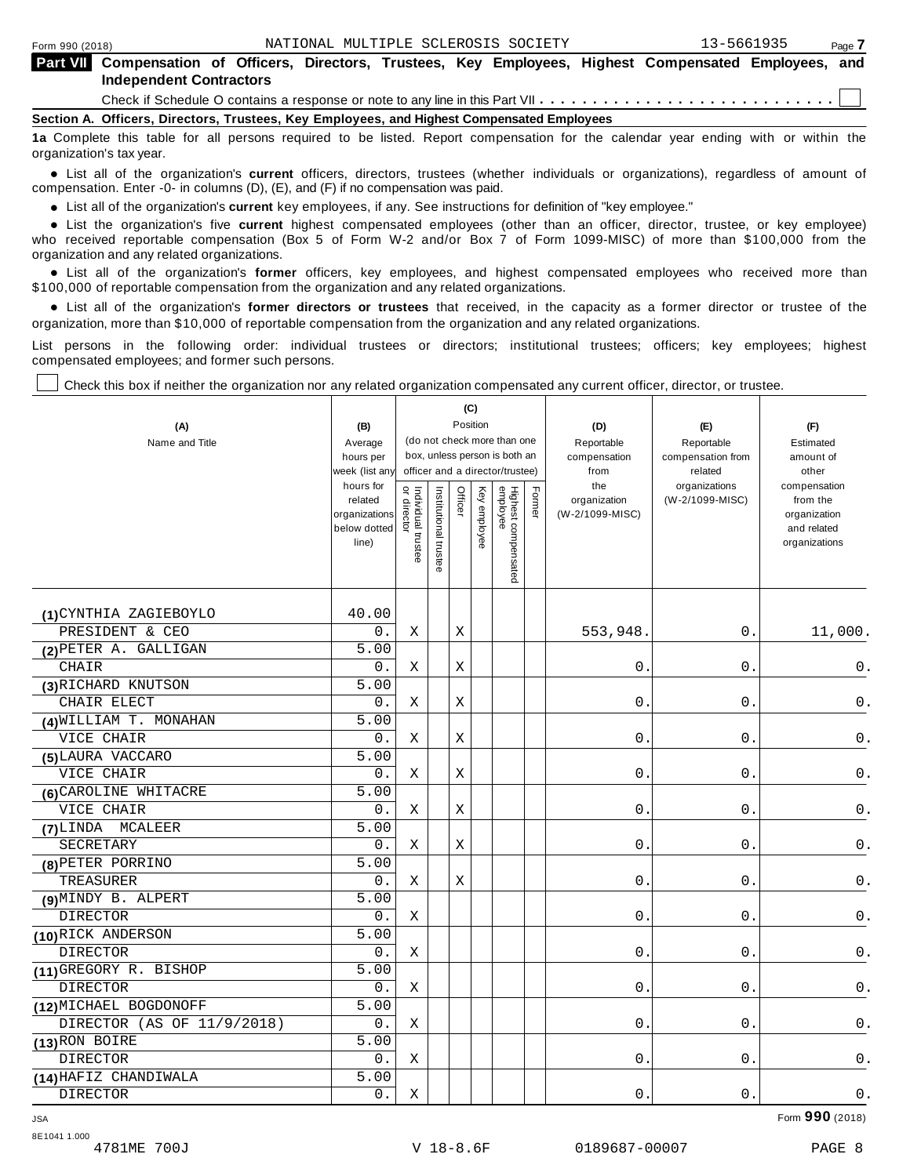| Part VII Compensation of Officers, Directors, Trustees, Key Employees, Highest Compensated Employees, and |
|-----------------------------------------------------------------------------------------------------------|
| <b>Independent Contractors</b>                                                                            |
|                                                                                                           |
| Section A. Officers, Directors, Trustees, Key Employees, and Highest Compensated Employees                |
|                                                                                                           |

**1a** Complete this table for all persons required to be listed. Report compensation for the calendar year ending with or within the organization's tax year.

anization's lax year.<br>● List all of the organization's **current** officers, directors, trustees (whether individuals or organizations), regardless of amount of<br>nnensation Enter -0- in columns (D) (E) and (E) if no compensa compensation. Enter -0- in columns (D), (E), and (F) if no compensation was paid.

• List all of the organization's **current** key employees, if any. See instructions for definition of "key employee."<br>● List the experientials five expect highest expressed explores (other than an efficer director of

**Example in the organization's current** key employees, if any. See instructions for definition of key employee.<br>• List the organization's five **current** highest compensated employees (other than an officer, director, trust who received reportable compensation (Box 5 of Form W-2 and/or Box 7 of Form 1099-MISC) of more than \$100,000 from the

organization and any related organizations.<br>• List all of the organization's **former** officers, key employees, and highest compensated employees who received more than<br>\$1.00.000 of reportable componention from the erganiza \$100,000 of reportable compensation from the organization and any related organizations.

% List all of the organization's **former directors or trustees** that received, in the capacity as a former director or trustee of the organization, more than \$10,000 of reportable compensation from the organization and any related organizations.

List persons in the following order: individual trustees or directors; institutional trustees; officers; key employees; highest compensated employees; and former such persons.

Check this box if neither the organization nor any related organization compensated any current officer, director, or trustee.

| (A)<br>Name and Title                | (B)<br>Average<br>hours per<br>week (list an <sup>,</sup><br>hours for<br>related<br>organizations<br>below dotted<br>line) | Individual trustee<br>or director | Institutional trustee | Officer | (C)<br>Position<br>Key employee | (do not check more than one<br>box, unless person is both an<br>officer and a director/trustee)<br>Highest compensated<br>employee | Former | (D)<br>Reportable<br>compensation<br>from<br>the<br>organization<br>(W-2/1099-MISC) | (E)<br>Reportable<br>compensation from<br>related<br>organizations<br>(W-2/1099-MISC) | (F)<br>Estimated<br>amount of<br>other<br>compensation<br>from the<br>organization<br>and related<br>organizations |
|--------------------------------------|-----------------------------------------------------------------------------------------------------------------------------|-----------------------------------|-----------------------|---------|---------------------------------|------------------------------------------------------------------------------------------------------------------------------------|--------|-------------------------------------------------------------------------------------|---------------------------------------------------------------------------------------|--------------------------------------------------------------------------------------------------------------------|
|                                      |                                                                                                                             |                                   |                       |         |                                 |                                                                                                                                    |        |                                                                                     |                                                                                       |                                                                                                                    |
|                                      |                                                                                                                             |                                   |                       |         |                                 |                                                                                                                                    |        |                                                                                     |                                                                                       |                                                                                                                    |
| (1) CYNTHIA ZAGIEBOYLO               | 40.00                                                                                                                       |                                   |                       |         |                                 |                                                                                                                                    |        |                                                                                     |                                                                                       |                                                                                                                    |
| PRESIDENT & CEO                      | 0.<br>5.00                                                                                                                  | Χ                                 |                       | Χ       |                                 |                                                                                                                                    |        | 553,948.                                                                            | 0.                                                                                    | 11,000.                                                                                                            |
| (2) PETER A. GALLIGAN                | 0.                                                                                                                          | X                                 |                       |         |                                 |                                                                                                                                    |        |                                                                                     | $0$ .                                                                                 |                                                                                                                    |
| <b>CHAIR</b>                         | 5.00                                                                                                                        |                                   |                       | Χ       |                                 |                                                                                                                                    |        | 0.                                                                                  |                                                                                       | 0.                                                                                                                 |
| (3) RICHARD KNUTSON<br>CHAIR ELECT   | 0.                                                                                                                          | Χ                                 |                       | X       |                                 |                                                                                                                                    |        | $\mathsf{O}$ .                                                                      | $0$ .                                                                                 | $\mathsf 0$ .                                                                                                      |
|                                      | 5.00                                                                                                                        |                                   |                       |         |                                 |                                                                                                                                    |        |                                                                                     |                                                                                       |                                                                                                                    |
| (4) WILLIAM T. MONAHAN<br>VICE CHAIR | 0.                                                                                                                          | Χ                                 |                       | Х       |                                 |                                                                                                                                    |        | 0.                                                                                  | 0.                                                                                    | 0.                                                                                                                 |
|                                      | 5.00                                                                                                                        |                                   |                       |         |                                 |                                                                                                                                    |        |                                                                                     |                                                                                       |                                                                                                                    |
| (5) LAURA VACCARO<br>VICE CHAIR      | 0.                                                                                                                          | X                                 |                       | Χ       |                                 |                                                                                                                                    |        | 0.                                                                                  | $\boldsymbol{0}$ .                                                                    | $\mathsf 0$ .                                                                                                      |
| (6) CAROLINE WHITACRE                | 5.00                                                                                                                        |                                   |                       |         |                                 |                                                                                                                                    |        |                                                                                     |                                                                                       |                                                                                                                    |
| VICE CHAIR                           | 0.                                                                                                                          | Χ                                 |                       | Χ       |                                 |                                                                                                                                    |        | $\mathsf{O}$ .                                                                      | $0$ .                                                                                 | 0.                                                                                                                 |
| (7) LINDA MCALEER                    | 5.00                                                                                                                        |                                   |                       |         |                                 |                                                                                                                                    |        |                                                                                     |                                                                                       |                                                                                                                    |
| <b>SECRETARY</b>                     | 0.                                                                                                                          | X                                 |                       | Χ       |                                 |                                                                                                                                    |        | 0.                                                                                  | 0.                                                                                    | 0.                                                                                                                 |
| (8) PETER PORRINO                    | 5.00                                                                                                                        |                                   |                       |         |                                 |                                                                                                                                    |        |                                                                                     |                                                                                       |                                                                                                                    |
| TREASURER                            | 0.                                                                                                                          | X                                 |                       | Х       |                                 |                                                                                                                                    |        | $\mathsf{O}$ .                                                                      | 0.                                                                                    | 0.                                                                                                                 |
| (9) MINDY B. ALPERT                  | 5.00                                                                                                                        |                                   |                       |         |                                 |                                                                                                                                    |        |                                                                                     |                                                                                       |                                                                                                                    |
| <b>DIRECTOR</b>                      | $0$ .                                                                                                                       | Χ                                 |                       |         |                                 |                                                                                                                                    |        | $\mathsf{O}$ .                                                                      | $0$ .                                                                                 | $\mathsf 0$ .                                                                                                      |
| (10) RICK ANDERSON                   | 5.00                                                                                                                        |                                   |                       |         |                                 |                                                                                                                                    |        |                                                                                     |                                                                                       |                                                                                                                    |
| <b>DIRECTOR</b>                      | 0.                                                                                                                          | Χ                                 |                       |         |                                 |                                                                                                                                    |        | 0.                                                                                  | 0.                                                                                    | $0$ .                                                                                                              |
| (11) GREGORY R. BISHOP               | 5.00                                                                                                                        |                                   |                       |         |                                 |                                                                                                                                    |        |                                                                                     |                                                                                       |                                                                                                                    |
| <b>DIRECTOR</b>                      | $0$ .                                                                                                                       | Χ                                 |                       |         |                                 |                                                                                                                                    |        | 0.                                                                                  | $0$ .                                                                                 | 0.                                                                                                                 |
| (12) MICHAEL BOGDONOFF               | 5.00                                                                                                                        |                                   |                       |         |                                 |                                                                                                                                    |        |                                                                                     |                                                                                       |                                                                                                                    |
| DIRECTOR (AS OF 11/9/2018)           | $0$ .                                                                                                                       | Χ                                 |                       |         |                                 |                                                                                                                                    |        | 0.                                                                                  | 0.                                                                                    | 0.                                                                                                                 |
| (13) RON BOIRE                       | 5.00                                                                                                                        |                                   |                       |         |                                 |                                                                                                                                    |        |                                                                                     |                                                                                       |                                                                                                                    |
| <b>DIRECTOR</b>                      | $0$ .                                                                                                                       | Χ                                 |                       |         |                                 |                                                                                                                                    |        | 0.                                                                                  | 0.                                                                                    | 0.                                                                                                                 |
| (14) HAFIZ CHANDIWALA                | 5.00                                                                                                                        |                                   |                       |         |                                 |                                                                                                                                    |        |                                                                                     |                                                                                       |                                                                                                                    |
| <b>DIRECTOR</b>                      | 0.                                                                                                                          | Χ                                 |                       |         |                                 |                                                                                                                                    |        | 0.                                                                                  | 0.                                                                                    | $0$ .                                                                                                              |

JSA Form **990** (2018)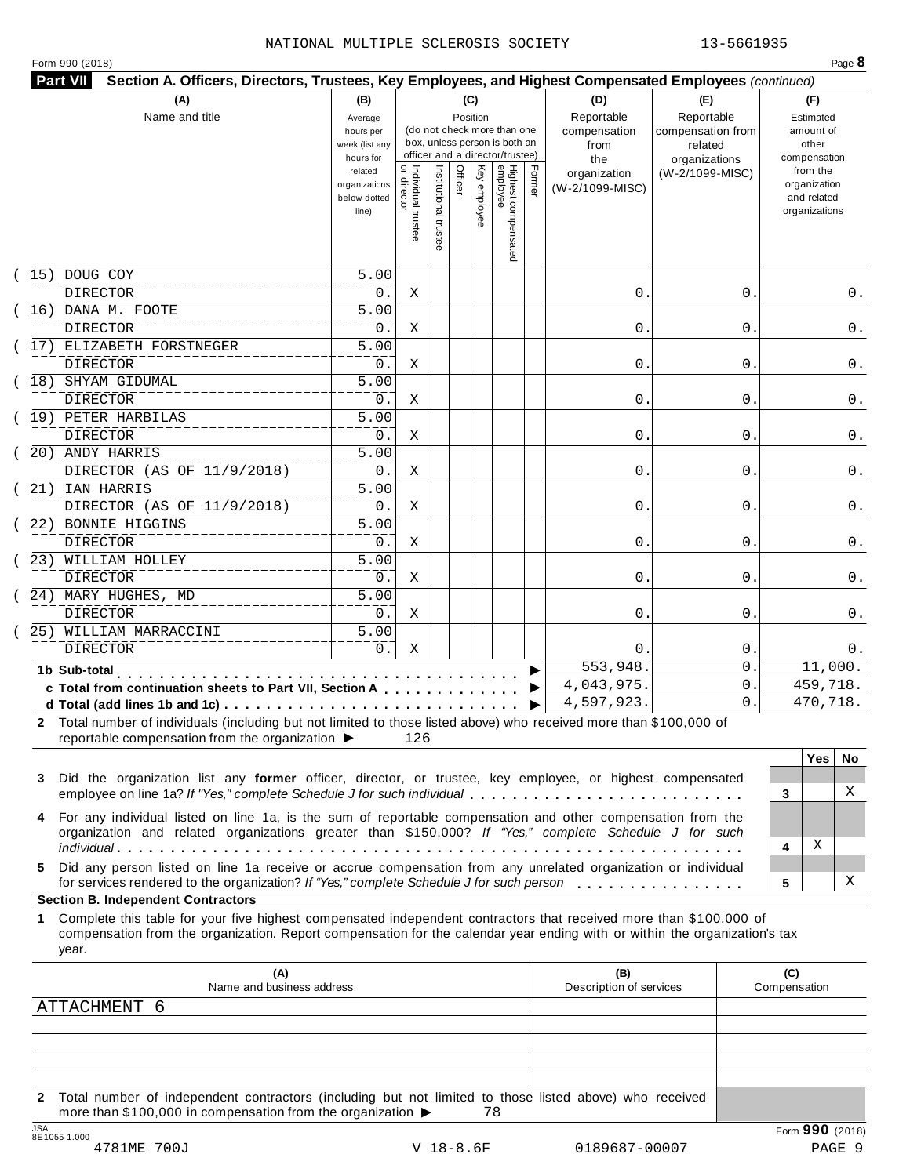|    | (A)                                                                                                                                                                                                                                                                                                    | (B)                                                            |                                     |                     |         | (C)          |                                                                    |        | (D)                                    | (E)                                        |              | (F)                                                                      |     |
|----|--------------------------------------------------------------------------------------------------------------------------------------------------------------------------------------------------------------------------------------------------------------------------------------------------------|----------------------------------------------------------------|-------------------------------------|---------------------|---------|--------------|--------------------------------------------------------------------|--------|----------------------------------------|--------------------------------------------|--------------|--------------------------------------------------------------------------|-----|
|    | Name and title                                                                                                                                                                                                                                                                                         | Average<br>hours per<br>week (list any                         |                                     |                     |         | Position     | (do not check more than one<br>box, unless person is both an       |        | Reportable<br>compensation<br>from     | Reportable<br>compensation from<br>related |              | Estimated<br>amount of<br>other                                          |     |
|    |                                                                                                                                                                                                                                                                                                        | hours for<br>related<br>organizations<br>below dotted<br>line) | Individual trustee<br>õ<br>director | Institutional trust | Officer | Key employee | officer and a director/trustee)<br>Highest compensated<br>employee | Former | the<br>organization<br>(W-2/1099-MISC) | organizations<br>(W-2/1099-MISC)           |              | compensation<br>from the<br>organization<br>and related<br>organizations |     |
|    | 15) DOUG COY                                                                                                                                                                                                                                                                                           | $\overline{5.00}$                                              |                                     |                     |         |              |                                                                    |        |                                        |                                            |              |                                                                          |     |
|    | <b>DIRECTOR</b>                                                                                                                                                                                                                                                                                        | 0.                                                             | Χ                                   |                     |         |              |                                                                    |        | 0.                                     | 0                                          |              |                                                                          | 0.  |
|    | 16) DANA M. FOOTE                                                                                                                                                                                                                                                                                      | $\overline{5.00}$                                              |                                     |                     |         |              |                                                                    |        |                                        |                                            |              |                                                                          |     |
|    | <b>DIRECTOR</b><br>17) ELIZABETH FORSTNEGER                                                                                                                                                                                                                                                            | 0.<br>$\overline{5.00}$                                        | Χ                                   |                     |         |              |                                                                    |        | 0.                                     | 0                                          |              |                                                                          | 0.  |
|    | <b>DIRECTOR</b>                                                                                                                                                                                                                                                                                        | 0.                                                             | Χ                                   |                     |         |              |                                                                    |        | 0.                                     | 0                                          |              |                                                                          | 0.  |
|    | 18) SHYAM GIDUMAL                                                                                                                                                                                                                                                                                      | $\overline{5.00}$                                              |                                     |                     |         |              |                                                                    |        |                                        |                                            |              |                                                                          |     |
|    | <b>DIRECTOR</b>                                                                                                                                                                                                                                                                                        | 0.                                                             | Χ                                   |                     |         |              |                                                                    |        | 0.                                     | 0                                          |              |                                                                          | 0.  |
|    | 19) PETER HARBILAS                                                                                                                                                                                                                                                                                     | $\overline{5.00}$                                              |                                     |                     |         |              |                                                                    |        |                                        |                                            |              |                                                                          |     |
|    | <b>DIRECTOR</b>                                                                                                                                                                                                                                                                                        | 0.                                                             | Χ                                   |                     |         |              |                                                                    |        | 0.                                     | 0                                          |              |                                                                          | 0.  |
|    | 20) ANDY HARRIS                                                                                                                                                                                                                                                                                        | $\overline{5.00}$                                              |                                     |                     |         |              |                                                                    |        |                                        |                                            |              |                                                                          |     |
|    | DIRECTOR (AS OF 11/9/2018)                                                                                                                                                                                                                                                                             | 0.                                                             | Χ                                   |                     |         |              |                                                                    |        | 0.                                     | 0                                          |              |                                                                          | 0.  |
|    | 21) IAN HARRIS                                                                                                                                                                                                                                                                                         | $\overline{5.00}$                                              |                                     |                     |         |              |                                                                    |        |                                        |                                            |              |                                                                          |     |
|    | DIRECTOR (AS OF 11/9/2018)                                                                                                                                                                                                                                                                             | 0.                                                             | Χ                                   |                     |         |              |                                                                    |        | 0.                                     | 0                                          |              |                                                                          | 0.  |
|    | 22) BONNIE HIGGINS                                                                                                                                                                                                                                                                                     | $\overline{5.00}$                                              |                                     |                     |         |              |                                                                    |        |                                        |                                            |              |                                                                          |     |
|    | <b>DIRECTOR</b>                                                                                                                                                                                                                                                                                        | 0.                                                             | Χ                                   |                     |         |              |                                                                    |        | 0.                                     | 0                                          |              |                                                                          | 0.  |
|    | 23) WILLIAM HOLLEY                                                                                                                                                                                                                                                                                     | $\overline{5.00}$                                              |                                     |                     |         |              |                                                                    |        |                                        |                                            |              |                                                                          |     |
|    | <b>DIRECTOR</b>                                                                                                                                                                                                                                                                                        | 0.                                                             | Χ                                   |                     |         |              |                                                                    |        | 0.                                     | 0                                          |              |                                                                          | 0.  |
|    | 24) MARY HUGHES, MD<br><b>DIRECTOR</b>                                                                                                                                                                                                                                                                 | $\overline{5.00}$<br>0.                                        |                                     |                     |         |              |                                                                    |        |                                        |                                            |              |                                                                          |     |
|    | 25) WILLIAM MARRACCINI                                                                                                                                                                                                                                                                                 | 5.00                                                           | X                                   |                     |         |              |                                                                    |        | 0.                                     | 0                                          |              |                                                                          | 0.  |
|    | <b>DIRECTOR</b>                                                                                                                                                                                                                                                                                        | 0.                                                             | X                                   |                     |         |              |                                                                    |        | 0.                                     | $\mathsf{0}$ .                             |              |                                                                          | 0.  |
|    | 1b Sub-total                                                                                                                                                                                                                                                                                           |                                                                |                                     |                     |         |              |                                                                    |        | 553,948.                               | $\mathbf 0$ .                              |              | 11,000.                                                                  |     |
|    | .<br>c Total from continuation sheets to Part VII, Section A                                                                                                                                                                                                                                           |                                                                |                                     |                     |         |              |                                                                    |        | 4,043,975.                             | $\mathbf 0$ .                              |              | 459,718.                                                                 |     |
|    | d Total (add lines 1b and 1c) $\cdots$ $\cdots$ $\cdots$ $\cdots$ $\cdots$ $\cdots$ $\cdots$ $\cdots$ $\cdots$ $\cdots$ $\cdots$                                                                                                                                                                       |                                                                |                                     |                     |         |              |                                                                    |        | 4,597,923.                             | 0.                                         |              | 470,718.                                                                 |     |
|    | 2 Total number of individuals (including but not limited to those listed above) who received more than \$100,000 of<br>reportable compensation from the organization ▶                                                                                                                                 |                                                                | 126                                 |                     |         |              |                                                                    |        |                                        |                                            |              |                                                                          |     |
|    |                                                                                                                                                                                                                                                                                                        |                                                                |                                     |                     |         |              |                                                                    |        |                                        |                                            |              | Yes                                                                      | No. |
| 3  | Did the organization list any former officer, director, or trustee, key employee, or highest compensated                                                                                                                                                                                               |                                                                |                                     |                     |         |              |                                                                    |        |                                        |                                            |              |                                                                          |     |
|    | employee on line 1a? If "Yes," complete Schedule J for such individual                                                                                                                                                                                                                                 |                                                                |                                     |                     |         |              |                                                                    |        |                                        |                                            | 3            |                                                                          | Χ   |
|    | For any individual listed on line 1a, is the sum of reportable compensation and other compensation from the<br>organization and related organizations greater than \$150,000? If "Yes," complete Schedule J for such                                                                                   |                                                                |                                     |                     |         |              |                                                                    |        |                                        |                                            |              |                                                                          |     |
| 5. | Did any person listed on line 1a receive or accrue compensation from any unrelated organization or individual                                                                                                                                                                                          |                                                                |                                     |                     |         |              |                                                                    |        |                                        |                                            | 4            | Χ                                                                        |     |
|    | for services rendered to the organization? If "Yes," complete Schedule J for such person                                                                                                                                                                                                               |                                                                |                                     |                     |         |              |                                                                    |        |                                        |                                            | 5            |                                                                          | Χ   |
| 1  | <b>Section B. Independent Contractors</b><br>Complete this table for your five highest compensated independent contractors that received more than \$100,000 of<br>compensation from the organization. Report compensation for the calendar year ending with or within the organization's tax<br>year. |                                                                |                                     |                     |         |              |                                                                    |        |                                        |                                            |              |                                                                          |     |
|    | (A)                                                                                                                                                                                                                                                                                                    |                                                                |                                     |                     |         |              |                                                                    |        | (B)                                    |                                            | (C)          |                                                                          |     |
|    | Name and business address                                                                                                                                                                                                                                                                              |                                                                |                                     |                     |         |              |                                                                    |        | Description of services                |                                            | Compensation |                                                                          |     |
|    | ATTACHMENT 6                                                                                                                                                                                                                                                                                           |                                                                |                                     |                     |         |              |                                                                    |        |                                        |                                            |              |                                                                          |     |

**2** Total number of independent contractors (including but not limited to those listed above) who received more than \$100,000 in compensation from the organization  $\triangleright$  78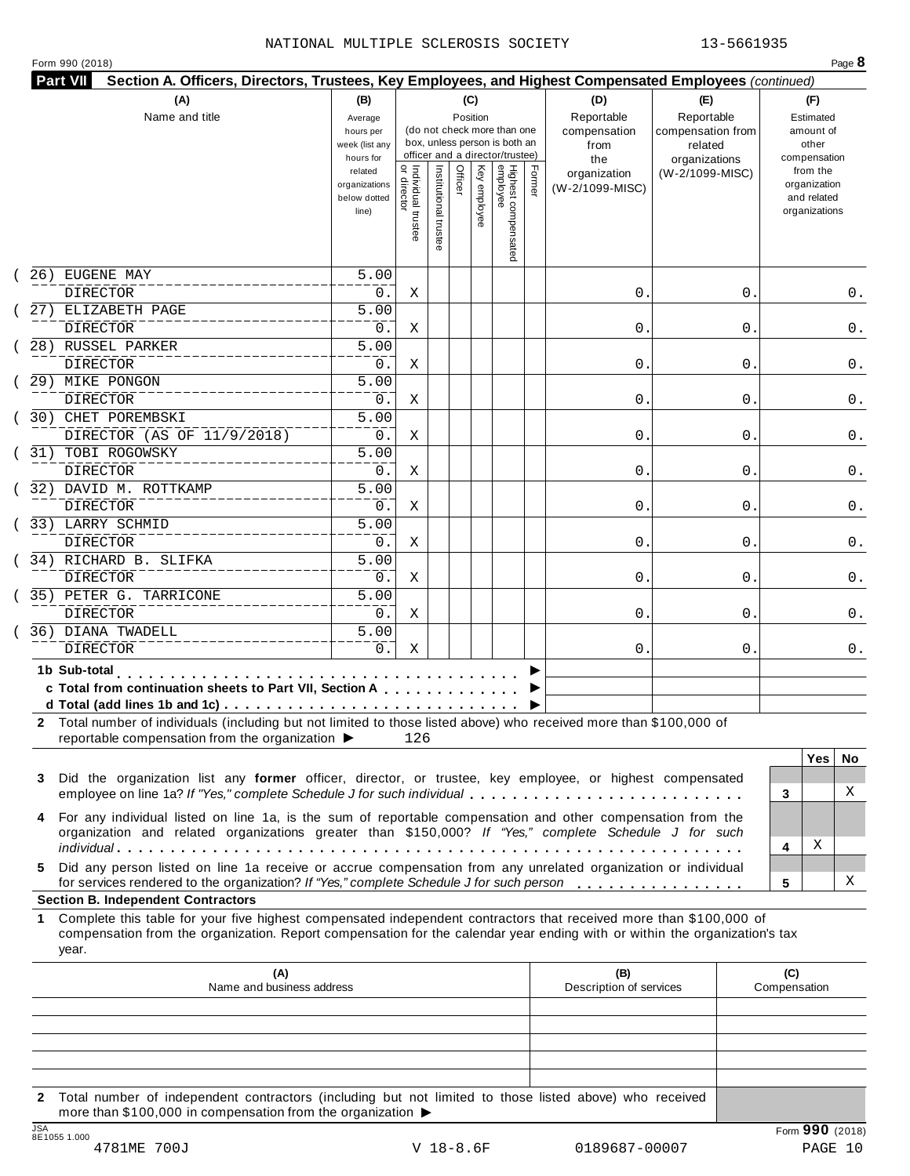### NATIONAL MULTIPLE SCLEROSIS SOCIETY 13-5661935

|  | Form 990 (2018) |  |
|--|-----------------|--|
|  |                 |  |

| (A)<br>(B)<br>(C)<br>(D)<br>Reportable<br>Name and title<br>Position<br>Average<br>(do not check more than one<br>compensation<br>hours per<br>box, unless person is both an<br>week (list any<br>from<br>officer and a director/trustee)<br>hours for<br>the<br>  Individual trustee<br>  or director<br>Highest compensated<br>employee<br>Institutional trustee<br>Officer<br>Key employee<br>Former<br>related<br>organization<br>organizations<br>(W-2/1099-MISC)<br>below dotted<br>line)<br>26) EUGENE MAY<br>5.00<br>DIRECTOR<br>0.<br>0.<br>Χ<br>27) ELIZABETH PAGE<br>5.00<br><b>DIRECTOR</b><br>0.<br>0.<br>Χ<br>$\overline{5.00}$<br>28) RUSSEL PARKER<br><b>DIRECTOR</b><br>0.<br>0.<br>Χ<br>$\overline{5.00}$<br>29) MIKE PONGON<br>DIRECTOR<br>0.<br>0.<br>Χ<br>$\overline{5.00}$<br>30) CHET POREMBSKI<br>DIRECTOR (AS OF 11/9/2018)<br>0.<br>0.<br>Χ<br>31) TOBI ROGOWSKY<br>5.00<br><b>DIRECTOR</b><br>0.<br>0.<br>Χ<br>$\overline{5.00}$<br>32) DAVID M. ROTTKAMP<br><b>DIRECTOR</b><br>0.<br>0.<br>Χ<br>33) LARRY SCHMID<br>$\overline{5.00}$<br><b>DIRECTOR</b><br>0.<br>0.<br>Χ<br>5.00<br>34) RICHARD B. SLIFKA<br>DIRECTOR<br>0.<br>0.<br>Χ<br>5.00<br>DIRECTOR<br>0.<br>0.<br>Χ<br>5.00<br><b>DIRECTOR</b><br>0.<br>Χ<br>0.<br><b>The Commission Commission</b><br>reportable compensation from the organization ▶<br>126<br>Did the organization list any former officer, director, or trustee, key employee, or highest compensated<br>employee on line 1a? If "Yes," complete Schedule J for such individual<br>For any individual listed on line 1a, is the sum of reportable compensation and other compensation from the<br>organization and related organizations greater than \$150,000? If "Yes," complete Schedule J for such<br>Did any person listed on line 1a receive or accrue compensation from any unrelated organization or individual<br>for services rendered to the organization? If "Yes," complete Schedule J for such person<br>Complete this table for your five highest compensated independent contractors that received more than \$100,000 of | (E)<br>Reportable<br>compensation from | (F)<br>Estimated      |
|-----------------------------------------------------------------------------------------------------------------------------------------------------------------------------------------------------------------------------------------------------------------------------------------------------------------------------------------------------------------------------------------------------------------------------------------------------------------------------------------------------------------------------------------------------------------------------------------------------------------------------------------------------------------------------------------------------------------------------------------------------------------------------------------------------------------------------------------------------------------------------------------------------------------------------------------------------------------------------------------------------------------------------------------------------------------------------------------------------------------------------------------------------------------------------------------------------------------------------------------------------------------------------------------------------------------------------------------------------------------------------------------------------------------------------------------------------------------------------------------------------------------------------------------------------------------------------------------------------------------------------------------------------------------------------------------------------------------------------------------------------------------------------------------------------------------------------------------------------------------------------------------------------------------------------------------------------------------------------------------------------------------------------------------------------------------------------------------------------|----------------------------------------|-----------------------|
|                                                                                                                                                                                                                                                                                                                                                                                                                                                                                                                                                                                                                                                                                                                                                                                                                                                                                                                                                                                                                                                                                                                                                                                                                                                                                                                                                                                                                                                                                                                                                                                                                                                                                                                                                                                                                                                                                                                                                                                                                                                                                                     |                                        |                       |
|                                                                                                                                                                                                                                                                                                                                                                                                                                                                                                                                                                                                                                                                                                                                                                                                                                                                                                                                                                                                                                                                                                                                                                                                                                                                                                                                                                                                                                                                                                                                                                                                                                                                                                                                                                                                                                                                                                                                                                                                                                                                                                     |                                        | amount of             |
|                                                                                                                                                                                                                                                                                                                                                                                                                                                                                                                                                                                                                                                                                                                                                                                                                                                                                                                                                                                                                                                                                                                                                                                                                                                                                                                                                                                                                                                                                                                                                                                                                                                                                                                                                                                                                                                                                                                                                                                                                                                                                                     | related                                | other<br>compensation |
|                                                                                                                                                                                                                                                                                                                                                                                                                                                                                                                                                                                                                                                                                                                                                                                                                                                                                                                                                                                                                                                                                                                                                                                                                                                                                                                                                                                                                                                                                                                                                                                                                                                                                                                                                                                                                                                                                                                                                                                                                                                                                                     | organizations<br>(W-2/1099-MISC)       | from the              |
|                                                                                                                                                                                                                                                                                                                                                                                                                                                                                                                                                                                                                                                                                                                                                                                                                                                                                                                                                                                                                                                                                                                                                                                                                                                                                                                                                                                                                                                                                                                                                                                                                                                                                                                                                                                                                                                                                                                                                                                                                                                                                                     |                                        | organization          |
|                                                                                                                                                                                                                                                                                                                                                                                                                                                                                                                                                                                                                                                                                                                                                                                                                                                                                                                                                                                                                                                                                                                                                                                                                                                                                                                                                                                                                                                                                                                                                                                                                                                                                                                                                                                                                                                                                                                                                                                                                                                                                                     |                                        | and related           |
|                                                                                                                                                                                                                                                                                                                                                                                                                                                                                                                                                                                                                                                                                                                                                                                                                                                                                                                                                                                                                                                                                                                                                                                                                                                                                                                                                                                                                                                                                                                                                                                                                                                                                                                                                                                                                                                                                                                                                                                                                                                                                                     |                                        | organizations         |
|                                                                                                                                                                                                                                                                                                                                                                                                                                                                                                                                                                                                                                                                                                                                                                                                                                                                                                                                                                                                                                                                                                                                                                                                                                                                                                                                                                                                                                                                                                                                                                                                                                                                                                                                                                                                                                                                                                                                                                                                                                                                                                     |                                        |                       |
|                                                                                                                                                                                                                                                                                                                                                                                                                                                                                                                                                                                                                                                                                                                                                                                                                                                                                                                                                                                                                                                                                                                                                                                                                                                                                                                                                                                                                                                                                                                                                                                                                                                                                                                                                                                                                                                                                                                                                                                                                                                                                                     |                                        |                       |
|                                                                                                                                                                                                                                                                                                                                                                                                                                                                                                                                                                                                                                                                                                                                                                                                                                                                                                                                                                                                                                                                                                                                                                                                                                                                                                                                                                                                                                                                                                                                                                                                                                                                                                                                                                                                                                                                                                                                                                                                                                                                                                     |                                        |                       |
|                                                                                                                                                                                                                                                                                                                                                                                                                                                                                                                                                                                                                                                                                                                                                                                                                                                                                                                                                                                                                                                                                                                                                                                                                                                                                                                                                                                                                                                                                                                                                                                                                                                                                                                                                                                                                                                                                                                                                                                                                                                                                                     | 0                                      | 0.                    |
|                                                                                                                                                                                                                                                                                                                                                                                                                                                                                                                                                                                                                                                                                                                                                                                                                                                                                                                                                                                                                                                                                                                                                                                                                                                                                                                                                                                                                                                                                                                                                                                                                                                                                                                                                                                                                                                                                                                                                                                                                                                                                                     |                                        |                       |
|                                                                                                                                                                                                                                                                                                                                                                                                                                                                                                                                                                                                                                                                                                                                                                                                                                                                                                                                                                                                                                                                                                                                                                                                                                                                                                                                                                                                                                                                                                                                                                                                                                                                                                                                                                                                                                                                                                                                                                                                                                                                                                     | 0                                      | 0.                    |
|                                                                                                                                                                                                                                                                                                                                                                                                                                                                                                                                                                                                                                                                                                                                                                                                                                                                                                                                                                                                                                                                                                                                                                                                                                                                                                                                                                                                                                                                                                                                                                                                                                                                                                                                                                                                                                                                                                                                                                                                                                                                                                     |                                        |                       |
|                                                                                                                                                                                                                                                                                                                                                                                                                                                                                                                                                                                                                                                                                                                                                                                                                                                                                                                                                                                                                                                                                                                                                                                                                                                                                                                                                                                                                                                                                                                                                                                                                                                                                                                                                                                                                                                                                                                                                                                                                                                                                                     |                                        |                       |
|                                                                                                                                                                                                                                                                                                                                                                                                                                                                                                                                                                                                                                                                                                                                                                                                                                                                                                                                                                                                                                                                                                                                                                                                                                                                                                                                                                                                                                                                                                                                                                                                                                                                                                                                                                                                                                                                                                                                                                                                                                                                                                     | 0                                      | 0.                    |
|                                                                                                                                                                                                                                                                                                                                                                                                                                                                                                                                                                                                                                                                                                                                                                                                                                                                                                                                                                                                                                                                                                                                                                                                                                                                                                                                                                                                                                                                                                                                                                                                                                                                                                                                                                                                                                                                                                                                                                                                                                                                                                     |                                        |                       |
|                                                                                                                                                                                                                                                                                                                                                                                                                                                                                                                                                                                                                                                                                                                                                                                                                                                                                                                                                                                                                                                                                                                                                                                                                                                                                                                                                                                                                                                                                                                                                                                                                                                                                                                                                                                                                                                                                                                                                                                                                                                                                                     | 0                                      | 0.                    |
|                                                                                                                                                                                                                                                                                                                                                                                                                                                                                                                                                                                                                                                                                                                                                                                                                                                                                                                                                                                                                                                                                                                                                                                                                                                                                                                                                                                                                                                                                                                                                                                                                                                                                                                                                                                                                                                                                                                                                                                                                                                                                                     |                                        |                       |
|                                                                                                                                                                                                                                                                                                                                                                                                                                                                                                                                                                                                                                                                                                                                                                                                                                                                                                                                                                                                                                                                                                                                                                                                                                                                                                                                                                                                                                                                                                                                                                                                                                                                                                                                                                                                                                                                                                                                                                                                                                                                                                     | 0                                      | 0.                    |
|                                                                                                                                                                                                                                                                                                                                                                                                                                                                                                                                                                                                                                                                                                                                                                                                                                                                                                                                                                                                                                                                                                                                                                                                                                                                                                                                                                                                                                                                                                                                                                                                                                                                                                                                                                                                                                                                                                                                                                                                                                                                                                     |                                        |                       |
|                                                                                                                                                                                                                                                                                                                                                                                                                                                                                                                                                                                                                                                                                                                                                                                                                                                                                                                                                                                                                                                                                                                                                                                                                                                                                                                                                                                                                                                                                                                                                                                                                                                                                                                                                                                                                                                                                                                                                                                                                                                                                                     | 0                                      | 0.                    |
|                                                                                                                                                                                                                                                                                                                                                                                                                                                                                                                                                                                                                                                                                                                                                                                                                                                                                                                                                                                                                                                                                                                                                                                                                                                                                                                                                                                                                                                                                                                                                                                                                                                                                                                                                                                                                                                                                                                                                                                                                                                                                                     |                                        |                       |
|                                                                                                                                                                                                                                                                                                                                                                                                                                                                                                                                                                                                                                                                                                                                                                                                                                                                                                                                                                                                                                                                                                                                                                                                                                                                                                                                                                                                                                                                                                                                                                                                                                                                                                                                                                                                                                                                                                                                                                                                                                                                                                     | 0                                      | 0.                    |
|                                                                                                                                                                                                                                                                                                                                                                                                                                                                                                                                                                                                                                                                                                                                                                                                                                                                                                                                                                                                                                                                                                                                                                                                                                                                                                                                                                                                                                                                                                                                                                                                                                                                                                                                                                                                                                                                                                                                                                                                                                                                                                     |                                        |                       |
|                                                                                                                                                                                                                                                                                                                                                                                                                                                                                                                                                                                                                                                                                                                                                                                                                                                                                                                                                                                                                                                                                                                                                                                                                                                                                                                                                                                                                                                                                                                                                                                                                                                                                                                                                                                                                                                                                                                                                                                                                                                                                                     | 0                                      | 0.                    |
| 35) PETER G. TARRICONE<br>36) DIANA TWADELL                                                                                                                                                                                                                                                                                                                                                                                                                                                                                                                                                                                                                                                                                                                                                                                                                                                                                                                                                                                                                                                                                                                                                                                                                                                                                                                                                                                                                                                                                                                                                                                                                                                                                                                                                                                                                                                                                                                                                                                                                                                         |                                        |                       |
|                                                                                                                                                                                                                                                                                                                                                                                                                                                                                                                                                                                                                                                                                                                                                                                                                                                                                                                                                                                                                                                                                                                                                                                                                                                                                                                                                                                                                                                                                                                                                                                                                                                                                                                                                                                                                                                                                                                                                                                                                                                                                                     | 0                                      | 0.                    |
|                                                                                                                                                                                                                                                                                                                                                                                                                                                                                                                                                                                                                                                                                                                                                                                                                                                                                                                                                                                                                                                                                                                                                                                                                                                                                                                                                                                                                                                                                                                                                                                                                                                                                                                                                                                                                                                                                                                                                                                                                                                                                                     |                                        |                       |
|                                                                                                                                                                                                                                                                                                                                                                                                                                                                                                                                                                                                                                                                                                                                                                                                                                                                                                                                                                                                                                                                                                                                                                                                                                                                                                                                                                                                                                                                                                                                                                                                                                                                                                                                                                                                                                                                                                                                                                                                                                                                                                     | 0                                      | 0.                    |
| 1b Sub-total<br>c Total from continuation sheets to Part VII, Section A<br>2 Total number of individuals (including but not limited to those listed above) who received more than \$100,000 of<br>3<br>4<br>5.<br><b>Section B. Independent Contractors</b><br>1.                                                                                                                                                                                                                                                                                                                                                                                                                                                                                                                                                                                                                                                                                                                                                                                                                                                                                                                                                                                                                                                                                                                                                                                                                                                                                                                                                                                                                                                                                                                                                                                                                                                                                                                                                                                                                                   |                                        |                       |
|                                                                                                                                                                                                                                                                                                                                                                                                                                                                                                                                                                                                                                                                                                                                                                                                                                                                                                                                                                                                                                                                                                                                                                                                                                                                                                                                                                                                                                                                                                                                                                                                                                                                                                                                                                                                                                                                                                                                                                                                                                                                                                     | 0                                      | 0.                    |
|                                                                                                                                                                                                                                                                                                                                                                                                                                                                                                                                                                                                                                                                                                                                                                                                                                                                                                                                                                                                                                                                                                                                                                                                                                                                                                                                                                                                                                                                                                                                                                                                                                                                                                                                                                                                                                                                                                                                                                                                                                                                                                     |                                        |                       |
|                                                                                                                                                                                                                                                                                                                                                                                                                                                                                                                                                                                                                                                                                                                                                                                                                                                                                                                                                                                                                                                                                                                                                                                                                                                                                                                                                                                                                                                                                                                                                                                                                                                                                                                                                                                                                                                                                                                                                                                                                                                                                                     |                                        |                       |
|                                                                                                                                                                                                                                                                                                                                                                                                                                                                                                                                                                                                                                                                                                                                                                                                                                                                                                                                                                                                                                                                                                                                                                                                                                                                                                                                                                                                                                                                                                                                                                                                                                                                                                                                                                                                                                                                                                                                                                                                                                                                                                     |                                        |                       |
|                                                                                                                                                                                                                                                                                                                                                                                                                                                                                                                                                                                                                                                                                                                                                                                                                                                                                                                                                                                                                                                                                                                                                                                                                                                                                                                                                                                                                                                                                                                                                                                                                                                                                                                                                                                                                                                                                                                                                                                                                                                                                                     |                                        |                       |
|                                                                                                                                                                                                                                                                                                                                                                                                                                                                                                                                                                                                                                                                                                                                                                                                                                                                                                                                                                                                                                                                                                                                                                                                                                                                                                                                                                                                                                                                                                                                                                                                                                                                                                                                                                                                                                                                                                                                                                                                                                                                                                     |                                        |                       |
|                                                                                                                                                                                                                                                                                                                                                                                                                                                                                                                                                                                                                                                                                                                                                                                                                                                                                                                                                                                                                                                                                                                                                                                                                                                                                                                                                                                                                                                                                                                                                                                                                                                                                                                                                                                                                                                                                                                                                                                                                                                                                                     |                                        | <b>Yes</b><br>No.     |
|                                                                                                                                                                                                                                                                                                                                                                                                                                                                                                                                                                                                                                                                                                                                                                                                                                                                                                                                                                                                                                                                                                                                                                                                                                                                                                                                                                                                                                                                                                                                                                                                                                                                                                                                                                                                                                                                                                                                                                                                                                                                                                     |                                        |                       |
|                                                                                                                                                                                                                                                                                                                                                                                                                                                                                                                                                                                                                                                                                                                                                                                                                                                                                                                                                                                                                                                                                                                                                                                                                                                                                                                                                                                                                                                                                                                                                                                                                                                                                                                                                                                                                                                                                                                                                                                                                                                                                                     |                                        | X<br>3                |
|                                                                                                                                                                                                                                                                                                                                                                                                                                                                                                                                                                                                                                                                                                                                                                                                                                                                                                                                                                                                                                                                                                                                                                                                                                                                                                                                                                                                                                                                                                                                                                                                                                                                                                                                                                                                                                                                                                                                                                                                                                                                                                     |                                        |                       |
|                                                                                                                                                                                                                                                                                                                                                                                                                                                                                                                                                                                                                                                                                                                                                                                                                                                                                                                                                                                                                                                                                                                                                                                                                                                                                                                                                                                                                                                                                                                                                                                                                                                                                                                                                                                                                                                                                                                                                                                                                                                                                                     |                                        |                       |
|                                                                                                                                                                                                                                                                                                                                                                                                                                                                                                                                                                                                                                                                                                                                                                                                                                                                                                                                                                                                                                                                                                                                                                                                                                                                                                                                                                                                                                                                                                                                                                                                                                                                                                                                                                                                                                                                                                                                                                                                                                                                                                     |                                        | Χ<br>4                |
|                                                                                                                                                                                                                                                                                                                                                                                                                                                                                                                                                                                                                                                                                                                                                                                                                                                                                                                                                                                                                                                                                                                                                                                                                                                                                                                                                                                                                                                                                                                                                                                                                                                                                                                                                                                                                                                                                                                                                                                                                                                                                                     |                                        |                       |
|                                                                                                                                                                                                                                                                                                                                                                                                                                                                                                                                                                                                                                                                                                                                                                                                                                                                                                                                                                                                                                                                                                                                                                                                                                                                                                                                                                                                                                                                                                                                                                                                                                                                                                                                                                                                                                                                                                                                                                                                                                                                                                     |                                        | X<br>5                |
|                                                                                                                                                                                                                                                                                                                                                                                                                                                                                                                                                                                                                                                                                                                                                                                                                                                                                                                                                                                                                                                                                                                                                                                                                                                                                                                                                                                                                                                                                                                                                                                                                                                                                                                                                                                                                                                                                                                                                                                                                                                                                                     |                                        |                       |
|                                                                                                                                                                                                                                                                                                                                                                                                                                                                                                                                                                                                                                                                                                                                                                                                                                                                                                                                                                                                                                                                                                                                                                                                                                                                                                                                                                                                                                                                                                                                                                                                                                                                                                                                                                                                                                                                                                                                                                                                                                                                                                     |                                        |                       |
| compensation from the organization. Report compensation for the calendar year ending with or within the organization's tax                                                                                                                                                                                                                                                                                                                                                                                                                                                                                                                                                                                                                                                                                                                                                                                                                                                                                                                                                                                                                                                                                                                                                                                                                                                                                                                                                                                                                                                                                                                                                                                                                                                                                                                                                                                                                                                                                                                                                                          |                                        |                       |
| year.                                                                                                                                                                                                                                                                                                                                                                                                                                                                                                                                                                                                                                                                                                                                                                                                                                                                                                                                                                                                                                                                                                                                                                                                                                                                                                                                                                                                                                                                                                                                                                                                                                                                                                                                                                                                                                                                                                                                                                                                                                                                                               |                                        |                       |
|                                                                                                                                                                                                                                                                                                                                                                                                                                                                                                                                                                                                                                                                                                                                                                                                                                                                                                                                                                                                                                                                                                                                                                                                                                                                                                                                                                                                                                                                                                                                                                                                                                                                                                                                                                                                                                                                                                                                                                                                                                                                                                     |                                        |                       |
| (A)<br>(B)<br>Name and business address<br>Description of services                                                                                                                                                                                                                                                                                                                                                                                                                                                                                                                                                                                                                                                                                                                                                                                                                                                                                                                                                                                                                                                                                                                                                                                                                                                                                                                                                                                                                                                                                                                                                                                                                                                                                                                                                                                                                                                                                                                                                                                                                                  |                                        | (C)<br>Compensation   |
|                                                                                                                                                                                                                                                                                                                                                                                                                                                                                                                                                                                                                                                                                                                                                                                                                                                                                                                                                                                                                                                                                                                                                                                                                                                                                                                                                                                                                                                                                                                                                                                                                                                                                                                                                                                                                                                                                                                                                                                                                                                                                                     |                                        |                       |
|                                                                                                                                                                                                                                                                                                                                                                                                                                                                                                                                                                                                                                                                                                                                                                                                                                                                                                                                                                                                                                                                                                                                                                                                                                                                                                                                                                                                                                                                                                                                                                                                                                                                                                                                                                                                                                                                                                                                                                                                                                                                                                     |                                        |                       |
|                                                                                                                                                                                                                                                                                                                                                                                                                                                                                                                                                                                                                                                                                                                                                                                                                                                                                                                                                                                                                                                                                                                                                                                                                                                                                                                                                                                                                                                                                                                                                                                                                                                                                                                                                                                                                                                                                                                                                                                                                                                                                                     |                                        |                       |

**2** Total number of independent contractors (including but not limited to those listed above) who received more than \$100,000 in compensation from the organization  $\blacktriangleright$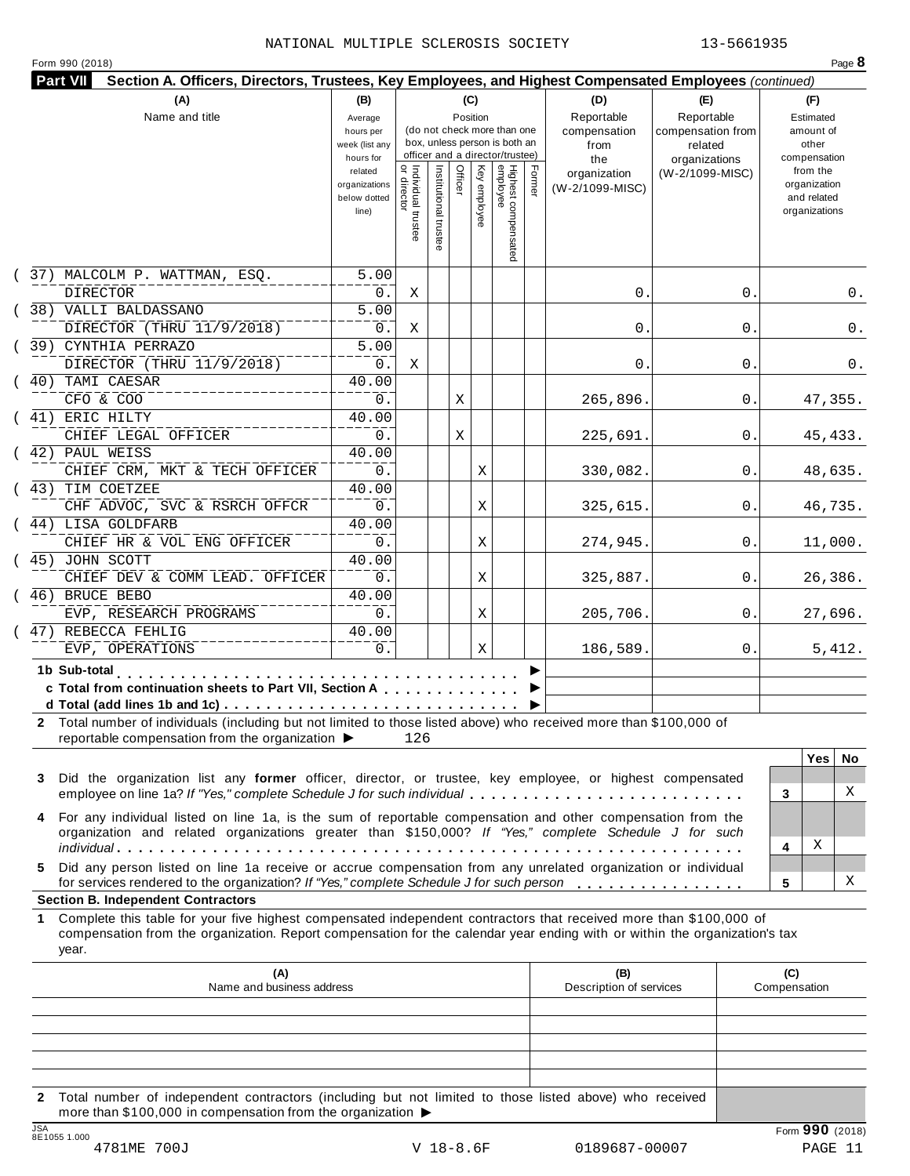|  | Form 990 (2018) |  |
|--|-----------------|--|
|  |                 |  |

| <b>Part VII</b><br>Section A. Officers, Directors, Trustees, Key Employees, and Highest Compensated Employees (continued)                                                                                                                                                                                    |                                                                |                                      |                       |                 |              |                                                                    |        |                                           |                                                   |                                                                          |          |
|--------------------------------------------------------------------------------------------------------------------------------------------------------------------------------------------------------------------------------------------------------------------------------------------------------------|----------------------------------------------------------------|--------------------------------------|-----------------------|-----------------|--------------|--------------------------------------------------------------------|--------|-------------------------------------------|---------------------------------------------------|--------------------------------------------------------------------------|----------|
| (A)<br>Name and title                                                                                                                                                                                                                                                                                        | (B)<br>Average<br>hours per<br>week (list any                  |                                      |                       | (C)<br>Position |              | (do not check more than one<br>box, unless person is both an       |        | (D)<br>Reportable<br>compensation<br>from | (E)<br>Reportable<br>compensation from<br>related | (F)<br>Estimated<br>amount of<br>other                                   |          |
|                                                                                                                                                                                                                                                                                                              | hours for<br>related<br>organizations<br>below dotted<br>line) | Individual trustee<br>   or director | Institutional trustee | Officer         | Key employee | officer and a director/trustee)<br>Highest compensated<br>employee | Former | the<br>organization<br>(W-2/1099-MISC)    | organizations<br>(W-2/1099-MISC)                  | compensation<br>from the<br>organization<br>and related<br>organizations |          |
| (37) MALCOLM P. WATTMAN, ESQ.<br><b>DIRECTOR</b>                                                                                                                                                                                                                                                             | 5.00<br>$0$ .                                                  | Χ                                    |                       |                 |              |                                                                    |        | 0.                                        | 0.                                                |                                                                          | 0.       |
| (38) VALLI BALDASSANO<br>DIRECTOR (THRU 11/9/2018)                                                                                                                                                                                                                                                           | 5.00<br>$0$ .                                                  | Χ                                    |                       |                 |              |                                                                    |        | 0.                                        | 0                                                 |                                                                          | 0.       |
| (39) CYNTHIA PERRAZO<br>DIRECTOR (THRU 11/9/2018)                                                                                                                                                                                                                                                            | 5.00<br>0.                                                     | Χ                                    |                       |                 |              |                                                                    |        | 0.                                        | 0                                                 |                                                                          | 0.       |
| (40) TAMI CAESAR<br>CFO & COO                                                                                                                                                                                                                                                                                | 40.00<br>0.                                                    |                                      |                       | Χ               |              |                                                                    |        | 265,896.                                  | 0.                                                |                                                                          | 47,355.  |
| (41) ERIC HILTY<br>CHIEF LEGAL OFFICER                                                                                                                                                                                                                                                                       | 40.00<br>0.                                                    |                                      |                       | Χ               |              |                                                                    |        | 225,691.                                  | 0.                                                |                                                                          | 45, 433. |
| (42) PAUL WEISS<br>CHIEF CRM, MKT & TECH OFFICER                                                                                                                                                                                                                                                             | 40.00<br>0.                                                    |                                      |                       |                 | Χ            |                                                                    |        | 330,082.                                  | 0.                                                |                                                                          | 48,635.  |
| (43) TIM COETZEE<br>CHF ADVOC, SVC & RSRCH OFFCR                                                                                                                                                                                                                                                             | 40.00<br>0.                                                    |                                      |                       |                 | Χ            |                                                                    |        | 325,615.                                  | 0.                                                |                                                                          | 46,735.  |
| (44) LISA GOLDFARB<br>CHIEF HR & VOL ENG OFFICER                                                                                                                                                                                                                                                             | 40.00<br>0.                                                    |                                      |                       |                 | Χ            |                                                                    |        | 274,945.                                  | 0.                                                |                                                                          | 11,000.  |
| (45) JOHN SCOTT<br>CHIEF DEV & COMM LEAD. OFFICER                                                                                                                                                                                                                                                            | 40.00<br>0.                                                    |                                      |                       |                 | Χ            |                                                                    |        | 325,887.                                  | 0.                                                |                                                                          | 26,386.  |
| (46) BRUCE BEBO<br>EVP, RESEARCH PROGRAMS                                                                                                                                                                                                                                                                    | 40.00<br>0.                                                    |                                      |                       |                 | Χ            |                                                                    |        | 205,706.                                  | 0.                                                |                                                                          | 27,696.  |
| (47) REBECCA FEHLIG<br>EVP, OPERATIONS                                                                                                                                                                                                                                                                       | 40.00<br>0.                                                    |                                      |                       |                 | Χ            |                                                                    |        | 186,589.                                  | 0.                                                |                                                                          | 5,412.   |
| 1b Sub-total<br>the common common<br>c Total from continuation sheets to Part VII, Section A<br>2 Total number of individuals (including but not limited to those listed above) who received more than \$100,000 of<br>reportable compensation from the organization ▶                                       |                                                                | 126                                  |                       |                 |              |                                                                    |        |                                           |                                                   |                                                                          |          |
| Did the organization list any former officer, director, or trustee, key employee, or highest compensated<br>3<br>employee on line 1a? If "Yes," complete Schedule J for such individual                                                                                                                      |                                                                |                                      |                       |                 |              |                                                                    |        |                                           |                                                   | <b>Yes</b><br>3                                                          | No.<br>X |
| For any individual listed on line 1a, is the sum of reportable compensation and other compensation from the<br>4<br>organization and related organizations greater than \$150,000? If "Yes," complete Schedule J for such                                                                                    |                                                                |                                      |                       |                 |              |                                                                    |        |                                           |                                                   | Χ                                                                        |          |
| Did any person listed on line 1a receive or accrue compensation from any unrelated organization or individual<br>5.<br>for services rendered to the organization? If "Yes," complete Schedule J for such person                                                                                              |                                                                |                                      |                       |                 |              |                                                                    |        |                                           |                                                   | 4<br>5                                                                   | X        |
| <b>Section B. Independent Contractors</b><br>Complete this table for your five highest compensated independent contractors that received more than \$100,000 of<br>1.<br>compensation from the organization. Report compensation for the calendar year ending with or within the organization's tax<br>year. |                                                                |                                      |                       |                 |              |                                                                    |        |                                           |                                                   |                                                                          |          |
| (A)<br>Name and business address                                                                                                                                                                                                                                                                             |                                                                |                                      |                       |                 |              |                                                                    |        | (B)<br>Description of services            |                                                   | (C)<br>Compensation                                                      |          |
|                                                                                                                                                                                                                                                                                                              |                                                                |                                      |                       |                 |              |                                                                    |        |                                           |                                                   |                                                                          |          |
|                                                                                                                                                                                                                                                                                                              |                                                                |                                      |                       |                 |              |                                                                    |        |                                           |                                                   |                                                                          |          |

**2** Total number of independent contractors (including but not limited to those listed above) who received more than \$100,000 in compensation from the organization  $\blacktriangleright$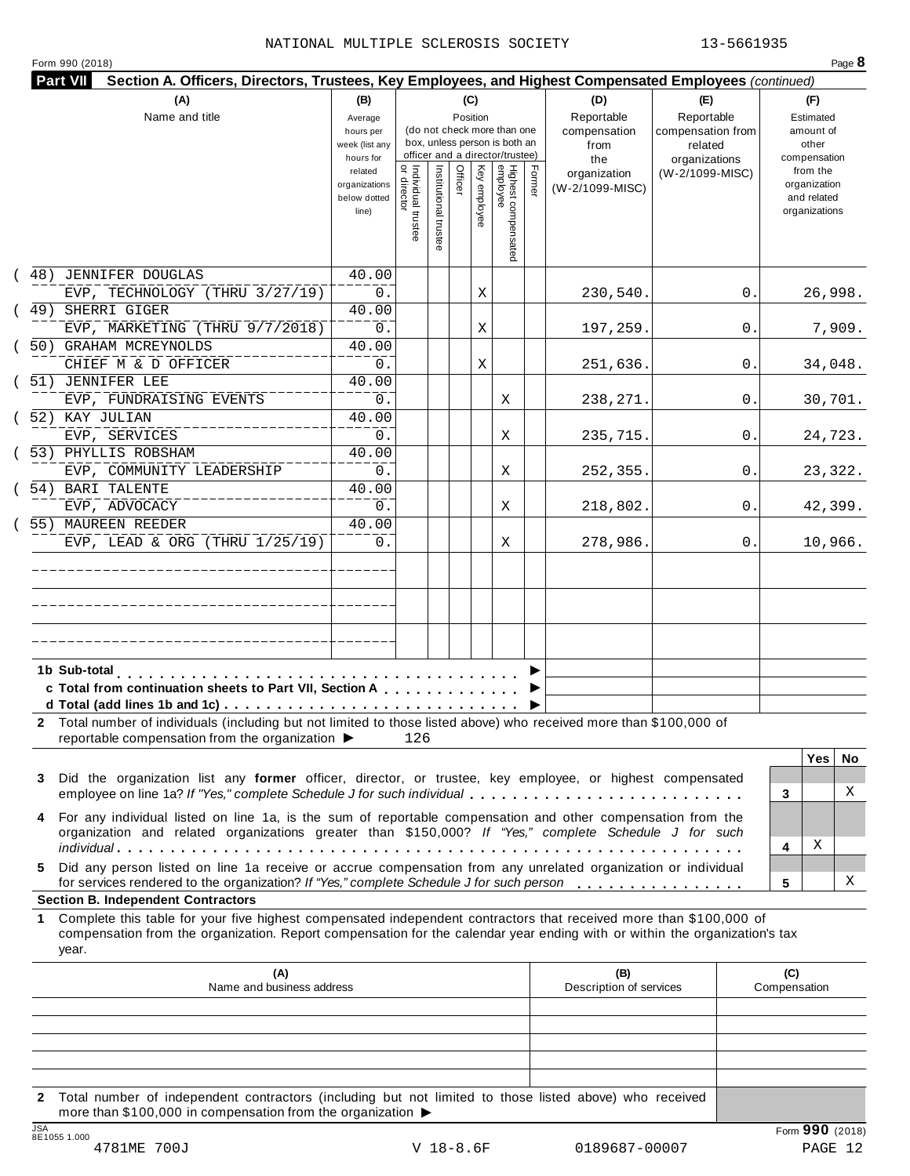|  | Form 990 (2018) |  |
|--|-----------------|--|
|  |                 |  |

| (A)<br>Name and title                                                                                                                                                                                                     | (B)<br>Average<br>hours per<br>week (list any<br>hours for |                                      |                       | (C)<br>Position |              | (do not check more than one<br>box, unless person is both an<br>officer and a director/trustee) |        | (D)<br>Reportable<br>compensation<br>from<br>the | (E)<br>Reportable<br>compensation from<br>related<br>organizations | (F)<br>Estimated<br>amount of<br>other<br>compensation   |
|---------------------------------------------------------------------------------------------------------------------------------------------------------------------------------------------------------------------------|------------------------------------------------------------|--------------------------------------|-----------------------|-----------------|--------------|-------------------------------------------------------------------------------------------------|--------|--------------------------------------------------|--------------------------------------------------------------------|----------------------------------------------------------|
|                                                                                                                                                                                                                           | related<br>organizations<br>below dotted<br>line)          | Individual trustee<br>   or director | Institutional trustee | Officer         | Key employee | Highest compensated<br>employee                                                                 | Former | organization<br>(W-2/1099-MISC)                  | (W-2/1099-MISC)                                                    | from the<br>organization<br>and related<br>organizations |
| (48) JENNIFER DOUGLAS<br>EVP, TECHNOLOGY (THRU 3/27/19)                                                                                                                                                                   | 40.00<br>0.                                                |                                      |                       |                 | Χ            |                                                                                                 |        | 230,540.                                         | 0.                                                                 | 26,998.                                                  |
| (49) SHERRI GIGER<br>EVP, MARKETING (THRU 9/7/2018)                                                                                                                                                                       | 40.00<br>0.                                                |                                      |                       |                 | Χ            |                                                                                                 |        | 197,259.                                         | 0.                                                                 | 7,909.                                                   |
| 50) GRAHAM MCREYNOLDS<br>CHIEF M & D OFFICER                                                                                                                                                                              | 40.00<br>0.                                                |                                      |                       |                 | Χ            |                                                                                                 |        | 251,636.                                         | 0.                                                                 | 34,048.                                                  |
| 51) JENNIFER LEE<br>EVP, FUNDRAISING EVENTS                                                                                                                                                                               | 40.00<br>0.                                                |                                      |                       |                 |              | Χ                                                                                               |        | 238,271.                                         | 0.                                                                 | 30,701.                                                  |
| (52) KAY JULIAN<br>EVP, SERVICES                                                                                                                                                                                          | 40.00<br>0.                                                |                                      |                       |                 |              | Χ                                                                                               |        | 235,715.                                         | 0.                                                                 | 24,723.                                                  |
| (53) PHYLLIS ROBSHAM<br>EVP, COMMUNITY LEADERSHIP<br>54) BARI TALENTE                                                                                                                                                     | 40.00<br>0.<br>40.00                                       |                                      |                       |                 |              | Χ                                                                                               |        | 252,355.                                         | 0.                                                                 | 23,322.                                                  |
| EVP, ADVOCACY<br>55) MAUREEN REEDER                                                                                                                                                                                       | 0.<br>40.00                                                |                                      |                       |                 |              | X                                                                                               |        | 218,802.                                         | 0.                                                                 | 42,399.                                                  |
| EVP, LEAD & ORG (THRU $1/25/19$ )                                                                                                                                                                                         | 0.                                                         |                                      |                       |                 |              | Χ                                                                                               |        | 278,986.                                         | 0.                                                                 | 10,966.                                                  |
|                                                                                                                                                                                                                           |                                                            |                                      |                       |                 |              |                                                                                                 |        |                                                  |                                                                    |                                                          |
| c Total from continuation sheets to Part VII, Section A<br>2 Total number of individuals (including but not limited to those listed above) who received more than \$100,000 of                                            |                                                            |                                      |                       |                 |              |                                                                                                 |        |                                                  |                                                                    |                                                          |
| reportable compensation from the organization ▶                                                                                                                                                                           |                                                            | 126                                  |                       |                 |              |                                                                                                 |        |                                                  |                                                                    | <b>Yes</b><br>No.                                        |
| Did the organization list any former officer, director, or trustee, key employee, or highest compensated<br>3<br>employee on line 1a? If "Yes," complete Schedule J for such individual                                   |                                                            |                                      |                       |                 |              |                                                                                                 |        |                                                  |                                                                    | X<br>3                                                   |
| For any individual listed on line 1a, is the sum of reportable compensation and other compensation from the<br>4<br>organization and related organizations greater than \$150,000? If "Yes," complete Schedule J for such |                                                            |                                      |                       |                 |              |                                                                                                 |        |                                                  |                                                                    | Χ<br>4                                                   |
| Did any person listed on line 1a receive or accrue compensation from any unrelated organization or individual<br>5.<br>for services rendered to the organization? If "Yes," complete Schedule J for such person           |                                                            |                                      |                       |                 |              |                                                                                                 |        |                                                  |                                                                    | х<br>5                                                   |
| <b>Section B. Independent Contractors</b><br>Complete this table for your five highest compensated independent contractors that received more than \$100,000 of<br>1.                                                     |                                                            |                                      |                       |                 |              |                                                                                                 |        |                                                  |                                                                    |                                                          |
| compensation from the organization. Report compensation for the calendar year ending with or within the organization's tax<br>year.                                                                                       |                                                            |                                      |                       |                 |              |                                                                                                 |        | (B)                                              |                                                                    | (C)                                                      |
| (A)<br>Name and business address                                                                                                                                                                                          |                                                            |                                      |                       |                 |              |                                                                                                 |        | Description of services                          |                                                                    | Compensation                                             |
|                                                                                                                                                                                                                           |                                                            |                                      |                       |                 |              |                                                                                                 |        |                                                  |                                                                    |                                                          |

more than \$100,000 in compensation from the organization  $\blacktriangleright$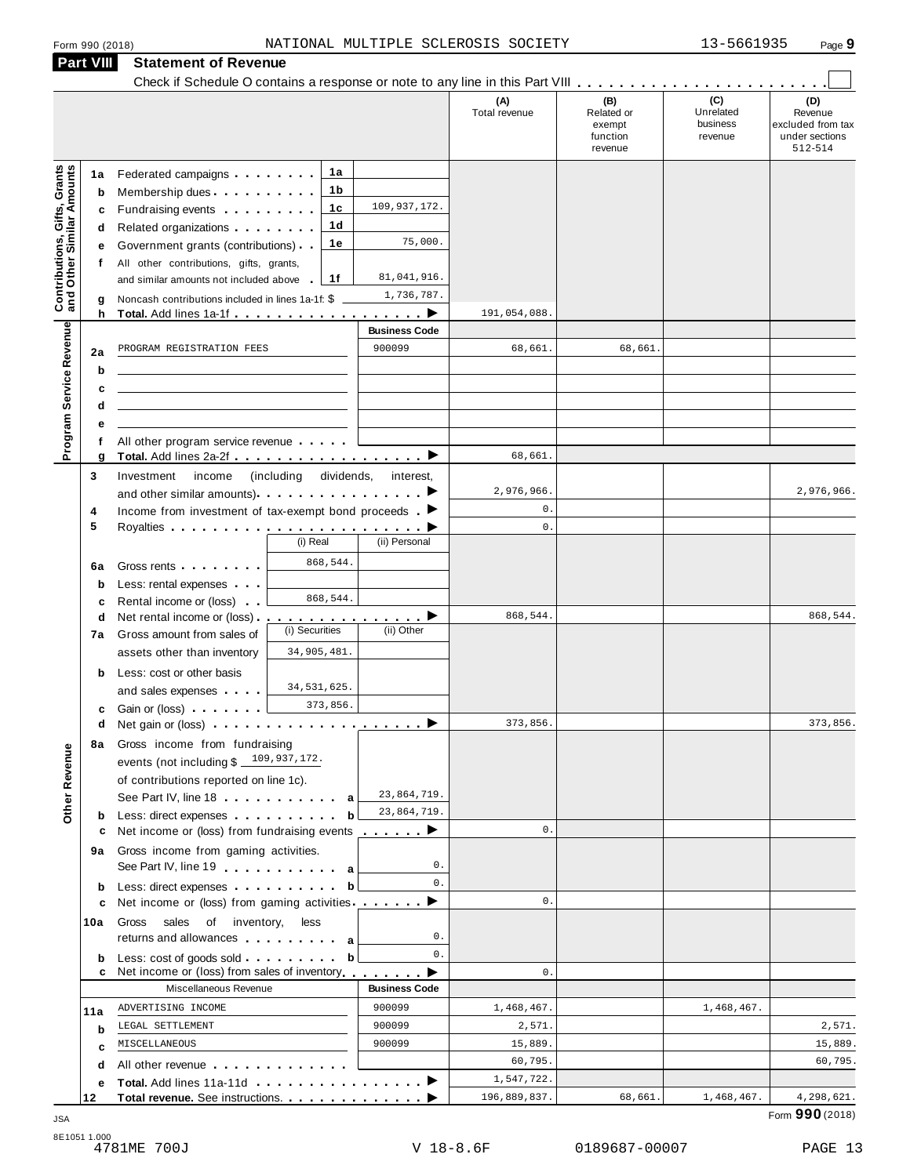|                                                                  | <b>Part VIII</b>            | <b>Statement of Revenue</b>                                                                                                                                                                                                                                                                                                                                                                                                                       |                                             |                                                                                                                                             |                                    |                                                    |                                         |                                                                  |
|------------------------------------------------------------------|-----------------------------|---------------------------------------------------------------------------------------------------------------------------------------------------------------------------------------------------------------------------------------------------------------------------------------------------------------------------------------------------------------------------------------------------------------------------------------------------|---------------------------------------------|---------------------------------------------------------------------------------------------------------------------------------------------|------------------------------------|----------------------------------------------------|-----------------------------------------|------------------------------------------------------------------|
|                                                                  |                             |                                                                                                                                                                                                                                                                                                                                                                                                                                                   |                                             |                                                                                                                                             | (A)<br>Total revenue               | (B)<br>Related or<br>exempt<br>function<br>revenue | (C)<br>Unrelated<br>business<br>revenue | (D)<br>Revenue<br>excluded from tax<br>under sections<br>512-514 |
| <b>Contributions, Gifts, Grants</b><br>and Other Similar Amounts | 1a<br>b<br>c<br>d<br>е<br>f | Federated campaigns<br>Membership dues<br>Fundraising events <b>Fundraising</b><br>Related organizations <b>and the set of the set of the set of the set of the set of the set of the set of the set of the set of the set of the set of the set of the set of the set of the set of the set of the set of the set </b><br>Government grants (contributions)<br>All other contributions, gifts, grants,<br>and similar amounts not included above | 1a<br>1b<br>1c<br>1d<br>1е<br>1f            | 109,937,172.<br>75,000.<br>81,041,916.                                                                                                      |                                    |                                                    |                                         |                                                                  |
|                                                                  | g<br>h                      | Noncash contributions included in lines 1a-1f: \$<br>Total. Add lines 1a-1f example.                                                                                                                                                                                                                                                                                                                                                              |                                             | 1,736,787.<br>. ▶                                                                                                                           | 191,054,088.                       |                                                    |                                         |                                                                  |
| Program Service Revenue                                          | 2a<br>b<br>c                | PROGRAM REGISTRATION FEES                                                                                                                                                                                                                                                                                                                                                                                                                         |                                             | <b>Business Code</b><br>900099                                                                                                              | 68,661.                            | 68,661.                                            |                                         |                                                                  |
|                                                                  | d<br>е<br>f<br>g            | All other program service revenue<br>Total. Add lines 2a-2f ▶                                                                                                                                                                                                                                                                                                                                                                                     |                                             |                                                                                                                                             | 68,661.                            |                                                    |                                         |                                                                  |
|                                                                  | 3<br>4<br>5                 | Investment<br>income<br>Income from investment of tax-exempt bond proceeds $\blacktriangleright$                                                                                                                                                                                                                                                                                                                                                  | (including dividends, interest,<br>(i) Real | (ii) Personal                                                                                                                               | 2,976,966.<br>0.<br>$\mathsf{0}$ . |                                                    |                                         | 2,976,966.                                                       |
|                                                                  | 6a<br>$\mathbf b$<br>c      | Gross rents <b>Container and Container</b><br>Less: rental expenses<br>Rental income or (loss)                                                                                                                                                                                                                                                                                                                                                    | 868,544.<br>868,544.                        |                                                                                                                                             |                                    |                                                    |                                         |                                                                  |
|                                                                  | d<br>7a<br>b                | Net rental income or (loss).<br>Gross amount from sales of<br>assets other than inventory<br>Less: cost or other basis                                                                                                                                                                                                                                                                                                                            | .<br>(i) Securities<br>34,905,481.          | (ii) Other                                                                                                                                  | 868,544.                           |                                                    |                                         | 868,544.                                                         |
|                                                                  | c<br>d<br>8a                | and sales expenses<br>Gain or (loss)<br>Net gain or (loss) $\cdots$ $\cdots$ $\cdots$ $\cdots$ $\cdots$ $\cdots$<br>Gross income from fundraising                                                                                                                                                                                                                                                                                                 | 34, 531, 625.<br>373,856.                   |                                                                                                                                             | 373,856.                           |                                                    |                                         | 373,856.                                                         |
| Other Revenue                                                    | b                           | events (not including $$109,937,172$ .<br>of contributions reported on line 1c).<br>See Part IV, line 18 a<br>Less: direct expenses                                                                                                                                                                                                                                                                                                               | b                                           | 23,864,719.<br>23,864,719.                                                                                                                  |                                    |                                                    |                                         |                                                                  |
|                                                                  | с<br>9а                     | Net income or (loss) from fundraising events $\qquad \qquad$<br>Gross income from gaming activities.<br>See Part IV, line 19 and the Lines of Allen and Allen and Allen and Allen and Allen and Allen and Allen and Allen                                                                                                                                                                                                                         |                                             | 0.                                                                                                                                          | 0.                                 |                                                    |                                         |                                                                  |
|                                                                  | b<br>c                      | Less: direct expenses<br>Net income or (loss) from gaming activities ________                                                                                                                                                                                                                                                                                                                                                                     | b                                           | 0.                                                                                                                                          | 0.                                 |                                                    |                                         |                                                                  |
|                                                                  | 10a                         | Gross sales of inventory, less<br>returns and allowances and allowances                                                                                                                                                                                                                                                                                                                                                                           |                                             | 0.                                                                                                                                          |                                    |                                                    |                                         |                                                                  |
|                                                                  | b                           | Net income or (loss) from sales of inventory                                                                                                                                                                                                                                                                                                                                                                                                      | b                                           | 0.<br>$\label{eq:reduced} \begin{array}{lllllllllllllllll} \bullet & \bullet & \bullet & \bullet & \bullet & \bullet & \bullet \end{array}$ | 0.                                 |                                                    |                                         |                                                                  |
|                                                                  |                             | Miscellaneous Revenue                                                                                                                                                                                                                                                                                                                                                                                                                             |                                             | <b>Business Code</b>                                                                                                                        |                                    |                                                    |                                         |                                                                  |
|                                                                  | 11a                         | ADVERTISING INCOME                                                                                                                                                                                                                                                                                                                                                                                                                                |                                             | 900099                                                                                                                                      | 1,468,467.                         |                                                    | 1,468,467.                              |                                                                  |
|                                                                  | b                           | LEGAL SETTLEMENT                                                                                                                                                                                                                                                                                                                                                                                                                                  |                                             | 900099                                                                                                                                      | 2,571.                             |                                                    |                                         | 2,571.                                                           |
|                                                                  | c                           | MISCELLANEOUS                                                                                                                                                                                                                                                                                                                                                                                                                                     |                                             | 900099                                                                                                                                      | 15,889.                            |                                                    |                                         | 15,889.                                                          |
|                                                                  | d                           | All other revenue                                                                                                                                                                                                                                                                                                                                                                                                                                 |                                             |                                                                                                                                             | 60,795.                            |                                                    |                                         | 60,795.                                                          |
|                                                                  | е                           |                                                                                                                                                                                                                                                                                                                                                                                                                                                   |                                             |                                                                                                                                             | 1,547,722.                         |                                                    |                                         |                                                                  |
|                                                                  | 12                          |                                                                                                                                                                                                                                                                                                                                                                                                                                                   |                                             |                                                                                                                                             | 196,889,837.                       | 68,661.                                            | 1,468,467.                              | 4,298,621.                                                       |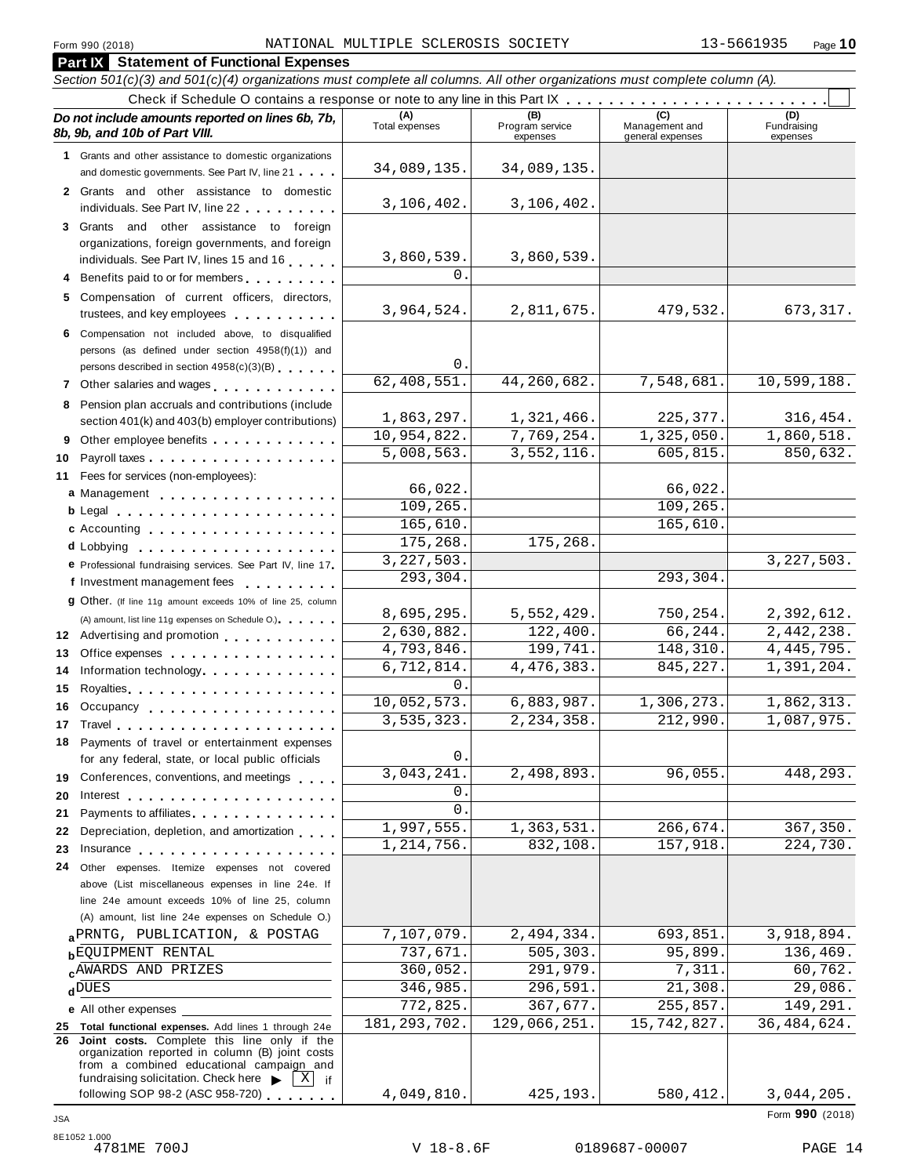|          | <b>Part IX Statement of Functional Expenses</b>                                                                                                                                                                                |                          |                                    |                                    |                                |
|----------|--------------------------------------------------------------------------------------------------------------------------------------------------------------------------------------------------------------------------------|--------------------------|------------------------------------|------------------------------------|--------------------------------|
|          | Section 501(c)(3) and 501(c)(4) organizations must complete all columns. All other organizations must complete column (A).                                                                                                     |                          |                                    |                                    |                                |
|          | Check if Schedule O contains a response or note to any line in this Part IX                                                                                                                                                    |                          |                                    |                                    |                                |
|          | Do not include amounts reported on lines 6b, 7b,<br>8b, 9b, and 10b of Part VIII.                                                                                                                                              | (A)<br>Total expenses    | (B)<br>Program service<br>expenses | Management and<br>general expenses | (D)<br>Fundraising<br>expenses |
|          | 1 Grants and other assistance to domestic organizations                                                                                                                                                                        |                          |                                    |                                    |                                |
|          | and domestic governments. See Part IV, line 21                                                                                                                                                                                 | 34,089,135.              | 34,089,135.                        |                                    |                                |
|          | 2 Grants and other assistance to domestic<br>individuals. See Part IV, line 22 <b>Canadia</b>                                                                                                                                  | 3,106,402.               | 3,106,402.                         |                                    |                                |
|          | 3 Grants and other assistance to foreign                                                                                                                                                                                       |                          |                                    |                                    |                                |
|          | organizations, foreign governments, and foreign                                                                                                                                                                                | 3,860,539.               | 3,860,539.                         |                                    |                                |
|          | individuals. See Part IV, lines 15 and 16                                                                                                                                                                                      | 0                        |                                    |                                    |                                |
|          | 4 Benefits paid to or for members                                                                                                                                                                                              |                          |                                    |                                    |                                |
|          | 5 Compensation of current officers, directors,<br>trustees, and key employees                                                                                                                                                  | 3,964,524.               | 2,811,675.                         | 479,532.                           | 673, 317.                      |
|          | 6 Compensation not included above, to disqualified                                                                                                                                                                             |                          |                                    |                                    |                                |
|          | persons (as defined under section 4958(f)(1)) and                                                                                                                                                                              | $0$ .                    |                                    |                                    |                                |
|          | persons described in section 4958(c)(3)(B)                                                                                                                                                                                     | 62,408,551.              | 44,260,682.                        | 7,548,681.                         | 10,599,188.                    |
|          | 7 Other salaries and wages                                                                                                                                                                                                     |                          |                                    |                                    |                                |
|          | 8 Pension plan accruals and contributions (include<br>section 401(k) and 403(b) employer contributions)                                                                                                                        | 1,863,297.               | 1,321,466.                         | 225,377.                           | 316,454.                       |
|          | 9 Other employee benefits                                                                                                                                                                                                      | 10,954,822.              | 7,769,254.                         | 1,325,050.                         | 1,860,518.                     |
| 10       |                                                                                                                                                                                                                                | 5,008,563.               | 3,552,116.                         | 605,815.                           | 850,632.                       |
|          | 11 Fees for services (non-employees):                                                                                                                                                                                          |                          |                                    |                                    |                                |
|          | a Management                                                                                                                                                                                                                   | 66,022.                  |                                    | 66,022.                            |                                |
|          |                                                                                                                                                                                                                                | 109,265.                 |                                    | 109,265.                           |                                |
|          | c Accounting                                                                                                                                                                                                                   | 165,610.                 |                                    | 165,610.                           |                                |
|          | <b>d</b> Lobbying                                                                                                                                                                                                              | 175,268.                 | 175,268.                           |                                    |                                |
|          | e Professional fundraising services. See Part IV, line 17                                                                                                                                                                      | 3, 227, 503.             |                                    |                                    | 3, 227, 503.                   |
|          | f Investment management fees                                                                                                                                                                                                   | 293,304.                 |                                    | 293,304.                           |                                |
|          | 9 Other. (If line 11g amount exceeds 10% of line 25, column                                                                                                                                                                    |                          |                                    |                                    |                                |
|          | (A) amount, list line 11g expenses on Schedule O.)                                                                                                                                                                             | 8,695,295.<br>2,630,882. | 5,552,429.<br>122,400.             | 750,254.<br>66,244.                | 2,392,612.<br>2,442,238.       |
|          | 12 Advertising and promotion                                                                                                                                                                                                   | 4,793,846.               | 199,741.                           | 148,310.                           | 4, 445, 795.                   |
| 13<br>14 | Office expenses                                                                                                                                                                                                                | 6,712,814.               | 4, 476, 383.                       | 845, 227.                          | 1,391,204.                     |
| 15       | Information technology.                                                                                                                                                                                                        | 0                        |                                    |                                    |                                |
| 16       | Occupancy                                                                                                                                                                                                                      | 10,052,573.              | 6,883,987.                         | 1,306,273.                         | 1,862,313.                     |
|          | 17 Travel and the contract of the contract of the contract of the contract of the contract of the contract of the contract of the contract of the contract of the contract of the contract of the contract of the contract of  | 3, 535, 323.             | $\overline{2,234}$ , 358.          | 212,990                            | 1,087,975.                     |
|          | 18 Payments of travel or entertainment expenses                                                                                                                                                                                |                          |                                    |                                    |                                |
|          | for any federal, state, or local public officials                                                                                                                                                                              | 0                        |                                    |                                    |                                |
| 19       | Conferences, conventions, and meetings                                                                                                                                                                                         | 3,043,241                | 2,498,893.                         | 96,055.                            | 448,293.                       |
| 20       | Interest entering the set of the set of the set of the set of the set of the set of the set of the set of the                                                                                                                  | 0                        |                                    |                                    |                                |
| 21       | Payments to affiliates <b>All Accords</b> Payments to affiliates                                                                                                                                                               | 0                        |                                    |                                    |                                |
| 22       | Depreciation, depletion, and amortization                                                                                                                                                                                      | 1,997,555.               | 1,363,531.                         | 266,674.                           | 367,350.                       |
| 23       | Insurance experience and the set of the set of the set of the set of the set of the set of the set of the set of the set of the set of the set of the set of the set of the set of the set of the set of the set of the set of | 1,214,756.               | 832,108.                           | 157,918.                           | 224,730.                       |
| 24       | Other expenses. Itemize expenses not covered                                                                                                                                                                                   |                          |                                    |                                    |                                |
|          | above (List miscellaneous expenses in line 24e. If<br>line 24e amount exceeds 10% of line 25, column                                                                                                                           |                          |                                    |                                    |                                |
|          | (A) amount, list line 24e expenses on Schedule O.)                                                                                                                                                                             |                          |                                    |                                    |                                |
|          | a PRNTG, PUBLICATION, & POSTAG                                                                                                                                                                                                 | 7,107,079.               | 2,494,334.                         | 693,851.                           | 3,918,894.                     |
|          | <b>bEQUIPMENT RENTAL</b>                                                                                                                                                                                                       | 737,671.                 | 505, 303.                          | 95,899.                            | 136,469.                       |
|          | AWARDS AND PRIZES                                                                                                                                                                                                              | 360,052.                 | 291,979.                           | 7,311                              | 60,762.                        |
|          | $d$ DUES                                                                                                                                                                                                                       | 346,985.                 | $\overline{2}$ 96,591.             | 21,308                             | 29,086.                        |
|          | e All other expenses                                                                                                                                                                                                           | 772,825.                 | 367,677.                           | 255,857.                           | 149,291.                       |
|          | 25 Total functional expenses. Add lines 1 through 24e                                                                                                                                                                          | 181, 293, 702.           | 129,066,251.                       | 15,742,827.                        | 36, 484, 624.                  |
|          | 26 Joint costs. Complete this line only if the<br>organization reported in column (B) joint costs<br>from a combined educational campaign and                                                                                  |                          |                                    |                                    |                                |
|          | fundraising solicitation. Check here<br>ΧJ<br>if<br>following SOP 98-2 (ASC 958-720)                                                                                                                                           | 4,049,810.               | 425,193.                           | 580,412.                           | 3,044,205.                     |
|          |                                                                                                                                                                                                                                |                          |                                    |                                    |                                |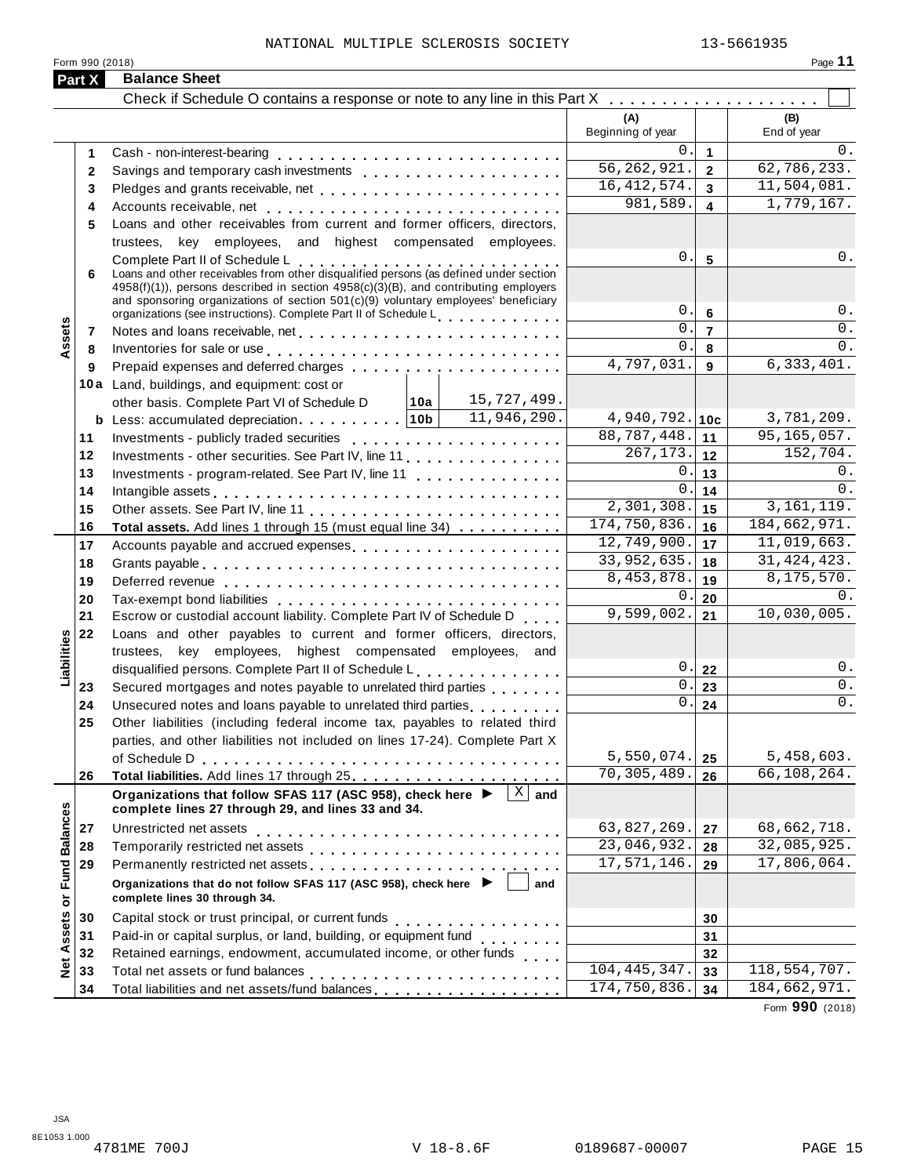| Form 990 (2018)             |                                                                                                                                                                                                                                |                             |                         | Page 11            |
|-----------------------------|--------------------------------------------------------------------------------------------------------------------------------------------------------------------------------------------------------------------------------|-----------------------------|-------------------------|--------------------|
| Part X                      | <b>Balance Sheet</b>                                                                                                                                                                                                           |                             |                         |                    |
|                             |                                                                                                                                                                                                                                |                             |                         |                    |
|                             |                                                                                                                                                                                                                                | (A)<br>Beginning of year    |                         | (B)<br>End of year |
|                             |                                                                                                                                                                                                                                | $\Omega$ .                  | $\mathbf{1}$            | 0.                 |
| $\mathbf{2}$                |                                                                                                                                                                                                                                | $\overline{56,262,921}$ .   | $\overline{2}$          | 62, 786, 233.      |
| 3                           | Pledges and grants receivable, net                                                                                                                                                                                             | 16, 412, 574.               | $\overline{\mathbf{3}}$ | 11,504,081.        |
| 4                           | Accounts receivable, net enterprise and accounts receivable, net enterprise and accounts received and accounts                                                                                                                 | 981,589.                    | $\overline{\mathbf{4}}$ | 1,779,167.         |
| 5                           | Loans and other receivables from current and former officers, directors,                                                                                                                                                       |                             |                         |                    |
|                             | trustees, key employees, and highest compensated employees.                                                                                                                                                                    |                             |                         |                    |
|                             | Complete Part II of Schedule L<br>Loans and other receivables from other disqualified persons (as defined under section                                                                                                        | 0.                          | $5\phantom{1}$          | 0.                 |
| 6                           |                                                                                                                                                                                                                                |                             |                         |                    |
|                             | 4958(f)(1)), persons described in section 4958(c)(3)(B), and contributing employers<br>and sponsoring organizations of section 501(c)(9) voluntary employees' beneficiary                                                      |                             |                         |                    |
|                             | organizations (see instructions). Complete Part II of Schedule Letter Part 1 and 20                                                                                                                                            | $\mathbf 0$ .               | $6\phantom{1}$          | 0.                 |
| 7                           |                                                                                                                                                                                                                                | $\Omega$ .                  | $\overline{7}$          | 0.                 |
| Assets<br>8                 | Inventories for sale or use enterpreteral enterpreteration of the sale or use of the set of the set of the set of the set of the set of the set of the set of the set of the set of the set of the set of the set of the set o | $\mathbf{0}$ .              | 8                       | 0.                 |
| 9                           |                                                                                                                                                                                                                                | $\overline{4,797,031}$ .    | 9                       | 6,333,401.         |
|                             | 10a Land, buildings, and equipment: cost or                                                                                                                                                                                    |                             |                         |                    |
|                             | 15,727,499.<br> 10a <br>other basis. Complete Part VI of Schedule D                                                                                                                                                            |                             |                         |                    |
|                             | 11,946,290.<br><b>b</b> Less: accumulated depreciation. $ 10b $                                                                                                                                                                | $4,940,792.$ 10c            |                         | 3,781,209.         |
| 11                          |                                                                                                                                                                                                                                | 88,787,448.                 | 11                      | 95, 165, 057.      |
| 12                          | Investments - other securities. See Part IV, line 11.                                                                                                                                                                          | 267,173.                    | 12                      | 152,704.           |
| 13                          | Investments - program-related. See Part IV, line 11                                                                                                                                                                            | 0.                          | 13                      | 0.                 |
| 14                          |                                                                                                                                                                                                                                | $\Omega$ .                  | 14                      | $0$ .              |
| 15                          |                                                                                                                                                                                                                                | 2,301,308.                  | 15                      | 3,161,119.         |
| 16                          | Total assets. Add lines 1 through 15 (must equal line 34)                                                                                                                                                                      | 174, 750, 836.              | 16                      | 184,662,971.       |
| 17                          | Accounts payable and accrued expenses entitled and accrued expenses                                                                                                                                                            | 12,749,900.                 | 17                      | 11,019,663.        |
| 18                          |                                                                                                                                                                                                                                | 33,952,635.                 | 18                      | 31, 424, 423.      |
| 19                          |                                                                                                                                                                                                                                | 8,453,878.                  | 19                      | 8,175,570.         |
| 20                          |                                                                                                                                                                                                                                | $\mathbf 0$ .               | 20                      | $0$ .              |
| 21                          | Escrow or custodial account liability. Complete Part IV of Schedule D                                                                                                                                                          | 9,599,002.                  | 21                      | 10,030,005.        |
| 22                          | Loans and other payables to current and former officers, directors,                                                                                                                                                            |                             |                         |                    |
| Liabilities                 | trustees, key employees, highest compensated employees, and                                                                                                                                                                    |                             |                         |                    |
|                             | disqualified persons. Complete Part II of Schedule L.                                                                                                                                                                          | 0.                          | 22                      | 0.                 |
| 23                          | Secured mortgages and notes payable to unrelated third parties                                                                                                                                                                 | $\overline{0}$ .            | 23                      | 0.                 |
| 24                          |                                                                                                                                                                                                                                | 0.                          | 24                      | 0.                 |
| 25                          | Other liabilities (including federal income tax, payables to related third                                                                                                                                                     |                             |                         |                    |
|                             | parties, and other liabilities not included on lines 17-24). Complete Part X                                                                                                                                                   |                             |                         |                    |
|                             |                                                                                                                                                                                                                                | 5,550,074.                  | 25                      | 5,458,603.         |
| 26                          |                                                                                                                                                                                                                                | $\overline{70}$ , 305, 489. | 26                      | 66,108,264.        |
|                             | Organizations that follow SFAS 117 (ASC 958), check here ▶<br>$ X $ and<br>complete lines 27 through 29, and lines 33 and 34.                                                                                                  |                             |                         |                    |
| 27                          |                                                                                                                                                                                                                                | 63,827,269.                 | 27                      | 68,662,718.        |
| 28                          |                                                                                                                                                                                                                                | 23,046,932.                 | 28                      | 32,085,925.        |
| 29                          |                                                                                                                                                                                                                                | 17,571,146.                 | 29                      | 17,806,064.        |
| Net Assets or Fund Balances | Organizations that do not follow SFAS 117 (ASC 958), check here ▶<br>and<br>complete lines 30 through 34.                                                                                                                      |                             |                         |                    |
| 30                          | Capital stock or trust principal, or current funds<br>                                                                                                                                                                         |                             | 30                      |                    |
| 31                          | Paid-in or capital surplus, or land, building, or equipment fund<br>                                                                                                                                                           |                             | 31                      |                    |
| 32                          | Retained earnings, endowment, accumulated income, or other funds                                                                                                                                                               |                             | 32                      |                    |
| 33                          |                                                                                                                                                                                                                                | 104, 445, 347.              | 33                      | 118,554,707.       |
| 34                          | Total liabilities and net assets/fund balances                                                                                                                                                                                 | 174,750,836.                | 34                      | 184,662,971.       |
|                             |                                                                                                                                                                                                                                |                             |                         |                    |

Form **990** (2018)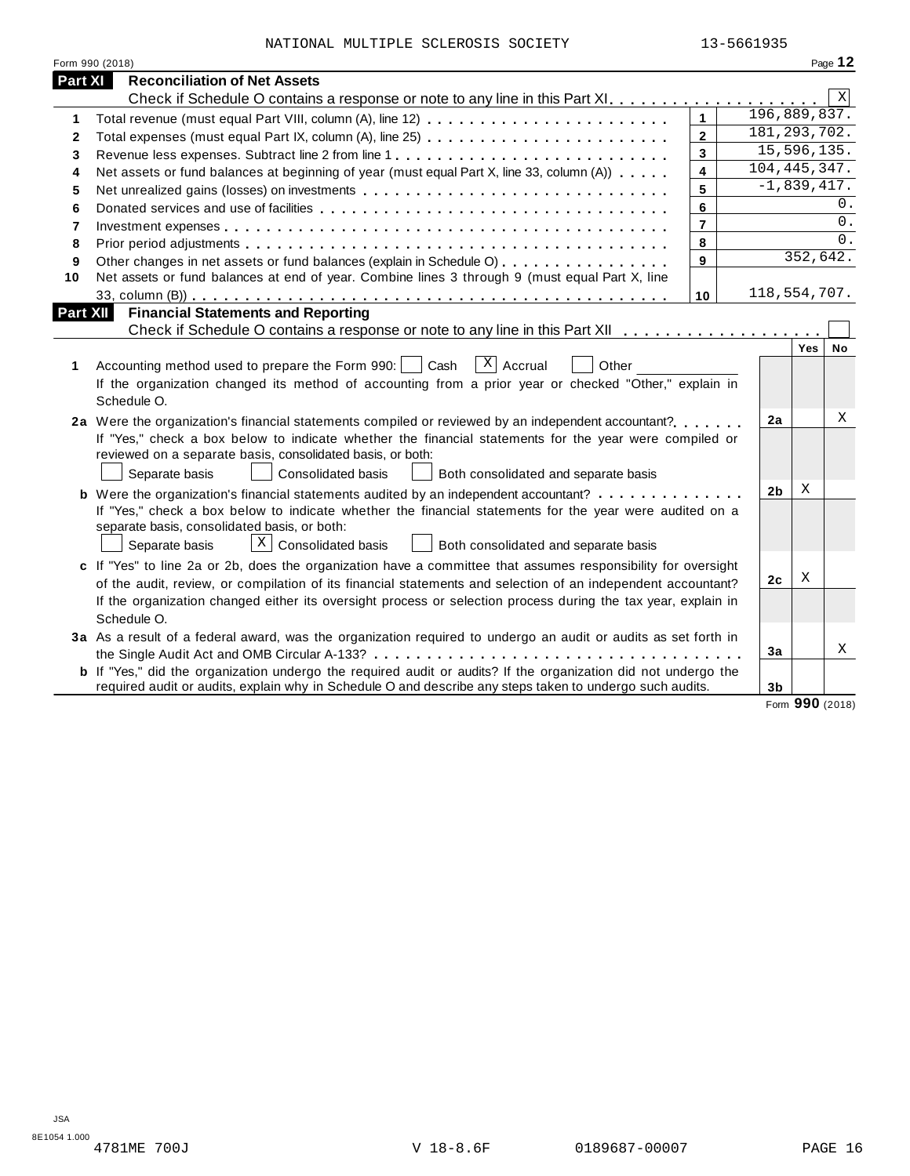| NATIONAL MULTIPLE SCLEROSIS SOCIETY |  | 13-5661935 |
|-------------------------------------|--|------------|

|          | Form 990 (2018)                                                                                                                                                                                                                                                                                                                                                   |                         |  |                |          | Page 12 |  |
|----------|-------------------------------------------------------------------------------------------------------------------------------------------------------------------------------------------------------------------------------------------------------------------------------------------------------------------------------------------------------------------|-------------------------|--|----------------|----------|---------|--|
| Part XI  | <b>Reconciliation of Net Assets</b>                                                                                                                                                                                                                                                                                                                               |                         |  |                |          |         |  |
|          |                                                                                                                                                                                                                                                                                                                                                                   |                         |  |                |          | X       |  |
| 1        | Total revenue (must equal Part VIII, column (A), line 12)                                                                                                                                                                                                                                                                                                         | $\mathbf{1}$            |  | 196,889,837.   |          |         |  |
| 2        |                                                                                                                                                                                                                                                                                                                                                                   | $\overline{2}$          |  | 181, 293, 702. |          |         |  |
| 3        |                                                                                                                                                                                                                                                                                                                                                                   | 3                       |  | 15, 596, 135.  |          |         |  |
| 4        | Net assets or fund balances at beginning of year (must equal Part X, line 33, column (A))                                                                                                                                                                                                                                                                         | $\overline{\mathbf{4}}$ |  | 104, 445, 347. |          |         |  |
| 5        | Net unrealized gains (losses) on investments                                                                                                                                                                                                                                                                                                                      | 5                       |  | $-1,839,417.$  |          |         |  |
| 6        |                                                                                                                                                                                                                                                                                                                                                                   | 6                       |  |                |          | 0.      |  |
| 7        |                                                                                                                                                                                                                                                                                                                                                                   | $\overline{7}$          |  |                |          | 0.      |  |
| 8        |                                                                                                                                                                                                                                                                                                                                                                   | 8                       |  |                |          | 0.      |  |
| 9        | Other changes in net assets or fund balances (explain in Schedule O)                                                                                                                                                                                                                                                                                              | 9                       |  |                | 352,642. |         |  |
| 10       | Net assets or fund balances at end of year. Combine lines 3 through 9 (must equal Part X, line                                                                                                                                                                                                                                                                    |                         |  |                |          |         |  |
|          |                                                                                                                                                                                                                                                                                                                                                                   | 10                      |  | 118,554,707.   |          |         |  |
| Part XII | <b>Financial Statements and Reporting</b>                                                                                                                                                                                                                                                                                                                         |                         |  |                |          |         |  |
|          |                                                                                                                                                                                                                                                                                                                                                                   |                         |  |                |          |         |  |
| 1        | $X$ Accrual<br>Accounting method used to prepare the Form 990:     Cash<br>Other<br>If the organization changed its method of accounting from a prior year or checked "Other," explain in<br>Schedule O.                                                                                                                                                          |                         |  |                | Yes      | No      |  |
|          | 2a Were the organization's financial statements compiled or reviewed by an independent accountant?<br>If "Yes," check a box below to indicate whether the financial statements for the year were compiled or<br>reviewed on a separate basis, consolidated basis, or both:<br>Separate basis<br><b>Consolidated basis</b><br>Both consolidated and separate basis |                         |  | 2a             |          | х       |  |
|          | If "Yes," check a box below to indicate whether the financial statements for the year were audited on a<br>separate basis, consolidated basis, or both:                                                                                                                                                                                                           |                         |  | 2 <sub>b</sub> | X        |         |  |
|          | $\lfloor x \rfloor$ Consolidated basis<br>Separate basis<br>Both consolidated and separate basis                                                                                                                                                                                                                                                                  |                         |  |                |          |         |  |
|          | c If "Yes" to line 2a or 2b, does the organization have a committee that assumes responsibility for oversight                                                                                                                                                                                                                                                     |                         |  | 2 <sub>c</sub> | Χ        |         |  |
|          | of the audit, review, or compilation of its financial statements and selection of an independent accountant?<br>If the organization changed either its oversight process or selection process during the tax year, explain in<br>Schedule O.                                                                                                                      |                         |  |                |          |         |  |
|          | 3a As a result of a federal award, was the organization required to undergo an audit or audits as set forth in                                                                                                                                                                                                                                                    |                         |  |                |          |         |  |
|          |                                                                                                                                                                                                                                                                                                                                                                   |                         |  | 3a             |          | X       |  |
|          | <b>b</b> If "Yes," did the organization undergo the required audit or audits? If the organization did not undergo the<br>required audit or audits, explain why in Schedule O and describe any steps taken to undergo such audits.                                                                                                                                 |                         |  | 3b             |          |         |  |

Form **990** (2018)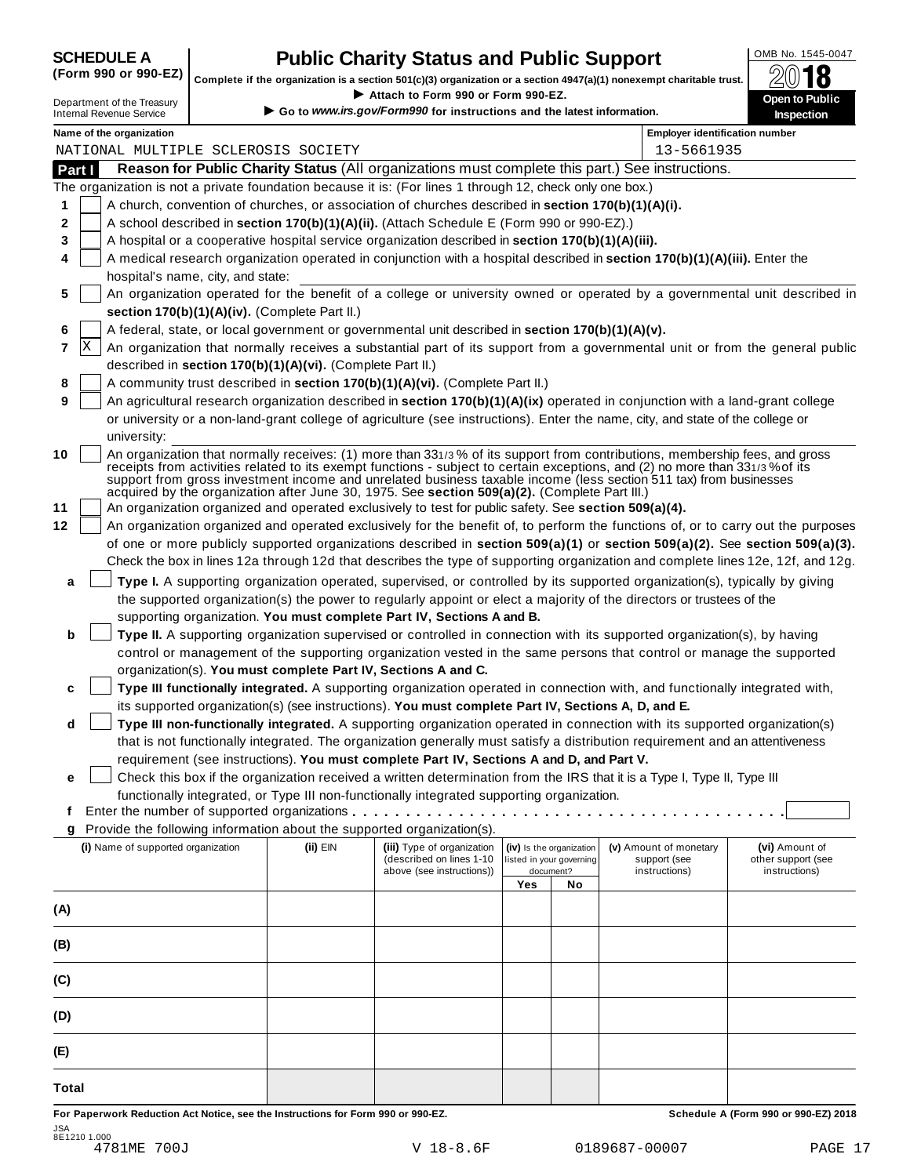# **CHEDULE A Public Charity Status and Public Support**  $\frac{\text{OMB No. 1545-0047}}{\text{OMB}}$

(Form 990 or 990-EZ) complete if the organization is a section 501(c)(3) organization or a section 4947(a)(1) nonexempt charitable trust.  $2018$ 

|        |   |                                                               |                                                            | Complete if the organization is a section 501(c)(3) organization or a section 4947(a)(1) nonexempt charitable trust. |     |                                                      |                                                                                                                                | ZW IO                                                                                                                            |
|--------|---|---------------------------------------------------------------|------------------------------------------------------------|----------------------------------------------------------------------------------------------------------------------|-----|------------------------------------------------------|--------------------------------------------------------------------------------------------------------------------------------|----------------------------------------------------------------------------------------------------------------------------------|
|        |   | Department of the Treasury<br><b>Internal Revenue Service</b> |                                                            | Attach to Form 990 or Form 990-EZ.<br>Go to www.irs.gov/Form990 for instructions and the latest information.         |     |                                                      |                                                                                                                                | Open to Public<br>Inspection                                                                                                     |
|        |   |                                                               |                                                            |                                                                                                                      |     |                                                      |                                                                                                                                |                                                                                                                                  |
|        |   | Name of the organization                                      | NATIONAL MULTIPLE SCLEROSIS SOCIETY                        |                                                                                                                      |     |                                                      | <b>Employer identification number</b><br>13-5661935                                                                            |                                                                                                                                  |
| Part I |   |                                                               |                                                            |                                                                                                                      |     |                                                      | Reason for Public Charity Status (All organizations must complete this part.) See instructions.                                |                                                                                                                                  |
|        |   |                                                               |                                                            | The organization is not a private foundation because it is: (For lines 1 through 12, check only one box.)            |     |                                                      |                                                                                                                                |                                                                                                                                  |
| 1      |   |                                                               |                                                            | A church, convention of churches, or association of churches described in section 170(b)(1)(A)(i).                   |     |                                                      |                                                                                                                                |                                                                                                                                  |
| 2      |   |                                                               |                                                            | A school described in section 170(b)(1)(A)(ii). (Attach Schedule E (Form 990 or 990-EZ).)                            |     |                                                      |                                                                                                                                |                                                                                                                                  |
| 3      |   |                                                               |                                                            | A hospital or a cooperative hospital service organization described in section 170(b)(1)(A)(iii).                    |     |                                                      |                                                                                                                                |                                                                                                                                  |
| 4      |   |                                                               |                                                            |                                                                                                                      |     |                                                      | A medical research organization operated in conjunction with a hospital described in section 170(b)(1)(A)(iii). Enter the      |                                                                                                                                  |
|        |   | hospital's name, city, and state:                             |                                                            |                                                                                                                      |     |                                                      |                                                                                                                                |                                                                                                                                  |
| 5      |   |                                                               |                                                            |                                                                                                                      |     |                                                      |                                                                                                                                | An organization operated for the benefit of a college or university owned or operated by a governmental unit described in        |
|        |   |                                                               | section 170(b)(1)(A)(iv). (Complete Part II.)              |                                                                                                                      |     |                                                      |                                                                                                                                |                                                                                                                                  |
| 6      |   |                                                               |                                                            | A federal, state, or local government or governmental unit described in section 170(b)(1)(A)(v).                     |     |                                                      |                                                                                                                                |                                                                                                                                  |
| 7      | X |                                                               |                                                            |                                                                                                                      |     |                                                      |                                                                                                                                | An organization that normally receives a substantial part of its support from a governmental unit or from the general public     |
|        |   |                                                               | described in section 170(b)(1)(A)(vi). (Complete Part II.) |                                                                                                                      |     |                                                      |                                                                                                                                |                                                                                                                                  |
| 8      |   |                                                               |                                                            | A community trust described in section 170(b)(1)(A)(vi). (Complete Part II.)                                         |     |                                                      |                                                                                                                                |                                                                                                                                  |
| 9      |   |                                                               |                                                            |                                                                                                                      |     |                                                      | An agricultural research organization described in section 170(b)(1)(A)(ix) operated in conjunction with a land-grant college  |                                                                                                                                  |
|        |   |                                                               |                                                            |                                                                                                                      |     |                                                      | or university or a non-land-grant college of agriculture (see instructions). Enter the name, city, and state of the college or |                                                                                                                                  |
|        |   | university:                                                   |                                                            |                                                                                                                      |     |                                                      |                                                                                                                                |                                                                                                                                  |
| 10     |   |                                                               |                                                            |                                                                                                                      |     |                                                      | An organization that normally receives: (1) more than 331/3% of its support from contributions, membership fees, and gross     |                                                                                                                                  |
|        |   |                                                               |                                                            |                                                                                                                      |     |                                                      | receipts from activities related to its exempt functions - subject to certain exceptions, and (2) no more than 331/3% of its   |                                                                                                                                  |
|        |   |                                                               |                                                            | acquired by the organization after June 30, 1975. See section 509(a)(2). (Complete Part III.)                        |     |                                                      | support from gross investment income and unrelated business taxable income (less section 511 tax) from businesses              |                                                                                                                                  |
| 11     |   |                                                               |                                                            | An organization organized and operated exclusively to test for public safety. See section 509(a)(4).                 |     |                                                      |                                                                                                                                |                                                                                                                                  |
| 12     |   |                                                               |                                                            |                                                                                                                      |     |                                                      |                                                                                                                                | An organization organized and operated exclusively for the benefit of, to perform the functions of, or to carry out the purposes |
|        |   |                                                               |                                                            |                                                                                                                      |     |                                                      |                                                                                                                                | of one or more publicly supported organizations described in section 509(a)(1) or section 509(a)(2). See section 509(a)(3).      |
|        |   |                                                               |                                                            |                                                                                                                      |     |                                                      |                                                                                                                                | Check the box in lines 12a through 12d that describes the type of supporting organization and complete lines 12e, 12f, and 12g.  |
| a      |   |                                                               |                                                            |                                                                                                                      |     |                                                      | Type I. A supporting organization operated, supervised, or controlled by its supported organization(s), typically by giving    |                                                                                                                                  |
|        |   |                                                               |                                                            |                                                                                                                      |     |                                                      | the supported organization(s) the power to regularly appoint or elect a majority of the directors or trustees of the           |                                                                                                                                  |
|        |   |                                                               |                                                            | supporting organization. You must complete Part IV, Sections A and B.                                                |     |                                                      |                                                                                                                                |                                                                                                                                  |
| b      |   |                                                               |                                                            |                                                                                                                      |     |                                                      | Type II. A supporting organization supervised or controlled in connection with its supported organization(s), by having        |                                                                                                                                  |
|        |   |                                                               |                                                            |                                                                                                                      |     |                                                      | control or management of the supporting organization vested in the same persons that control or manage the supported           |                                                                                                                                  |
|        |   |                                                               |                                                            | organization(s). You must complete Part IV, Sections A and C.                                                        |     |                                                      |                                                                                                                                |                                                                                                                                  |
| c      |   |                                                               |                                                            |                                                                                                                      |     |                                                      | Type III functionally integrated. A supporting organization operated in connection with, and functionally integrated with,     |                                                                                                                                  |
|        |   |                                                               |                                                            | its supported organization(s) (see instructions). You must complete Part IV, Sections A, D, and E.                   |     |                                                      |                                                                                                                                |                                                                                                                                  |
| d      |   |                                                               |                                                            |                                                                                                                      |     |                                                      | Type III non-functionally integrated. A supporting organization operated in connection with its supported organization(s)      |                                                                                                                                  |
|        |   |                                                               |                                                            |                                                                                                                      |     |                                                      | that is not functionally integrated. The organization generally must satisfy a distribution requirement and an attentiveness   |                                                                                                                                  |
|        |   |                                                               |                                                            | requirement (see instructions). You must complete Part IV, Sections A and D, and Part V.                             |     |                                                      |                                                                                                                                |                                                                                                                                  |
| е      |   |                                                               |                                                            |                                                                                                                      |     |                                                      | Check this box if the organization received a written determination from the IRS that it is a Type I, Type II, Type III        |                                                                                                                                  |
|        |   |                                                               |                                                            | functionally integrated, or Type III non-functionally integrated supporting organization.                            |     |                                                      |                                                                                                                                |                                                                                                                                  |
| t      |   |                                                               |                                                            |                                                                                                                      |     |                                                      |                                                                                                                                |                                                                                                                                  |
| g      |   |                                                               |                                                            | Provide the following information about the supported organization(s).                                               |     |                                                      |                                                                                                                                |                                                                                                                                  |
|        |   | (i) Name of supported organization                            | $(ii)$ EIN                                                 | (iii) Type of organization<br>(described on lines 1-10                                                               |     | (iv) Is the organization<br>listed in your governing | (v) Amount of monetary<br>support (see                                                                                         | (vi) Amount of<br>other support (see                                                                                             |
|        |   |                                                               |                                                            | above (see instructions))                                                                                            |     | document?                                            | instructions)                                                                                                                  | instructions)                                                                                                                    |
|        |   |                                                               |                                                            |                                                                                                                      | Yes | No                                                   |                                                                                                                                |                                                                                                                                  |
| (A)    |   |                                                               |                                                            |                                                                                                                      |     |                                                      |                                                                                                                                |                                                                                                                                  |
|        |   |                                                               |                                                            |                                                                                                                      |     |                                                      |                                                                                                                                |                                                                                                                                  |
| (B)    |   |                                                               |                                                            |                                                                                                                      |     |                                                      |                                                                                                                                |                                                                                                                                  |
|        |   |                                                               |                                                            |                                                                                                                      |     |                                                      |                                                                                                                                |                                                                                                                                  |
| (C)    |   |                                                               |                                                            |                                                                                                                      |     |                                                      |                                                                                                                                |                                                                                                                                  |
|        |   |                                                               |                                                            |                                                                                                                      |     |                                                      |                                                                                                                                |                                                                                                                                  |
| (D)    |   |                                                               |                                                            |                                                                                                                      |     |                                                      |                                                                                                                                |                                                                                                                                  |
|        |   |                                                               |                                                            |                                                                                                                      |     |                                                      |                                                                                                                                |                                                                                                                                  |
| (E)    |   |                                                               |                                                            |                                                                                                                      |     |                                                      |                                                                                                                                |                                                                                                                                  |
|        |   |                                                               |                                                            |                                                                                                                      |     |                                                      |                                                                                                                                |                                                                                                                                  |

For Paperwork Reduction Act Notice, see the Instructions for Form 990 or 990-EZ. Schedule A (Form 990 or 990-EZ) 2018 JSA 8E1210 1.000

**Total**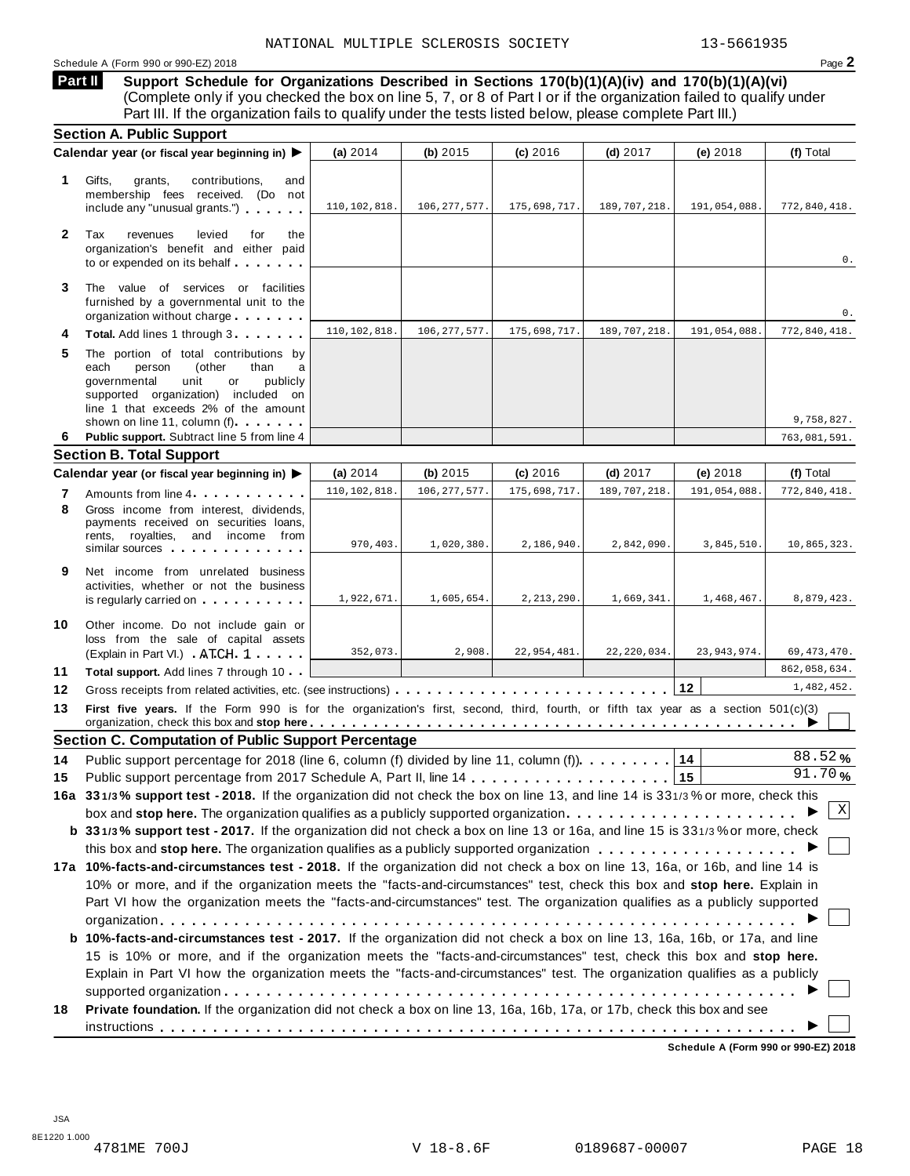**Support Schedule for Organizations Described in Sections 170(b)(1)(A)(iv) and 170(b)(1)(A)(vi)** (Complete only if you checked the box on line 5, 7, or 8 of Part I or if the organization failed to qualify under Part III. If the organization fails to qualify under the tests listed below, please complete Part III.) **Part II**

|              | <b>Section A. Public Support</b>                                                                                                                                                                                                                                                                                                                                     |                |                |              |               |               |               |
|--------------|----------------------------------------------------------------------------------------------------------------------------------------------------------------------------------------------------------------------------------------------------------------------------------------------------------------------------------------------------------------------|----------------|----------------|--------------|---------------|---------------|---------------|
|              | Calendar year (or fiscal year beginning in)                                                                                                                                                                                                                                                                                                                          | (a) $2014$     | (b) 2015       | (c) 2016     | $(d)$ 2017    | (e) 2018      | (f) Total     |
| 1.           | Gifts,<br>contributions,<br>grants,<br>and<br>membership fees received. (Do not<br>include any "unusual grants.")                                                                                                                                                                                                                                                    | 110,102,818.   | 106, 277, 577. | 175,698,717. | 189,707,218.  | 191,054,088.  | 772,840,418.  |
| $\mathbf{2}$ | Tax<br>revenues<br>levied<br>for<br>the<br>organization's benefit and either paid<br>to or expended on its behalf                                                                                                                                                                                                                                                    |                |                |              |               |               | $0$ .         |
| 3            | The value of services or facilities<br>furnished by a governmental unit to the<br>organization without charge                                                                                                                                                                                                                                                        |                |                |              |               |               | 0.            |
| 4            | Total. Add lines 1 through 3.                                                                                                                                                                                                                                                                                                                                        | 110, 102, 818. | 106, 277, 577  | 175,698,717. | 189,707,218   | 191,054,088.  | 772,840,418.  |
| 5            | The portion of total contributions by<br>each<br>person<br>(other<br>than<br>a<br>governmental<br>unit<br>publicly<br>or<br>supported organization) included on<br>line 1 that exceeds 2% of the amount                                                                                                                                                              |                |                |              |               |               |               |
|              | shown on line 11, column (f)                                                                                                                                                                                                                                                                                                                                         |                |                |              |               |               | 9,758,827.    |
| 6            | Public support. Subtract line 5 from line 4<br><b>Section B. Total Support</b>                                                                                                                                                                                                                                                                                       |                |                |              |               |               | 763,081,591.  |
|              | Calendar year (or fiscal year beginning in) ▶                                                                                                                                                                                                                                                                                                                        | (a) $2014$     | (b) $2015$     | (c) 2016     | $(d)$ 2017    | (e) 2018      | (f) Total     |
|              | Amounts from line 4                                                                                                                                                                                                                                                                                                                                                  | 110, 102, 818. | 106, 277, 577  | 175,698,717. | 189,707,218   | 191,054,088   | 772,840,418.  |
| 7<br>8       | Gross income from interest, dividends,<br>payments received on securities loans,<br>rents, royalties, and income from<br>similar sources experiences                                                                                                                                                                                                                 | 970,403.       | 1,020,380.     | 2,186,940.   | 2,842,090.    | 3,845,510.    | 10,865,323.   |
| 9            | Net income from unrelated business<br>activities, whether or not the business<br>is regularly carried on the control of the control of the control of the control of the control of the control of the control of the control of the control of the control of the control of the control of the control of the                                                      | 1,922,671.     | 1,605,654.     | 2, 213, 290. | 1,669,341.    | 1,468,467.    | 8,879,423.    |
| 10           | Other income. Do not include gain or<br>loss from the sale of capital assets<br>(Explain in Part VI.) ATCH 1                                                                                                                                                                                                                                                         | 352,073.       | 2,908.         | 22,954,481.  | 22, 220, 034. | 23, 943, 974. | 69, 473, 470. |
| 11           | Total support. Add lines 7 through 10                                                                                                                                                                                                                                                                                                                                |                |                |              |               |               | 862,058,634.  |
| 12           |                                                                                                                                                                                                                                                                                                                                                                      |                |                |              |               | $ 12\rangle$  | 1,482,452.    |
| 13           | First five years. If the Form 990 is for the organization's first, second, third, fourth, or fifth tax year as a section 501(c)(3)<br>organization, check this box and stop here entitled and state of the state of the state of the state of the state of the state of the state of the state of the state of the state of the state of the state of the state of t |                |                |              |               |               |               |
|              | <b>Section C. Computation of Public Support Percentage</b>                                                                                                                                                                                                                                                                                                           |                |                |              |               |               |               |
| 14           | Public support percentage for 2018 (line 6, column (f) divided by line 11, column (f).                                                                                                                                                                                                                                                                               |                |                |              |               | 14            | 88.52%        |
| 15           |                                                                                                                                                                                                                                                                                                                                                                      |                |                |              |               |               | 91.70%        |
|              | 16a 331/3% support test - 2018. If the organization did not check the box on line 13, and line 14 is 331/3% or more, check this                                                                                                                                                                                                                                      |                |                |              |               |               |               |
|              | box and stop here. The organization qualifies as a publicly supported organization                                                                                                                                                                                                                                                                                   |                |                |              |               |               | X             |
|              | b 331/3% support test - 2017. If the organization did not check a box on line 13 or 16a, and line 15 is 331/3% or more, check                                                                                                                                                                                                                                        |                |                |              |               |               |               |
|              |                                                                                                                                                                                                                                                                                                                                                                      |                |                |              |               |               |               |
|              | 17a 10%-facts-and-circumstances test - 2018. If the organization did not check a box on line 13, 16a, or 16b, and line 14 is                                                                                                                                                                                                                                         |                |                |              |               |               |               |
|              | 10% or more, and if the organization meets the "facts-and-circumstances" test, check this box and stop here. Explain in                                                                                                                                                                                                                                              |                |                |              |               |               |               |
|              | Part VI how the organization meets the "facts-and-circumstances" test. The organization qualifies as a publicly supported                                                                                                                                                                                                                                            |                |                |              |               |               |               |
|              |                                                                                                                                                                                                                                                                                                                                                                      |                |                |              |               |               |               |
|              | b 10%-facts-and-circumstances test - 2017. If the organization did not check a box on line 13, 16a, 16b, or 17a, and line                                                                                                                                                                                                                                            |                |                |              |               |               |               |
|              | 15 is 10% or more, and if the organization meets the "facts-and-circumstances" test, check this box and stop here.                                                                                                                                                                                                                                                   |                |                |              |               |               |               |
|              | Explain in Part VI how the organization meets the "facts-and-circumstances" test. The organization qualifies as a publicly                                                                                                                                                                                                                                           |                |                |              |               |               |               |
| 18           | Private foundation. If the organization did not check a box on line 13, 16a, 16b, 17a, or 17b, check this box and see                                                                                                                                                                                                                                                |                |                |              |               |               |               |
|              |                                                                                                                                                                                                                                                                                                                                                                      |                |                |              |               |               |               |

**Schedule A (Form 990 or 990-EZ) 2018**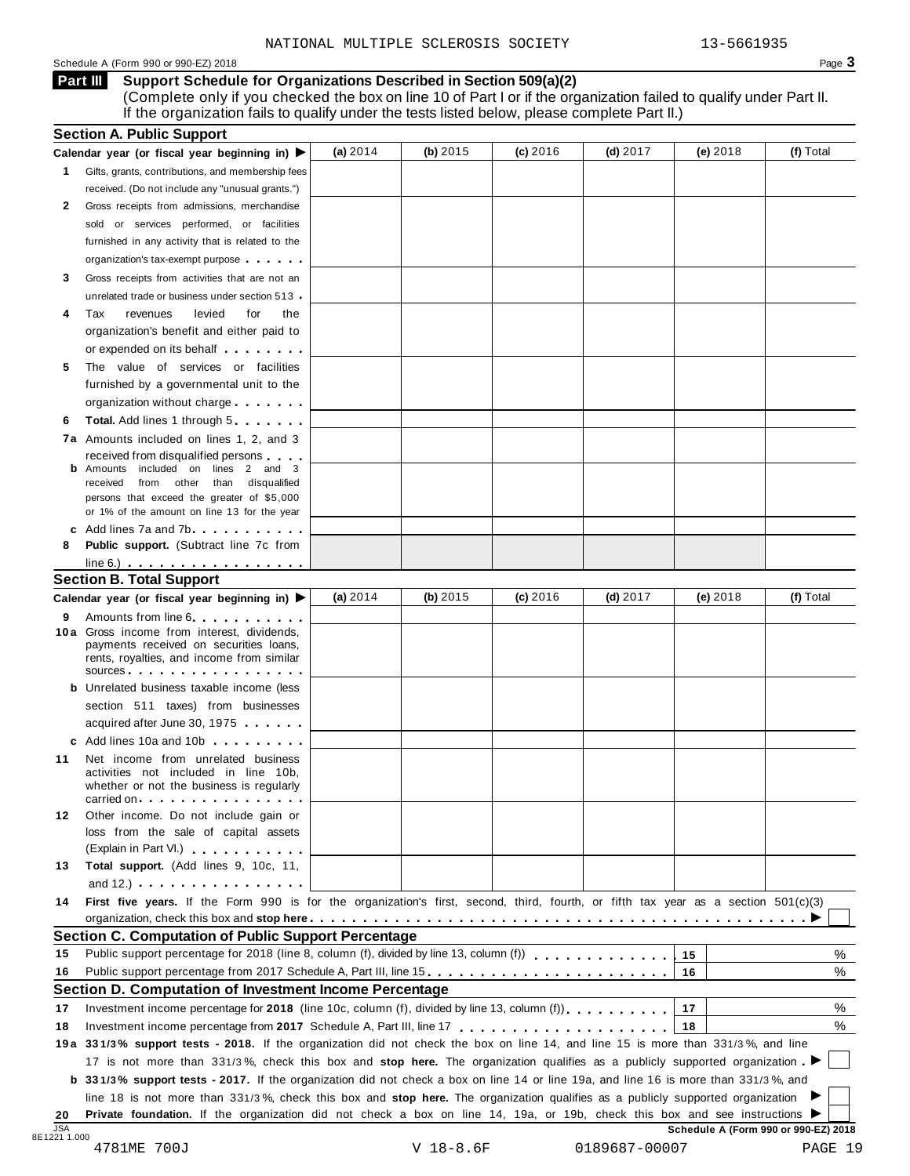# Schedule A (Form 990 or 990-EZ) 2018 Page 3

**Support Schedule for Organizations Described in Section 509(a)(2) Part III**

(Complete only if you checked the box on line 10 of Part I or if the organization failed to qualify under Part II. If the organization fails to qualify under the tests listed below, please complete Part II.)

|                         | <b>Section A. Public Support</b>                                                                                                                                                                                                                                          |            |            |            |            |            |                                      |
|-------------------------|---------------------------------------------------------------------------------------------------------------------------------------------------------------------------------------------------------------------------------------------------------------------------|------------|------------|------------|------------|------------|--------------------------------------|
|                         | Calendar year (or fiscal year beginning in) $\blacktriangleright$                                                                                                                                                                                                         | (a) $2014$ | (b) 2015   | (c) 2016   | $(d)$ 2017 | $(e)$ 2018 | (f) Total                            |
| 1                       | Gifts, grants, contributions, and membership fees                                                                                                                                                                                                                         |            |            |            |            |            |                                      |
|                         | received. (Do not include any "unusual grants.")                                                                                                                                                                                                                          |            |            |            |            |            |                                      |
| 2                       | Gross receipts from admissions, merchandise                                                                                                                                                                                                                               |            |            |            |            |            |                                      |
|                         | sold or services performed, or facilities                                                                                                                                                                                                                                 |            |            |            |            |            |                                      |
|                         | furnished in any activity that is related to the                                                                                                                                                                                                                          |            |            |            |            |            |                                      |
|                         | organization's tax-exempt purpose                                                                                                                                                                                                                                         |            |            |            |            |            |                                      |
| 3                       | Gross receipts from activities that are not an                                                                                                                                                                                                                            |            |            |            |            |            |                                      |
|                         | unrelated trade or business under section 513 .                                                                                                                                                                                                                           |            |            |            |            |            |                                      |
| 4                       | Tax<br>revenues<br>levied<br>for<br>the                                                                                                                                                                                                                                   |            |            |            |            |            |                                      |
|                         | organization's benefit and either paid to                                                                                                                                                                                                                                 |            |            |            |            |            |                                      |
|                         | or expended on its behalf <b>contains the set of the set of the set of the set of the set of the set of the set of the set of the set of the set of the set of the set of the set of the set of the set of the set of the set of</b>                                      |            |            |            |            |            |                                      |
| 5                       | The value of services or facilities                                                                                                                                                                                                                                       |            |            |            |            |            |                                      |
|                         | furnished by a governmental unit to the                                                                                                                                                                                                                                   |            |            |            |            |            |                                      |
|                         | organization without charge                                                                                                                                                                                                                                               |            |            |            |            |            |                                      |
| 6                       | <b>Total.</b> Add lines 1 through 5                                                                                                                                                                                                                                       |            |            |            |            |            |                                      |
|                         | 7a Amounts included on lines 1, 2, and 3                                                                                                                                                                                                                                  |            |            |            |            |            |                                      |
|                         | received from disqualified persons                                                                                                                                                                                                                                        |            |            |            |            |            |                                      |
|                         | Amounts included on lines 2 and 3                                                                                                                                                                                                                                         |            |            |            |            |            |                                      |
|                         | from other than disqualified<br>received<br>persons that exceed the greater of \$5,000                                                                                                                                                                                    |            |            |            |            |            |                                      |
|                         | or 1% of the amount on line 13 for the year                                                                                                                                                                                                                               |            |            |            |            |            |                                      |
|                         | c Add lines 7a and 7b                                                                                                                                                                                                                                                     |            |            |            |            |            |                                      |
| 8                       | <b>Public support.</b> (Subtract line 7c from                                                                                                                                                                                                                             |            |            |            |            |            |                                      |
|                         | $line 6.)$                                                                                                                                                                                                                                                                |            |            |            |            |            |                                      |
|                         | <b>Section B. Total Support</b>                                                                                                                                                                                                                                           |            |            |            |            |            |                                      |
|                         | Calendar year (or fiscal year beginning in) ▶                                                                                                                                                                                                                             | (a) $2014$ | (b) $2015$ | $(c)$ 2016 | (d) $2017$ | (e) 2018   | (f) Total                            |
| 9                       | Amounts from line 6. The state of the state of the state of the state of the state of the state of the state of the state of the state of the state of the state of the state of the state of the state of the state of the st                                            |            |            |            |            |            |                                      |
|                         | 10 a Gross income from interest, dividends,                                                                                                                                                                                                                               |            |            |            |            |            |                                      |
|                         | payments received on securities loans,<br>rents, royalties, and income from similar                                                                                                                                                                                       |            |            |            |            |            |                                      |
|                         | $sources$                                                                                                                                                                                                                                                                 |            |            |            |            |            |                                      |
|                         | <b>b</b> Unrelated business taxable income (less                                                                                                                                                                                                                          |            |            |            |            |            |                                      |
|                         | section 511 taxes) from businesses                                                                                                                                                                                                                                        |            |            |            |            |            |                                      |
|                         | acquired after June 30, 1975                                                                                                                                                                                                                                              |            |            |            |            |            |                                      |
|                         | c Add lines 10a and 10b                                                                                                                                                                                                                                                   |            |            |            |            |            |                                      |
| 11                      | Net income from unrelated business                                                                                                                                                                                                                                        |            |            |            |            |            |                                      |
|                         | activities not included in line 10b,                                                                                                                                                                                                                                      |            |            |            |            |            |                                      |
|                         | whether or not the business is regularly<br>carried on the carried on the control of the care of the control of the control of the control of the control of the control of the control of the control of the control of the control of the control of the control of the |            |            |            |            |            |                                      |
| 12                      | Other income. Do not include gain or                                                                                                                                                                                                                                      |            |            |            |            |            |                                      |
|                         | loss from the sale of capital assets                                                                                                                                                                                                                                      |            |            |            |            |            |                                      |
|                         | (Explain in Part VI.) <b>All Accords</b>                                                                                                                                                                                                                                  |            |            |            |            |            |                                      |
| 13                      | Total support. (Add lines 9, 10c, 11,                                                                                                                                                                                                                                     |            |            |            |            |            |                                      |
|                         | and $12.$ ) $\cdots$ $\cdots$ $\cdots$ $\cdots$ $\cdots$                                                                                                                                                                                                                  |            |            |            |            |            |                                      |
| 14                      | First five years. If the Form 990 is for the organization's first, second, third, fourth, or fifth tax year as a section 501(c)(3)                                                                                                                                        |            |            |            |            |            |                                      |
|                         |                                                                                                                                                                                                                                                                           |            |            |            |            |            |                                      |
|                         | Section C. Computation of Public Support Percentage                                                                                                                                                                                                                       |            |            |            |            |            |                                      |
| 15                      | Public support percentage for 2018 (line 8, column (f), divided by line 13, column (f))                                                                                                                                                                                   |            |            |            |            | 15         | %                                    |
| 16                      |                                                                                                                                                                                                                                                                           |            |            |            |            | 16         | %                                    |
|                         | Section D. Computation of Investment Income Percentage                                                                                                                                                                                                                    |            |            |            |            |            |                                      |
| 17                      | Investment income percentage for 2018 (line 10c, column (f), divided by line 13, column (f)).<br>17                                                                                                                                                                       |            |            |            |            |            | %                                    |
| 18                      |                                                                                                                                                                                                                                                                           |            |            |            |            | 18         | %                                    |
|                         | 19a 331/3% support tests - 2018. If the organization did not check the box on line 14, and line 15 is more than 331/3%, and line                                                                                                                                          |            |            |            |            |            |                                      |
|                         | 17 is not more than 331/3%, check this box and stop here. The organization qualifies as a publicly supported organization                                                                                                                                                 |            |            |            |            |            |                                      |
|                         | <b>b</b> 331/3% support tests - 2017. If the organization did not check a box on line 14 or line 19a, and line 16 is more than 331/3%, and                                                                                                                                |            |            |            |            |            |                                      |
|                         | line 18 is not more than 331/3%, check this box and stop here. The organization qualifies as a publicly supported organization                                                                                                                                            |            |            |            |            |            |                                      |
| 20                      | Private foundation. If the organization did not check a box on line 14, 19a, or 19b, check this box and see instructions                                                                                                                                                  |            |            |            |            |            |                                      |
| <b>JSA</b><br>221 1 000 |                                                                                                                                                                                                                                                                           |            |            |            |            |            | Schedule A (Form 990 or 990-EZ) 2018 |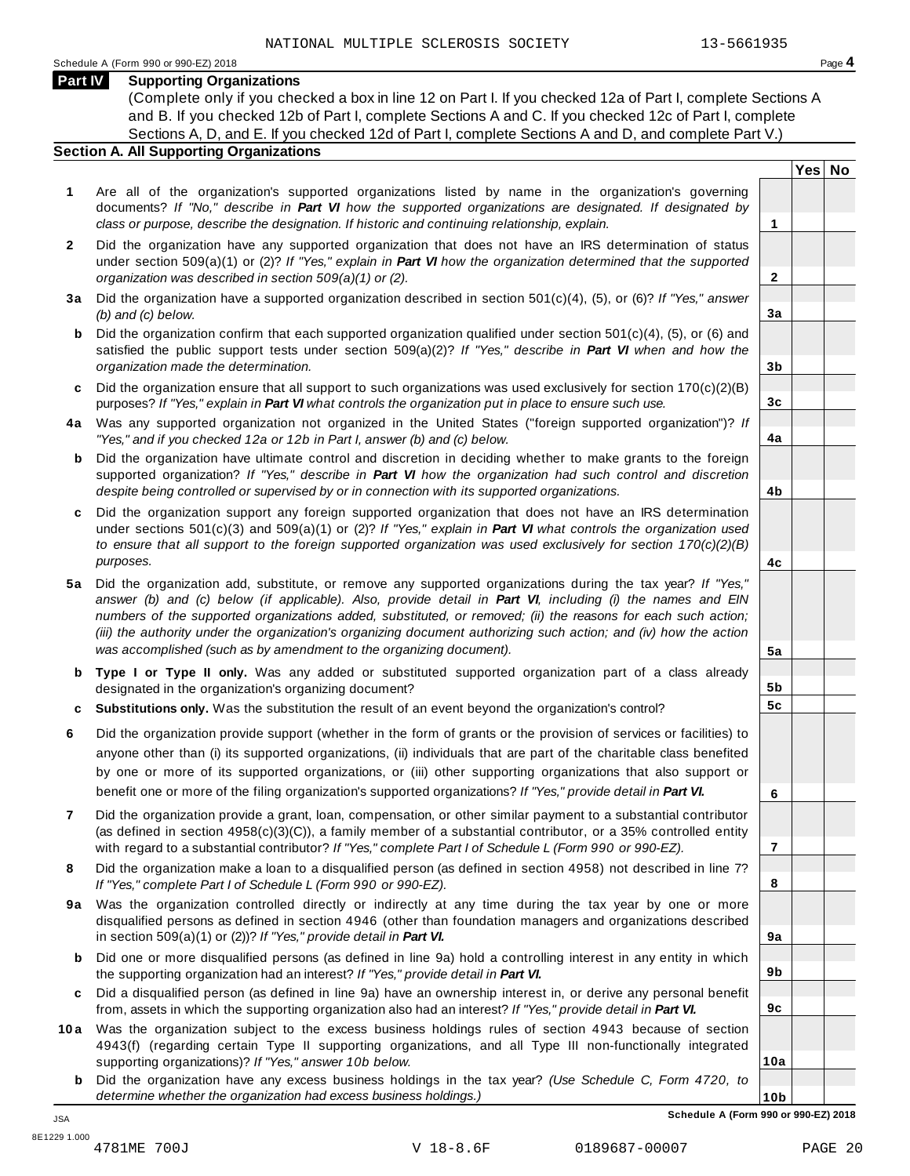**Yes No**

**2**

**3a**

**3b**

**3c**

**4a**

**4b**

**4c**

**5a**

**5b 5c**

**6**

**7**

**8**

**9a**

**9b**

**9c**

**10a**

### **Part IV Supporting Organizations**

(Complete only if you checked a box in line 12 on Part I. If you checked 12a of Part I, complete Sections A and B. If you checked 12b of Part I, complete Sections A and C. If you checked 12c of Part I, complete Sections A, D, and E. If you checked 12d of Part I, complete Sections A and D, and complete Part V.)

# **Section A. All Supporting Organizations**

- **1** Are all of the organization's supported organizations listed by name in the organization's governing documents? *If "No," describe in Part VI how the supported organizations are designated. If designated by class or purpose, describe the designation. If historic and continuing relationship, explain.* **1**
- **2** Did the organization have any supported organization that does not have an IRS determination of status under section 509(a)(1) or (2)? *If"Yes," explain in Part VI how the organization determined that the supported organization was described in section 509(a)(1) or (2).*
- **3 a** Did the organization have a supported organization described in section 501(c)(4), (5), or (6)? *If "Yes," answer (b) and (c) below.*
- **b** Did the organization confirm that each supported organization qualified under section 501(c)(4), (5), or (6) and | satisfied the public support tests under section 509(a)(2)? *If "Yes," describe in Part VI when and how the organization made the determination.*
- **c** Did the organization ensure that all support to such organizations was used exclusively for section 170(c)(2)(B) purposes? *If"Yes," explain in Part VI what controls the organization put in place to ensure such use.*
- **4 a** Was any supported organization not organized in the United States ("foreign supported organization")? *If "Yes," and if you checked 12a or 12b in Part I, answer (b) and (c) below.*
- **b** Did the organization have ultimate control and discretion in deciding whether to make grants to the foreign | supported organization? *If "Yes," describe in Part VI how the organization had such control and discretion despite being controlled or supervised by or in connection with its supported organizations.*
- **c** Did the organization support any foreign supported organization that does not have an IRS determination | under sections 501(c)(3) and 509(a)(1) or (2)? *If "Yes," explain in Part VI what controls the organization used to ensure that all support to the foreign supported organization was used exclusively for section 170(c)(2)(B) purposes.*
- **5 a** Did the organization add, substitute, or remove any supported organizations during the tax year? *If "Yes,"* answer (b) and (c) below (if applicable). Also, provide detail in Part VI, including (i) the names and EIN *numbers of the supported organizations added, substituted, or removed; (ii) the reasons for each such action;* (iii) the authority under the organization's organizing document authorizing such action; and (iv) how the action *was accomplished (such as by amendment to the organizing document).*
- **b Type I or Type II only.** Was any added or substituted supported organization part of a class already designated in the organization's organizing document?
- **c Substitutions only.** Was the substitution the result of an event beyond the organization's control?
- **6** Did the organization provide support (whether in the form of grants or the provision of services or facilities) to anyone other than (i) its supported organizations, (ii) individuals that are part of the charitable class benefited by one or more of its supported organizations, or (iii) other supporting organizations that also support or benefit one or more of the filing organization's supported organizations? *If"Yes," provide detail in Part VI.*
- **7** Did the organization provide a grant, loan, compensation, or other similar payment to a substantial contributor (as defined in section 4958(c)(3)(C)), a family member of a substantial contributor, or a 35% controlled entity with regard to a substantial contributor? *If"Yes," complete Part I of Schedule L (Form 990 or 990-EZ).*
- **8** Did the organization make a loan to a disqualified person (as defined in section 4958) not described in line 7? *If "Yes," complete Part I of Schedule L (Form 990 or 990-EZ).*
- **9a** Was the organization controlled directly or indirectly at any time during the tax year by one or more | disqualified persons as defined in section 4946 (other than foundation managers and organizations described in section 509(a)(1) or (2))? *If"Yes," provide detail in Part VI.*
- **b** Did one or more disqualified persons (as defined in line 9a) hold a controlling interest in any entity in which | the supporting organization had an interest? *If"Yes," provide detail in Part VI.*
- **c** Did a disqualified person (as defined in line 9a) have an ownership interest in, or derive any personal benefit from, assets in which the supporting organization also had an interest? *If"Yes," provide detail in Part VI.*
- **10a** Was the organization subject to the excess business holdings rules of section 4943 because of section | 4943(f) (regarding certain Type II supporting organizations, and all Type III non-functionally integrated supporting organizations)? *If"Yes," answer 10b below.*
	- **b** Did the organization have any excess business holdings in the tax year? *(Use Schedule C, Form 4720, to determine whether the organization had excess business holdings.)*

**10b Schedule A (Form 990 or 990-EZ) 2018**

JSA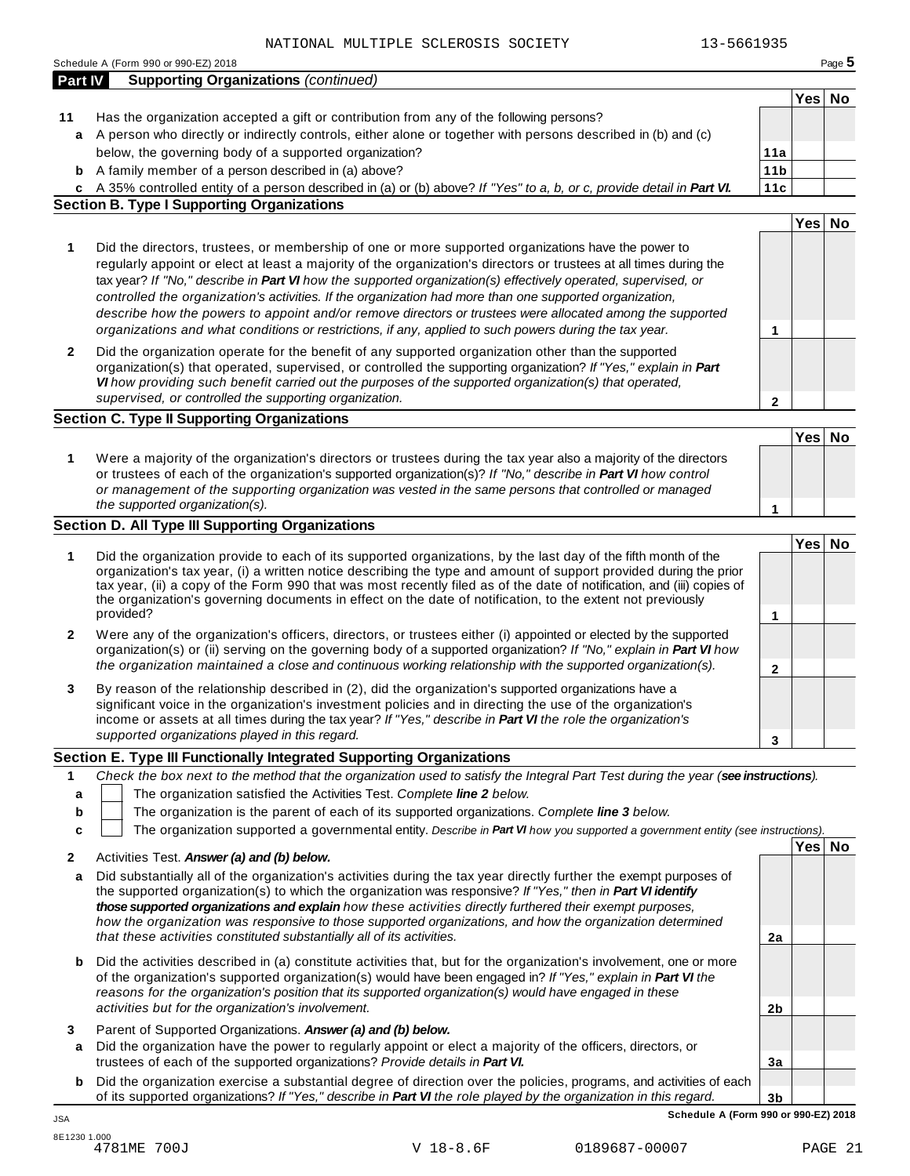|         | 13-5661935<br>NATIONAL MULTIPLE SCLEROSIS SOCIETY                                                                                 |                 |        |          |
|---------|-----------------------------------------------------------------------------------------------------------------------------------|-----------------|--------|----------|
|         | Schedule A (Form 990 or 990-EZ) 2018                                                                                              |                 |        | Page $5$ |
| Part IV | <b>Supporting Organizations (continued)</b>                                                                                       |                 |        |          |
|         |                                                                                                                                   |                 | Yes No |          |
| 11      | Has the organization accepted a gift or contribution from any of the following persons?                                           |                 |        |          |
| a       | A person who directly or indirectly controls, either alone or together with persons described in (b) and (c)                      |                 |        |          |
|         | below, the governing body of a supported organization?                                                                            | 11a             |        |          |
|         | <b>b</b> A family member of a person described in (a) above?                                                                      | 11 <sub>b</sub> |        |          |
|         | c A 35% controlled entity of a person described in (a) or (b) above? If "Yes" to a, b, or c, provide detail in Part VI.           | 11c             |        |          |
|         | <b>Section B. Type I Supporting Organizations</b>                                                                                 |                 |        |          |
|         |                                                                                                                                   |                 | Yes No |          |
|         |                                                                                                                                   |                 |        |          |
| 1       | Did the directors, trustees, or membership of one or more supported organizations have the power to                               |                 |        |          |
|         | regularly appoint or elect at least a majority of the organization's directors or trustees at all times during the                |                 |        |          |
|         | tax year? If "No," describe in Part VI how the supported organization(s) effectively operated, supervised, or                     |                 |        |          |
|         | controlled the organization's activities. If the organization had more than one supported organization,                           |                 |        |          |
|         | describe how the powers to appoint and/or remove directors or trustees were allocated among the supported                         |                 |        |          |
|         | organizations and what conditions or restrictions, if any, applied to such powers during the tax year.                            | 1               |        |          |
| 2       | Did the organization operate for the benefit of any supported organization other than the supported                               |                 |        |          |
|         | organization(s) that operated, supervised, or controlled the supporting organization? If "Yes," explain in Part                   |                 |        |          |
|         | VI how providing such benefit carried out the purposes of the supported organization(s) that operated,                            |                 |        |          |
|         | supervised, or controlled the supporting organization.                                                                            | $\overline{2}$  |        |          |
|         | <b>Section C. Type II Supporting Organizations</b>                                                                                |                 |        |          |
|         |                                                                                                                                   |                 | Yes No |          |
|         | Were a majority of the organization's directors or trustees during the tax year also a majority of the directors                  |                 |        |          |
| 1       | or trustees of each of the organization's supported organization(s)? If "No," describe in Part VI how control                     |                 |        |          |
|         | or management of the supporting organization was vested in the same persons that controlled or managed                            |                 |        |          |
|         | the supported organization(s).                                                                                                    | 1               |        |          |
|         | <b>Section D. All Type III Supporting Organizations</b>                                                                           |                 |        |          |
|         |                                                                                                                                   |                 |        |          |
| 1       | Did the organization provide to each of its supported organizations, by the last day of the fifth month of the                    |                 | Yes No |          |
|         | organization's tax year, (i) a written notice describing the type and amount of support provided during the prior                 |                 |        |          |
|         | tax year, (ii) a copy of the Form 990 that was most recently filed as of the date of notification, and (iii) copies of            |                 |        |          |
|         | the organization's governing documents in effect on the date of notification, to the extent not previously                        |                 |        |          |
|         | provided?                                                                                                                         | 1               |        |          |
| 2       | Were any of the organization's officers, directors, or trustees either (i) appointed or elected by the supported                  |                 |        |          |
|         | organization(s) or (ii) serving on the governing body of a supported organization? If "No," explain in Part VI how                |                 |        |          |
|         | the organization maintained a close and continuous working relationship with the supported organization(s).                       | $\mathbf 2$     |        |          |
| 3       | By reason of the relationship described in (2), did the organization's supported organizations have a                             |                 |        |          |
|         | significant voice in the organization's investment policies and in directing the use of the organization's                        |                 |        |          |
|         | income or assets at all times during the tax year? If "Yes," describe in Part VI the role the organization's                      |                 |        |          |
|         | supported organizations played in this regard.                                                                                    | 3               |        |          |
|         | Section E. Type III Functionally Integrated Supporting Organizations                                                              |                 |        |          |
|         | Check the box next to the method that the organization used to satisfy the Integral Part Test during the year (see instructions). |                 |        |          |
| 1       |                                                                                                                                   |                 |        |          |
| а       | The organization satisfied the Activities Test. Complete line 2 below.                                                            |                 |        |          |
| b       | The organization is the parent of each of its supported organizations. Complete line 3 below.                                     |                 |        |          |
| c       | The organization supported a governmental entity. Describe in Part VI how you supported a government entity (see instructions).   |                 |        |          |
| 2       | Activities Test. Answer (a) and (b) below.                                                                                        |                 | Yes No |          |
| а       | Did substantially all of the organization's activities during the tax year directly further the exempt purposes of                |                 |        |          |
|         | the supported organization(s) to which the organization was responsive? If "Yes," then in Part VI identify                        |                 |        |          |
|         | those supported organizations and explain how these activities directly furthered their exempt purposes,                          |                 |        |          |
|         | how the organization was responsive to those supported organizations, and how the organization determined                         |                 |        |          |
|         | that these activities constituted substantially all of its activities.                                                            | 2a              |        |          |
|         |                                                                                                                                   |                 |        |          |
| b       | Did the activities described in (a) constitute activities that, but for the organization's involvement, one or more               |                 |        |          |
|         | of the organization's supported organization(s) would have been engaged in? If "Yes," explain in Part VI the                      |                 |        |          |
|         | reasons for the organization's position that its supported organization(s) would have engaged in these                            |                 |        |          |
|         | activities but for the organization's involvement.                                                                                | 2 <sub>b</sub>  |        |          |
| 3       | Parent of Supported Organizations. Answer (a) and (b) below.                                                                      |                 |        |          |

- **a** Did the organization have the power to regularly appoint or elect a majority of the officers, directors, or trustees of each of the supported organizations? *Provide details in Part VI.*
- **3b b** Did the organization exercise a substantial degree of direction over the policies, programs, and activities of each of its supported organizations? *If"Yes," describe in Part VI the role played by the organization in this regard.*

**3a**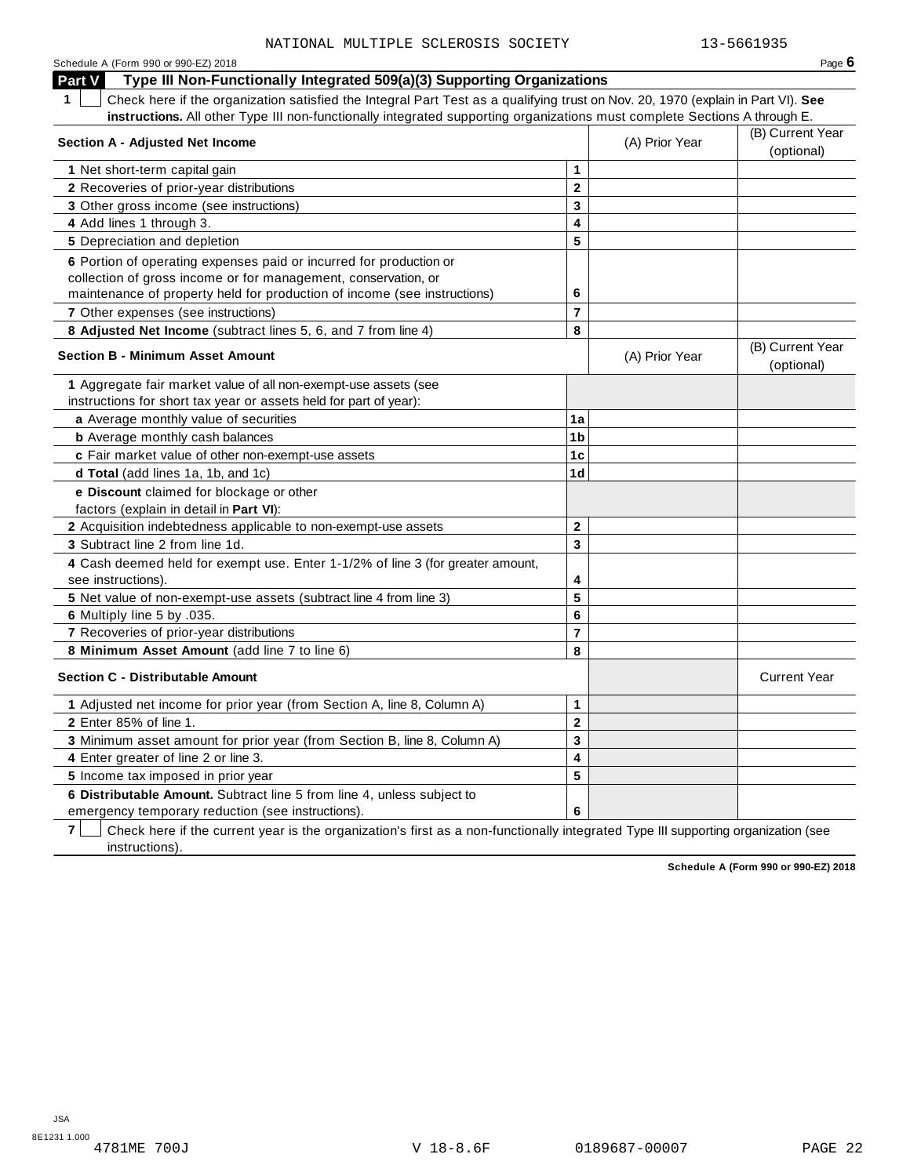| Schedule A (Form 990 or 990-EZ) 2018                                                                                                            |                         |                | Page 6                         |
|-------------------------------------------------------------------------------------------------------------------------------------------------|-------------------------|----------------|--------------------------------|
| Type III Non-Functionally Integrated 509(a)(3) Supporting Organizations<br><b>Part V</b>                                                        |                         |                |                                |
| $\mathbf 1$<br>Check here if the organization satisfied the Integral Part Test as a qualifying trust on Nov. 20, 1970 (explain in Part VI). See |                         |                |                                |
| instructions. All other Type III non-functionally integrated supporting organizations must complete Sections A through E.                       |                         |                |                                |
| <b>Section A - Adjusted Net Income</b>                                                                                                          |                         | (A) Prior Year | (B) Current Year<br>(optional) |
| 1 Net short-term capital gain                                                                                                                   | 1                       |                |                                |
| 2 Recoveries of prior-year distributions                                                                                                        | $\mathbf{2}$            |                |                                |
| 3 Other gross income (see instructions)                                                                                                         | 3                       |                |                                |
| 4 Add lines 1 through 3.                                                                                                                        | 4                       |                |                                |
| 5 Depreciation and depletion                                                                                                                    | 5                       |                |                                |
| 6 Portion of operating expenses paid or incurred for production or                                                                              |                         |                |                                |
| collection of gross income or for management, conservation, or                                                                                  |                         |                |                                |
| maintenance of property held for production of income (see instructions)                                                                        | 6                       |                |                                |
| 7 Other expenses (see instructions)                                                                                                             | $\overline{7}$          |                |                                |
| 8 Adjusted Net Income (subtract lines 5, 6, and 7 from line 4)                                                                                  | 8                       |                |                                |
|                                                                                                                                                 |                         |                | (B) Current Year               |
| <b>Section B - Minimum Asset Amount</b>                                                                                                         |                         | (A) Prior Year | (optional)                     |
| 1 Aggregate fair market value of all non-exempt-use assets (see                                                                                 |                         |                |                                |
| instructions for short tax year or assets held for part of year):                                                                               |                         |                |                                |
| a Average monthly value of securities                                                                                                           | 1a                      |                |                                |
| <b>b</b> Average monthly cash balances                                                                                                          | 1 <sub>b</sub>          |                |                                |
| c Fair market value of other non-exempt-use assets                                                                                              | 1 <sub>c</sub>          |                |                                |
| d Total (add lines 1a, 1b, and 1c)                                                                                                              | 1 <sub>d</sub>          |                |                                |
| e Discount claimed for blockage or other                                                                                                        |                         |                |                                |
| factors (explain in detail in Part VI):                                                                                                         |                         |                |                                |
| 2 Acquisition indebtedness applicable to non-exempt-use assets                                                                                  | $\mathbf 2$             |                |                                |
| 3 Subtract line 2 from line 1d.                                                                                                                 | 3                       |                |                                |
| 4 Cash deemed held for exempt use. Enter 1-1/2% of line 3 (for greater amount,                                                                  |                         |                |                                |
| see instructions).                                                                                                                              | 4                       |                |                                |
| 5 Net value of non-exempt-use assets (subtract line 4 from line 3)                                                                              | 5                       |                |                                |
| 6 Multiply line 5 by .035.                                                                                                                      | $6\phantom{1}$          |                |                                |
| 7 Recoveries of prior-year distributions                                                                                                        | $\overline{7}$          |                |                                |
| 8 Minimum Asset Amount (add line 7 to line 6)                                                                                                   | 8                       |                |                                |
| <b>Section C - Distributable Amount</b>                                                                                                         |                         |                | <b>Current Year</b>            |
| 1 Adjusted net income for prior year (from Section A, line 8, Column A)                                                                         | 1                       |                |                                |
| 2 Enter 85% of line 1.                                                                                                                          | $\mathbf 2$             |                |                                |
| 3 Minimum asset amount for prior year (from Section B, line 8, Column A)                                                                        | 3                       |                |                                |
| 4 Enter greater of line 2 or line 3.                                                                                                            | $\overline{\mathbf{4}}$ |                |                                |
| 5 Income tax imposed in prior year                                                                                                              | 5                       |                |                                |
| 6 Distributable Amount. Subtract line 5 from line 4, unless subject to                                                                          |                         |                |                                |
| emergency temporary reduction (see instructions).                                                                                               | 6                       |                |                                |

**7** | Check here if the current year is the organization's first as a non-functionally integrated Type III supporting organization (see instructions).

**Schedule A (Form 990 or 990-EZ) 2018**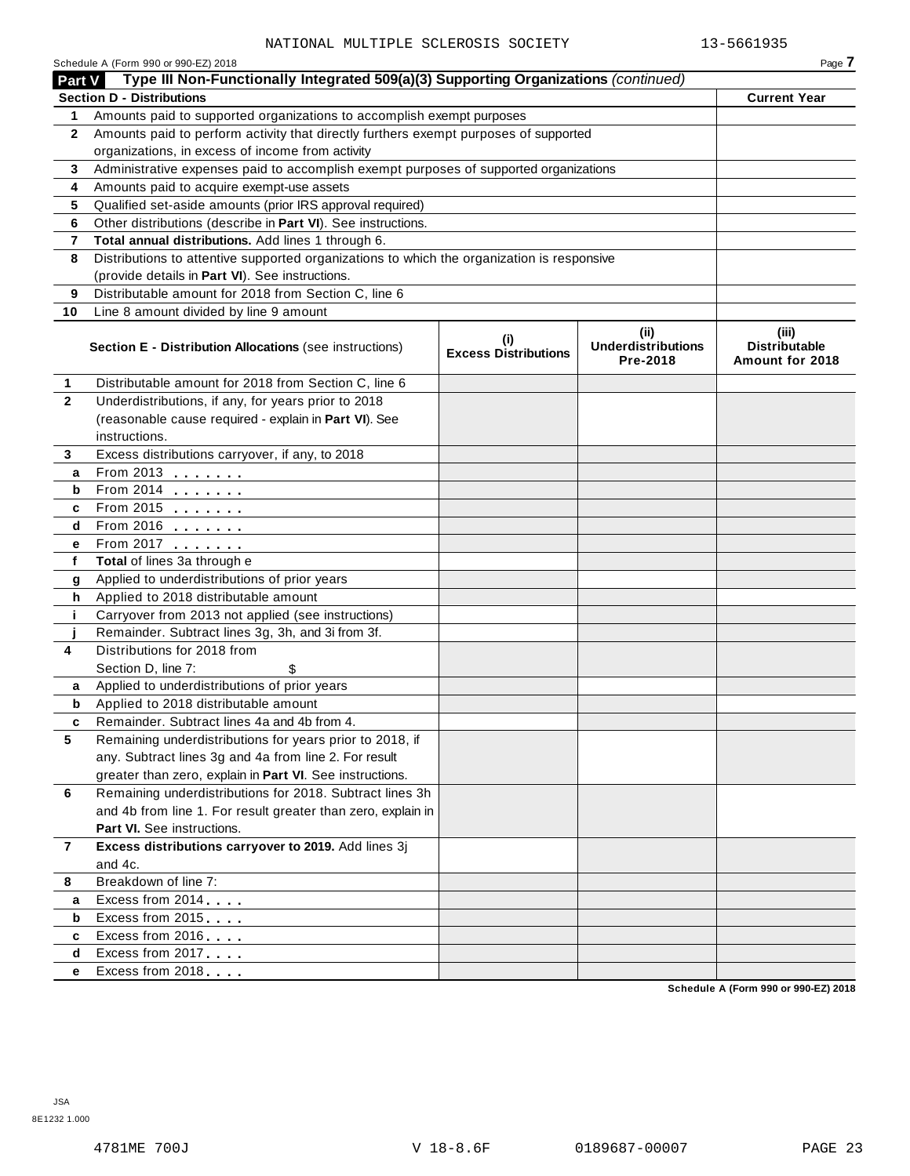|              | Schedule A (Form 990 or 990-EZ) 2018                                                       |                                    |                                               | Page 7                                           |
|--------------|--------------------------------------------------------------------------------------------|------------------------------------|-----------------------------------------------|--------------------------------------------------|
| Part V       | Type III Non-Functionally Integrated 509(a)(3) Supporting Organizations (continued)        |                                    |                                               |                                                  |
|              | <b>Section D - Distributions</b>                                                           |                                    |                                               | <b>Current Year</b>                              |
| 1            | Amounts paid to supported organizations to accomplish exempt purposes                      |                                    |                                               |                                                  |
| $\mathbf{2}$ | Amounts paid to perform activity that directly furthers exempt purposes of supported       |                                    |                                               |                                                  |
|              | organizations, in excess of income from activity                                           |                                    |                                               |                                                  |
| 3            | Administrative expenses paid to accomplish exempt purposes of supported organizations      |                                    |                                               |                                                  |
| 4            | Amounts paid to acquire exempt-use assets                                                  |                                    |                                               |                                                  |
| 5            | Qualified set-aside amounts (prior IRS approval required)                                  |                                    |                                               |                                                  |
| 6            | Other distributions (describe in Part VI). See instructions.                               |                                    |                                               |                                                  |
| 7            | Total annual distributions. Add lines 1 through 6.                                         |                                    |                                               |                                                  |
| 8            | Distributions to attentive supported organizations to which the organization is responsive |                                    |                                               |                                                  |
|              | (provide details in Part VI). See instructions.                                            |                                    |                                               |                                                  |
| 9            | Distributable amount for 2018 from Section C, line 6                                       |                                    |                                               |                                                  |
| 10           | Line 8 amount divided by line 9 amount                                                     |                                    |                                               |                                                  |
|              | Section E - Distribution Allocations (see instructions)                                    | (i)<br><b>Excess Distributions</b> | (ii)<br><b>Underdistributions</b><br>Pre-2018 | (iii)<br><b>Distributable</b><br>Amount for 2018 |
| 1            | Distributable amount for 2018 from Section C, line 6                                       |                                    |                                               |                                                  |
| $\mathbf{2}$ | Underdistributions, if any, for years prior to 2018                                        |                                    |                                               |                                                  |
|              | (reasonable cause required - explain in Part VI). See                                      |                                    |                                               |                                                  |
|              | instructions.                                                                              |                                    |                                               |                                                  |
| 3            | Excess distributions carryover, if any, to 2018                                            |                                    |                                               |                                                  |
| a            | From 2013                                                                                  |                                    |                                               |                                                  |
| b            | From 2014                                                                                  |                                    |                                               |                                                  |
| c            | From 2015 <b></b>                                                                          |                                    |                                               |                                                  |
| d            | From 2016                                                                                  |                                    |                                               |                                                  |
| е            | From 2017                                                                                  |                                    |                                               |                                                  |
| f            | Total of lines 3a through e                                                                |                                    |                                               |                                                  |
| g            | Applied to underdistributions of prior years                                               |                                    |                                               |                                                  |
| h            | Applied to 2018 distributable amount                                                       |                                    |                                               |                                                  |
| j.           | Carryover from 2013 not applied (see instructions)                                         |                                    |                                               |                                                  |
|              | Remainder. Subtract lines 3g, 3h, and 3i from 3f.                                          |                                    |                                               |                                                  |
| 4            | Distributions for 2018 from                                                                |                                    |                                               |                                                  |
|              | Section D, line 7:<br>\$                                                                   |                                    |                                               |                                                  |
| a            | Applied to underdistributions of prior years                                               |                                    |                                               |                                                  |
| b            | Applied to 2018 distributable amount                                                       |                                    |                                               |                                                  |
|              | Remainder. Subtract lines 4a and 4b from 4                                                 |                                    |                                               |                                                  |
| 5            | Remaining underdistributions for years prior to 2018, if                                   |                                    |                                               |                                                  |
|              | any. Subtract lines 3g and 4a from line 2. For result                                      |                                    |                                               |                                                  |
|              | greater than zero, explain in Part VI. See instructions.                                   |                                    |                                               |                                                  |
| 6            | Remaining underdistributions for 2018. Subtract lines 3h                                   |                                    |                                               |                                                  |
|              | and 4b from line 1. For result greater than zero, explain in                               |                                    |                                               |                                                  |
|              | Part VI. See instructions.                                                                 |                                    |                                               |                                                  |
| 7            | Excess distributions carryover to 2019. Add lines 3j                                       |                                    |                                               |                                                  |
|              | and 4c.                                                                                    |                                    |                                               |                                                  |
| 8            | Breakdown of line 7:                                                                       |                                    |                                               |                                                  |
| a            | Excess from 2014                                                                           |                                    |                                               |                                                  |
| b            | Excess from 2015                                                                           |                                    |                                               |                                                  |
| c            | Excess from 2016                                                                           |                                    |                                               |                                                  |
| d            | Excess from 2017                                                                           |                                    |                                               |                                                  |
| е            | Excess from 2018                                                                           |                                    |                                               |                                                  |

**Schedule A (Form 990 or 990-EZ) 2018**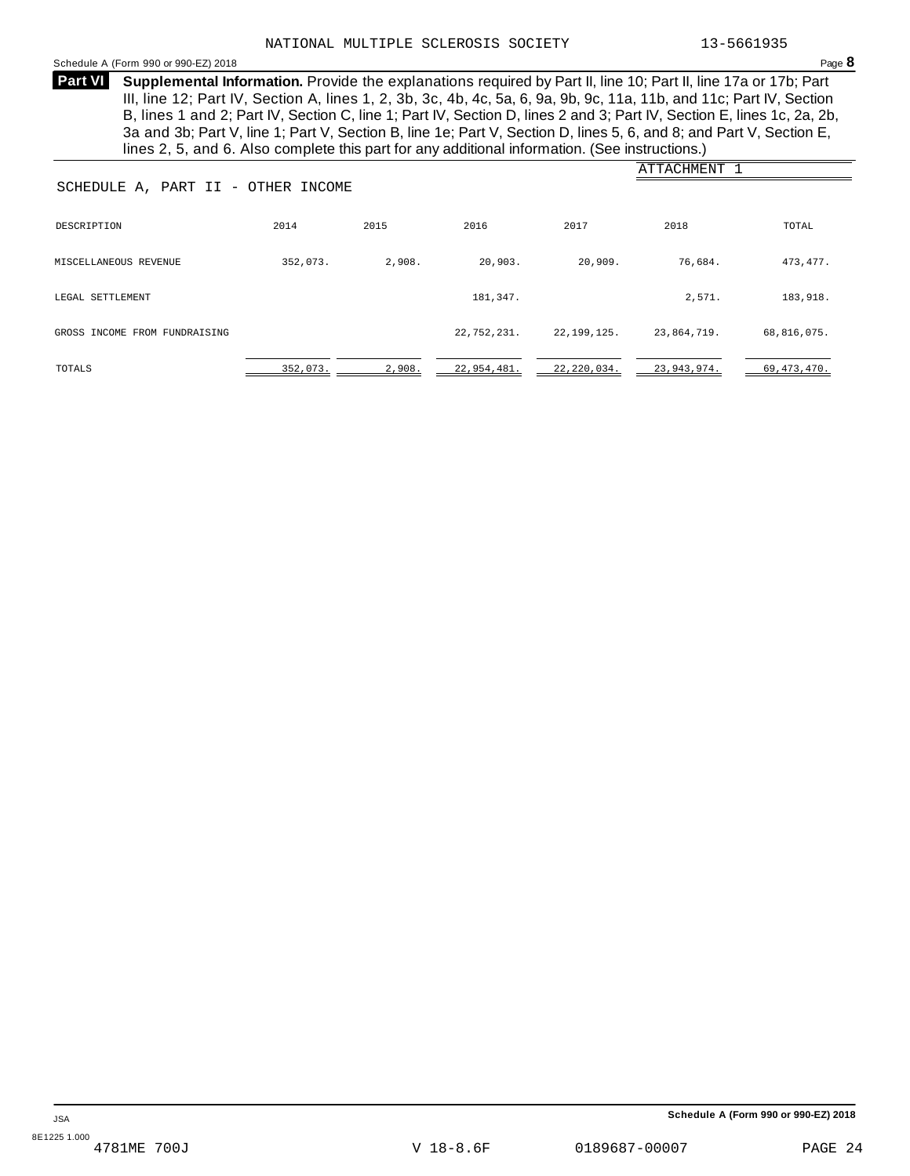### <span id="page-23-0"></span>Schedule <sup>A</sup> (Form <sup>990</sup> or 990-EZ) <sup>2018</sup> Page **8**

**Supplemental Information.** Provide the explanations required by Part II, line 10; Part II, line 17a or 17b; Part **Part VI** III, line 12; Part IV, Section A, lines 1, 2, 3b, 3c, 4b, 4c, 5a, 6, 9a, 9b, 9c, 11a, 11b, and 11c; Part IV, Section B, lines 1 and 2; Part IV, Section C, line 1; Part IV, Section D, lines 2 and 3; Part IV, Section E, lines 1c, 2a, 2b, 3a and 3b; Part V, line 1; Part V, Section B, line 1e; Part V, Section D, lines 5, 6, and 8; and Part V, Section E, lines 2, 5, and 6. Also complete this part for any additional information. (See instructions.)

|                                    |          |        |             |               | ATTACHMENT 1  |               |
|------------------------------------|----------|--------|-------------|---------------|---------------|---------------|
| SCHEDULE A, PART II - OTHER INCOME |          |        |             |               |               |               |
| DESCRIPTION                        | 2014     | 2015   | 2016        | 2017          | 2018          | TOTAL         |
| MISCELLANEOUS REVENUE              | 352,073. | 2,908. | 20,903.     | 20,909.       | 76,684.       | 473, 477.     |
| LEGAL SETTLEMENT                   |          |        | 181,347.    |               | 2,571.        | 183,918.      |
| GROSS INCOME FROM FUNDRAISING      |          |        | 22,752,231. | 22,199,125.   | 23,864,719.   | 68,816,075.   |
| TOTALS                             | 352,073. | 2,908. | 22,954,481. | 22, 220, 034. | 23, 943, 974. | 69, 473, 470. |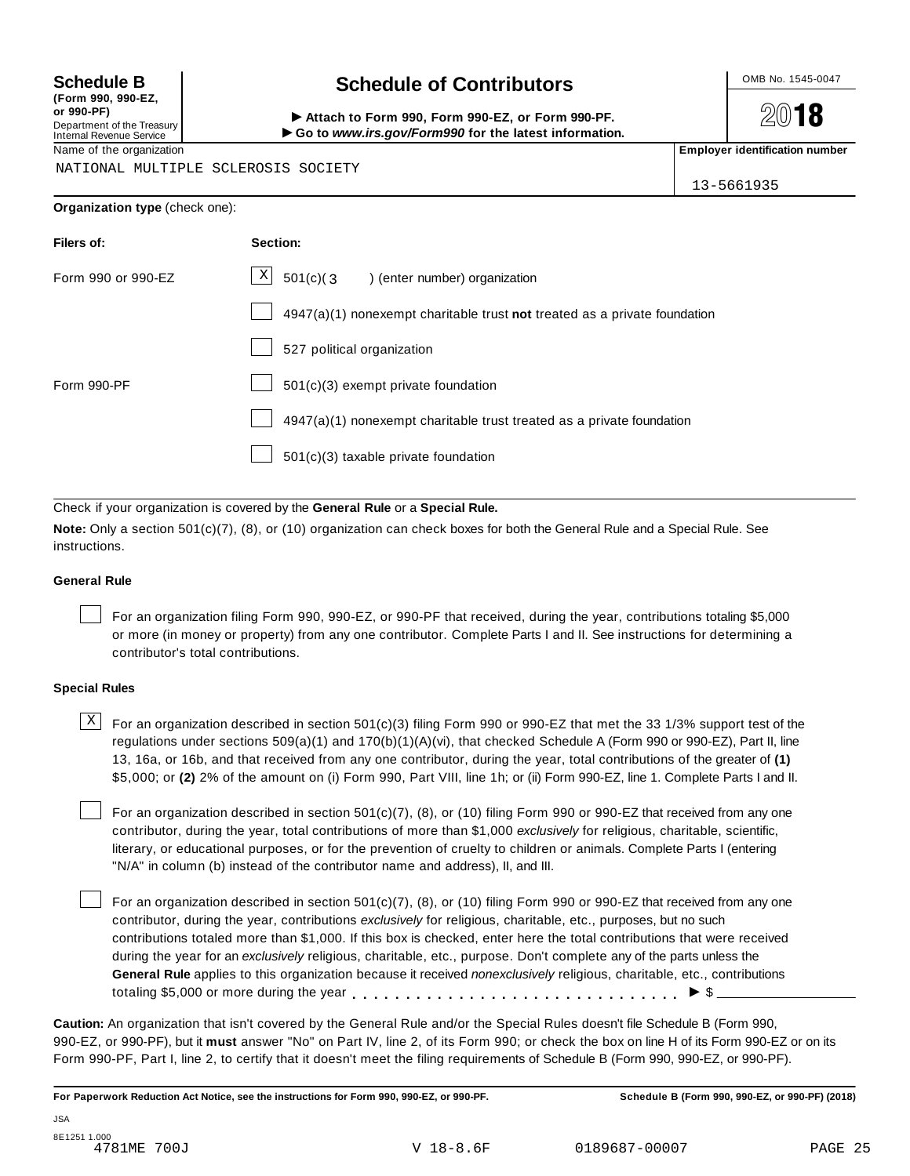**(Form 990, 990-EZ, or 990-PF)** Department of the Treasury<br>Internal Revenue Service

# **Schedule B chedule of Contributors**

(Porm 990, Form 990, Form 990-EZ, or Form 990-PF.<br>Department of the Treasury → Attach to Form 990, Form 990-EZ, or Form 990-PF.<br>Internal Revenue Service → → Go to www.irs.gov/Form990 for the latest information.<br>Name of th

**2018** 

NATIONAL MULTIPLE SCLEROSIS SOCIETY

13-5661935

| Organization type (check one): |  |
|--------------------------------|--|
|--------------------------------|--|

| Filers of:         | Section:                                                                    |
|--------------------|-----------------------------------------------------------------------------|
| Form 990 or 990-EZ | $\mathbf{X}$<br>$501(c)$ (3<br>) (enter number) organization                |
|                    | $4947(a)(1)$ nonexempt charitable trust not treated as a private foundation |
|                    | 527 political organization                                                  |
| Form 990-PF        | 501(c)(3) exempt private foundation                                         |
|                    | 4947(a)(1) nonexempt charitable trust treated as a private foundation       |
|                    | 501(c)(3) taxable private foundation                                        |

Check if your organization is covered by the **General Rule** or a **Special Rule.**

**Note:** Only a section 501(c)(7), (8), or (10) organization can check boxes for both the General Rule and a Special Rule. See instructions.

### **General Rule**

For an organization filing Form 990, 990-EZ, or 990-PF that received, during the year, contributions totaling \$5,000 or more (in money or property) from any one contributor. Complete Parts I and II. See instructions for determining a contributor's total contributions.

### **Special Rules**

 $\text{X}$  For an organization described in section 501(c)(3) filing Form 990 or 990-EZ that met the 33 1/3% support test of the regulations under sections 509(a)(1) and 170(b)(1)(A)(vi), that checked Schedule A (Form 990 or 990-EZ), Part II, line 13, 16a, or 16b, and that received from any one contributor, during the year, total contributions of the greater of **(1)** \$5,000; or **(2)** 2% of the amount on (i) Form 990, Part VIII, line 1h; or (ii) Form 990-EZ, line 1. Complete Parts I and II.

For an organization described in section 501(c)(7), (8), or (10) filing Form 990 or 990-EZ that received from any one contributor, during the year, total contributions of more than \$1,000 *exclusively* for religious, charitable, scientific, literary, or educational purposes, or for the prevention of cruelty to children or animals. Complete Parts I (entering "N/A" in column (b) instead of the contributor name and address), II, and III.

For an organization described in section 501(c)(7), (8), or (10) filing Form 990 or 990-EZ that received from any one contributor, during the year, contributions *exclusively* for religious, charitable, etc., purposes, but no such contributions totaled more than \$1,000. If this box is checked, enter here the total contributions that were received during the year for an *exclusively* religious, charitable, etc., purpose. Don't complete any of the parts unless the **General Rule** applies to this organization because it received *nonexclusively* religious, charitable, etc., contributions totaling \$5,000 or more during the year  $\ldots \ldots \ldots \ldots \ldots \ldots \ldots \ldots \ldots \vdots$ 

**Caution:** An organization that isn't covered by the General Rule and/or the Special Rules doesn't file Schedule B (Form 990, 990-EZ, or 990-PF), but it **must** answer "No" on Part IV, line 2, of its Form 990; or check the box on line H of its Form 990-EZ or on its Form 990-PF, Part I, line 2, to certify that it doesn't meet the filing requirements of Schedule B (Form 990, 990-EZ, or 990-PF).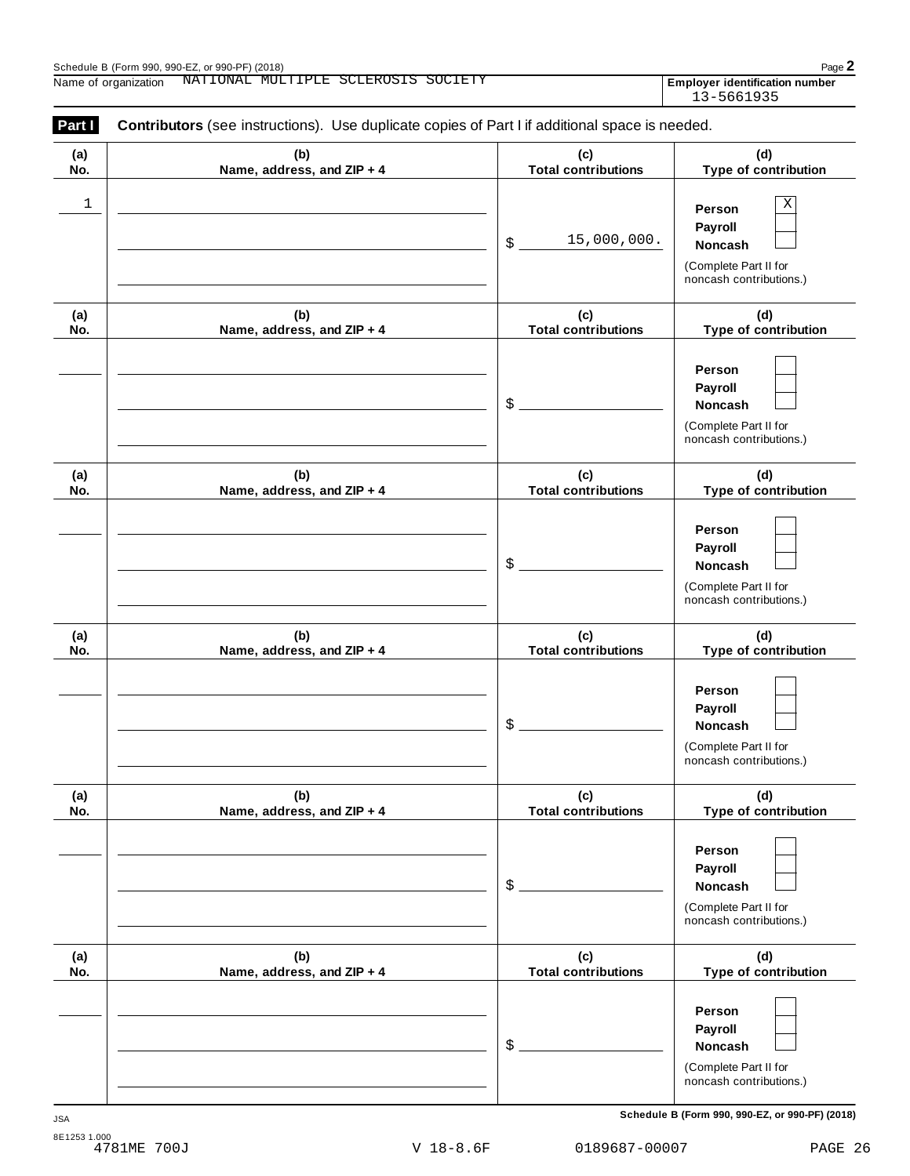Employer identification number<br>13-5661935

| (a)        | (b)                               | (c)                               | (d)                                              |
|------------|-----------------------------------|-----------------------------------|--------------------------------------------------|
| No.        | Name, address, and ZIP + 4        | <b>Total contributions</b>        | Type of contribution                             |
| 1          |                                   |                                   | Χ                                                |
|            |                                   |                                   | Person                                           |
|            |                                   |                                   | Payroll                                          |
|            |                                   | 15,000,000.<br>\$                 | Noncash                                          |
|            |                                   |                                   | (Complete Part II for<br>noncash contributions.) |
| (a)        | (b)                               | (c)                               | (d)                                              |
| No.        | Name, address, and ZIP + 4        | <b>Total contributions</b>        | Type of contribution                             |
|            |                                   |                                   |                                                  |
|            |                                   |                                   | Person                                           |
|            |                                   |                                   | Payroll                                          |
|            |                                   | \$                                | Noncash                                          |
|            |                                   |                                   | (Complete Part II for                            |
|            |                                   |                                   | noncash contributions.)                          |
| (a)<br>No. | (b)<br>Name, address, and ZIP + 4 | (c)<br><b>Total contributions</b> | (d)<br>Type of contribution                      |
|            |                                   |                                   |                                                  |
|            |                                   |                                   | Person                                           |
|            |                                   |                                   | Payroll                                          |
|            |                                   | \$                                | Noncash                                          |
|            |                                   |                                   |                                                  |
|            |                                   |                                   | (Complete Part II for<br>noncash contributions.) |
| (a)        | (b)                               | (c)                               | (d)                                              |
| No.        | Name, address, and ZIP + 4        | <b>Total contributions</b>        | Type of contribution                             |
|            |                                   |                                   |                                                  |
|            |                                   |                                   | Person                                           |
|            |                                   |                                   | Payroll                                          |
|            |                                   | \$                                | Noncash                                          |
|            |                                   |                                   | (Complete Part II for                            |
|            |                                   |                                   | noncash contributions.)                          |
| (a)        | (b)                               | (c)                               | (d)                                              |
| No.        | Name, address, and ZIP + 4        | <b>Total contributions</b>        | Type of contribution                             |
|            |                                   |                                   | Person                                           |
|            |                                   |                                   |                                                  |
|            |                                   | \$                                | Payroll                                          |
|            |                                   |                                   | Noncash                                          |
|            |                                   |                                   | (Complete Part II for<br>noncash contributions.) |
|            |                                   |                                   |                                                  |
| (a)<br>No. | (b)<br>Name, address, and ZIP + 4 | (c)<br><b>Total contributions</b> | (d)<br>Type of contribution                      |
|            |                                   |                                   |                                                  |
|            |                                   |                                   | Person                                           |
|            |                                   |                                   | Payroll                                          |
|            |                                   | \$                                | Noncash                                          |
|            |                                   |                                   | (Complete Part II for                            |
|            |                                   |                                   | noncash contributions.)                          |
|            |                                   |                                   |                                                  |

**Schedule B (Form 990, 990-EZ, or 990-PF) (2018)** JSA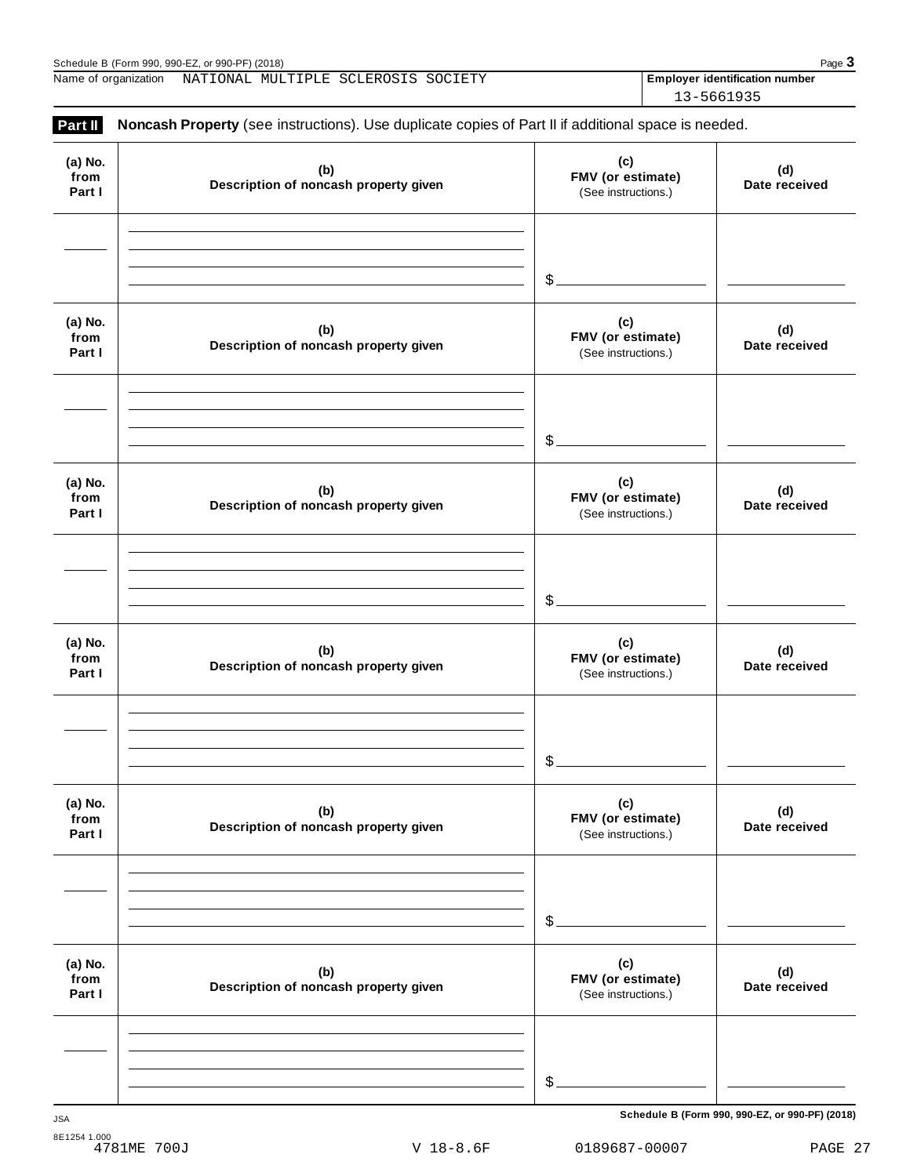Name of organization MATIONAL MULTIPLE SCLEROSIS SOCIETY **Employer identification number** 

Schedule B (Form 990, 990-EZ, or 990-PF) (2018)<br>
Name of organization NATIONAL MULTIPLE SCLEROSIS SOCIETY **Page 3**<br>
Rame of organization NATIONAL MULTIPLE SCLEROSIS SOCIETY **Page 3** 13-5661935

| Part II                   | Noncash Property (see instructions). Use duplicate copies of Part II if additional space is needed. |                                                 |                      |
|---------------------------|-----------------------------------------------------------------------------------------------------|-------------------------------------------------|----------------------|
| (a) No.<br>from<br>Part I | (b)<br>Description of noncash property given                                                        | (c)<br>FMV (or estimate)<br>(See instructions.) | (d)<br>Date received |
|                           |                                                                                                     | \$.                                             |                      |
| (a) No.<br>from<br>Part I | (b)<br>Description of noncash property given                                                        | (c)<br>FMV (or estimate)<br>(See instructions.) | (d)<br>Date received |
|                           |                                                                                                     | \$                                              |                      |
| (a) No.<br>from<br>Part I | (b)<br>Description of noncash property given                                                        | (c)<br>FMV (or estimate)<br>(See instructions.) | (d)<br>Date received |
|                           |                                                                                                     | \$                                              |                      |
| (a) No.<br>from<br>Part I | (b)<br>Description of noncash property given                                                        | (c)<br>FMV (or estimate)<br>(See instructions.) | (d)<br>Date received |
|                           |                                                                                                     | \$                                              |                      |
| (a) No.<br>from<br>Part I | (b)<br>Description of noncash property given                                                        | (c)<br>FMV (or estimate)<br>(See instructions.) | (d)<br>Date received |
|                           |                                                                                                     | \$                                              |                      |
| (a) No.<br>from<br>Part I | (b)<br>Description of noncash property given                                                        | (c)<br>FMV (or estimate)<br>(See instructions.) | (d)<br>Date received |
|                           |                                                                                                     | \$                                              |                      |

**Schedule B (Form 990, 990-EZ, or 990-PF) (2018)** JSA

V 18-8.6F 0189687-00007 PAGE 27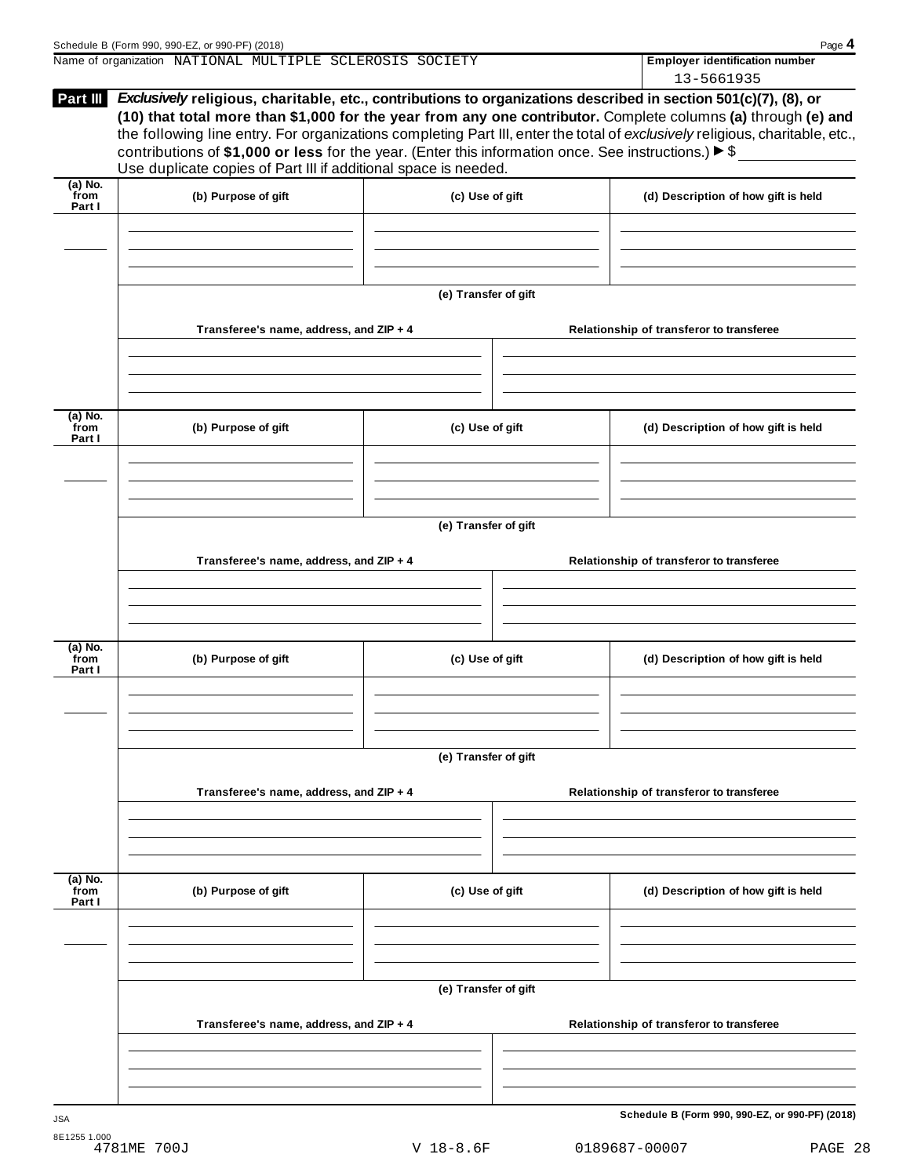| Schedule B (Form 990, 990-EZ, or 990-PF) (2018)          |  |  |  |  |                                       | Page 4 |
|----------------------------------------------------------|--|--|--|--|---------------------------------------|--------|
| Name of organization NATIONAL MULTIPLE SCLEROSIS SOCIETY |  |  |  |  | <b>Employer identification number</b> |        |
|                                                          |  |  |  |  | 13-5661935                            |        |

| Part III                     | Exclusively religious, charitable, etc., contributions to organizations described in section 501(c)(7), (8), or<br>contributions of \$1,000 or less for the year. (Enter this information once. See instructions.) $\triangleright$ \$<br>Use duplicate copies of Part III if additional space is needed. |                      |  | (10) that total more than \$1,000 for the year from any one contributor. Complete columns (a) through (e) and<br>the following line entry. For organizations completing Part III, enter the total of exclusively religious, charitable, etc., |  |
|------------------------------|-----------------------------------------------------------------------------------------------------------------------------------------------------------------------------------------------------------------------------------------------------------------------------------------------------------|----------------------|--|-----------------------------------------------------------------------------------------------------------------------------------------------------------------------------------------------------------------------------------------------|--|
| $(a)$ No.<br>from<br>Part I  | (b) Purpose of gift                                                                                                                                                                                                                                                                                       | (c) Use of gift      |  | (d) Description of how gift is held                                                                                                                                                                                                           |  |
|                              |                                                                                                                                                                                                                                                                                                           |                      |  |                                                                                                                                                                                                                                               |  |
|                              |                                                                                                                                                                                                                                                                                                           | (e) Transfer of gift |  |                                                                                                                                                                                                                                               |  |
|                              | Transferee's name, address, and ZIP + 4                                                                                                                                                                                                                                                                   |                      |  | Relationship of transferor to transferee                                                                                                                                                                                                      |  |
| $(a)$ No.<br>from            | (b) Purpose of gift                                                                                                                                                                                                                                                                                       | (c) Use of gift      |  | (d) Description of how gift is held                                                                                                                                                                                                           |  |
| Part I                       |                                                                                                                                                                                                                                                                                                           |                      |  |                                                                                                                                                                                                                                               |  |
|                              |                                                                                                                                                                                                                                                                                                           |                      |  |                                                                                                                                                                                                                                               |  |
|                              | Transferee's name, address, and ZIP + 4                                                                                                                                                                                                                                                                   | (e) Transfer of gift |  | Relationship of transferor to transferee                                                                                                                                                                                                      |  |
| $(a)$ No.<br>from            |                                                                                                                                                                                                                                                                                                           |                      |  |                                                                                                                                                                                                                                               |  |
| Part I                       | (b) Purpose of gift                                                                                                                                                                                                                                                                                       | (c) Use of gift      |  | (d) Description of how gift is held                                                                                                                                                                                                           |  |
|                              |                                                                                                                                                                                                                                                                                                           |                      |  |                                                                                                                                                                                                                                               |  |
|                              |                                                                                                                                                                                                                                                                                                           | (e) Transfer of gift |  |                                                                                                                                                                                                                                               |  |
|                              | Transferee's name, address, and ZIP + 4                                                                                                                                                                                                                                                                   |                      |  | Relationship of transferor to transferee                                                                                                                                                                                                      |  |
| $\overline{a}$ ) No.<br>from | (c) Use of gift<br>(b) Purpose of gift                                                                                                                                                                                                                                                                    |                      |  | (d) Description of how gift is held                                                                                                                                                                                                           |  |
| Part I                       |                                                                                                                                                                                                                                                                                                           |                      |  |                                                                                                                                                                                                                                               |  |
|                              |                                                                                                                                                                                                                                                                                                           | (e) Transfer of gift |  |                                                                                                                                                                                                                                               |  |
|                              | Transferee's name, address, and ZIP + 4                                                                                                                                                                                                                                                                   |                      |  | Relationship of transferor to transferee                                                                                                                                                                                                      |  |
|                              |                                                                                                                                                                                                                                                                                                           |                      |  |                                                                                                                                                                                                                                               |  |
| <b>JSA</b>                   |                                                                                                                                                                                                                                                                                                           |                      |  | Schedule B (Form 990, 990-EZ, or 990-PF) (2018)                                                                                                                                                                                               |  |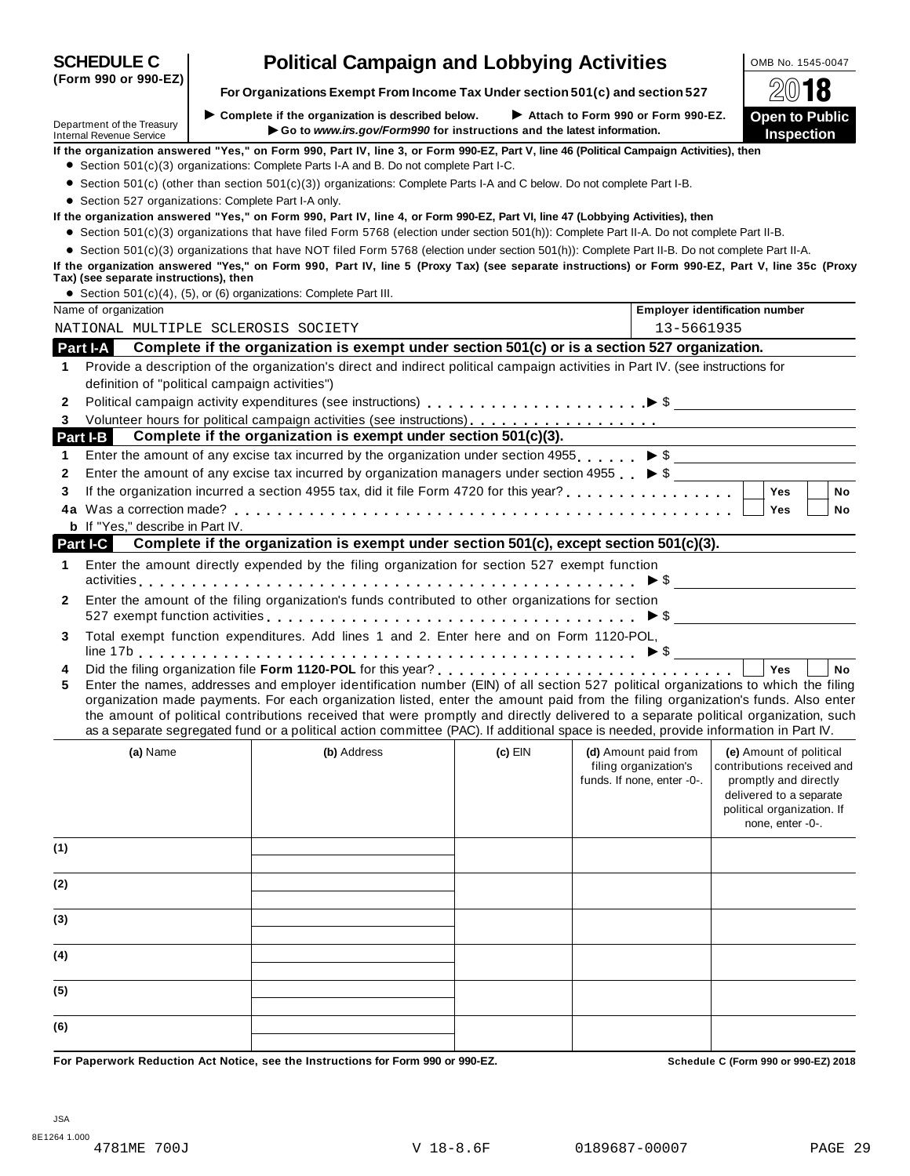|                                                        |                                                                                                                                                                                                                                                                                                                                                                                                                                                                                                                                                      |           |                                                     | (* 19                                                                                                                            |
|--------------------------------------------------------|------------------------------------------------------------------------------------------------------------------------------------------------------------------------------------------------------------------------------------------------------------------------------------------------------------------------------------------------------------------------------------------------------------------------------------------------------------------------------------------------------------------------------------------------------|-----------|-----------------------------------------------------|----------------------------------------------------------------------------------------------------------------------------------|
| Department of the Treasury<br>Internal Revenue Service | $\blacktriangleright$ Complete if the organization is described below.<br>Go to www.irs.gov/Form990 for instructions and the latest information.                                                                                                                                                                                                                                                                                                                                                                                                     |           | Attach to Form 990 or Form 990-EZ.                  | <b>Open to Public</b><br><b>Inspection</b>                                                                                       |
|                                                        | If the organization answered "Yes," on Form 990, Part IV, line 3, or Form 990-EZ, Part V, line 46 (Political Campaign Activities), then                                                                                                                                                                                                                                                                                                                                                                                                              |           |                                                     |                                                                                                                                  |
|                                                        | • Section 501(c)(3) organizations: Complete Parts I-A and B. Do not complete Part I-C.                                                                                                                                                                                                                                                                                                                                                                                                                                                               |           |                                                     |                                                                                                                                  |
|                                                        | • Section 501(c) (other than section 501(c)(3)) organizations: Complete Parts I-A and C below. Do not complete Part I-B.                                                                                                                                                                                                                                                                                                                                                                                                                             |           |                                                     |                                                                                                                                  |
| • Section 527 organizations: Complete Part I-A only.   |                                                                                                                                                                                                                                                                                                                                                                                                                                                                                                                                                      |           |                                                     |                                                                                                                                  |
|                                                        | If the organization answered "Yes," on Form 990, Part IV, line 4, or Form 990-EZ, Part VI, line 47 (Lobbying Activities), then<br>• Section 501(c)(3) organizations that have filed Form 5768 (election under section 501(h)): Complete Part II-A. Do not complete Part II-B.                                                                                                                                                                                                                                                                        |           |                                                     |                                                                                                                                  |
|                                                        | • Section 501(c)(3) organizations that have NOT filed Form 5768 (election under section 501(h)): Complete Part II-B. Do not complete Part II-A.                                                                                                                                                                                                                                                                                                                                                                                                      |           |                                                     |                                                                                                                                  |
|                                                        | If the organization answered "Yes," on Form 990, Part IV, line 5 (Proxy Tax) (see separate instructions) or Form 990-EZ, Part V, line 35c (Proxy                                                                                                                                                                                                                                                                                                                                                                                                     |           |                                                     |                                                                                                                                  |
| Tax) (see separate instructions), then                 |                                                                                                                                                                                                                                                                                                                                                                                                                                                                                                                                                      |           |                                                     |                                                                                                                                  |
|                                                        | • Section $501(c)(4)$ , $(5)$ , or $(6)$ organizations: Complete Part III.                                                                                                                                                                                                                                                                                                                                                                                                                                                                           |           |                                                     |                                                                                                                                  |
| Name of organization                                   |                                                                                                                                                                                                                                                                                                                                                                                                                                                                                                                                                      |           |                                                     | <b>Employer identification number</b>                                                                                            |
| NATIONAL MULTIPLE SCLEROSIS SOCIETY                    |                                                                                                                                                                                                                                                                                                                                                                                                                                                                                                                                                      |           | 13-5661935                                          |                                                                                                                                  |
| Part I-A                                               | Complete if the organization is exempt under section 501(c) or is a section 527 organization.                                                                                                                                                                                                                                                                                                                                                                                                                                                        |           |                                                     |                                                                                                                                  |
| 1                                                      | Provide a description of the organization's direct and indirect political campaign activities in Part IV. (see instructions for                                                                                                                                                                                                                                                                                                                                                                                                                      |           |                                                     |                                                                                                                                  |
| definition of "political campaign activities")         |                                                                                                                                                                                                                                                                                                                                                                                                                                                                                                                                                      |           |                                                     |                                                                                                                                  |
| 2                                                      |                                                                                                                                                                                                                                                                                                                                                                                                                                                                                                                                                      |           |                                                     |                                                                                                                                  |
|                                                        |                                                                                                                                                                                                                                                                                                                                                                                                                                                                                                                                                      |           |                                                     |                                                                                                                                  |
| Part I-B                                               | Complete if the organization is exempt under section 501(c)(3).                                                                                                                                                                                                                                                                                                                                                                                                                                                                                      |           |                                                     |                                                                                                                                  |
| 1                                                      | Enter the amount of any excise tax incurred by the organization under section 4955. $\triangleright$ \$                                                                                                                                                                                                                                                                                                                                                                                                                                              |           |                                                     |                                                                                                                                  |
| 2                                                      | Enter the amount of any excise tax incurred by organization managers under section 4955 $\triangleright$ \$                                                                                                                                                                                                                                                                                                                                                                                                                                          |           |                                                     |                                                                                                                                  |
| 3                                                      |                                                                                                                                                                                                                                                                                                                                                                                                                                                                                                                                                      |           |                                                     | <b>Yes</b><br><b>No</b>                                                                                                          |
|                                                        |                                                                                                                                                                                                                                                                                                                                                                                                                                                                                                                                                      |           |                                                     | Yes<br>No                                                                                                                        |
| <b>b</b> If "Yes," describe in Part IV.<br>Part I-C    | Complete if the organization is exempt under section 501(c), except section 501(c)(3).                                                                                                                                                                                                                                                                                                                                                                                                                                                               |           |                                                     |                                                                                                                                  |
|                                                        |                                                                                                                                                                                                                                                                                                                                                                                                                                                                                                                                                      |           |                                                     |                                                                                                                                  |
| 1                                                      | Enter the amount directly expended by the filing organization for section 527 exempt function                                                                                                                                                                                                                                                                                                                                                                                                                                                        |           |                                                     |                                                                                                                                  |
| 2                                                      | Enter the amount of the filing organization's funds contributed to other organizations for section<br>527 exempt function activities $\ldots \ldots \ldots \ldots \ldots \ldots \ldots \ldots \ldots \ldots \ldots \ldots \blacktriangleright$ \$ ______________________                                                                                                                                                                                                                                                                             |           |                                                     |                                                                                                                                  |
| 3                                                      | Total exempt function expenditures. Add lines 1 and 2. Enter here and on Form 1120-POL,                                                                                                                                                                                                                                                                                                                                                                                                                                                              |           |                                                     |                                                                                                                                  |
| 4                                                      |                                                                                                                                                                                                                                                                                                                                                                                                                                                                                                                                                      |           |                                                     | Yes<br><b>No</b>                                                                                                                 |
| 5                                                      | Enter the names, addresses and employer identification number (EIN) of all section 527 political organizations to which the filing<br>organization made payments. For each organization listed, enter the amount paid from the filing organization's funds. Also enter<br>the amount of political contributions received that were promptly and directly delivered to a separate political organization, such<br>as a separate segregated fund or a political action committee (PAC). If additional space is needed, provide information in Part IV. |           |                                                     |                                                                                                                                  |
| (a) Name                                               | (b) Address                                                                                                                                                                                                                                                                                                                                                                                                                                                                                                                                          | $(c)$ EIN | (d) Amount paid from                                | (e) Amount of political                                                                                                          |
|                                                        |                                                                                                                                                                                                                                                                                                                                                                                                                                                                                                                                                      |           | filing organization's<br>funds. If none, enter -0-. | contributions received and<br>promptly and directly<br>delivered to a separate<br>political organization. If<br>none, enter -0-. |
| (1)                                                    |                                                                                                                                                                                                                                                                                                                                                                                                                                                                                                                                                      |           |                                                     |                                                                                                                                  |
| (2)                                                    |                                                                                                                                                                                                                                                                                                                                                                                                                                                                                                                                                      |           |                                                     |                                                                                                                                  |
| (3)                                                    |                                                                                                                                                                                                                                                                                                                                                                                                                                                                                                                                                      |           |                                                     |                                                                                                                                  |
| (4)                                                    |                                                                                                                                                                                                                                                                                                                                                                                                                                                                                                                                                      |           |                                                     |                                                                                                                                  |
| (5)                                                    |                                                                                                                                                                                                                                                                                                                                                                                                                                                                                                                                                      |           |                                                     |                                                                                                                                  |
| (6)                                                    |                                                                                                                                                                                                                                                                                                                                                                                                                                                                                                                                                      |           |                                                     |                                                                                                                                  |
|                                                        | For Paperwork Reduction Act Notice, see the Instructions for Form 990 or 990-EZ.                                                                                                                                                                                                                                                                                                                                                                                                                                                                     |           |                                                     | Schedule C (Form 990 or 990-EZ) 2018                                                                                             |
|                                                        |                                                                                                                                                                                                                                                                                                                                                                                                                                                                                                                                                      |           |                                                     |                                                                                                                                  |

**(Form 990 or 990-EZ)**

# **SCHEDULE C Political Campaign and Lobbying Activities LOMB No. 1545-0047**

 $\frac{1}{20}$  **For** Organizations Exempt From Income Tax Under section 501(c) and section 527  $\frac{1}{20}$ 

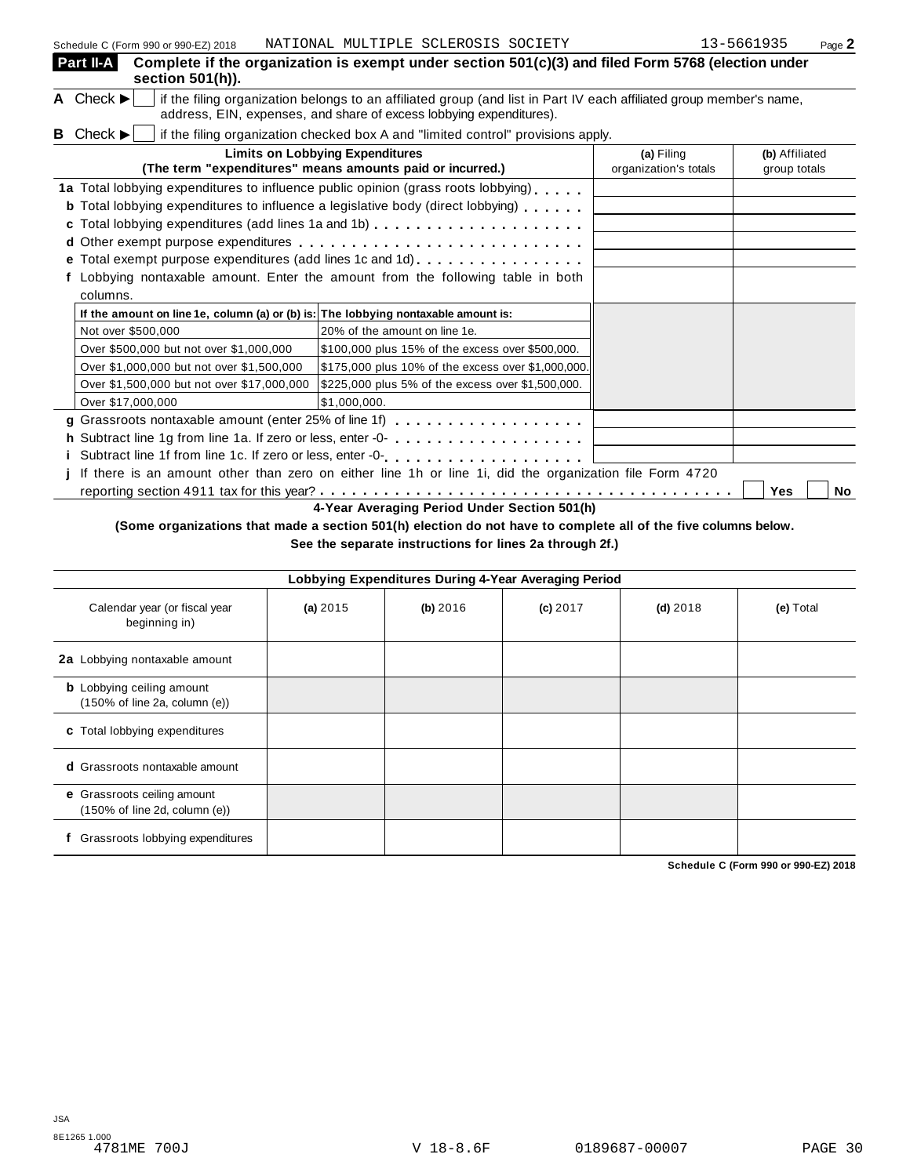| Part II-A<br>Complete if the organization is exempt under section $501(c)(3)$ and filed Form 5768 (election under<br>section 501(h)).                                                                                               |                                     |                                |
|-------------------------------------------------------------------------------------------------------------------------------------------------------------------------------------------------------------------------------------|-------------------------------------|--------------------------------|
| A Check $\blacktriangleright$<br>if the filing organization belongs to an affiliated group (and list in Part IV each affiliated group member's name,<br>address, EIN, expenses, and share of excess lobbying expenditures).         |                                     |                                |
| <b>B</b> Check $\blacktriangleright$<br>if the filing organization checked box A and "limited control" provisions apply.                                                                                                            |                                     |                                |
| <b>Limits on Lobbying Expenditures</b><br>(The term "expenditures" means amounts paid or incurred.)                                                                                                                                 | (a) Filing<br>organization's totals | (b) Affiliated<br>group totals |
| 1a Total lobbying expenditures to influence public opinion (grass roots lobbying).<br><b>b</b> Total lobbying expenditures to influence a legislative body (direct lobbying)<br>c Total lobbying expenditures (add lines 1a and 1b) |                                     |                                |
| e Total exempt purpose expenditures (add lines 1c and 1d)<br>Lobbying nontaxable amount. Enter the amount from the following table in both                                                                                          |                                     |                                |
| columns.                                                                                                                                                                                                                            |                                     |                                |
| If the amount on line 1e, column (a) or (b) is: The lobbying nontaxable amount is:                                                                                                                                                  |                                     |                                |
| Not over \$500,000<br>20% of the amount on line 1e.                                                                                                                                                                                 |                                     |                                |
| Over \$500,000 but not over \$1,000,000<br>\$100,000 plus 15% of the excess over \$500,000.                                                                                                                                         |                                     |                                |
| Over \$1,000,000 but not over \$1,500,000<br>\$175,000 plus 10% of the excess over \$1,000,000.                                                                                                                                     |                                     |                                |
| Over \$1,500,000 but not over \$17,000,000<br>\$225,000 plus 5% of the excess over \$1,500,000.                                                                                                                                     |                                     |                                |
| Over \$17,000,000<br>\$1,000,000.                                                                                                                                                                                                   |                                     |                                |
|                                                                                                                                                                                                                                     |                                     |                                |
|                                                                                                                                                                                                                                     |                                     |                                |
|                                                                                                                                                                                                                                     |                                     |                                |
| If there is an amount other than zero on either line 1h or line 1i, did the organization file Form 4720                                                                                                                             |                                     |                                |
| 4-Year Averaging Period Under Section 501(h)                                                                                                                                                                                        |                                     | Yes<br><b>No</b>               |

# (Some organizations that made a section 501(h) election do not have to complete all of the five columns below.

**See the separate instructions for lines 2a through 2f.)**

| Lobbying Expenditures During 4-Year Averaging Period                                   |            |          |            |            |           |  |  |
|----------------------------------------------------------------------------------------|------------|----------|------------|------------|-----------|--|--|
| Calendar year (or fiscal year<br>beginning in)                                         | (a) $2015$ | (b) 2016 | $(c)$ 2017 | $(d)$ 2018 | (e) Total |  |  |
| 2a Lobbying nontaxable amount                                                          |            |          |            |            |           |  |  |
| <b>b</b> Lobbying ceiling amount<br>$(150\% \text{ of line } 2a, \text{ column } (e))$ |            |          |            |            |           |  |  |
| c Total lobbying expenditures                                                          |            |          |            |            |           |  |  |
| <b>d</b> Grassroots nontaxable amount                                                  |            |          |            |            |           |  |  |
| e Grassroots ceiling amount<br>$(150\% \text{ of line } 2d, \text{ column } (e))$      |            |          |            |            |           |  |  |
| Grassroots lobbying expenditures                                                       |            |          |            |            |           |  |  |

**Schedule C (Form 990 or 990-EZ) 2018**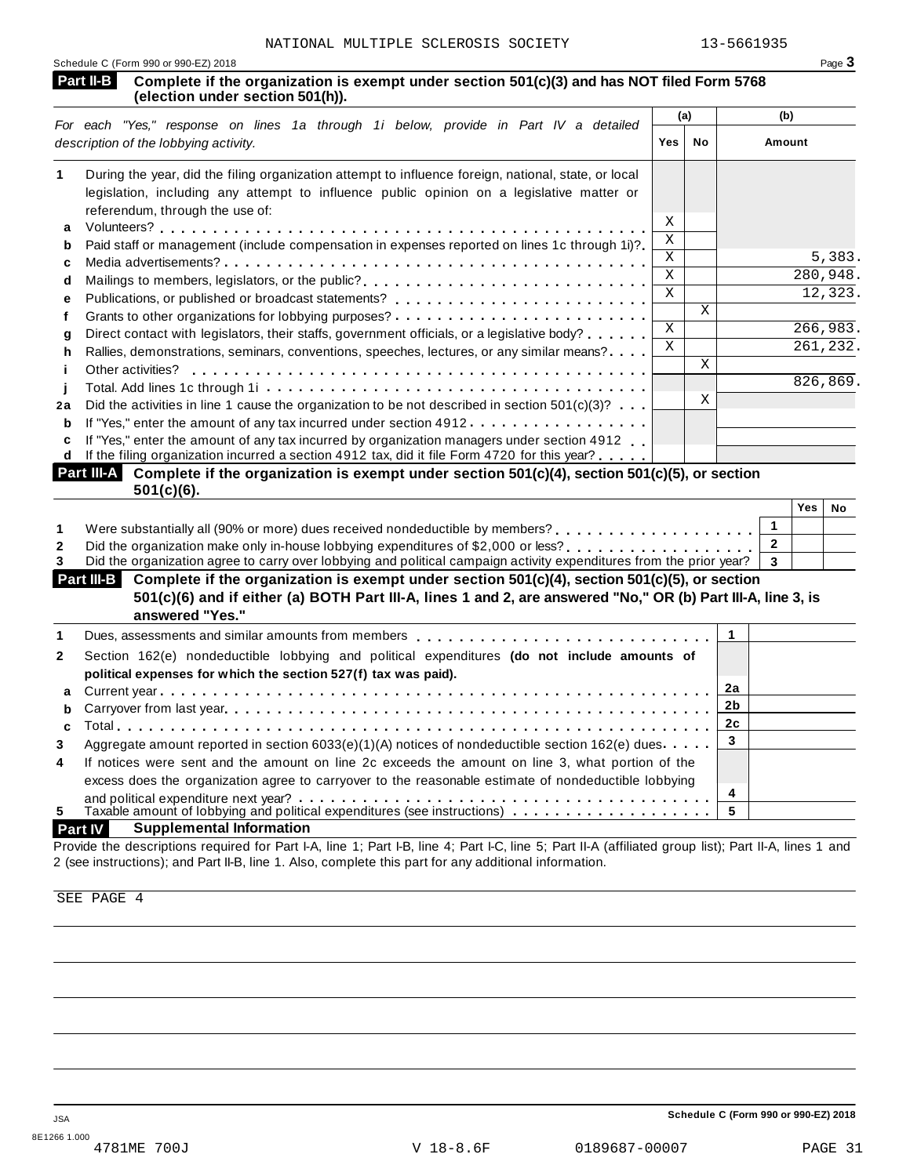| Schedule C (Form 990 or 990-EZ) 2018 |                                                                                                                                          |  |  |  |
|--------------------------------------|------------------------------------------------------------------------------------------------------------------------------------------|--|--|--|
|                                      | Part II-B Complete if the organization is exempt under section 501(c)(3) and has NOT filed Form 5768<br>(election under section 501(h)). |  |  |  |

|        |                                                                                                                                                                                                                                                                                                              | (a)          |    | (b)      |
|--------|--------------------------------------------------------------------------------------------------------------------------------------------------------------------------------------------------------------------------------------------------------------------------------------------------------------|--------------|----|----------|
|        | For each "Yes," response on lines 1a through 1i below, provide in Part IV a detailed<br>description of the lobbying activity.                                                                                                                                                                                | Yes          | No | Amount   |
|        | During the year, did the filing organization attempt to influence foreign, national, state, or local<br>legislation, including any attempt to influence public opinion on a legislative matter or                                                                                                            |              |    |          |
| a      | referendum, through the use of:                                                                                                                                                                                                                                                                              | X            |    |          |
| b      | Paid staff or management (include compensation in expenses reported on lines 1c through 1i)?                                                                                                                                                                                                                 | Χ            |    |          |
| C      |                                                                                                                                                                                                                                                                                                              | X            |    | 5,383.   |
| d      | Mailings to members, legislators, or the public?                                                                                                                                                                                                                                                             | X            |    | 280,948. |
| е      |                                                                                                                                                                                                                                                                                                              | $\mathbf{x}$ |    | 12,323.  |
|        |                                                                                                                                                                                                                                                                                                              |              | X  |          |
| g      | Direct contact with legislators, their staffs, government officials, or a legislative body?                                                                                                                                                                                                                  | X            |    | 266,983. |
| h      | Rallies, demonstrations, seminars, conventions, speeches, lectures, or any similar means?                                                                                                                                                                                                                    | X            |    | 261,232. |
|        | Other activities?                                                                                                                                                                                                                                                                                            |              | X  |          |
|        |                                                                                                                                                                                                                                                                                                              |              |    | 826,869. |
| 2a     | Did the activities in line 1 cause the organization to be not described in section $501(c)(3)$ ?                                                                                                                                                                                                             |              | X  |          |
| b      | If "Yes," enter the amount of any tax incurred under section 4912                                                                                                                                                                                                                                            |              |    |          |
| c<br>d | If "Yes," enter the amount of any tax incurred by organization managers under section 4912<br>If the filing organization incurred a section 4912 tax, did it file Form 4720 for this year?<br>the company of the contract of the contract of the contract of the contract of the contract of the contract of |              |    |          |

| Part III-A Complete if the organization is exempt under section 501(c)(4), section 501(c)(5), or section |  |
|----------------------------------------------------------------------------------------------------------|--|
| $501(c)(6)$ .                                                                                            |  |

|                                                                                                                     | Yes | No |
|---------------------------------------------------------------------------------------------------------------------|-----|----|
| Were substantially all (90% or more) dues received nondeductible by members?                                        |     |    |
|                                                                                                                     |     |    |
| Did the organization agree to carry over lobbying and political campaign activity expenditures from the prior year? |     |    |

| Part III-B Complete if the organization is exempt under section 501(c)(4), section 501(c)(5), or section<br>501(c)(6) and if either (a) BOTH Part III-A, lines 1 and 2, are answered "No," OR (b) Part III-A, line 3, is<br>answered "Yes." |  |  |  |
|---------------------------------------------------------------------------------------------------------------------------------------------------------------------------------------------------------------------------------------------|--|--|--|
| Dues, assessments and similar amounts from members quaranters or extended on the set of the set of the set of the set of the set of the set of the set of the set of the set of the set of the set of the set of the set of th              |  |  |  |
|                                                                                                                                                                                                                                             |  |  |  |

|                | Dues, assessments and similar amounts from members $\ldots, \ldots, \ldots, \ldots, \ldots, \ldots, \ldots, \ldots, \ldots$ |   |  |
|----------------|-----------------------------------------------------------------------------------------------------------------------------|---|--|
| $\mathbf{2}$   | Section 162(e) nondeductible lobbying and political expenditures (do not include amounts of                                 |   |  |
|                | political expenses for which the section 527(f) tax was paid).                                                              |   |  |
|                |                                                                                                                             |   |  |
|                |                                                                                                                             |   |  |
|                |                                                                                                                             |   |  |
| 3              | Aggregate amount reported in section 6033(e)(1)(A) notices of nondeductible section 162(e) dues                             |   |  |
| $\overline{4}$ | If notices were sent and the amount on line 2c exceeds the amount on line 3, what portion of the                            |   |  |
|                | excess does the organization agree to carryover to the reasonable estimate of nondeductible lobbying                        |   |  |
|                |                                                                                                                             | 4 |  |
| 5.             | Taxable amount of lobbying and political expenditures (see instructions) $\ldots \ldots \ldots \ldots$                      |   |  |
|                |                                                                                                                             |   |  |

# **Part IV Supplemental Information**

Provide the descriptions required for Part I-A, line 1; Part I-B, line 4; Part I-C, line 5; Part II-A (affiliated group list); Part II-A, lines 1 and 2 (see instructions); and Part II-B, line 1. Also, complete this part for any additional information.

SEE PAGE 4

**Schedule C (Form 990 or 990-EZ) 2018**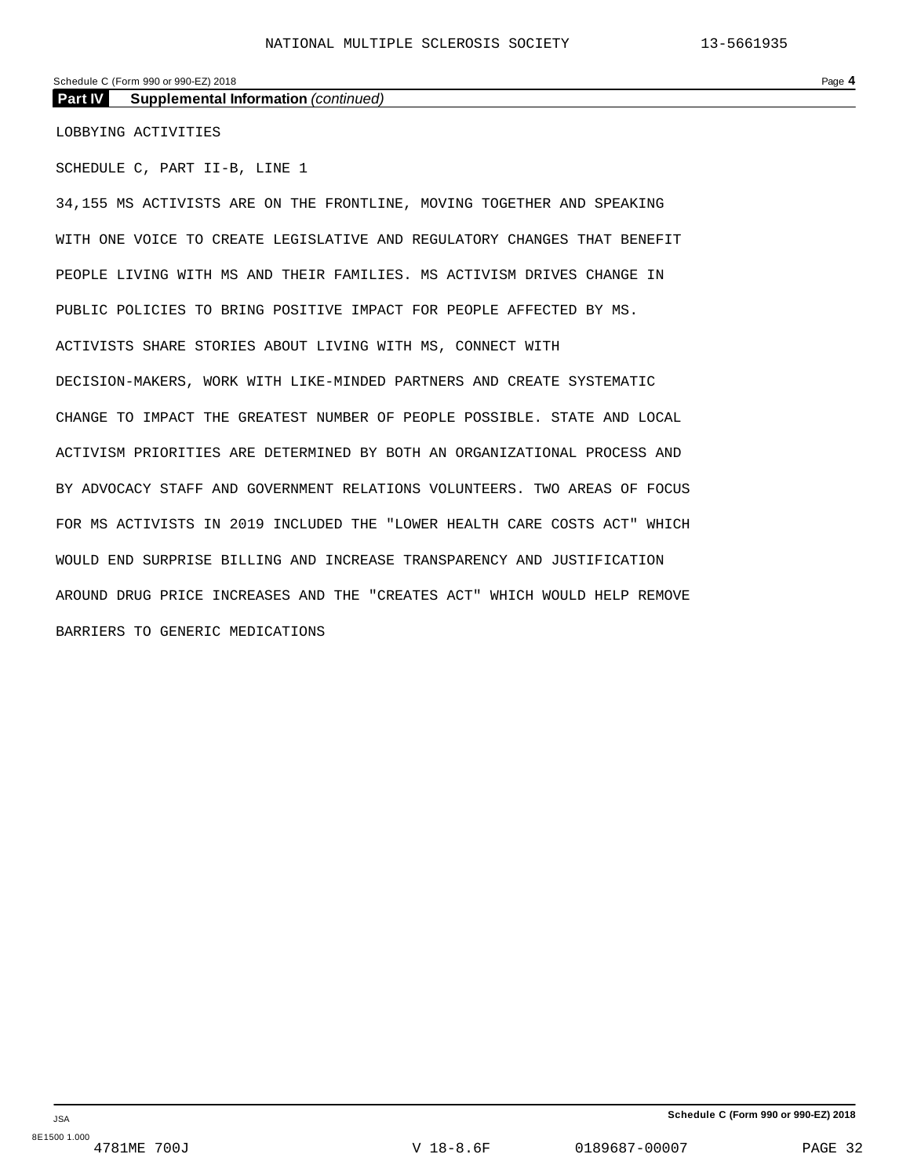# Schedule C (Form 990 or 990-EZ) 2018 Page 4

**Part IV Supplemental Information** *(continued)*

LOBBYING ACTIVITIES

SCHEDULE C, PART II-B, LINE 1

34,155 MS ACTIVISTS ARE ON THE FRONTLINE, MOVING TOGETHER AND SPEAKING WITH ONE VOICE TO CREATE LEGISLATIVE AND REGULATORY CHANGES THAT BENEFIT PEOPLE LIVING WITH MS AND THEIR FAMILIES. MS ACTIVISM DRIVES CHANGE IN PUBLIC POLICIES TO BRING POSITIVE IMPACT FOR PEOPLE AFFECTED BY MS. ACTIVISTS SHARE STORIES ABOUT LIVING WITH MS, CONNECT WITH DECISION-MAKERS, WORK WITH LIKE-MINDED PARTNERS AND CREATE SYSTEMATIC CHANGE TO IMPACT THE GREATEST NUMBER OF PEOPLE POSSIBLE. STATE AND LOCAL ACTIVISM PRIORITIES ARE DETERMINED BY BOTH AN ORGANIZATIONAL PROCESS AND BY ADVOCACY STAFF AND GOVERNMENT RELATIONS VOLUNTEERS. TWO AREAS OF FOCUS FOR MS ACTIVISTS IN 2019 INCLUDED THE "LOWER HEALTH CARE COSTS ACT" WHICH WOULD END SURPRISE BILLING AND INCREASE TRANSPARENCY AND JUSTIFICATION AROUND DRUG PRICE INCREASES AND THE "CREATES ACT" WHICH WOULD HELP REMOVE BARRIERS TO GENERIC MEDICATIONS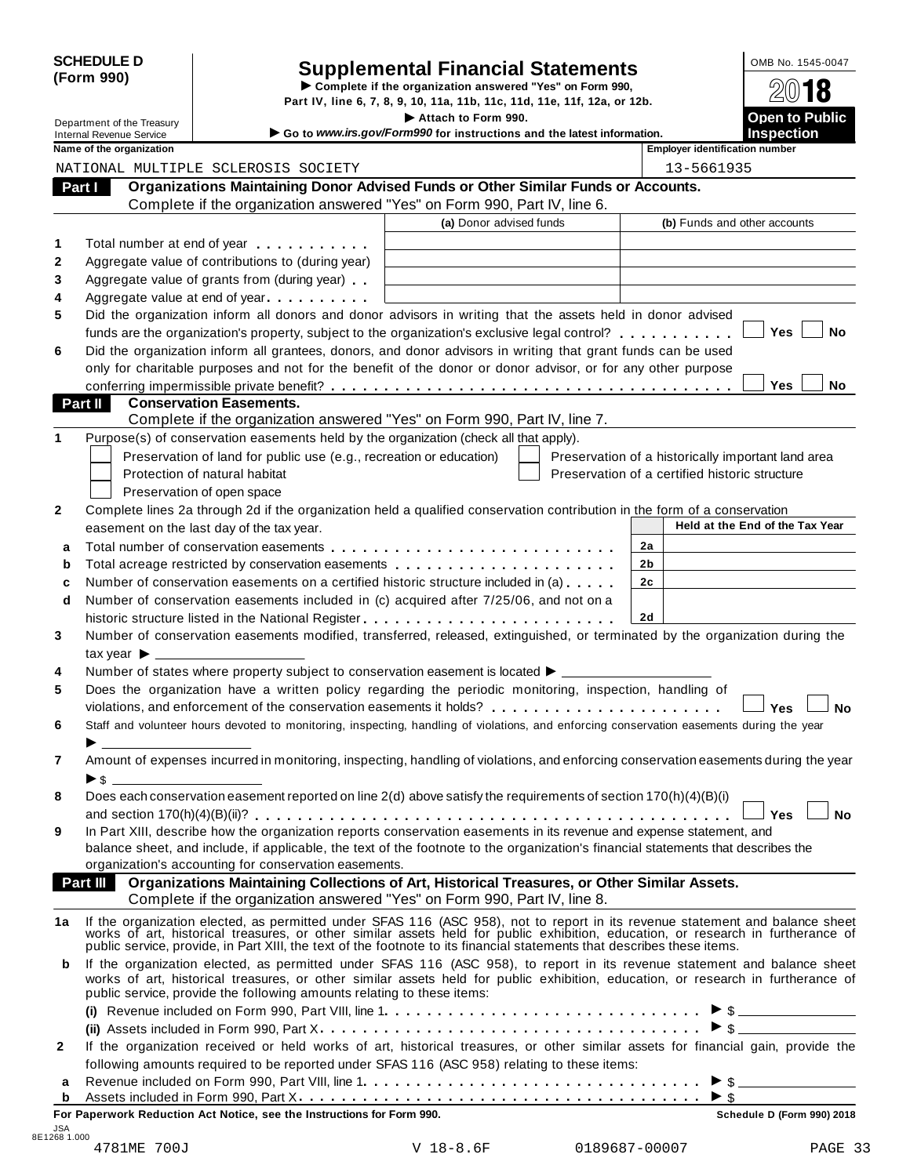| <b>SCHEDULE D</b> |  |
|-------------------|--|
| (Form 990)        |  |

# SCHEDULE D<br>
Supplemental Financial Statements<br>
Form 990)<br>
Part IV, line 6, 7, 8, 9, 10, 11a, 11b, 11c, 11d, 11e, 11f, 12a, or 12b.<br>
Part IV, line 6, 7, 8, 9, 10, 11a, 11b, 11c, 11d, 11e, 11f, 12a, or 12b.

|                                 | Part IV, line 6, 7, 8, 9, 10, 11a, 11b, 11c, 11d, 11e, 11f, 12a, or 12b.                                                                                                                                                      |                                                    |                                 |
|---------------------------------|-------------------------------------------------------------------------------------------------------------------------------------------------------------------------------------------------------------------------------|----------------------------------------------------|---------------------------------|
| Department of the Treasury      | Attach to Form 990.                                                                                                                                                                                                           |                                                    | <b>Open to Public</b>           |
| <b>Internal Revenue Service</b> | Go to www.irs.gov/Form990 for instructions and the latest information.                                                                                                                                                        |                                                    | Inspection                      |
| Name of the organization        |                                                                                                                                                                                                                               | <b>Employer identification number</b>              |                                 |
|                                 | NATIONAL MULTIPLE SCLEROSIS SOCIETY                                                                                                                                                                                           | 13-5661935                                         |                                 |
| Part I                          | Organizations Maintaining Donor Advised Funds or Other Similar Funds or Accounts.                                                                                                                                             |                                                    |                                 |
|                                 | Complete if the organization answered "Yes" on Form 990, Part IV, line 6.                                                                                                                                                     |                                                    |                                 |
|                                 | (a) Donor advised funds                                                                                                                                                                                                       | (b) Funds and other accounts                       |                                 |
|                                 | Total number at end of year entitled as a set of the set of the set of the set of the set of the set of the set of the set of the set of the set of the set of the set of the set of the set of the set of the set of the set |                                                    |                                 |
| $\mathbf{2}$                    | Aggregate value of contributions to (during year)                                                                                                                                                                             |                                                    |                                 |
| 3                               | Aggregate value of grants from (during year)                                                                                                                                                                                  |                                                    |                                 |
| 4                               | Aggregate value at end of year example.                                                                                                                                                                                       |                                                    |                                 |
| 5                               | Did the organization inform all donors and donor advisors in writing that the assets held in donor advised                                                                                                                    |                                                    |                                 |
|                                 | funds are the organization's property, subject to the organization's exclusive legal control?                                                                                                                                 |                                                    | <b>Yes</b><br><b>No</b>         |
| 6                               | Did the organization inform all grantees, donors, and donor advisors in writing that grant funds can be used                                                                                                                  |                                                    |                                 |
|                                 | only for charitable purposes and not for the benefit of the donor or donor advisor, or for any other purpose                                                                                                                  |                                                    |                                 |
|                                 |                                                                                                                                                                                                                               |                                                    | <b>Yes</b><br><b>No</b>         |
| Part II                         | <b>Conservation Easements.</b>                                                                                                                                                                                                |                                                    |                                 |
|                                 | Complete if the organization answered "Yes" on Form 990, Part IV, line 7.                                                                                                                                                     |                                                    |                                 |
|                                 | Purpose(s) of conservation easements held by the organization (check all that apply).                                                                                                                                         |                                                    |                                 |
|                                 | Preservation of land for public use (e.g., recreation or education)                                                                                                                                                           | Preservation of a historically important land area |                                 |
|                                 | Protection of natural habitat                                                                                                                                                                                                 | Preservation of a certified historic structure     |                                 |
|                                 | Preservation of open space                                                                                                                                                                                                    |                                                    |                                 |
| $\mathbf{2}$                    | Complete lines 2a through 2d if the organization held a qualified conservation contribution in the form of a conservation                                                                                                     |                                                    |                                 |
|                                 | easement on the last day of the tax year.                                                                                                                                                                                     |                                                    | Held at the End of the Tax Year |
| a                               |                                                                                                                                                                                                                               | 2a                                                 |                                 |
|                                 |                                                                                                                                                                                                                               |                                                    |                                 |

|                |                                                                                                                                                                                                                                                                                                                                                           | (a) Donor advised funds | (b) Funds and other accounts                       |  |  |
|----------------|-----------------------------------------------------------------------------------------------------------------------------------------------------------------------------------------------------------------------------------------------------------------------------------------------------------------------------------------------------------|-------------------------|----------------------------------------------------|--|--|
| 1              | Total number at end of year example.                                                                                                                                                                                                                                                                                                                      |                         |                                                    |  |  |
| 2              | Aggregate value of contributions to (during year)                                                                                                                                                                                                                                                                                                         |                         |                                                    |  |  |
| 3              | Aggregate value of grants from (during year)                                                                                                                                                                                                                                                                                                              |                         |                                                    |  |  |
| 4              | Aggregate value at end of year                                                                                                                                                                                                                                                                                                                            |                         |                                                    |  |  |
| 5              | Did the organization inform all donors and donor advisors in writing that the assets held in donor advised                                                                                                                                                                                                                                                |                         |                                                    |  |  |
|                | Yes<br>No<br>funds are the organization's property, subject to the organization's exclusive legal control?                                                                                                                                                                                                                                                |                         |                                                    |  |  |
| 6              | Did the organization inform all grantees, donors, and donor advisors in writing that grant funds can be used                                                                                                                                                                                                                                              |                         |                                                    |  |  |
|                | only for charitable purposes and not for the benefit of the donor or donor advisor, or for any other purpose                                                                                                                                                                                                                                              |                         |                                                    |  |  |
|                |                                                                                                                                                                                                                                                                                                                                                           |                         | Yes<br><b>No</b>                                   |  |  |
|                | <b>Conservation Easements.</b><br>Part II                                                                                                                                                                                                                                                                                                                 |                         |                                                    |  |  |
|                | Complete if the organization answered "Yes" on Form 990, Part IV, line 7.                                                                                                                                                                                                                                                                                 |                         |                                                    |  |  |
| 1              | Purpose(s) of conservation easements held by the organization (check all that apply).                                                                                                                                                                                                                                                                     |                         |                                                    |  |  |
|                | Preservation of land for public use (e.g., recreation or education)                                                                                                                                                                                                                                                                                       |                         | Preservation of a historically important land area |  |  |
|                | Protection of natural habitat                                                                                                                                                                                                                                                                                                                             |                         | Preservation of a certified historic structure     |  |  |
|                | Preservation of open space                                                                                                                                                                                                                                                                                                                                |                         |                                                    |  |  |
| 2              | Complete lines 2a through 2d if the organization held a qualified conservation contribution in the form of a conservation                                                                                                                                                                                                                                 |                         |                                                    |  |  |
|                | easement on the last day of the tax year.                                                                                                                                                                                                                                                                                                                 |                         | Held at the End of the Tax Year                    |  |  |
| а              |                                                                                                                                                                                                                                                                                                                                                           |                         | 2a                                                 |  |  |
| b              | Total acreage restricted by conservation easements                                                                                                                                                                                                                                                                                                        |                         | 2b                                                 |  |  |
| c              | Number of conservation easements on a certified historic structure included in (a)                                                                                                                                                                                                                                                                        |                         | 2 <sub>c</sub>                                     |  |  |
| d              | Number of conservation easements included in (c) acquired after 7/25/06, and not on a                                                                                                                                                                                                                                                                     |                         |                                                    |  |  |
|                |                                                                                                                                                                                                                                                                                                                                                           |                         | 2d                                                 |  |  |
| 3              | Number of conservation easements modified, transferred, released, extinguished, or terminated by the organization during the                                                                                                                                                                                                                              |                         |                                                    |  |  |
|                | tax year $\blacktriangleright$ $\perp$                                                                                                                                                                                                                                                                                                                    |                         |                                                    |  |  |
| 4              | Number of states where property subject to conservation easement is located $\blacktriangleright$ _____                                                                                                                                                                                                                                                   |                         |                                                    |  |  |
| 5              | Does the organization have a written policy regarding the periodic monitoring, inspection, handling of                                                                                                                                                                                                                                                    |                         |                                                    |  |  |
|                | violations, and enforcement of the conservation easements it holds?                                                                                                                                                                                                                                                                                       |                         | Yes<br>No                                          |  |  |
| 6              | Staff and volunteer hours devoted to monitoring, inspecting, handling of violations, and enforcing conservation easements during the year                                                                                                                                                                                                                 |                         |                                                    |  |  |
|                |                                                                                                                                                                                                                                                                                                                                                           |                         |                                                    |  |  |
| $\overline{7}$ | Amount of expenses incurred in monitoring, inspecting, handling of violations, and enforcing conservation easements during the year                                                                                                                                                                                                                       |                         |                                                    |  |  |
|                | $\triangleright$ s $\perp$                                                                                                                                                                                                                                                                                                                                |                         |                                                    |  |  |
| 8              | Does each conservation easement reported on line 2(d) above satisfy the requirements of section 170(h)(4)(B)(i)                                                                                                                                                                                                                                           |                         |                                                    |  |  |
|                |                                                                                                                                                                                                                                                                                                                                                           |                         | Yes<br>No                                          |  |  |
| 9              | In Part XIII, describe how the organization reports conservation easements in its revenue and expense statement, and                                                                                                                                                                                                                                      |                         |                                                    |  |  |
|                | balance sheet, and include, if applicable, the text of the footnote to the organization's financial statements that describes the                                                                                                                                                                                                                         |                         |                                                    |  |  |
|                | organization's accounting for conservation easements.                                                                                                                                                                                                                                                                                                     |                         |                                                    |  |  |
|                | Part III Organizations Maintaining Collections of Art, Historical Treasures, or Other Similar Assets.<br>Complete if the organization answered "Yes" on Form 990, Part IV, line 8.                                                                                                                                                                        |                         |                                                    |  |  |
|                |                                                                                                                                                                                                                                                                                                                                                           |                         |                                                    |  |  |
| 1a l           | If the organization elected, as permitted under SFAS 116 (ASC 958), not to report in its revenue statement and balance sheet works of art, historical treasures, or other similar assets held for public exhibition, education<br>public service, provide, in Part XIII, the text of the footnote to its financial statements that describes these items. |                         |                                                    |  |  |
| b              | If the organization elected, as permitted under SFAS 116 (ASC 958), to report in its revenue statement and balance sheet                                                                                                                                                                                                                                  |                         |                                                    |  |  |
|                | works of art, historical treasures, or other similar assets held for public exhibition, education, or research in furtherance of<br>public service, provide the following amounts relating to these items:                                                                                                                                                |                         |                                                    |  |  |
|                |                                                                                                                                                                                                                                                                                                                                                           |                         |                                                    |  |  |
|                |                                                                                                                                                                                                                                                                                                                                                           |                         |                                                    |  |  |
| $\mathbf{2}$   | If the organization received or held works of art, historical treasures, or other similar assets for financial gain, provide the                                                                                                                                                                                                                          |                         |                                                    |  |  |
|                | following amounts required to be reported under SFAS 116 (ASC 958) relating to these items:                                                                                                                                                                                                                                                               |                         |                                                    |  |  |
| а              |                                                                                                                                                                                                                                                                                                                                                           |                         |                                                    |  |  |
| b              |                                                                                                                                                                                                                                                                                                                                                           |                         |                                                    |  |  |
|                |                                                                                                                                                                                                                                                                                                                                                           |                         |                                                    |  |  |

**For Paperwork Reduction Act Notice, see the Instructions for Form 990. Schedule D (Form 990) 2018**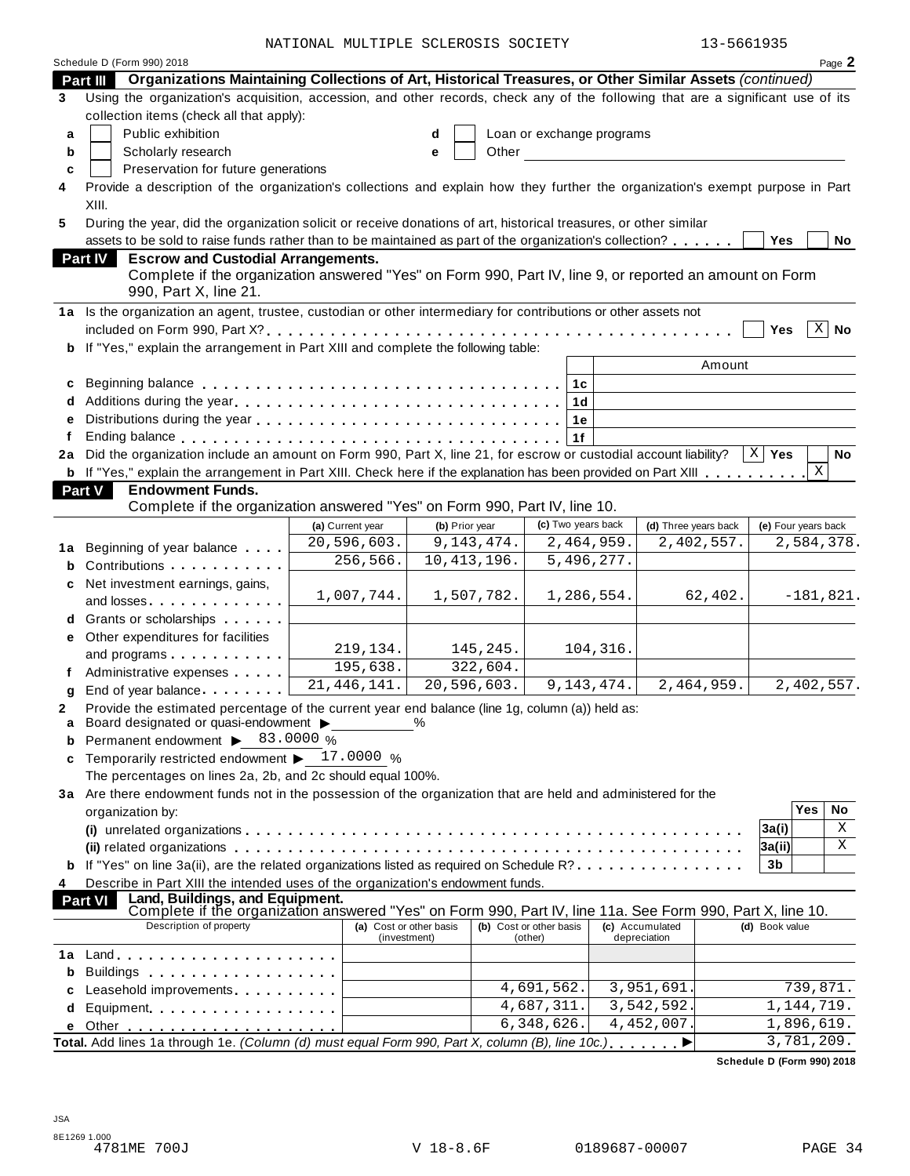NATIONAL MULTIPLE SCLEROSIS SOCIETY 13-5661935

|    | Schedule D (Form 990) 2018                                                                                                                                                                                                     |                                         |                |                                    |                                 |                      |                     |              | Page 2      |
|----|--------------------------------------------------------------------------------------------------------------------------------------------------------------------------------------------------------------------------------|-----------------------------------------|----------------|------------------------------------|---------------------------------|----------------------|---------------------|--------------|-------------|
|    | Organizations Maintaining Collections of Art, Historical Treasures, or Other Similar Assets (continued)<br><b>Part III</b>                                                                                                     |                                         |                |                                    |                                 |                      |                     |              |             |
| 3  | Using the organization's acquisition, accession, and other records, check any of the following that are a significant use of its                                                                                               |                                         |                |                                    |                                 |                      |                     |              |             |
|    | collection items (check all that apply):                                                                                                                                                                                       |                                         |                |                                    |                                 |                      |                     |              |             |
| a  | Public exhibition                                                                                                                                                                                                              |                                         | d              | Loan or exchange programs          |                                 |                      |                     |              |             |
| b  | Scholarly research                                                                                                                                                                                                             |                                         | Other<br>е     |                                    |                                 |                      |                     |              |             |
| c  | Preservation for future generations                                                                                                                                                                                            |                                         |                |                                    |                                 |                      |                     |              |             |
| 4  | Provide a description of the organization's collections and explain how they further the organization's exempt purpose in Part                                                                                                 |                                         |                |                                    |                                 |                      |                     |              |             |
|    | XIII.                                                                                                                                                                                                                          |                                         |                |                                    |                                 |                      |                     |              |             |
| 5  | During the year, did the organization solicit or receive donations of art, historical treasures, or other similar                                                                                                              |                                         |                |                                    |                                 |                      |                     |              |             |
|    | assets to be sold to raise funds rather than to be maintained as part of the organization's collection?                                                                                                                        |                                         |                |                                    |                                 |                      | <b>Yes</b>          |              | No          |
|    | Part IV<br><b>Escrow and Custodial Arrangements.</b>                                                                                                                                                                           |                                         |                |                                    |                                 |                      |                     |              |             |
|    | Complete if the organization answered "Yes" on Form 990, Part IV, line 9, or reported an amount on Form                                                                                                                        |                                         |                |                                    |                                 |                      |                     |              |             |
|    | 990, Part X, line 21.                                                                                                                                                                                                          |                                         |                |                                    |                                 |                      |                     |              |             |
|    | 1a Is the organization an agent, trustee, custodian or other intermediary for contributions or other assets not                                                                                                                |                                         |                |                                    |                                 |                      |                     |              |             |
|    |                                                                                                                                                                                                                                |                                         |                |                                    |                                 |                      | Yes                 | Χ            | No          |
|    |                                                                                                                                                                                                                                |                                         |                |                                    |                                 |                      |                     |              |             |
| b  | If "Yes," explain the arrangement in Part XIII and complete the following table:                                                                                                                                               |                                         |                |                                    |                                 |                      |                     |              |             |
|    |                                                                                                                                                                                                                                |                                         |                |                                    |                                 | Amount               |                     |              |             |
| c  |                                                                                                                                                                                                                                |                                         |                | 1 <sub>c</sub>                     |                                 |                      |                     |              |             |
| d  |                                                                                                                                                                                                                                |                                         |                | 1 <sub>d</sub>                     |                                 |                      |                     |              |             |
| e  |                                                                                                                                                                                                                                |                                         |                | 1e                                 |                                 |                      |                     |              |             |
|    |                                                                                                                                                                                                                                |                                         |                | 1f                                 |                                 |                      |                     |              |             |
| 2a | Did the organization include an amount on Form 990, Part X, line 21, for escrow or custodial account liability?                                                                                                                |                                         |                |                                    |                                 |                      | $X \mid Y$ es       |              | No          |
|    | <b>b</b> If "Yes," explain the arrangement in Part XIII. Check here if the explanation has been provided on Part XIII                                                                                                          |                                         |                |                                    |                                 |                      |                     | X            |             |
|    | Part V<br><b>Endowment Funds.</b>                                                                                                                                                                                              |                                         |                |                                    |                                 |                      |                     |              |             |
|    | Complete if the organization answered "Yes" on Form 990, Part IV, line 10.                                                                                                                                                     |                                         |                |                                    |                                 |                      |                     |              |             |
|    |                                                                                                                                                                                                                                | (a) Current year                        | (b) Prior year | (c) Two years back                 |                                 | (d) Three years back | (e) Four years back |              |             |
| 1a | Beginning of year balance                                                                                                                                                                                                      | 20,596,603.                             | 9, 143, 474.   | 2,464,959.                         |                                 | 2,402,557.           |                     |              | 2,584,378.  |
| b  | Contributions <b>Contributions</b>                                                                                                                                                                                             | 256,566.                                | 10, 413, 196.  | 5,496,277.                         |                                 |                      |                     |              |             |
| c  | Net investment earnings, gains,                                                                                                                                                                                                |                                         |                |                                    |                                 |                      |                     |              |             |
|    |                                                                                                                                                                                                                                | 1,007,744.                              | 1,507,782.     | 1,286,554.                         |                                 | 62,402.              |                     |              | $-181,821.$ |
| d  | Grants or scholarships                                                                                                                                                                                                         |                                         |                |                                    |                                 |                      |                     |              |             |
| е  | Other expenditures for facilities                                                                                                                                                                                              |                                         |                |                                    |                                 |                      |                     |              |             |
|    | and programs                                                                                                                                                                                                                   | 219,134.                                | 145, 245.      |                                    | 104,316.                        |                      |                     |              |             |
|    | Administrative expenses                                                                                                                                                                                                        | 195,638.                                | 322,604.       |                                    |                                 |                      |                     |              |             |
| q  | End of year balance <b>Example 2</b>                                                                                                                                                                                           | 21,446,141.                             | 20, 596, 603.  | 9, 143, 474.                       |                                 | 2,464,959.           |                     |              | 2,402,557.  |
| 2  | Provide the estimated percentage of the current year end balance (line 1g, column (a)) held as:                                                                                                                                |                                         |                |                                    |                                 |                      |                     |              |             |
|    | Board designated or quasi-endowment $\blacktriangleright$                                                                                                                                                                      |                                         | %              |                                    |                                 |                      |                     |              |             |
|    | Permanent endowment > 83.0000 %                                                                                                                                                                                                |                                         |                |                                    |                                 |                      |                     |              |             |
|    | Temporarily restricted endowment $\blacktriangleright$ 17.0000 %                                                                                                                                                               |                                         |                |                                    |                                 |                      |                     |              |             |
|    | The percentages on lines 2a, 2b, and 2c should equal 100%.                                                                                                                                                                     |                                         |                |                                    |                                 |                      |                     |              |             |
|    | 3a Are there endowment funds not in the possession of the organization that are held and administered for the                                                                                                                  |                                         |                |                                    |                                 |                      |                     |              |             |
|    | organization by:                                                                                                                                                                                                               |                                         |                |                                    |                                 |                      |                     | Yes          | No          |
|    |                                                                                                                                                                                                                                |                                         |                |                                    |                                 |                      | 3a(i)               |              | Χ           |
|    |                                                                                                                                                                                                                                |                                         |                |                                    |                                 |                      | 3a(ii)              |              | Χ           |
|    | If "Yes" on line 3a(ii), are the related organizations listed as required on Schedule R?                                                                                                                                       |                                         |                |                                    |                                 |                      | 3 <sub>b</sub>      |              |             |
| 4  | Describe in Part XIII the intended uses of the organization's endowment funds.                                                                                                                                                 |                                         |                |                                    |                                 |                      |                     |              |             |
|    | Land, Buildings, and Equipment.<br><b>Part VI</b>                                                                                                                                                                              |                                         |                |                                    |                                 |                      |                     |              |             |
|    | Complete if the organization answered "Yes" on Form 990, Part IV, line 11a. See Form 990, Part X, line 10.                                                                                                                     |                                         |                |                                    |                                 |                      |                     |              |             |
|    | Description of property                                                                                                                                                                                                        | (a) Cost or other basis<br>(investment) |                | (b) Cost or other basis<br>(other) | (c) Accumulated<br>depreciation |                      | (d) Book value      |              |             |
| 1a |                                                                                                                                                                                                                                |                                         |                |                                    |                                 |                      |                     |              |             |
| b  | Buildings                                                                                                                                                                                                                      |                                         |                |                                    |                                 |                      |                     |              |             |
| c  | Leasehold improvements expressions and the set of the set of the set of the set of the set of the set of the set of the set of the set of the set of the set of the set of the set of the set of the set of the set of the set |                                         |                | 4,691,562.                         |                                 | 3,951,691            |                     | 739,871.     |             |
|    |                                                                                                                                                                                                                                |                                         |                | 4,687,311.                         |                                 | 3,542,592            |                     | 1, 144, 719. |             |
| d  | Equipment                                                                                                                                                                                                                      |                                         |                | 6,348,626.                         |                                 | 4,452,007.           |                     | 1,896,619.   |             |
|    |                                                                                                                                                                                                                                |                                         |                |                                    |                                 |                      |                     | 3,781,209.   |             |
|    | Total. Add lines 1a through 1e. (Column (d) must equal Form 990, Part X, column (B), line 10c.)                                                                                                                                |                                         |                |                                    |                                 |                      |                     |              |             |

**Schedule D (Form 990) 2018**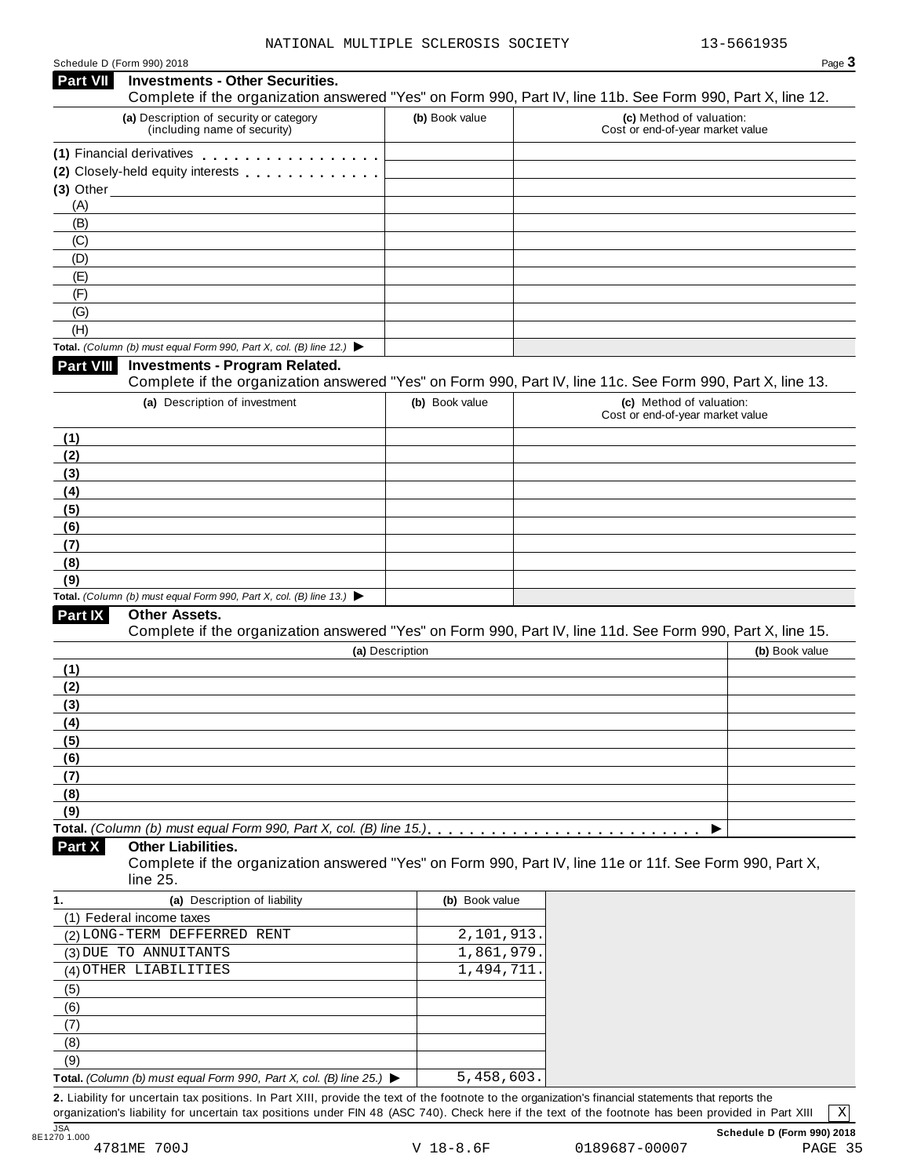| Schedule D (Form 990) 2018 |  |  |
|----------------------------|--|--|
|                            |  |  |

# Schedule <sup>D</sup> (Form 990) <sup>2018</sup> Page **3 Investments - Other Securities. Part VII** Investments - Other Securities.<br>Complete if the organization answered "Yes" on Form 990, Part IV, line 11b. See Form 990, Part X, line 12. **(a)** Description of security or category (including name of security) **(b)** Book value **(c)** Method of valuation: Cost or end-of-year market value **(1)** Financial derivatives m m m m m m m m m m m m m m m m m **(1)** Financial derivatives **maturity of minimum metallicity**<br>**(2)** Closely-held equity interests **maturity metallicity (3)** Other (A) (B) (C) (D) (E) (F) (G) (H) **Total.** *(Column (b) must equal Form 990, Part X, col. (B) line 12.)* I **Investments - Program Related.** Complete if the organization answered "Yes" on Form 990, Part IV, line 11c. See Form 990, Part X, line 13. **(a)** Description of investment **(b)** Book value **(c)** Method of valuation: Cost or end-of-year market value **(1) (2) (3) (4) (5) (6) (7) (8) (9) Total.** *(Column (b) must equal Form 990, Part X, col. (B) line 13.)* I **Other Assets.** Complete if the organization answered "Yes" on Form 990, Part IV, line 11d. See Form 990, Part X, line 15. **(a)** Description **(b)** Book value **(1) (2) (3) (4) (5) (6) (7) (8) (9) Total.** *(Column (b) must equal Form 990, Part X, col. (B) line 15.)* m m m m m m m m m m m m m m m m m m m m m m m m m m I **Other Liabilities.** Complete if the organization answered "Yes" on Form 990, Part IV, line 11e or 11f. See Form 990, Part X, line 25. **Part X 1. (a)** Description of liability **(b)** Book value (1) Federal income taxes (2) LONG-TERM DEFFERRED RENT 2,101,913. (3) DUE TO ANNUITANTS  $\begin{array}{|c|c|c|c|c|c|c|c|c|} \hline \quad & 1,861,979. \end{array}$ (4) OTHER LIABILITIES  $\begin{array}{|c|c|c|c|c|c|c|c|c|} \hline \quad & 1,494,711. \end{array}$ (5) (6) (7) (8) (9) **Total.** *(Column (b) must equal Form 990, Part X, col. (B) line 25.)* I 5,458,603.

**2.** Liability for uncertain tax positions. In Part XIII, provide the text of the footnote to the organization's financial statements that reports the organization's liability for uncertain tax positions under FIN 48 (ASC 740). Check here if the text of the footnote has been provided in Part XIII

X

JSA **Schedule D (Form 990) 2018**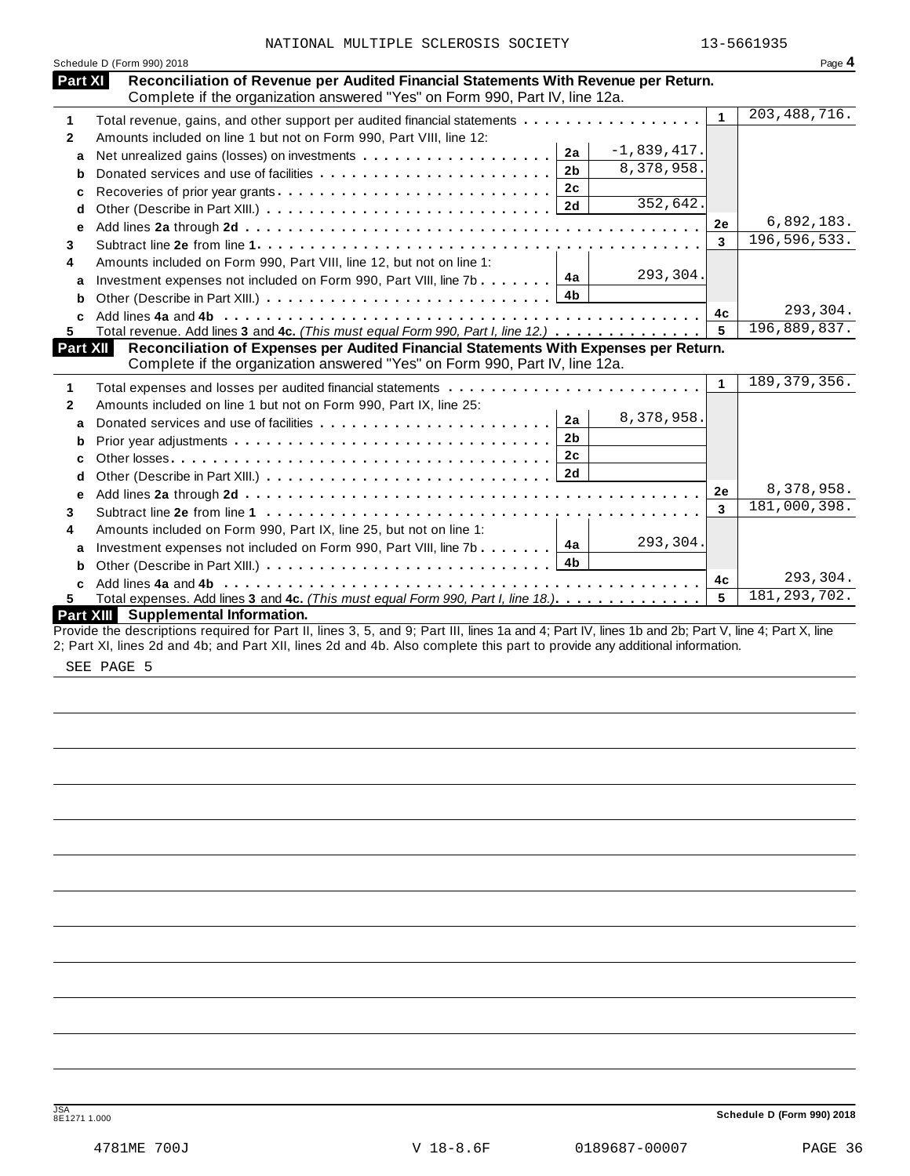|              | Schedule D (Form 990) 2018                                                                                                                                         |              | Page 4         |
|--------------|--------------------------------------------------------------------------------------------------------------------------------------------------------------------|--------------|----------------|
| Part XI      | Reconciliation of Revenue per Audited Financial Statements With Revenue per Return.<br>Complete if the organization answered "Yes" on Form 990, Part IV, line 12a. |              |                |
| 1            | Total revenue, gains, and other support per audited financial statements                                                                                           | 1            | 203, 488, 716. |
| $\mathbf{2}$ | Amounts included on line 1 but not on Form 990, Part VIII, line 12:                                                                                                |              |                |
| a            | $-1,839,417.$<br>2a                                                                                                                                                |              |                |
| b            | 8,378,958.<br>2 <sub>b</sub>                                                                                                                                       |              |                |
| c            | 2c<br>Recoveries of prior year grants                                                                                                                              |              |                |
| d            | 352,642.<br>2d                                                                                                                                                     |              |                |
| е            |                                                                                                                                                                    | 2e           | 6,892,183.     |
| 3            |                                                                                                                                                                    | 3            | 196, 596, 533. |
| 4            | Amounts included on Form 990, Part VIII, line 12, but not on line 1:                                                                                               |              |                |
| a            | 293,304.<br>Investment expenses not included on Form 990, Part VIII, line 7b $\boxed{4a}$                                                                          |              |                |
| b            | 4 <sub>b</sub>                                                                                                                                                     |              |                |
| C.           |                                                                                                                                                                    | 4c           | 293,304.       |
| 5.           | Total revenue. Add lines 3 and 4c. (This must equal Form 990, Part I, line 12.)                                                                                    | 5            | 196,889,837.   |
| Part XII     | Reconciliation of Expenses per Audited Financial Statements With Expenses per Return.                                                                              |              |                |
|              | Complete if the organization answered "Yes" on Form 990, Part IV, line 12a.                                                                                        |              |                |
| 1            |                                                                                                                                                                    | $\mathbf{1}$ | 189, 379, 356. |
| $\mathbf{2}$ | Amounts included on line 1 but not on Form 990, Part IX, line 25:                                                                                                  |              |                |
| a            | 8,378,958.<br>2a                                                                                                                                                   |              |                |
|              | 2 <sub>b</sub>                                                                                                                                                     |              |                |
| b            | 2c                                                                                                                                                                 |              |                |
| c            |                                                                                                                                                                    |              |                |
| d            |                                                                                                                                                                    | 2e           | 8,378,958.     |
| е            |                                                                                                                                                                    | 3            | 181,000,398.   |
| 3            |                                                                                                                                                                    |              |                |
| 4            | Amounts included on Form 990, Part IX, line 25, but not on line 1:<br>293,304.<br>4a                                                                               |              |                |
| a            | Investment expenses not included on Form 990, Part VIII, line 7b<br>4 <b>b</b>                                                                                     |              |                |
| b            |                                                                                                                                                                    | 4c           | 293,304.       |
|              |                                                                                                                                                                    | 5            | 181, 293, 702. |
| 5.           | Total expenses. Add lines 3 and 4c. (This must equal Form 990, Part I, line 18.).<br>Part XIII Supplemental Information.                                           |              |                |
|              | Provide the descriptions required for Part II, lines 3, 5, and 9; Part III, lines 1a and 4; Part IV, lines 1b and 2b; Part V, line 4; Part X, line                 |              |                |
|              | 2; Part XI, lines 2d and 4b; and Part XII, lines 2d and 4b. Also complete this part to provide any additional information.                                         |              |                |

SEE PAGE 5

JSA **Schedule <sup>D</sup> (Form 990) <sup>2018</sup>** 8E1271 1.000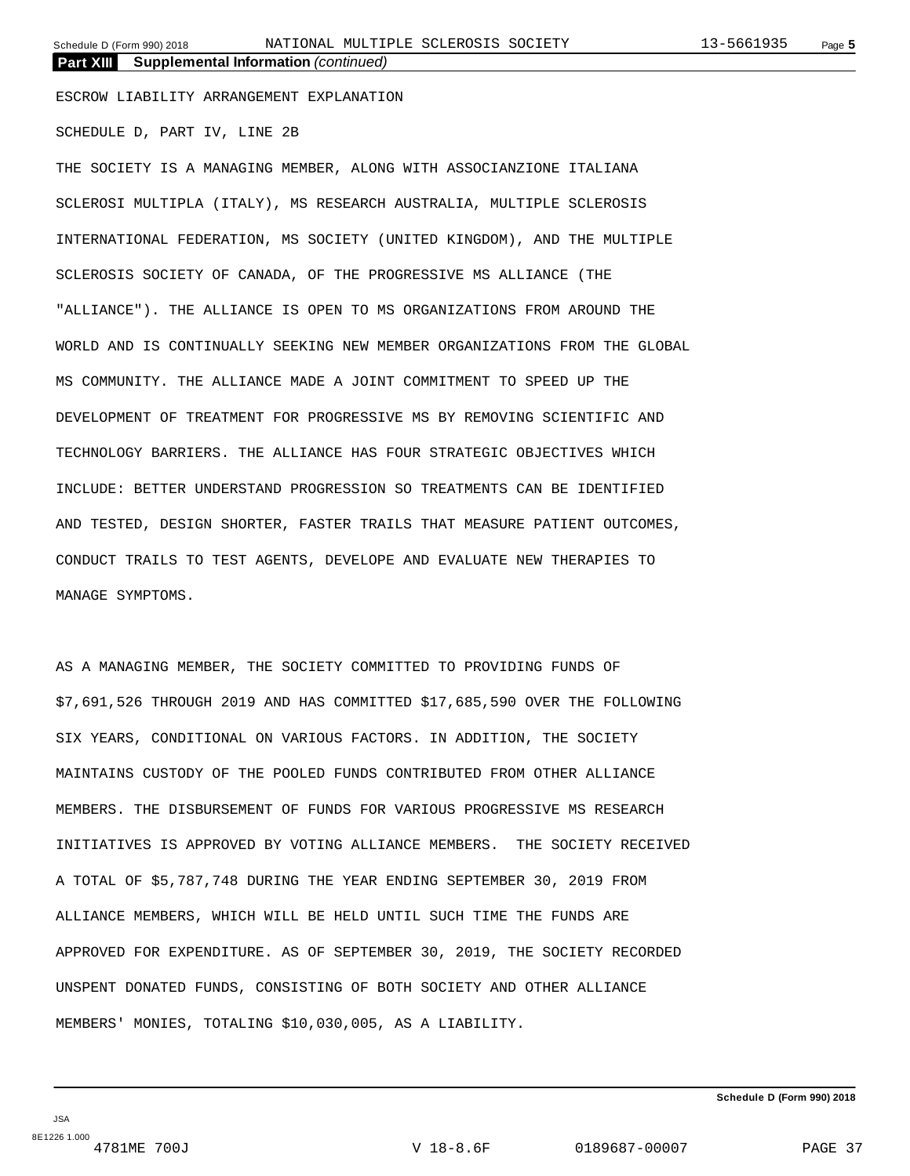**Part XIII Supplemental Information** *(continued)*

ESCROW LIABILITY ARRANGEMENT EXPLANATION

SCHEDULE D, PART IV, LINE 2B

THE SOCIETY IS A MANAGING MEMBER, ALONG WITH ASSOCIANZIONE ITALIANA SCLEROSI MULTIPLA (ITALY), MS RESEARCH AUSTRALIA, MULTIPLE SCLEROSIS INTERNATIONAL FEDERATION, MS SOCIETY (UNITED KINGDOM), AND THE MULTIPLE SCLEROSIS SOCIETY OF CANADA, OF THE PROGRESSIVE MS ALLIANCE (THE "ALLIANCE"). THE ALLIANCE IS OPEN TO MS ORGANIZATIONS FROM AROUND THE WORLD AND IS CONTINUALLY SEEKING NEW MEMBER ORGANIZATIONS FROM THE GLOBAL MS COMMUNITY. THE ALLIANCE MADE A JOINT COMMITMENT TO SPEED UP THE DEVELOPMENT OF TREATMENT FOR PROGRESSIVE MS BY REMOVING SCIENTIFIC AND TECHNOLOGY BARRIERS. THE ALLIANCE HAS FOUR STRATEGIC OBJECTIVES WHICH INCLUDE: BETTER UNDERSTAND PROGRESSION SO TREATMENTS CAN BE IDENTIFIED AND TESTED, DESIGN SHORTER, FASTER TRAILS THAT MEASURE PATIENT OUTCOMES, CONDUCT TRAILS TO TEST AGENTS, DEVELOPE AND EVALUATE NEW THERAPIES TO MANAGE SYMPTOMS.

AS A MANAGING MEMBER, THE SOCIETY COMMITTED TO PROVIDING FUNDS OF \$7,691,526 THROUGH 2019 AND HAS COMMITTED \$17,685,590 OVER THE FOLLOWING SIX YEARS, CONDITIONAL ON VARIOUS FACTORS. IN ADDITION, THE SOCIETY MAINTAINS CUSTODY OF THE POOLED FUNDS CONTRIBUTED FROM OTHER ALLIANCE MEMBERS. THE DISBURSEMENT OF FUNDS FOR VARIOUS PROGRESSIVE MS RESEARCH INITIATIVES IS APPROVED BY VOTING ALLIANCE MEMBERS. THE SOCIETY RECEIVED A TOTAL OF \$5,787,748 DURING THE YEAR ENDING SEPTEMBER 30, 2019 FROM ALLIANCE MEMBERS, WHICH WILL BE HELD UNTIL SUCH TIME THE FUNDS ARE APPROVED FOR EXPENDITURE. AS OF SEPTEMBER 30, 2019, THE SOCIETY RECORDED UNSPENT DONATED FUNDS, CONSISTING OF BOTH SOCIETY AND OTHER ALLIANCE MEMBERS' MONIES, TOTALING \$10,030,005, AS A LIABILITY.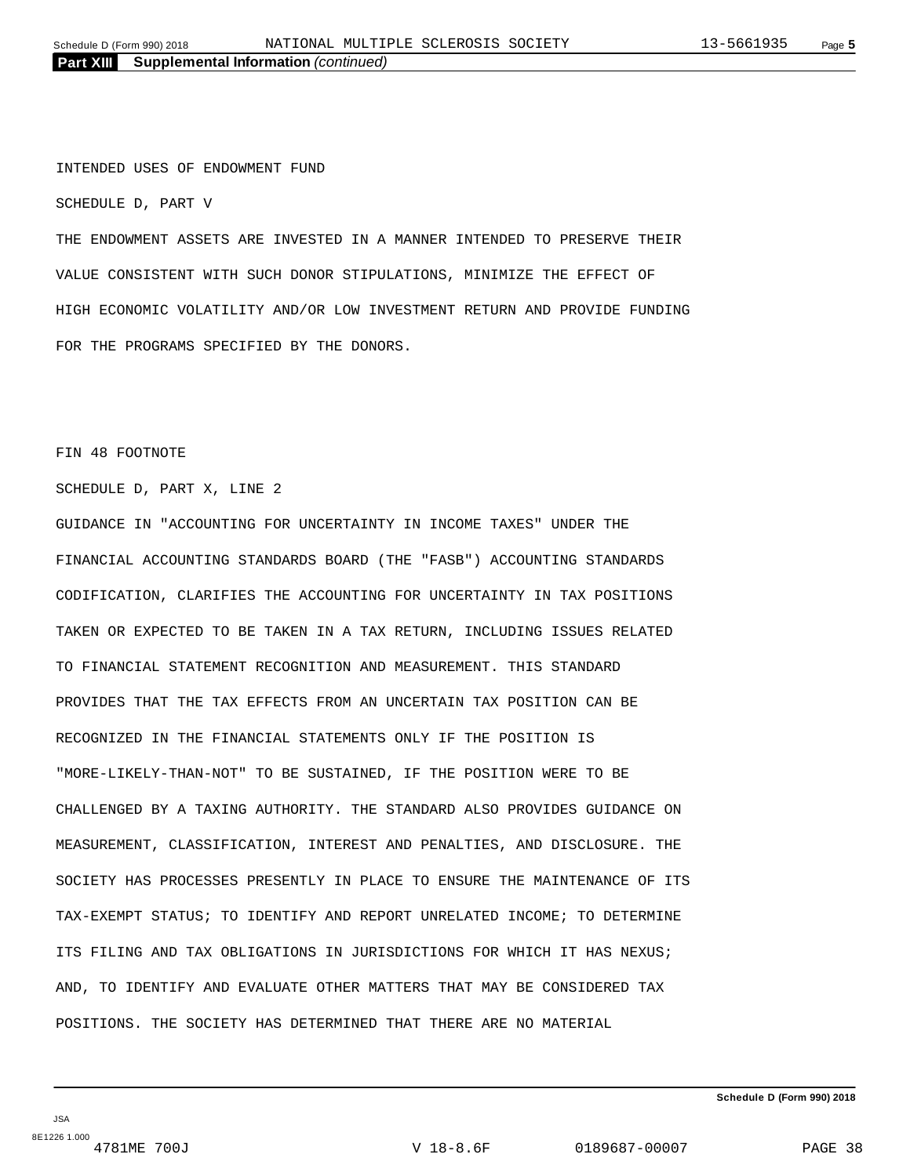INTENDED USES OF ENDOWMENT FUND

SCHEDULE D, PART V

THE ENDOWMENT ASSETS ARE INVESTED IN A MANNER INTENDED TO PRESERVE THEIR VALUE CONSISTENT WITH SUCH DONOR STIPULATIONS, MINIMIZE THE EFFECT OF HIGH ECONOMIC VOLATILITY AND/OR LOW INVESTMENT RETURN AND PROVIDE FUNDING FOR THE PROGRAMS SPECIFIED BY THE DONORS.

#### FIN 48 FOOTNOTE

SCHEDULE D, PART X, LINE 2

GUIDANCE IN "ACCOUNTING FOR UNCERTAINTY IN INCOME TAXES" UNDER THE FINANCIAL ACCOUNTING STANDARDS BOARD (THE "FASB") ACCOUNTING STANDARDS CODIFICATION, CLARIFIES THE ACCOUNTING FOR UNCERTAINTY IN TAX POSITIONS TAKEN OR EXPECTED TO BE TAKEN IN A TAX RETURN, INCLUDING ISSUES RELATED TO FINANCIAL STATEMENT RECOGNITION AND MEASUREMENT. THIS STANDARD PROVIDES THAT THE TAX EFFECTS FROM AN UNCERTAIN TAX POSITION CAN BE RECOGNIZED IN THE FINANCIAL STATEMENTS ONLY IF THE POSITION IS "MORE-LIKELY-THAN-NOT" TO BE SUSTAINED, IF THE POSITION WERE TO BE CHALLENGED BY A TAXING AUTHORITY. THE STANDARD ALSO PROVIDES GUIDANCE ON MEASUREMENT, CLASSIFICATION, INTEREST AND PENALTIES, AND DISCLOSURE. THE SOCIETY HAS PROCESSES PRESENTLY IN PLACE TO ENSURE THE MAINTENANCE OF ITS TAX-EXEMPT STATUS; TO IDENTIFY AND REPORT UNRELATED INCOME; TO DETERMINE ITS FILING AND TAX OBLIGATIONS IN JURISDICTIONS FOR WHICH IT HAS NEXUS; AND, TO IDENTIFY AND EVALUATE OTHER MATTERS THAT MAY BE CONSIDERED TAX POSITIONS. THE SOCIETY HAS DETERMINED THAT THERE ARE NO MATERIAL

V 18-8.6F 0189687-00007 PAGE 38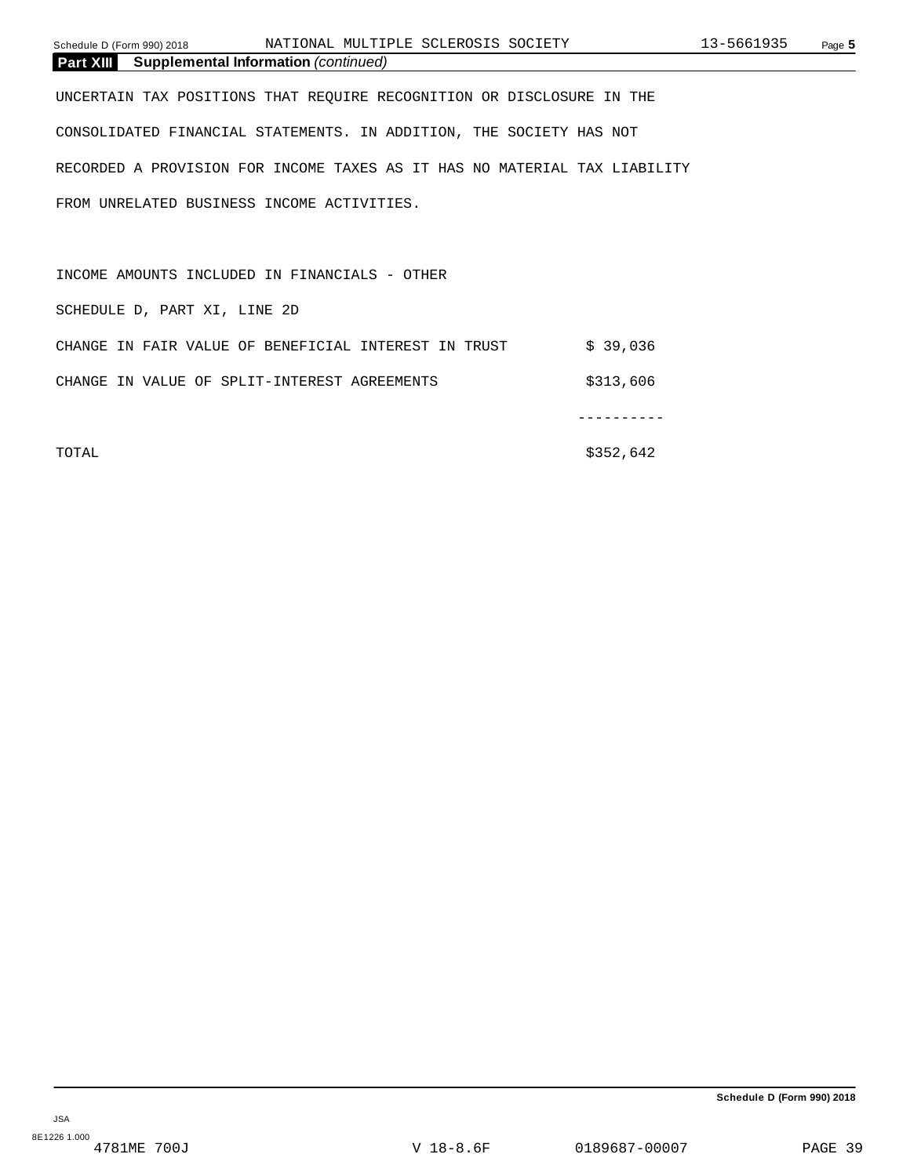| Schedule D (Form 990) 2018                                                | NATIONAL MULTIPLE SCLEROSIS SOCIETY |          | 13-5661935 | Page 5 |
|---------------------------------------------------------------------------|-------------------------------------|----------|------------|--------|
| <b>Part XIII</b> Supplemental Information (continued)                     |                                     |          |            |        |
| UNCERTAIN TAX POSITIONS THAT REOUIRE RECOGNITION OR DISCLOSURE IN THE     |                                     |          |            |        |
| CONSOLIDATED FINANCIAL STATEMENTS. IN ADDITION, THE SOCIETY HAS NOT       |                                     |          |            |        |
| RECORDED A PROVISION FOR INCOME TAXES AS IT HAS NO MATERIAL TAX LIABILITY |                                     |          |            |        |
| FROM UNRELATED BUSINESS INCOME ACTIVITIES.                                |                                     |          |            |        |
|                                                                           |                                     |          |            |        |
| INCOME AMOUNTS INCLUDED IN FINANCIALS - OTHER                             |                                     |          |            |        |
| SCHEDULE D, PART XI, LINE 2D                                              |                                     |          |            |        |
| CHANGE IN FAIR VALUE OF BENEFICIAL INTEREST IN TRUST                      |                                     | \$39,036 |            |        |

CHANGE IN VALUE OF SPLIT-INTEREST AGREEMENTS  $$313,606$ 

----------

TOTAL \$352,642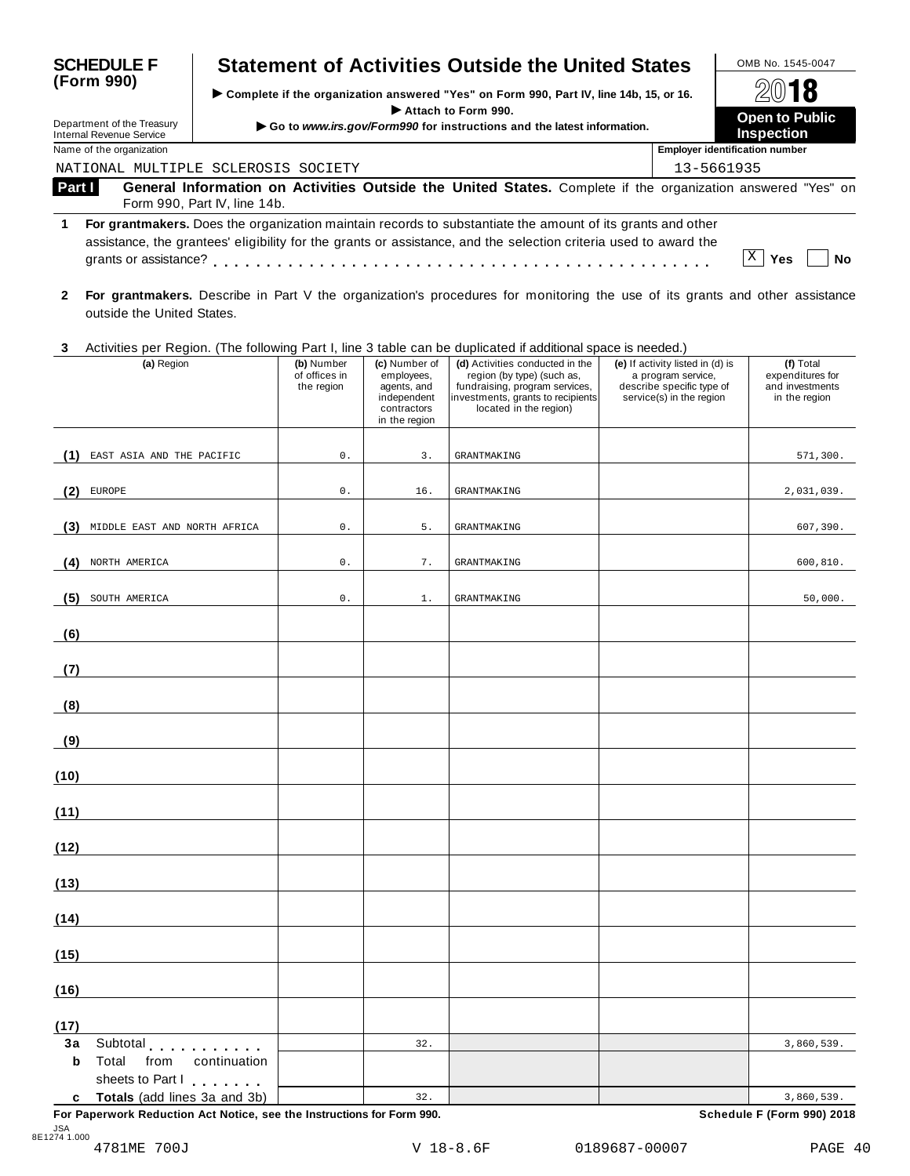| <b>SCHEDULE F</b><br><b>Statement of Activities Outside the United States</b> |                                                               |                              |                                                                                        |                                                                                               |                                                                                                                                                                                                                                                                                                                                               | OMB No. 1545-0047                          |                                       |                |
|-------------------------------------------------------------------------------|---------------------------------------------------------------|------------------------------|----------------------------------------------------------------------------------------|-----------------------------------------------------------------------------------------------|-----------------------------------------------------------------------------------------------------------------------------------------------------------------------------------------------------------------------------------------------------------------------------------------------------------------------------------------------|--------------------------------------------|---------------------------------------|----------------|
| (Form 990)                                                                    |                                                               |                              | Complete if the organization answered "Yes" on Form 990, Part IV, line 14b, 15, or 16. |                                                                                               |                                                                                                                                                                                                                                                                                                                                               |                                            |                                       | $20$ 18        |
|                                                                               | Department of the Treasury<br><b>Internal Revenue Service</b> |                              |                                                                                        | Attach to Form 990.<br>Go to www.irs.gov/Form990 for instructions and the latest information. |                                                                                                                                                                                                                                                                                                                                               | <b>Open to Public</b><br><b>Inspection</b> |                                       |                |
|                                                                               | Name of the organization                                      |                              |                                                                                        |                                                                                               |                                                                                                                                                                                                                                                                                                                                               |                                            | <b>Employer identification number</b> |                |
|                                                                               | NATIONAL MULTIPLE SCLEROSIS SOCIETY                           |                              |                                                                                        |                                                                                               |                                                                                                                                                                                                                                                                                                                                               |                                            | 13-5661935                            |                |
| <b>Part I</b><br>1.                                                           |                                                               | Form 990, Part IV, line 14b. |                                                                                        |                                                                                               | General Information on Activities Outside the United States. Complete if the organization answered "Yes" on<br>For grantmakers. Does the organization maintain records to substantiate the amount of its grants and other<br>assistance, the grantees' eligibility for the grants or assistance, and the selection criteria used to award the |                                            |                                       |                |
|                                                                               | grants or assistance?                                         |                              |                                                                                        |                                                                                               |                                                                                                                                                                                                                                                                                                                                               |                                            |                                       | X<br>Yes<br>Nο |
| $\mathbf{2}$                                                                  | outside the United States.                                    |                              |                                                                                        |                                                                                               | For grantmakers. Describe in Part V the organization's procedures for monitoring the use of its grants and other assistance                                                                                                                                                                                                                   |                                            |                                       |                |
| 3                                                                             |                                                               |                              |                                                                                        |                                                                                               | Activities per Region. (The following Part I, line 3 table can be duplicated if additional space is needed.)                                                                                                                                                                                                                                  |                                            |                                       |                |
|                                                                               | (a) Region                                                    |                              | (b) Number                                                                             | (c) Number of                                                                                 | (d) Activities conducted in the                                                                                                                                                                                                                                                                                                               |                                            | (e) If activity listed in (d) is      | (f) Total      |

| $(4)$ is $901$                                                                           | $\omega$ , wannoon<br>of offices in<br>the region | <b>O</b> HOLLOW<br>employees,<br>agents, and<br>independent<br>contractors<br>in the region | <b>And in the community of the state of the community</b><br>region (by type) (such as,<br>fundraising, program services,<br>investments, grants to recipients<br>located in the region) | $\mathbf{u}$ is a convergence in $\mathbf{u}$ is<br>a program service,<br>describe specific type of<br>service(s) in the region | $\mathbf{u}$ , $\mathbf{u}$<br>expenditures for<br>and investments<br>in the region |
|------------------------------------------------------------------------------------------|---------------------------------------------------|---------------------------------------------------------------------------------------------|------------------------------------------------------------------------------------------------------------------------------------------------------------------------------------------|---------------------------------------------------------------------------------------------------------------------------------|-------------------------------------------------------------------------------------|
| EAST ASIA AND THE PACIFIC<br>(1)                                                         | $\mathsf{0}$ .                                    | 3.                                                                                          | <b>GRANTMAKING</b>                                                                                                                                                                       |                                                                                                                                 | 571,300.                                                                            |
| (2)<br>EUROPE                                                                            | $\mathbf 0$ .                                     | 16.                                                                                         | <b>GRANTMAKING</b>                                                                                                                                                                       |                                                                                                                                 | 2,031,039.                                                                          |
| MIDDLE EAST AND NORTH AFRICA<br>(3)                                                      | $\mathsf{0}$ .                                    | $5.$                                                                                        | <b>GRANTMAKING</b>                                                                                                                                                                       |                                                                                                                                 | 607,390.                                                                            |
| (4)<br>NORTH AMERICA                                                                     | 0.                                                | 7.                                                                                          | <b>GRANTMAKING</b>                                                                                                                                                                       |                                                                                                                                 | 600,810.                                                                            |
| (5)<br>SOUTH AMERICA                                                                     | $\mathsf{0}$ .                                    | 1.                                                                                          | <b>GRANTMAKING</b>                                                                                                                                                                       |                                                                                                                                 | 50,000.                                                                             |
| (6)                                                                                      |                                                   |                                                                                             |                                                                                                                                                                                          |                                                                                                                                 |                                                                                     |
| (7)                                                                                      |                                                   |                                                                                             |                                                                                                                                                                                          |                                                                                                                                 |                                                                                     |
| (8)                                                                                      |                                                   |                                                                                             |                                                                                                                                                                                          |                                                                                                                                 |                                                                                     |
| (9)                                                                                      |                                                   |                                                                                             |                                                                                                                                                                                          |                                                                                                                                 |                                                                                     |
| (10)                                                                                     |                                                   |                                                                                             |                                                                                                                                                                                          |                                                                                                                                 |                                                                                     |
| (11)                                                                                     |                                                   |                                                                                             |                                                                                                                                                                                          |                                                                                                                                 |                                                                                     |
| (12)                                                                                     |                                                   |                                                                                             |                                                                                                                                                                                          |                                                                                                                                 |                                                                                     |
| (13)                                                                                     |                                                   |                                                                                             |                                                                                                                                                                                          |                                                                                                                                 |                                                                                     |
| (14)                                                                                     |                                                   |                                                                                             |                                                                                                                                                                                          |                                                                                                                                 |                                                                                     |
| (15)                                                                                     |                                                   |                                                                                             |                                                                                                                                                                                          |                                                                                                                                 |                                                                                     |
| (16)                                                                                     |                                                   |                                                                                             |                                                                                                                                                                                          |                                                                                                                                 |                                                                                     |
| (17)<br>3a                                                                               |                                                   | 32.                                                                                         |                                                                                                                                                                                          |                                                                                                                                 | 3,860,539.                                                                          |
| Subtotal experiences<br>Total<br>$\mathbf b$<br>from<br>continuation<br>sheets to Part I |                                                   |                                                                                             |                                                                                                                                                                                          |                                                                                                                                 |                                                                                     |
| Totals (add lines 3a and 3b)<br>c                                                        |                                                   | 32.                                                                                         |                                                                                                                                                                                          |                                                                                                                                 | 3,860,539.                                                                          |

**For Paperwork Reduction Act Notice, see the Instructions for Form 990. Schedule F (Form 990) 2018**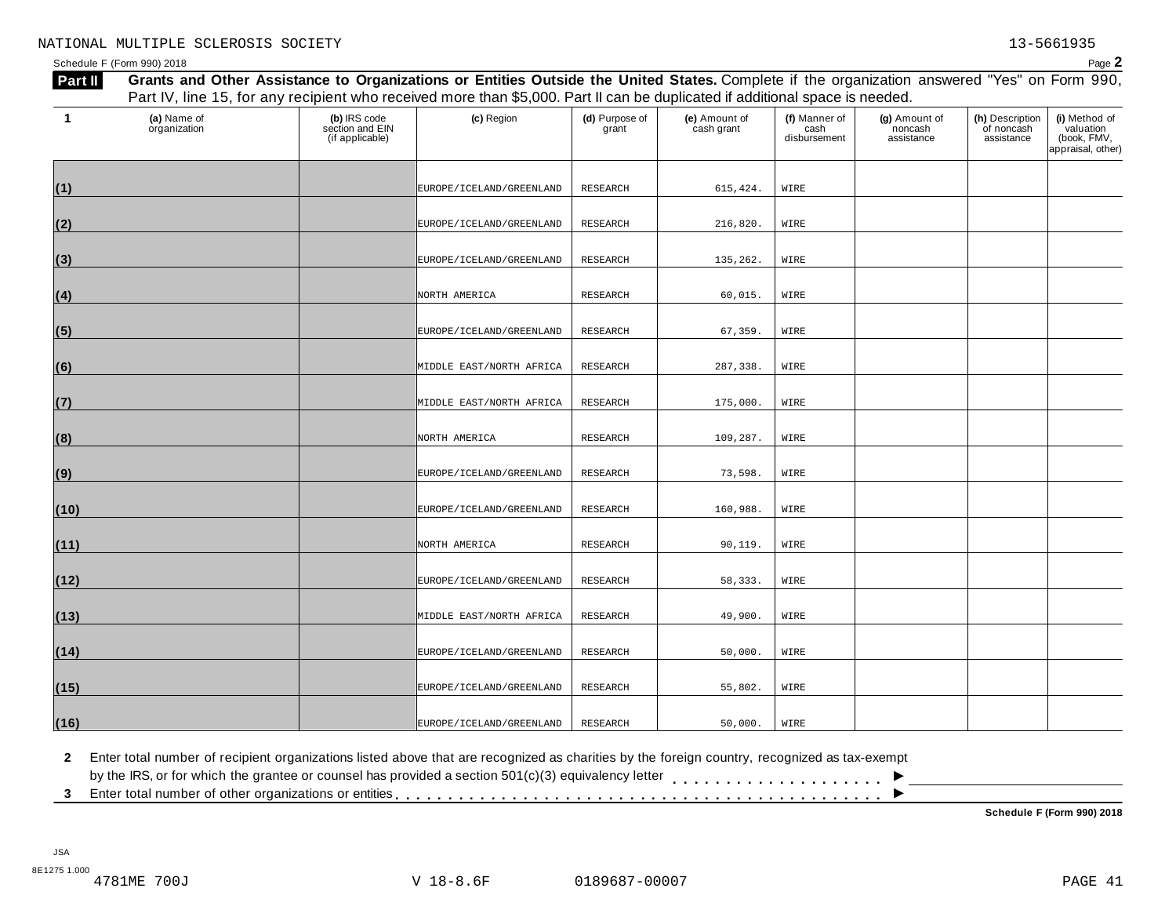Schedule <sup>F</sup> (Form 990) <sup>2018</sup> Page **2** Part I Grants and Other Assistance to Organizations or Entities Outside the United States. Complete if the organization answered "Yes" on Form 990, Part IV, line 15, for any recipient who received more than \$5,000. Part II can be duplicated if additional space is needed. **(a)** Name of **(b)** IRS code **(c)** Region **(d)** Purpose of **(e)** Amount of **(f)** Manner of **(g)** Amount of

| 1    | (a) Name of<br>organization | (b) IRS code<br>section and EIN<br>(if applicable) | (c) Region               | (d) Purpose of<br>grant | (e) Amount of<br>cash grant | (f) Manner of<br>cash<br>disbursement | (g) Amount of<br>noncash<br>assistance | (h) Description<br>of noncash<br>assistance | (i) Method of<br>valuation<br>(book, FMV,<br>appraisal, other) |
|------|-----------------------------|----------------------------------------------------|--------------------------|-------------------------|-----------------------------|---------------------------------------|----------------------------------------|---------------------------------------------|----------------------------------------------------------------|
| (1)  |                             |                                                    | EUROPE/ICELAND/GREENLAND | RESEARCH                | 615,424.                    | WIRE                                  |                                        |                                             |                                                                |
| (2)  |                             |                                                    | EUROPE/ICELAND/GREENLAND | RESEARCH                | 216,820.                    | WIRE                                  |                                        |                                             |                                                                |
| (3)  |                             |                                                    | EUROPE/ICELAND/GREENLAND | RESEARCH                | 135,262.                    | WIRE                                  |                                        |                                             |                                                                |
| (4)  |                             |                                                    | NORTH AMERICA            | RESEARCH                | 60,015.                     | WIRE                                  |                                        |                                             |                                                                |
| (5)  |                             |                                                    | EUROPE/ICELAND/GREENLAND | <b>RESEARCH</b>         | 67,359.                     | WIRE                                  |                                        |                                             |                                                                |
| (6)  |                             |                                                    | MIDDLE EAST/NORTH AFRICA | RESEARCH                | 287,338.                    | WIRE                                  |                                        |                                             |                                                                |
| (7)  |                             |                                                    | MIDDLE EAST/NORTH AFRICA | <b>RESEARCH</b>         | 175,000.                    | WIRE                                  |                                        |                                             |                                                                |
| (8)  |                             |                                                    | NORTH AMERICA            | RESEARCH                | 109,287.                    | WIRE                                  |                                        |                                             |                                                                |
| (9)  |                             |                                                    | EUROPE/ICELAND/GREENLAND | <b>RESEARCH</b>         | 73,598.                     | WIRE                                  |                                        |                                             |                                                                |
| (10) |                             |                                                    | EUROPE/ICELAND/GREENLAND | RESEARCH                | 160,988.                    | WIRE                                  |                                        |                                             |                                                                |
| (11) |                             |                                                    | NORTH AMERICA            | RESEARCH                | 90,119.                     | WIRE                                  |                                        |                                             |                                                                |
| (12) |                             |                                                    | EUROPE/ICELAND/GREENLAND | RESEARCH                | 58,333.                     | WIRE                                  |                                        |                                             |                                                                |
| (13) |                             |                                                    | MIDDLE EAST/NORTH AFRICA | <b>RESEARCH</b>         | 49,900.                     | WIRE                                  |                                        |                                             |                                                                |
| (14) |                             |                                                    | EUROPE/ICELAND/GREENLAND | RESEARCH                | 50,000.                     | WIRE                                  |                                        |                                             |                                                                |
| (15) |                             |                                                    | EUROPE/ICELAND/GREENLAND | RESEARCH                | 55,802.                     | WIRE                                  |                                        |                                             |                                                                |
| (16) |                             |                                                    | EUROPE/ICELAND/GREENLAND | RESEARCH                | 50,000.                     | WIRE                                  |                                        |                                             |                                                                |

**2** Enter total number of recipient organizations listed above that are recognized as charities by the foreign country, recognized as tax-exempt

 $\blacksquare$ <br>by the IRS, or for which the grantee or counsel has provided a section 501(c)(3) equivalency letter<br>3 Enter total number of other organizations or entities

**Schedule F (Form 990) 2018**

 $\overline{\phantom{a}}$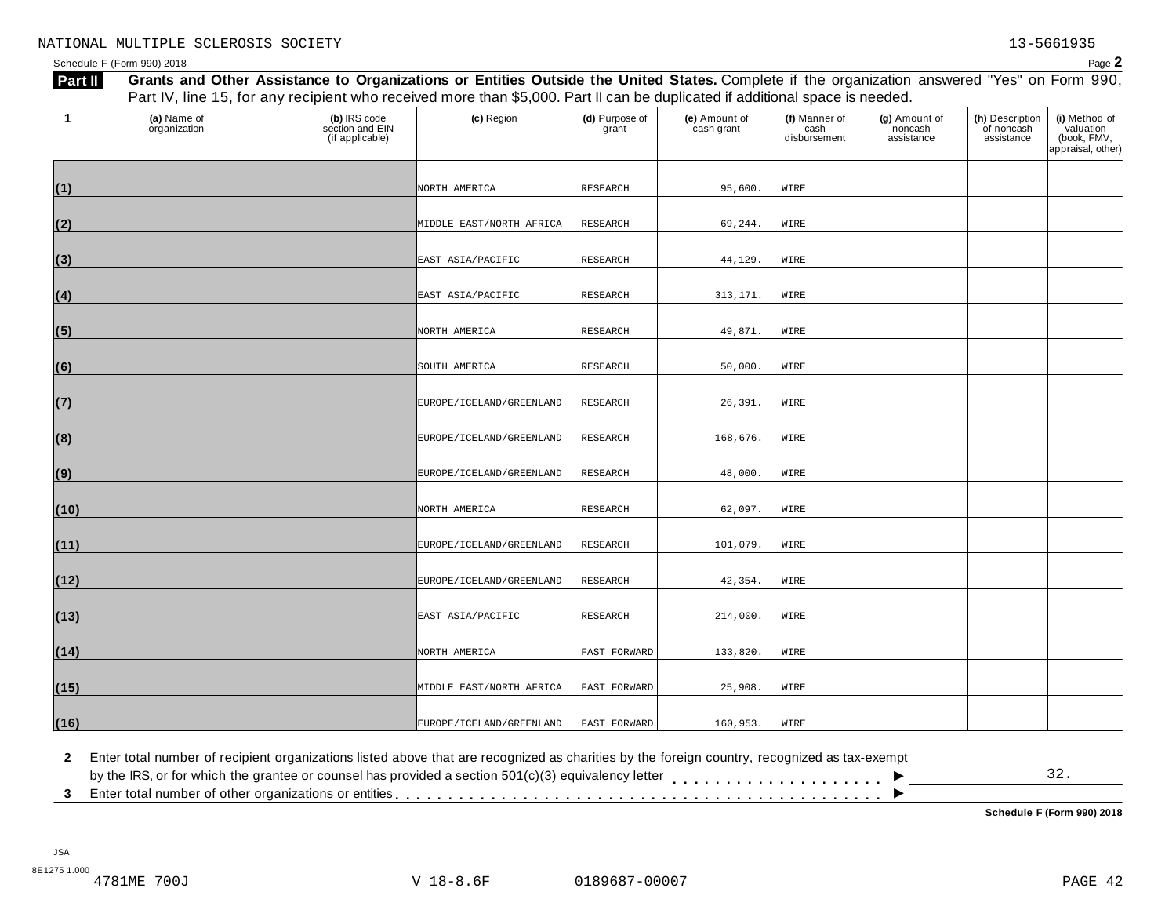Schedule <sup>F</sup> (Form 990) <sup>2018</sup> Page **2**

| Part II | Grants and Other Assistance to Organizations or Entities Outside the United States. Complete if the organization answered "Yes" on Form 990, |                                                    |                              |                         |                             |                                       |                                        |                                             |                                                                |
|---------|----------------------------------------------------------------------------------------------------------------------------------------------|----------------------------------------------------|------------------------------|-------------------------|-----------------------------|---------------------------------------|----------------------------------------|---------------------------------------------|----------------------------------------------------------------|
|         | Part IV, line 15, for any recipient who received more than \$5,000. Part II can be duplicated if additional space is needed.                 |                                                    |                              |                         |                             |                                       |                                        |                                             |                                                                |
| -1      | (a) Name of<br>organization                                                                                                                  | (b) IRS code<br>section and EIN<br>(if applicable) | (c) Region                   | (d) Purpose of<br>grant | (e) Amount of<br>cash grant | (f) Manner of<br>cash<br>disbursement | (g) Amount of<br>noncash<br>assistance | (h) Description<br>of noncash<br>assistance | (i) Method of<br>valuation<br>(book, FMV,<br>appraisal, other) |
| (1)     |                                                                                                                                              |                                                    | NORTH AMERICA                | RESEARCH                | 95,600.                     | WIRE                                  |                                        |                                             |                                                                |
| (2)     |                                                                                                                                              |                                                    | MIDDLE EAST/NORTH AFRICA     | <b>RESEARCH</b>         | 69,244.                     | WIRE                                  |                                        |                                             |                                                                |
| (3)     |                                                                                                                                              |                                                    | EAST ASIA/PACIFIC            | RESEARCH                | 44,129.                     | WIRE                                  |                                        |                                             |                                                                |
| (4)     |                                                                                                                                              |                                                    | EAST ASIA/PACIFIC            | RESEARCH                | 313, 171.                   | WIRE                                  |                                        |                                             |                                                                |
| (5)     |                                                                                                                                              |                                                    | NORTH AMERICA                | RESEARCH                | 49,871.                     | WIRE                                  |                                        |                                             |                                                                |
| (6)     |                                                                                                                                              |                                                    | SOUTH AMERICA                | RESEARCH                | 50,000.                     | WIRE                                  |                                        |                                             |                                                                |
| (7)     |                                                                                                                                              |                                                    | EUROPE / ICELAND / GREENLAND | RESEARCH                | 26,391.                     | WIRE                                  |                                        |                                             |                                                                |
| (8)     |                                                                                                                                              |                                                    | EUROPE/ICELAND/GREENLAND     | <b>RESEARCH</b>         | 168,676.                    | WIRE                                  |                                        |                                             |                                                                |
| (9)     |                                                                                                                                              |                                                    | EUROPE / ICELAND / GREENLAND | RESEARCH                | 48,000.                     | WIRE                                  |                                        |                                             |                                                                |
| (10)    |                                                                                                                                              |                                                    | NORTH AMERICA                | <b>RESEARCH</b>         | 62,097.                     | WIRE                                  |                                        |                                             |                                                                |
| (11)    |                                                                                                                                              |                                                    | EUROPE/ICELAND/GREENLAND     | RESEARCH                | 101,079.                    | WIRE                                  |                                        |                                             |                                                                |
| (12)    |                                                                                                                                              |                                                    | EUROPE/ICELAND/GREENLAND     | RESEARCH                | 42,354.                     | WIRE                                  |                                        |                                             |                                                                |
| (13)    |                                                                                                                                              |                                                    | EAST ASIA/PACIFIC            | RESEARCH                | 214,000.                    | WIRE                                  |                                        |                                             |                                                                |
| (14)    |                                                                                                                                              |                                                    | NORTH AMERICA                | FAST FORWARD            | 133,820.                    | WIRE                                  |                                        |                                             |                                                                |
| (15)    |                                                                                                                                              |                                                    | MIDDLE EAST/NORTH AFRICA     | FAST FORWARD            | 25,908.                     | WIRE                                  |                                        |                                             |                                                                |
| (16)    |                                                                                                                                              |                                                    | EUROPE / ICELAND / GREENLAND | FAST FORWARD            | 160,953.                    | WIRE                                  |                                        |                                             |                                                                |

**2** Enter total number of recipient organizations listed above that are recognized as charities by the foreign country, recognized as tax-exempt

| 3 Enter total number of other organizations or entities entiries of the state of the state of $\mathbb{R}^+$                               |
|--------------------------------------------------------------------------------------------------------------------------------------------|
| by the IRS, or for which the grantee or counsel has provided a section 501(c)(3) equivalency letter                                        |
| Enter total number of recipient organizations iisted above that are recognized as channes by the foreign country, recognized as tax-exempt |

**Schedule F (Form 990) 2018**

32.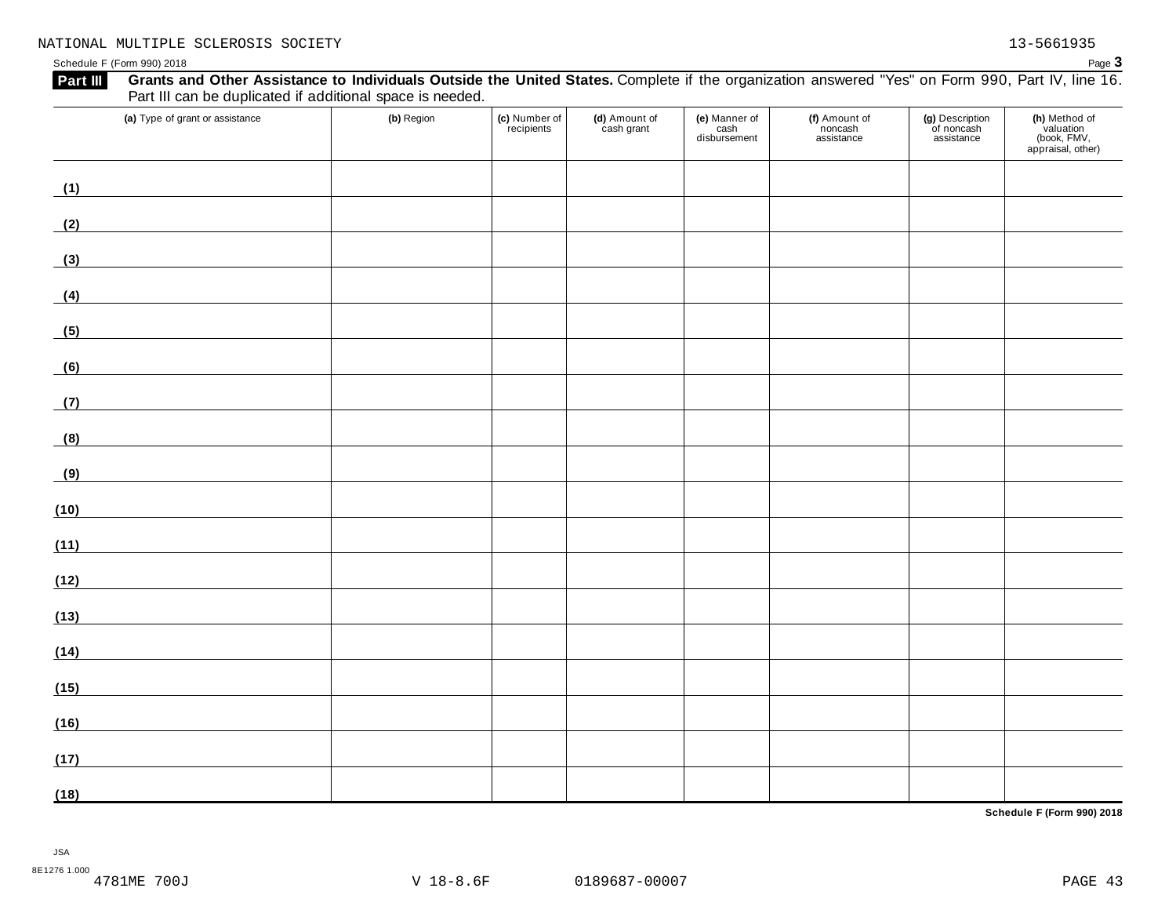| Grants and Other Assistance to Individuals Outside the United States. Complete if the organization answered "Yes" on Form 990, Part IV, line 16.<br>Part III<br>Part III can be duplicated if additional space is needed. |            |                             |                             |                                    |                                        |                                             |                                                                |
|---------------------------------------------------------------------------------------------------------------------------------------------------------------------------------------------------------------------------|------------|-----------------------------|-----------------------------|------------------------------------|----------------------------------------|---------------------------------------------|----------------------------------------------------------------|
| (a) Type of grant or assistance                                                                                                                                                                                           | (b) Region | (c) Number of<br>recipients | (d) Amount of<br>cash grant | (e) Manner of cash<br>disbursement | (f) Amount of<br>noncash<br>assistance | (g) Description<br>of noncash<br>assistance | (h) Method of<br>valuation<br>(book, FMV,<br>appraisal, other) |
| (1)                                                                                                                                                                                                                       |            |                             |                             |                                    |                                        |                                             |                                                                |
| (2)                                                                                                                                                                                                                       |            |                             |                             |                                    |                                        |                                             |                                                                |
| (3)<br><u> 1989 - Johann Barn, mars ann an t-Amhain</u>                                                                                                                                                                   |            |                             |                             |                                    |                                        |                                             |                                                                |
| (4)                                                                                                                                                                                                                       |            |                             |                             |                                    |                                        |                                             |                                                                |
| (5)<br><u> 1989 - Andrea Station Books, amerikansk politiker (</u>                                                                                                                                                        |            |                             |                             |                                    |                                        |                                             |                                                                |
| (6)                                                                                                                                                                                                                       |            |                             |                             |                                    |                                        |                                             |                                                                |
| (7)                                                                                                                                                                                                                       |            |                             |                             |                                    |                                        |                                             |                                                                |
| (8)<br><u> 1980 - Andrea Station Books, amerikansk politik (</u>                                                                                                                                                          |            |                             |                             |                                    |                                        |                                             |                                                                |
| (9)                                                                                                                                                                                                                       |            |                             |                             |                                    |                                        |                                             |                                                                |
| (10)                                                                                                                                                                                                                      |            |                             |                             |                                    |                                        |                                             |                                                                |
| (11)                                                                                                                                                                                                                      |            |                             |                             |                                    |                                        |                                             |                                                                |
| (12)                                                                                                                                                                                                                      |            |                             |                             |                                    |                                        |                                             |                                                                |
| (13)                                                                                                                                                                                                                      |            |                             |                             |                                    |                                        |                                             |                                                                |
| (14)                                                                                                                                                                                                                      |            |                             |                             |                                    |                                        |                                             |                                                                |
| (15)                                                                                                                                                                                                                      |            |                             |                             |                                    |                                        |                                             |                                                                |
| (16)                                                                                                                                                                                                                      |            |                             |                             |                                    |                                        |                                             |                                                                |
| (17)                                                                                                                                                                                                                      |            |                             |                             |                                    |                                        |                                             |                                                                |
| (18)                                                                                                                                                                                                                      |            |                             |                             |                                    |                                        |                                             |                                                                |

**Schedule F (Form 990) 2018**

JSA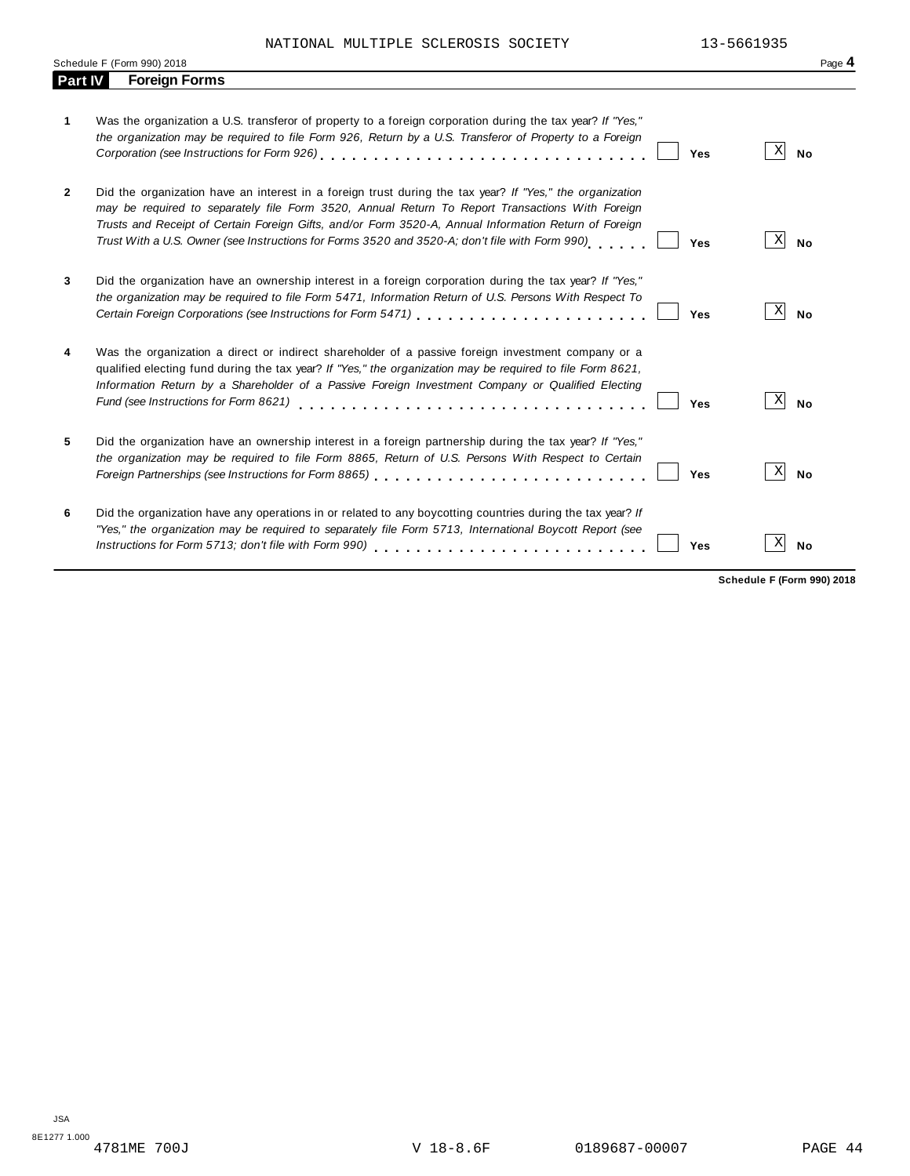|                | Schedule F (Form 990) 2018                                                                                                                                                                                                                                                                                                                                                                                                    | Page 4                       |
|----------------|-------------------------------------------------------------------------------------------------------------------------------------------------------------------------------------------------------------------------------------------------------------------------------------------------------------------------------------------------------------------------------------------------------------------------------|------------------------------|
| <b>Part IV</b> | <b>Foreign Forms</b>                                                                                                                                                                                                                                                                                                                                                                                                          |                              |
| 1              | Was the organization a U.S. transferor of property to a foreign corporation during the tax year? If "Yes,"<br>the organization may be required to file Form 926, Return by a U.S. Transferor of Property to a Foreign<br>Yes                                                                                                                                                                                                  | Χ<br><b>No</b>               |
| $\overline{2}$ | Did the organization have an interest in a foreign trust during the tax year? If "Yes," the organization<br>may be required to separately file Form 3520, Annual Return To Report Transactions With Foreign<br>Trusts and Receipt of Certain Foreign Gifts, and/or Form 3520-A, Annual Information Return of Foreign<br>Trust With a U.S. Owner (see Instructions for Forms 3520 and 3520-A; don't file with Form 990)<br>Yes | Χ<br><b>No</b>               |
| 3              | Did the organization have an ownership interest in a foreign corporation during the tax year? If "Yes,"<br>the organization may be required to file Form 5471, Information Return of U.S. Persons With Respect To<br>Yes                                                                                                                                                                                                      | $\vert X \vert$<br><b>No</b> |
| 4              | Was the organization a direct or indirect shareholder of a passive foreign investment company or a<br>qualified electing fund during the tax year? If "Yes," the organization may be required to file Form 8621,<br>Information Return by a Shareholder of a Passive Foreign Investment Company or Qualified Electing<br>Fund (see Instructions for Form 8621)<br>Yes                                                         | X<br><b>No</b>               |
| 5              | Did the organization have an ownership interest in a foreign partnership during the tax year? If "Yes,"<br>the organization may be required to file Form 8865, Return of U.S. Persons With Respect to Certain<br>Foreign Partnerships (see Instructions for Form 8865)<br>Yes                                                                                                                                                 | X<br><b>No</b>               |
| 6              | Did the organization have any operations in or related to any boycotting countries during the tax year? If<br>"Yes," the organization may be required to separately file Form 5713, International Boycott Report (see<br>Instructions for Form 5713; don't file with Form 990)<br>Yes                                                                                                                                         | Х<br><b>No</b>               |

**Schedule F (Form 990) 2018**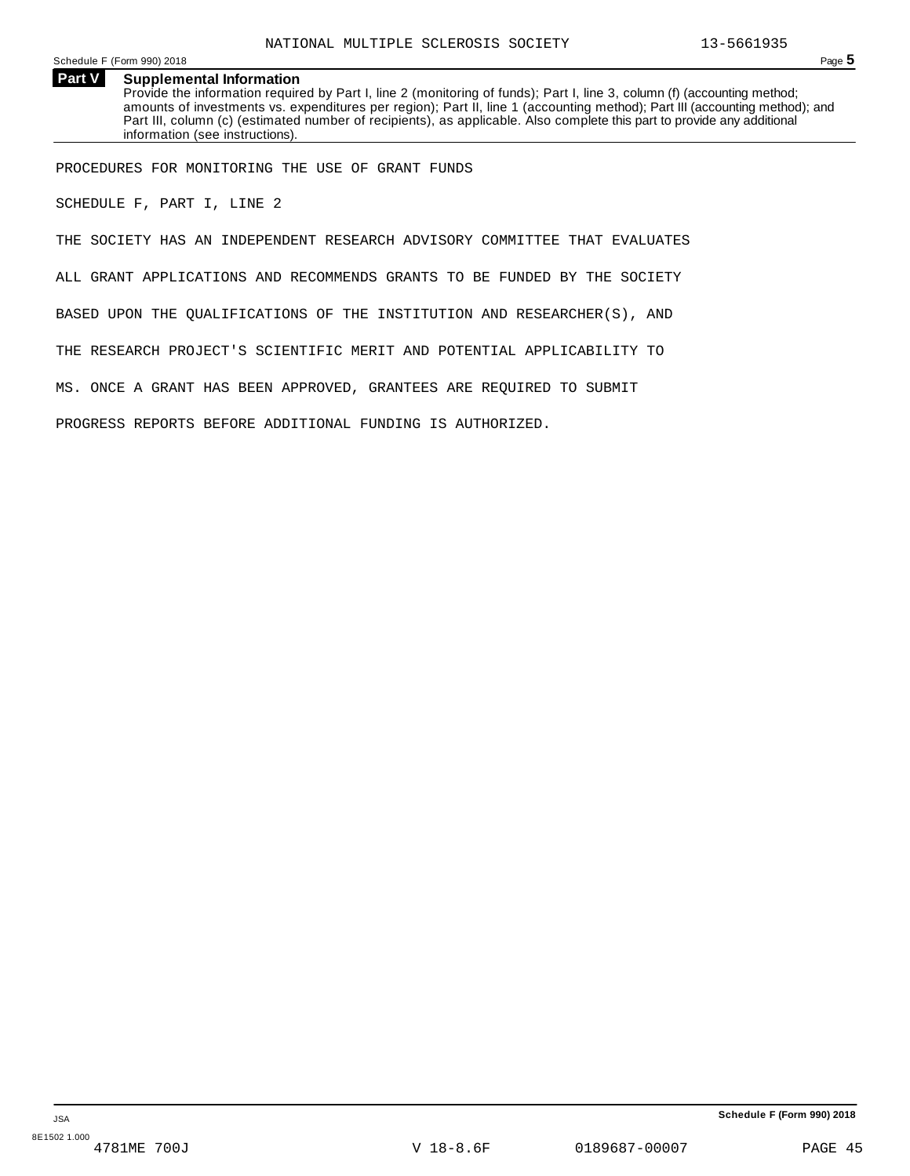Schedule <sup>F</sup> (Form 990) <sup>2018</sup> Page **5**

**Part V Supplemental Information** Provide the information required by Part I, line 2 (monitoring of funds); Part I, line 3, column (f) (accounting method; amounts of investments vs. expenditures per region); Part II, line 1 (accounting method); Part III (accounting method); and Part III, column (c) (estimated number of recipients), as applicable. Also complete this part to provide any additional information (see instructions).

PROCEDURES FOR MONITORING THE USE OF GRANT FUNDS

SCHEDULE F, PART I, LINE 2

THE SOCIETY HAS AN INDEPENDENT RESEARCH ADVISORY COMMITTEE THAT EVALUATES

ALL GRANT APPLICATIONS AND RECOMMENDS GRANTS TO BE FUNDED BY THE SOCIETY

BASED UPON THE QUALIFICATIONS OF THE INSTITUTION AND RESEARCHER(S), AND

THE RESEARCH PROJECT'S SCIENTIFIC MERIT AND POTENTIAL APPLICABILITY TO

MS. ONCE A GRANT HAS BEEN APPROVED, GRANTEES ARE REQUIRED TO SUBMIT

PROGRESS REPORTS BEFORE ADDITIONAL FUNDING IS AUTHORIZED.

JSA

8E1502 1.000<br>4781ME 700J

**Schedule F (Form 990) 2018**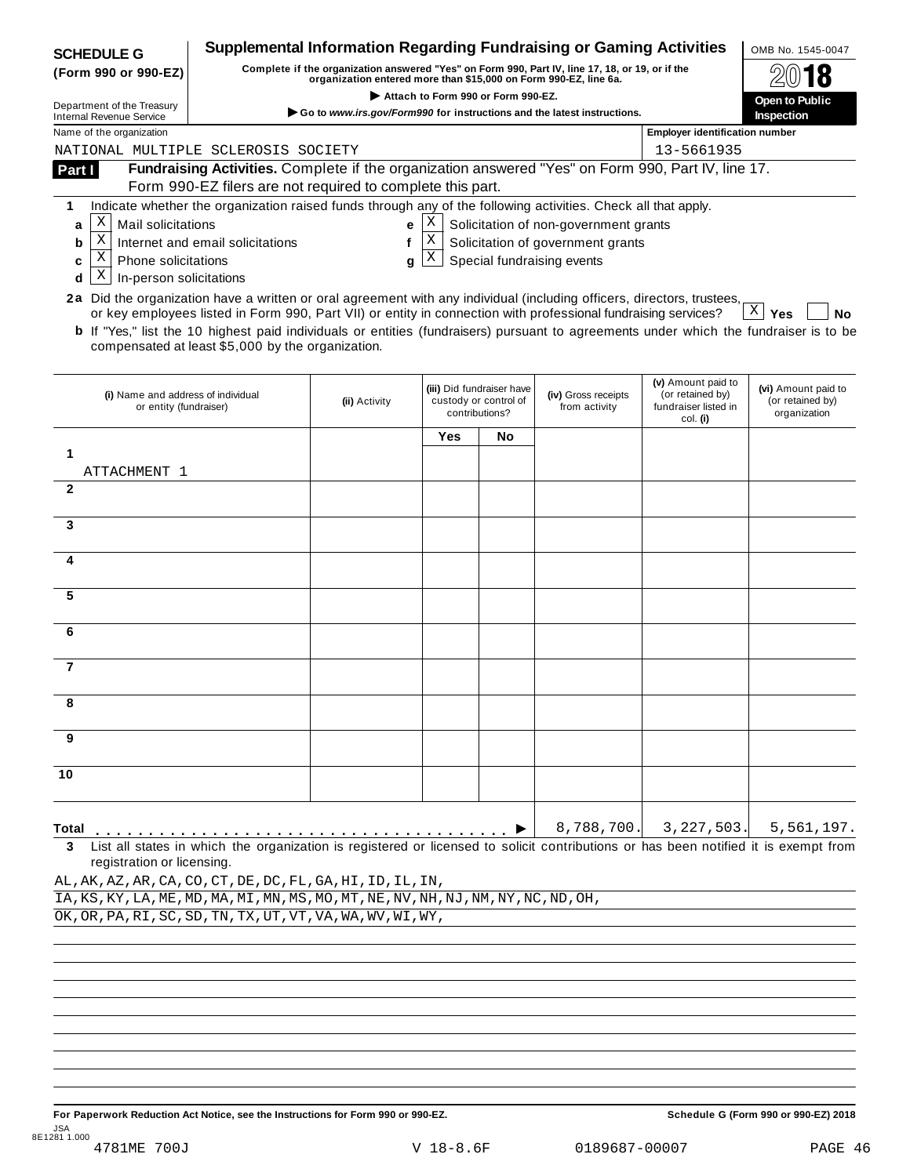| <b>SCHEDULE G</b>                                                                                                      |                                                                                                                                                                                                   | <b>Supplemental Information Regarding Fundraising or Gaming Activities</b> |     |                           |                                       |                                          | OMB No. 1545-0047         |  |  |
|------------------------------------------------------------------------------------------------------------------------|---------------------------------------------------------------------------------------------------------------------------------------------------------------------------------------------------|----------------------------------------------------------------------------|-----|---------------------------|---------------------------------------|------------------------------------------|---------------------------|--|--|
| (Form 990 or 990-EZ)                                                                                                   | Complete if the organization answered "Yes" on Form 990, Part IV, line 17, 18, or 19, or if the                                                                                                   |                                                                            |     |                           |                                       |                                          |                           |  |  |
| Department of the Treasury                                                                                             | organization entered more than \$15,000 on Form 990-EZ, line 6a.<br>Attach to Form 990 or Form 990-EZ.                                                                                            |                                                                            |     |                           |                                       |                                          | Open to Public            |  |  |
| <b>Internal Revenue Service</b>                                                                                        | Go to www.irs.gov/Form990 for instructions and the latest instructions.                                                                                                                           |                                                                            |     |                           |                                       |                                          |                           |  |  |
| Name of the organization                                                                                               |                                                                                                                                                                                                   |                                                                            |     |                           |                                       | <b>Employer identification number</b>    |                           |  |  |
| NATIONAL MULTIPLE SCLEROSIS SOCIETY                                                                                    | Fundraising Activities. Complete if the organization answered "Yes" on Form 990, Part IV, line 17.                                                                                                |                                                                            |     |                           |                                       | 13-5661935                               |                           |  |  |
| Part I                                                                                                                 | Form 990-EZ filers are not required to complete this part.                                                                                                                                        |                                                                            |     |                           |                                       |                                          |                           |  |  |
| 1                                                                                                                      | Indicate whether the organization raised funds through any of the following activities. Check all that apply.                                                                                     |                                                                            |     |                           |                                       |                                          |                           |  |  |
| Χ<br>Mail solicitations<br>a                                                                                           |                                                                                                                                                                                                   | e                                                                          | Χ   |                           | Solicitation of non-government grants |                                          |                           |  |  |
| $\mathbf X$<br>b                                                                                                       | Internet and email solicitations                                                                                                                                                                  | f                                                                          | X   |                           | Solicitation of government grants     |                                          |                           |  |  |
| Χ<br><b>Phone solicitations</b><br>c                                                                                   |                                                                                                                                                                                                   | g                                                                          | X   |                           | Special fundraising events            |                                          |                           |  |  |
| Χ<br>In-person solicitations<br>d                                                                                      |                                                                                                                                                                                                   |                                                                            |     |                           |                                       |                                          |                           |  |  |
| 2a Did the organization have a written or oral agreement with any individual (including officers, directors, trustees, |                                                                                                                                                                                                   |                                                                            |     |                           |                                       |                                          |                           |  |  |
|                                                                                                                        | or key employees listed in Form 990, Part VII) or entity in connection with professional fundraising services?                                                                                    |                                                                            |     |                           |                                       |                                          | $\mathbf{X}$<br>Yes<br>No |  |  |
|                                                                                                                        | <b>b</b> If "Yes," list the 10 highest paid individuals or entities (fundraisers) pursuant to agreements under which the fundraiser is to be<br>compensated at least \$5,000 by the organization. |                                                                            |     |                           |                                       |                                          |                           |  |  |
|                                                                                                                        |                                                                                                                                                                                                   |                                                                            |     |                           |                                       |                                          |                           |  |  |
|                                                                                                                        |                                                                                                                                                                                                   |                                                                            |     | (iii) Did fundraiser have |                                       | (v) Amount paid to                       | (vi) Amount paid to       |  |  |
| (i) Name and address of individual<br>or entity (fundraiser)                                                           |                                                                                                                                                                                                   | (ii) Activity                                                              |     | custody or control of     | (iv) Gross receipts<br>from activity  | (or retained by)<br>fundraiser listed in | (or retained by)          |  |  |
|                                                                                                                        |                                                                                                                                                                                                   |                                                                            |     | contributions?            |                                       | col. (i)                                 | organization              |  |  |
|                                                                                                                        |                                                                                                                                                                                                   |                                                                            | Yes | No                        |                                       |                                          |                           |  |  |
| 1                                                                                                                      |                                                                                                                                                                                                   |                                                                            |     |                           |                                       |                                          |                           |  |  |
| ATTACHMENT 1<br>$\mathbf{2}$                                                                                           |                                                                                                                                                                                                   |                                                                            |     |                           |                                       |                                          |                           |  |  |
|                                                                                                                        |                                                                                                                                                                                                   |                                                                            |     |                           |                                       |                                          |                           |  |  |
| 3                                                                                                                      |                                                                                                                                                                                                   |                                                                            |     |                           |                                       |                                          |                           |  |  |
|                                                                                                                        |                                                                                                                                                                                                   |                                                                            |     |                           |                                       |                                          |                           |  |  |
| 4                                                                                                                      |                                                                                                                                                                                                   |                                                                            |     |                           |                                       |                                          |                           |  |  |
|                                                                                                                        |                                                                                                                                                                                                   |                                                                            |     |                           |                                       |                                          |                           |  |  |
| 5                                                                                                                      |                                                                                                                                                                                                   |                                                                            |     |                           |                                       |                                          |                           |  |  |
| 6                                                                                                                      |                                                                                                                                                                                                   |                                                                            |     |                           |                                       |                                          |                           |  |  |
|                                                                                                                        |                                                                                                                                                                                                   |                                                                            |     |                           |                                       |                                          |                           |  |  |
| 7                                                                                                                      |                                                                                                                                                                                                   |                                                                            |     |                           |                                       |                                          |                           |  |  |
|                                                                                                                        |                                                                                                                                                                                                   |                                                                            |     |                           |                                       |                                          |                           |  |  |
|                                                                                                                        |                                                                                                                                                                                                   |                                                                            |     |                           |                                       |                                          |                           |  |  |
|                                                                                                                        |                                                                                                                                                                                                   |                                                                            |     |                           |                                       |                                          |                           |  |  |
| 9                                                                                                                      |                                                                                                                                                                                                   |                                                                            |     |                           |                                       |                                          |                           |  |  |
|                                                                                                                        |                                                                                                                                                                                                   |                                                                            |     |                           |                                       |                                          |                           |  |  |
| 10                                                                                                                     |                                                                                                                                                                                                   |                                                                            |     |                           |                                       |                                          |                           |  |  |
|                                                                                                                        |                                                                                                                                                                                                   |                                                                            |     |                           |                                       |                                          |                           |  |  |
| Total                                                                                                                  |                                                                                                                                                                                                   |                                                                            |     |                           | 8,788,700.                            | 3,227,503.                               | 5,561,197.                |  |  |
| 3                                                                                                                      | List all states in which the organization is registered or licensed to solicit contributions or has been notified it is exempt from                                                               |                                                                            |     |                           |                                       |                                          |                           |  |  |
| registration or licensing.                                                                                             |                                                                                                                                                                                                   |                                                                            |     |                           |                                       |                                          |                           |  |  |
| AL, AK, AZ, AR, CA, CO, CT, DE, DC, FL, GA, HI, ID, IL, IN,                                                            |                                                                                                                                                                                                   |                                                                            |     |                           |                                       |                                          |                           |  |  |
| IA, KS, KY, LA, ME, MD, MA, MI, MN, MS, MO, MT, NE, NV, NH, NJ, NM, NY, NC, ND, OH,                                    |                                                                                                                                                                                                   |                                                                            |     |                           |                                       |                                          |                           |  |  |
| OK, OR, PA, RI, SC, SD, TN, TX, UT, VT, VA, WA, WV, WI, WY,                                                            |                                                                                                                                                                                                   |                                                                            |     |                           |                                       |                                          |                           |  |  |
|                                                                                                                        |                                                                                                                                                                                                   |                                                                            |     |                           |                                       |                                          |                           |  |  |
|                                                                                                                        |                                                                                                                                                                                                   |                                                                            |     |                           |                                       |                                          |                           |  |  |
|                                                                                                                        |                                                                                                                                                                                                   |                                                                            |     |                           |                                       |                                          |                           |  |  |
|                                                                                                                        |                                                                                                                                                                                                   |                                                                            |     |                           |                                       |                                          |                           |  |  |
|                                                                                                                        |                                                                                                                                                                                                   |                                                                            |     |                           |                                       |                                          |                           |  |  |
|                                                                                                                        |                                                                                                                                                                                                   |                                                                            |     |                           |                                       |                                          |                           |  |  |
|                                                                                                                        |                                                                                                                                                                                                   |                                                                            |     |                           |                                       |                                          |                           |  |  |

For Paperwork Reduction Act Notice, see the Instructions for Form 990 or 990-EZ. Schedule G (Form 990 or 990-EZ) 2018 JSA 8E1281 1.000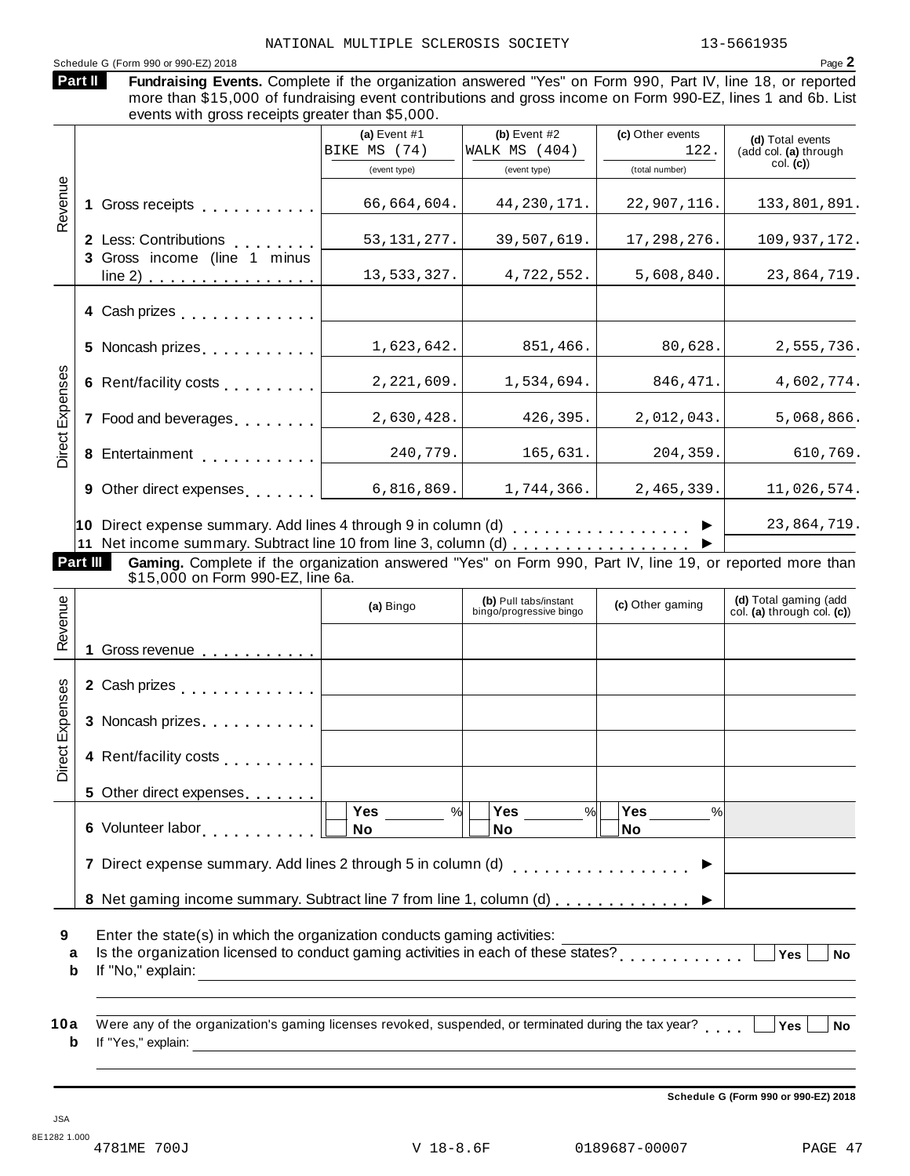Schedule <sup>G</sup> (Form <sup>990</sup> or 990-EZ) <sup>2018</sup> Page **2** Fundraising Events. Complete if the organization answered "Yes" on Form 990, Part IV, line 18, or reported more than \$15,000 of fundraising event contributions and gross income on Form 990-EZ, lines 1 and 6b. List events with gross receipts greater than \$5,000. **Part II (a)** Event #1 **(b)** Event #2 **(c)** Other events **(d)** Total events (add col. **(a)** through col. **(c)**) (event type) (event type) (total number) **1** Gross receipts **man man man m m m m m m m 2** Less: Contributions **3** Gross income (line 1 minus line 2) . . . . . . . . . . . . . . . Less: Contributions<br>Gross income (line 1 minus -Revenue<br>1<br>1 **4** Cash prizes . . . . . . . . . . . . **5** Noncash prizes  $\ldots \ldots \ldots$ **6** Rent/facility costs **manual 7** Food and beverages **manual 8**<br> **8** Entertainment<br> **8** Entertainment **9** Other direct expenses **manual 10** Direct expense summary. Add lines 4 through 9 in column (d) m m m m m m m m m m m m m m m m m I **11** Net income summary. Subtract line 10 from line 3, column (d) m m m m m m m m m m m m m m m m m I xpenses<br>v<br>v<br>v **Part III Gaming.** Complete if the organization answered "Yes" on Form 990, Part IV, line 19, or reported more than<br>\$15,000 on Form 990-EZ, line 6a. **(d)** Total gaming (add col. **(a)** through col. **(c)**) **(b)** Pull tabs/instant (a) Bingo **(b)** Pull tabs/instant **(c)** Other gaming **(c)** Other gaming  $\mathbb{E}\left[1\right]$  Gross revenue  $\ldots \ldots \ldots \ldots$ **2** Cash prizes **manual** measure in the manual  $\sim$ **3** Noncash prizes . . . . . . . . . . . œ venue **4** Rent/facility costs<br>
5 Other direct expenses....... **5** Other direct expenses **6** Volunteer labor **man m m m m m m m m m m m m m m m m m 7** Direct expense summary. Add lines 2 through 5 in column (d)  $\ldots$  . . . . . . . . . . . . . .  $\blacktriangleright$ 8 Net gaming income summary. Subtract line 7 from line 1, column (d)  $\ldots \ldots \ldots$ xpenses<br>3<br>x<br>3 **Yes No Yes No Yes No** % $\vert \quad \vert$  Yes \_\_\_\_\_\_ % $\vert \quad \vert$  Yes \_\_\_\_\_\_ % $\vert$ **9** Enter the state(s) in which the organization conducts gaming activities: Erner the state(s) in which the organization conducts gaming activities.<br> **a** Is the organization licensed to conduct gaming activities in each of these states?<br> **b** If the theoretic state of the state of the states of the **b** If "No," explain: NATIONAL MULTIPLE SCLEROSIS SOCIETY 13-5661935 BIKE MS (74) WALK MS (404) 122. 66,664,604. 44,230,171. 22,907,116. 133,801,891. 53,131,277. 39,507,619. 17,298,276. 109,937,172. 13,533,327. 4,722,552. 5,608,840. 23,864,719. 1,623,642. 851,466. 80,628. 2,555,736. 2,221,609. 1,534,694. 846,471. 4,602,774. 2,630,428. 426,395. 2,012,043. 5,068,866. 240,779. 165,631. 204,359. 610,769. 6,816,869. 1,744,366. 2,465,339. 11,026,574. 23,864,719.

**10** a Were any of the organization's gaming licenses revoked, suspended, or terminated during the tax year?<br>http://www.wali.in.com/industrial/industrial/industrial/industrial/industrial/industrial/industrial/industrial/ **b** If "Yes," explain:

**Schedule G (Form 990 or 990-EZ) 2018**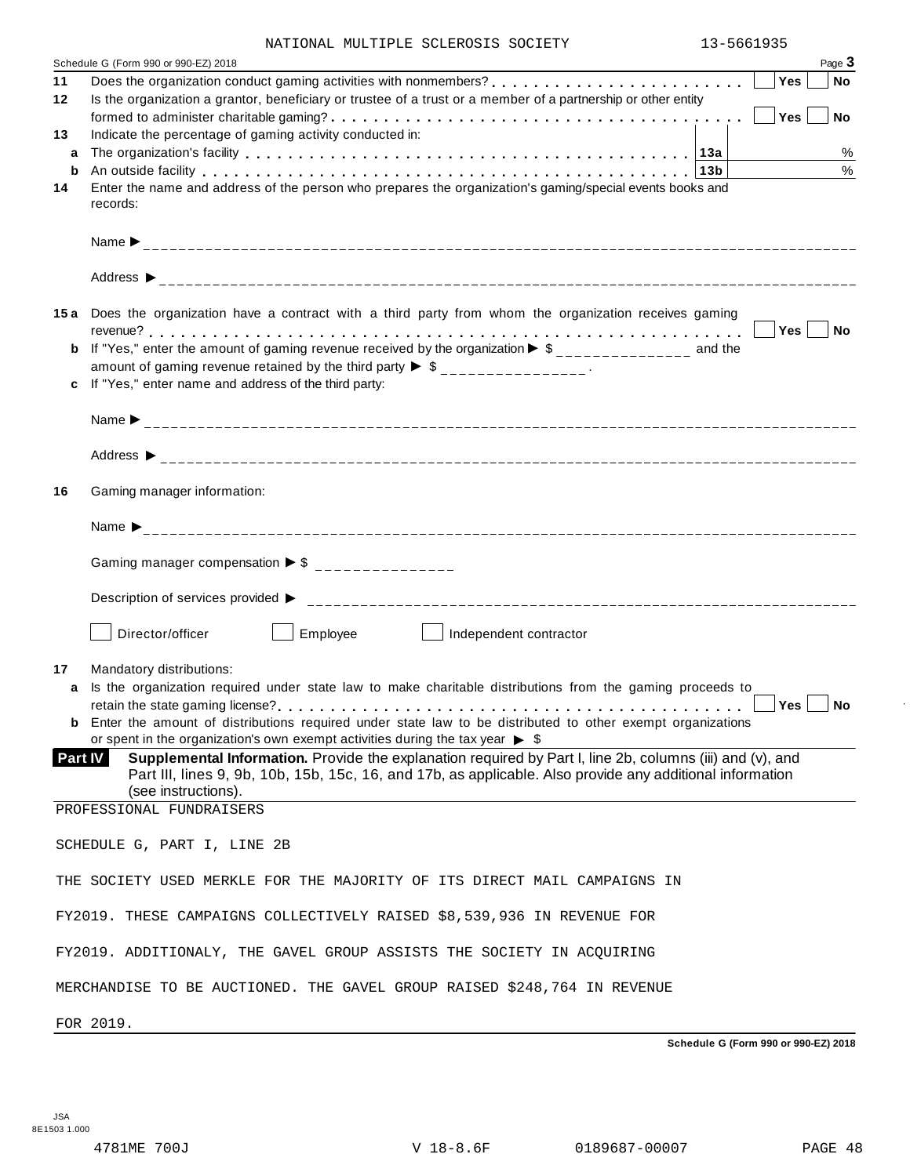| NATIONAL MULTIPLE SCLEROSIS SOCIETY |  | 13-5661935 |
|-------------------------------------|--|------------|
|                                     |  |            |

|         | Schedule G (Form 990 or 990-EZ) 2018                                                                                                                                                                                           |     | Page 3        |
|---------|--------------------------------------------------------------------------------------------------------------------------------------------------------------------------------------------------------------------------------|-----|---------------|
| 11      |                                                                                                                                                                                                                                | Yes | ∣ No          |
| 12      | Is the organization a grantor, beneficiary or trustee of a trust or a member of a partnership or other entity                                                                                                                  |     |               |
| 13      | Indicate the percentage of gaming activity conducted in:                                                                                                                                                                       | Yes | $ $ No        |
| a       |                                                                                                                                                                                                                                |     | $\%$          |
| b       | An outside facility enterpretence in the series of the series of the series of the series of the series of the series of the series of the series of the series of the series of the series of the series of the series of the |     | $\frac{0}{0}$ |
| 14      | Enter the name and address of the person who prepares the organization's gaming/special events books and                                                                                                                       |     |               |
|         | records:                                                                                                                                                                                                                       |     |               |
|         |                                                                                                                                                                                                                                |     |               |
|         |                                                                                                                                                                                                                                |     |               |
|         | 15a Does the organization have a contract with a third party from whom the organization receives gaming                                                                                                                        |     |               |
|         |                                                                                                                                                                                                                                |     |               |
|         | If "Yes," enter the amount of gaming revenue received by the organization $\blacktriangleright$ \$______________ and the                                                                                                       |     |               |
|         | amount of gaming revenue retained by the third party $\triangleright$ \$ _______________.                                                                                                                                      |     |               |
|         | If "Yes," enter name and address of the third party:                                                                                                                                                                           |     |               |
|         |                                                                                                                                                                                                                                |     |               |
|         |                                                                                                                                                                                                                                |     |               |
|         |                                                                                                                                                                                                                                |     |               |
| 16      | Gaming manager information:                                                                                                                                                                                                    |     |               |
|         |                                                                                                                                                                                                                                |     |               |
|         | Gaming manager compensation $\triangleright$ \$ ________________                                                                                                                                                               |     |               |
|         |                                                                                                                                                                                                                                |     |               |
|         | Director/officer<br>Employee<br>Independent contractor<br>the contract of the con-                                                                                                                                             |     |               |
| 17      | Mandatory distributions:                                                                                                                                                                                                       |     |               |
|         | Is the organization required under state law to make charitable distributions from the gaming proceeds to                                                                                                                      |     |               |
|         |                                                                                                                                                                                                                                | Yes | $ $ No        |
|         | <b>b</b> Enter the amount of distributions required under state law to be distributed to other exempt organizations<br>or spent in the organization's own exempt activities during the tax year $\triangleright$ \$            |     |               |
| Part IV | Supplemental Information. Provide the explanation required by Part I, line 2b, columns (iii) and (v), and<br>Part III, lines 9, 9b, 10b, 15b, 15c, 16, and 17b, as applicable. Also provide any additional information         |     |               |
|         | (see instructions).                                                                                                                                                                                                            |     |               |
|         | PROFESSIONAL FUNDRAISERS                                                                                                                                                                                                       |     |               |
|         | SCHEDULE G, PART I, LINE 2B                                                                                                                                                                                                    |     |               |
|         | THE SOCIETY USED MERKLE FOR THE MAJORITY OF ITS DIRECT MAIL CAMPAIGNS IN                                                                                                                                                       |     |               |
|         | FY2019. THESE CAMPAIGNS COLLECTIVELY RAISED \$8,539,936 IN REVENUE FOR                                                                                                                                                         |     |               |
|         | FY2019. ADDITIONALY, THE GAVEL GROUP ASSISTS THE SOCIETY IN ACQUIRING                                                                                                                                                          |     |               |
|         |                                                                                                                                                                                                                                |     |               |
|         | MERCHANDISE TO BE AUCTIONED. THE GAVEL GROUP RAISED \$248,764 IN REVENUE                                                                                                                                                       |     |               |

FOR 2019.

**Schedule G (Form 990 or 990-EZ) 2018**

 $\bar{ }$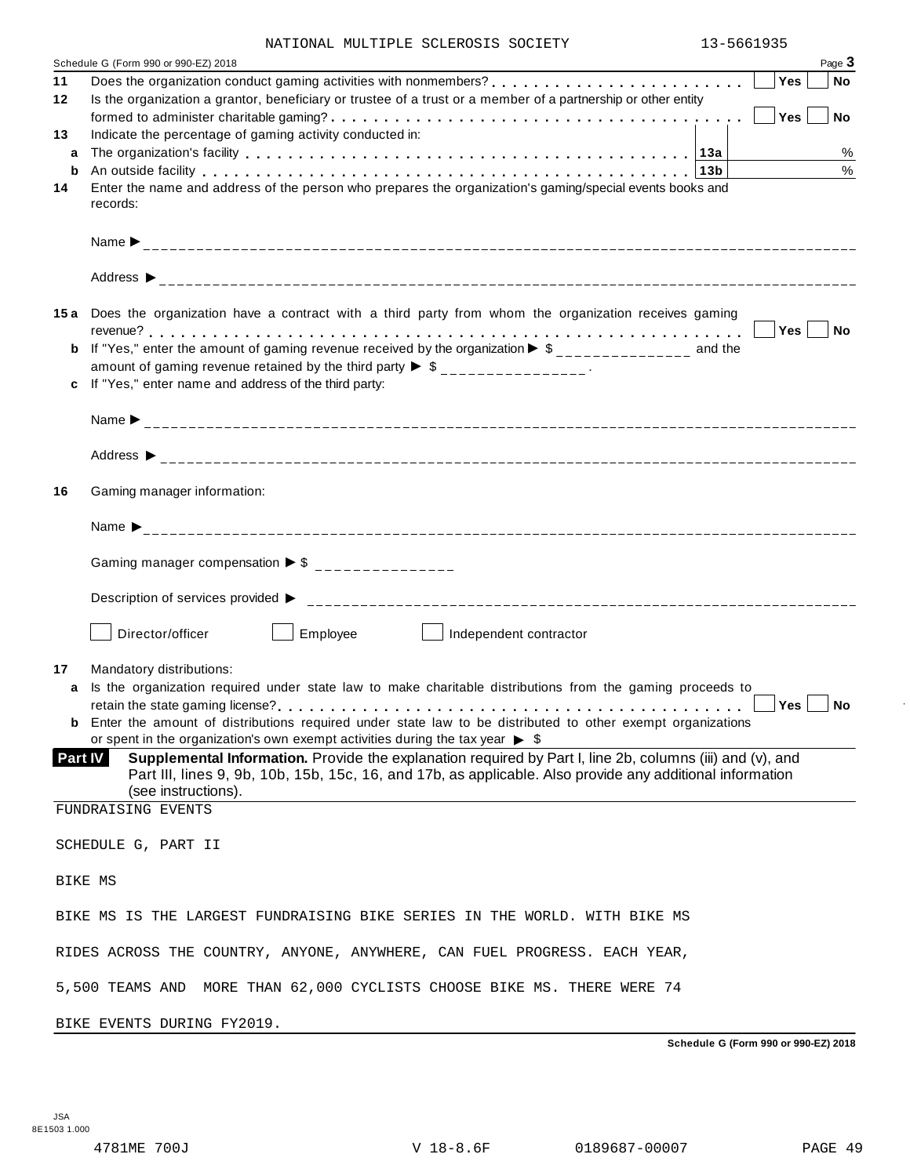| NATIONAL MULTIPLE SCLEROSIS SOCIETY |  | 13-5661935 |
|-------------------------------------|--|------------|
|                                     |  |            |

|    | Schedule G (Form 990 or 990-EZ) 2018                                                                                                                                                                                                                                                                                                      |     | Page 3     |
|----|-------------------------------------------------------------------------------------------------------------------------------------------------------------------------------------------------------------------------------------------------------------------------------------------------------------------------------------------|-----|------------|
| 11 |                                                                                                                                                                                                                                                                                                                                           | Yes | No         |
| 12 | Is the organization a grantor, beneficiary or trustee of a trust or a member of a partnership or other entity                                                                                                                                                                                                                             | Yes | <b>No</b>  |
| 13 | Indicate the percentage of gaming activity conducted in:                                                                                                                                                                                                                                                                                  |     |            |
| a  |                                                                                                                                                                                                                                                                                                                                           |     | $\%$       |
| b  | An outside facility enterpretation of the control of the control of the control of the control of the control of the control of the control of the control of the control of the control of the control of the control of the<br>Enter the name and address of the person who prepares the organization's gaming/special events books and |     | %          |
| 14 | records:                                                                                                                                                                                                                                                                                                                                  |     |            |
|    |                                                                                                                                                                                                                                                                                                                                           |     |            |
|    |                                                                                                                                                                                                                                                                                                                                           |     |            |
|    |                                                                                                                                                                                                                                                                                                                                           |     |            |
|    | 15a Does the organization have a contract with a third party from whom the organization receives gaming                                                                                                                                                                                                                                   |     |            |
|    |                                                                                                                                                                                                                                                                                                                                           |     | $ Yes $ No |
| b  | If "Yes," enter the amount of gaming revenue received by the organization $\blacktriangleright$ \$______________ and the<br>amount of gaming revenue retained by the third party $\triangleright$ \$ _______________.                                                                                                                     |     |            |
| c  | If "Yes," enter name and address of the third party:                                                                                                                                                                                                                                                                                      |     |            |
|    |                                                                                                                                                                                                                                                                                                                                           |     |            |
|    |                                                                                                                                                                                                                                                                                                                                           |     |            |
| 16 | Gaming manager information:                                                                                                                                                                                                                                                                                                               |     |            |
|    |                                                                                                                                                                                                                                                                                                                                           |     |            |
|    |                                                                                                                                                                                                                                                                                                                                           |     |            |
|    | Gaming manager compensation $\triangleright$ \$ _______________                                                                                                                                                                                                                                                                           |     |            |
|    |                                                                                                                                                                                                                                                                                                                                           |     |            |
|    | Director/officer<br>Employee<br>Independent contractor<br>the contract of the contract of                                                                                                                                                                                                                                                 |     |            |
| 17 | Mandatory distributions:                                                                                                                                                                                                                                                                                                                  |     |            |
| a  | Is the organization required under state law to make charitable distributions from the gaming proceeds to                                                                                                                                                                                                                                 |     |            |
|    | <b>b</b> Enter the amount of distributions required under state law to be distributed to other exempt organizations                                                                                                                                                                                                                       |     | Yes No     |
|    | or spent in the organization's own exempt activities during the tax year $\triangleright$ \$                                                                                                                                                                                                                                              |     |            |
|    | Supplemental Information. Provide the explanation required by Part I, line 2b, columns (iii) and (v), and<br><b>Part IV</b>                                                                                                                                                                                                               |     |            |
|    | Part III, lines 9, 9b, 10b, 15b, 15c, 16, and 17b, as applicable. Also provide any additional information<br>(see instructions).                                                                                                                                                                                                          |     |            |
|    | FUNDRAISING EVENTS                                                                                                                                                                                                                                                                                                                        |     |            |
|    | SCHEDULE G, PART II                                                                                                                                                                                                                                                                                                                       |     |            |
|    | BIKE MS                                                                                                                                                                                                                                                                                                                                   |     |            |
|    | BIKE MS IS THE LARGEST FUNDRAISING BIKE SERIES IN THE WORLD. WITH BIKE MS                                                                                                                                                                                                                                                                 |     |            |
|    | RIDES ACROSS THE COUNTRY, ANYONE, ANYWHERE, CAN FUEL PROGRESS. EACH YEAR,                                                                                                                                                                                                                                                                 |     |            |
|    | 5,500 TEAMS AND MORE THAN 62,000 CYCLISTS CHOOSE BIKE MS. THERE WERE 74                                                                                                                                                                                                                                                                   |     |            |
|    |                                                                                                                                                                                                                                                                                                                                           |     |            |
|    | BIKE EVENTS DURING FY2019.                                                                                                                                                                                                                                                                                                                |     |            |

**Schedule G (Form 990 or 990-EZ) 2018**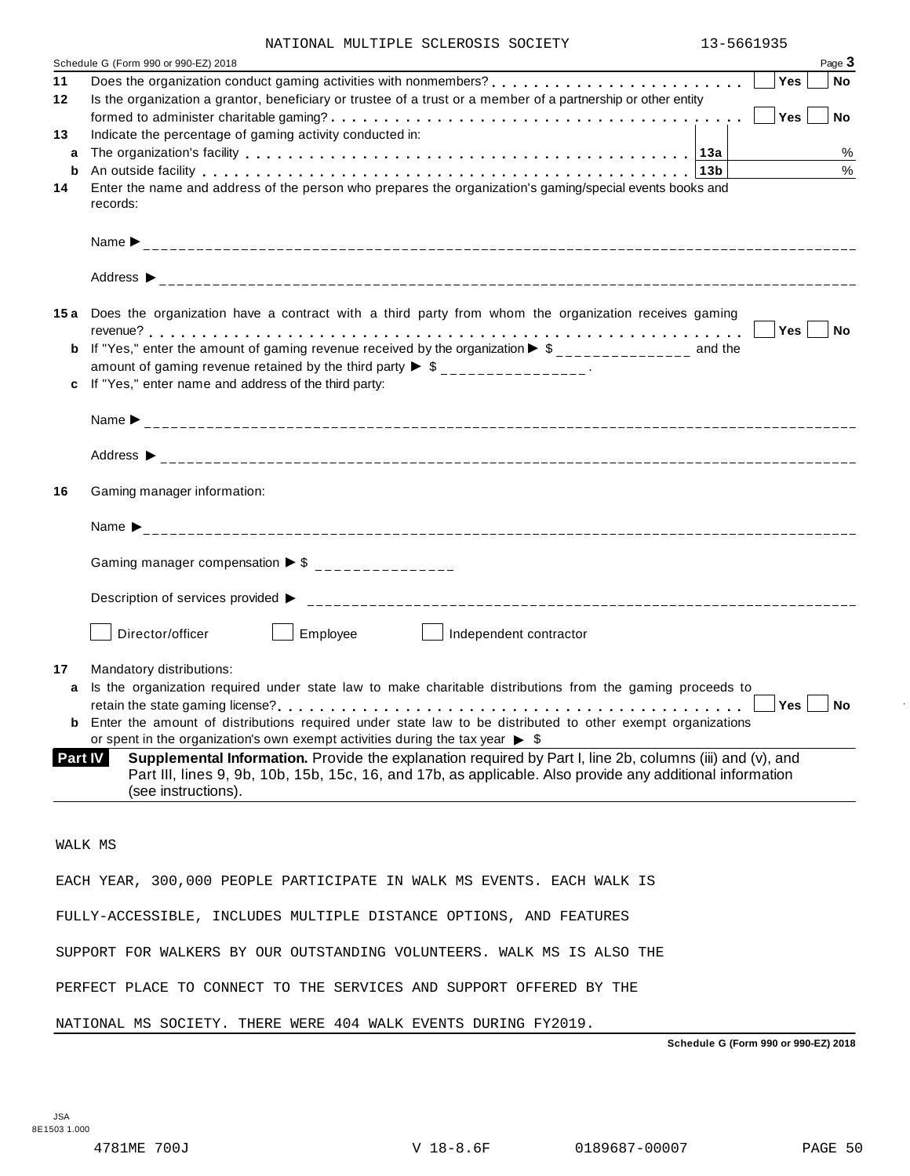| NATIONAL MULTIPLE SCLEROSIS SOCIETY |  | 13-5661935 |
|-------------------------------------|--|------------|
|                                     |  |            |

|         | Schedule G (Form 990 or 990-EZ) 2018                                                                                                                                                                                                             |        | Page 3    |
|---------|--------------------------------------------------------------------------------------------------------------------------------------------------------------------------------------------------------------------------------------------------|--------|-----------|
| 11      | Does the organization conduct gaming activities with nonmembers?                                                                                                                                                                                 | Yes    | <b>No</b> |
| 12      | Is the organization a grantor, beneficiary or trustee of a trust or a member of a partnership or other entity                                                                                                                                    |        |           |
|         |                                                                                                                                                                                                                                                  | Yes    | No. No.   |
| 13      | Indicate the percentage of gaming activity conducted in:                                                                                                                                                                                         |        |           |
| a       |                                                                                                                                                                                                                                                  |        | $\%$      |
| b       | An outside facility enterpreteration of the control of the control of the control of the control of the control of the control of the control of the control of the control of the control of the control of the control of th                   |        | $\%$      |
| 14      | Enter the name and address of the person who prepares the organization's gaming/special events books and<br>records:                                                                                                                             |        |           |
|         |                                                                                                                                                                                                                                                  |        |           |
|         |                                                                                                                                                                                                                                                  |        |           |
|         | 15a Does the organization have a contract with a third party from whom the organization receives gaming                                                                                                                                          |        |           |
|         |                                                                                                                                                                                                                                                  | Yes No |           |
| b       | If "Yes," enter the amount of gaming revenue received by the organization $\blacktriangleright$ \$______________ and the                                                                                                                         |        |           |
|         | amount of gaming revenue retained by the third party $\triangleright$ \$ _______________.                                                                                                                                                        |        |           |
| c       | If "Yes," enter name and address of the third party:                                                                                                                                                                                             |        |           |
|         |                                                                                                                                                                                                                                                  |        |           |
|         |                                                                                                                                                                                                                                                  |        |           |
| 16      | Gaming manager information:                                                                                                                                                                                                                      |        |           |
|         |                                                                                                                                                                                                                                                  |        |           |
|         | Gaming manager compensation $\triangleright$ \$ _______________                                                                                                                                                                                  |        |           |
|         |                                                                                                                                                                                                                                                  |        |           |
|         | Employee<br>Director/officer<br>Independent contractor<br>and the state of the state                                                                                                                                                             |        |           |
| 17      | Mandatory distributions:                                                                                                                                                                                                                         |        |           |
| a       | Is the organization required under state law to make charitable distributions from the gaming proceeds to                                                                                                                                        |        |           |
|         |                                                                                                                                                                                                                                                  | Yes No |           |
|         | <b>b</b> Enter the amount of distributions required under state law to be distributed to other exempt organizations                                                                                                                              |        |           |
|         | or spent in the organization's own exempt activities during the tax year $\triangleright$ \$                                                                                                                                                     |        |           |
| Part IV | Supplemental Information. Provide the explanation required by Part I, line 2b, columns (iii) and $(v)$ , and<br>Part III, lines 9, 9b, 10b, 15b, 15c, 16, and 17b, as applicable. Also provide any additional information<br>(see instructions). |        |           |
|         |                                                                                                                                                                                                                                                  |        |           |
|         |                                                                                                                                                                                                                                                  |        |           |
|         | WALK MS                                                                                                                                                                                                                                          |        |           |
|         | EACH YEAR, 300,000 PEOPLE PARTICIPATE IN WALK MS EVENTS. EACH WALK IS                                                                                                                                                                            |        |           |
|         | FULLY-ACCESSIBLE, INCLUDES MULTIPLE DISTANCE OPTIONS, AND FEATURES                                                                                                                                                                               |        |           |
|         | SUPPORT FOR WALKERS BY OUR OUTSTANDING VOLUNTEERS. WALK MS IS ALSO THE                                                                                                                                                                           |        |           |
|         | PERFECT PLACE TO CONNECT TO THE SERVICES AND SUPPORT OFFERED BY THE                                                                                                                                                                              |        |           |

NATIONAL MS SOCIETY. THERE WERE 404 WALK EVENTS DURING FY2019.

**Schedule G (Form 990 or 990-EZ) 2018**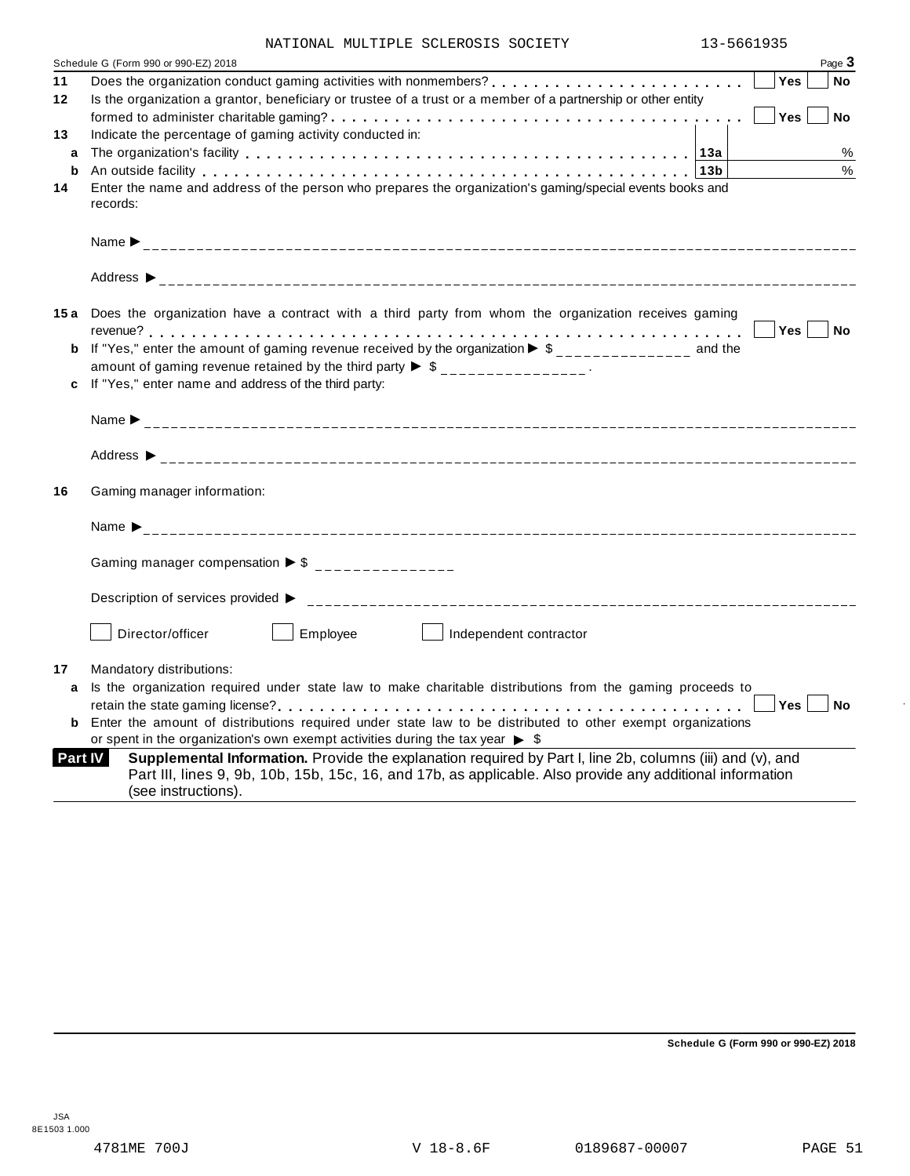| NATIONAL MULTIPLE SCLEROSIS SOCIETY |  | 13-5661935 |
|-------------------------------------|--|------------|

| 11 | Schedule G (Form 990 or 990-EZ) 2018<br>Page 3                                                                                                                                                                                                                  |
|----|-----------------------------------------------------------------------------------------------------------------------------------------------------------------------------------------------------------------------------------------------------------------|
|    | Does the organization conduct gaming activities with nonmembers?<br>Yes<br><b>No</b>                                                                                                                                                                            |
| 12 | Is the organization a grantor, beneficiary or trustee of a trust or a member of a partnership or other entity                                                                                                                                                   |
|    | Yes  <br><b>No</b>                                                                                                                                                                                                                                              |
| 13 | Indicate the percentage of gaming activity conducted in:                                                                                                                                                                                                        |
| a  | The organization's facility enterpreed on the set of the set of the set of the set of the set of the set of the set of the original set of the set of the set of the set of the set of the set of the set of the set of the se<br>%                             |
|    | %                                                                                                                                                                                                                                                               |
| 14 | Enter the name and address of the person who prepares the organization's gaming/special events books and<br>records:                                                                                                                                            |
|    |                                                                                                                                                                                                                                                                 |
|    |                                                                                                                                                                                                                                                                 |
|    | 15a Does the organization have a contract with a third party from whom the organization receives gaming                                                                                                                                                         |
|    | Yes No                                                                                                                                                                                                                                                          |
|    | <b>b</b> If "Yes," enter the amount of gaming revenue received by the organization $\triangleright$ \$ ______________ and the                                                                                                                                   |
|    | amount of gaming revenue retained by the third party $\triangleright$ \$ _______________.                                                                                                                                                                       |
|    | If "Yes," enter name and address of the third party:                                                                                                                                                                                                            |
|    |                                                                                                                                                                                                                                                                 |
|    |                                                                                                                                                                                                                                                                 |
| 16 | Gaming manager information:                                                                                                                                                                                                                                     |
|    | Name $\sum_{-2}$                                                                                                                                                                                                                                                |
|    | Gaming manager compensation $\triangleright$ \$ _______________                                                                                                                                                                                                 |
|    | Description of services provided ▶                                                                                                                                                                                                                              |
|    | Employee<br>Director/officer<br>Independent contractor                                                                                                                                                                                                          |
| 17 | Mandatory distributions:                                                                                                                                                                                                                                        |
|    | Is the organization required under state law to make charitable distributions from the gaming proceeds to                                                                                                                                                       |
|    | Yes <sub>1</sub><br>  No                                                                                                                                                                                                                                        |
|    | <b>b</b> Enter the amount of distributions required under state law to be distributed to other exempt organizations                                                                                                                                             |
|    | or spent in the organization's own exempt activities during the tax year $\triangleright$ \$                                                                                                                                                                    |
|    | Supplemental Information. Provide the explanation required by Part I, line 2b, columns (iii) and (v), and<br><b>Part IV</b><br>Part III, lines 9, 9b, 10b, 15b, 15c, 16, and 17b, as applicable. Also provide any additional information<br>(see instructions). |

**Schedule G (Form 990 or 990-EZ) 2018**

 $\bar{ }$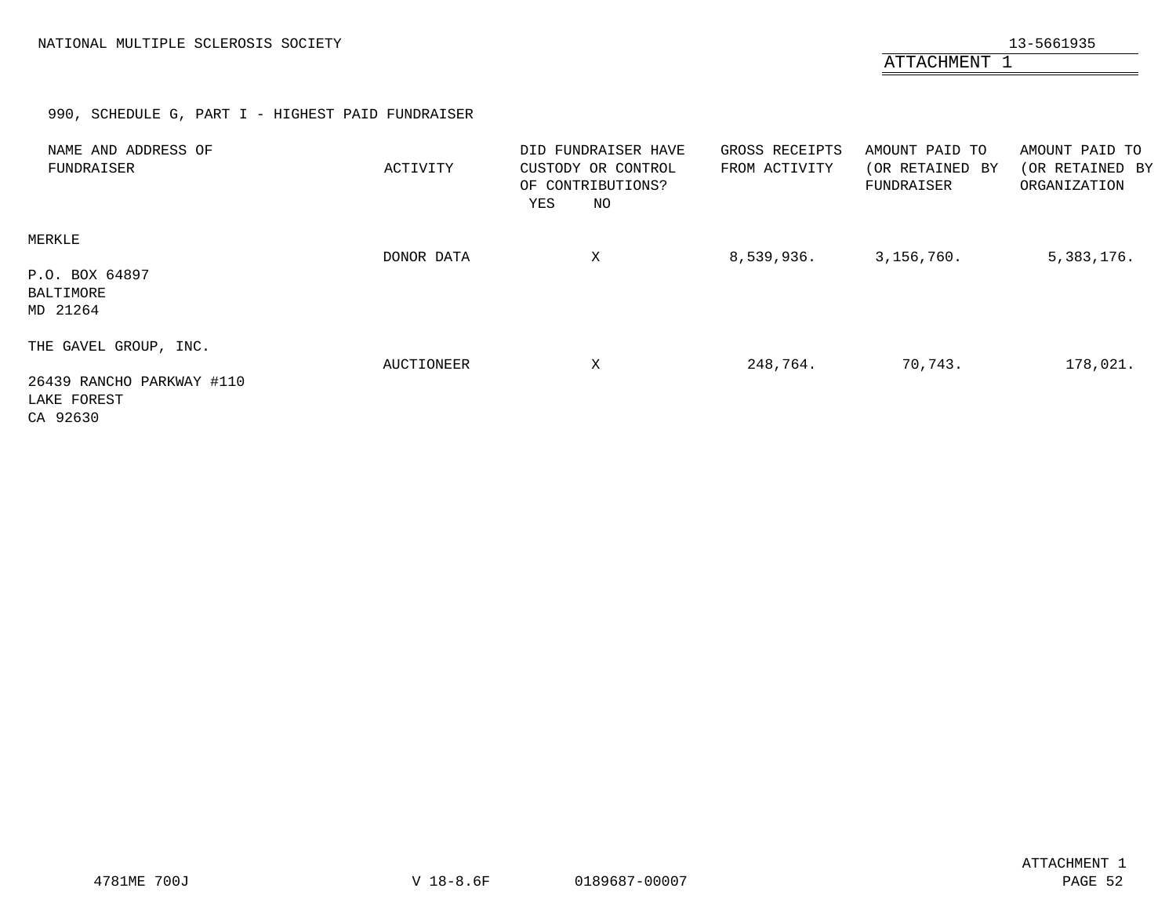ATTACHMENT 1

# 990, SCHEDULE G, PART I - HIGHEST PAID FUNDRAISER

<span id="page-51-0"></span>

| NAME AND ADDRESS OF<br>FUNDRAISER                                             | ACTIVITY   | DID FUNDRAISER HAVE<br>CUSTODY OR CONTROL<br>OF CONTRIBUTIONS?<br>NO<br>YES | GROSS RECEIPTS<br>FROM ACTIVITY | AMOUNT PAID TO<br>(OR RETAINED BY<br>FUNDRAISER | AMOUNT PAID TO<br>(OR RETAINED BY<br>ORGANIZATION |
|-------------------------------------------------------------------------------|------------|-----------------------------------------------------------------------------|---------------------------------|-------------------------------------------------|---------------------------------------------------|
| MERKLE<br>P.O. BOX 64897<br>BALTIMORE<br>MD 21264                             | DONOR DATA | X                                                                           | 8,539,936.                      | 3,156,760.                                      | 5,383,176.                                        |
| THE GAVEL GROUP, INC.<br>26439 RANCHO PARKWAY #110<br>LAKE FOREST<br>CA 92630 | AUCTIONEER | X                                                                           | 248,764.                        | 70,743.                                         | 178,021.                                          |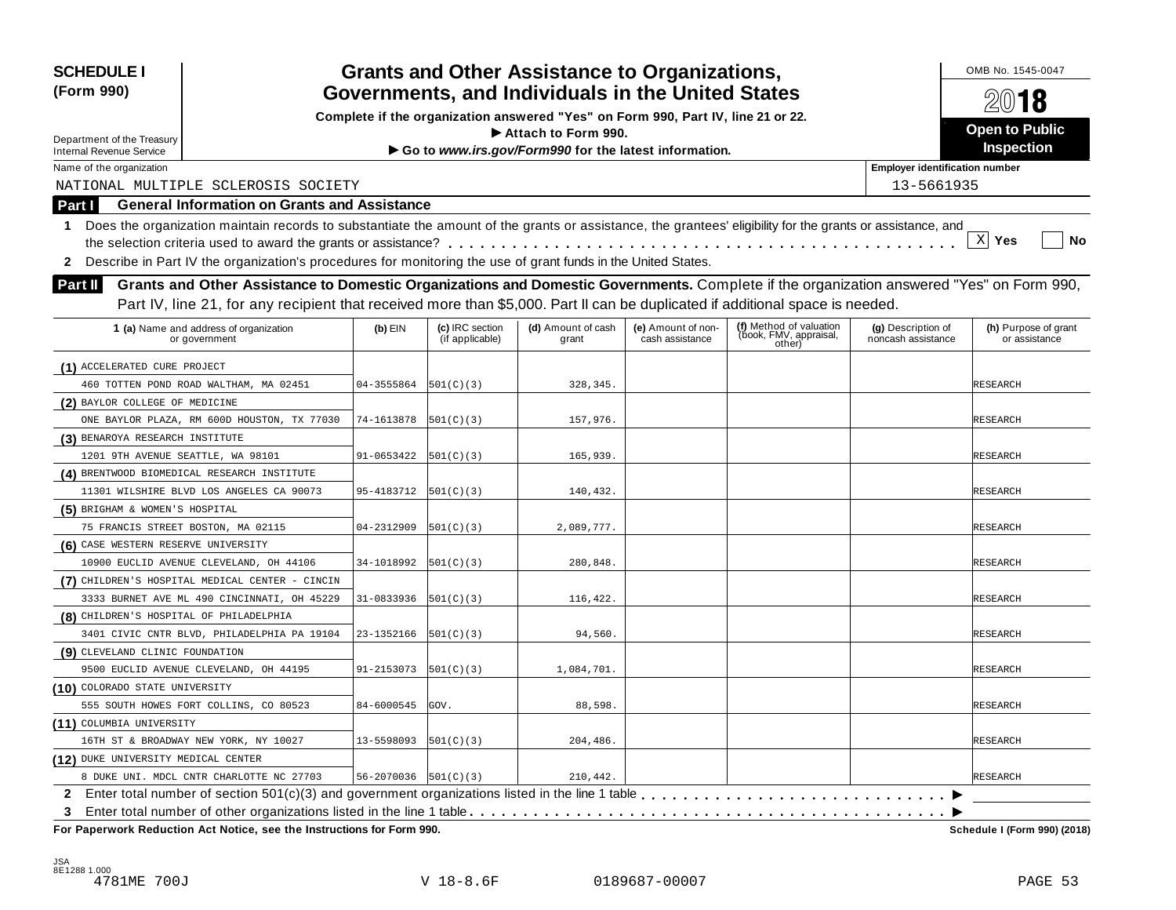| <b>SCHEDULE I</b><br>(Form 990)                                                                                                                                  |                                        |                                    | <b>Grants and Other Assistance to Organizations,</b><br>Governments, and Individuals in the United States |                                       |                                                             |                                          | OMB No. 1545-0047                     |
|------------------------------------------------------------------------------------------------------------------------------------------------------------------|----------------------------------------|------------------------------------|-----------------------------------------------------------------------------------------------------------|---------------------------------------|-------------------------------------------------------------|------------------------------------------|---------------------------------------|
|                                                                                                                                                                  |                                        |                                    | Complete if the organization answered "Yes" on Form 990, Part IV, line 21 or 22.                          |                                       |                                                             |                                          | 2018                                  |
|                                                                                                                                                                  |                                        |                                    | Attach to Form 990.                                                                                       |                                       |                                                             |                                          | <b>Open to Public</b>                 |
| Department of the Treasury<br><b>Internal Revenue Service</b>                                                                                                    |                                        |                                    | Go to www.irs.gov/Form990 for the latest information.                                                     |                                       |                                                             |                                          | Inspection                            |
| Name of the organization                                                                                                                                         |                                        |                                    |                                                                                                           |                                       |                                                             | <b>Employer identification number</b>    |                                       |
| NATIONAL MULTIPLE SCLEROSIS SOCIETY                                                                                                                              |                                        |                                    |                                                                                                           |                                       |                                                             | 13-5661935                               |                                       |
| <b>General Information on Grants and Assistance</b><br>Part I                                                                                                    |                                        |                                    |                                                                                                           |                                       |                                                             |                                          |                                       |
| Does the organization maintain records to substantiate the amount of the grants or assistance, the grantees' eligibility for the grants or assistance, and<br>1. |                                        |                                    |                                                                                                           |                                       |                                                             |                                          |                                       |
|                                                                                                                                                                  |                                        |                                    |                                                                                                           |                                       |                                                             |                                          | $\mathbf{x}$<br>Yes<br>No             |
| Describe in Part IV the organization's procedures for monitoring the use of grant funds in the United States.<br>$\mathbf{2}$                                    |                                        |                                    |                                                                                                           |                                       |                                                             |                                          |                                       |
| Grants and Other Assistance to Domestic Organizations and Domestic Governments. Complete if the organization answered "Yes" on Form 990,<br><b>Part II</b>       |                                        |                                    |                                                                                                           |                                       |                                                             |                                          |                                       |
| Part IV, line 21, for any recipient that received more than \$5,000. Part II can be duplicated if additional space is needed.                                    |                                        |                                    |                                                                                                           |                                       |                                                             |                                          |                                       |
|                                                                                                                                                                  |                                        |                                    |                                                                                                           |                                       |                                                             |                                          |                                       |
| 1 (a) Name and address of organization<br>or government                                                                                                          | $(b)$ EIN                              | (c) IRC section<br>(if applicable) | (d) Amount of cash<br>grant                                                                               | (e) Amount of non-<br>cash assistance | (f) Method of valuation<br>(book, FMV, appraisal,<br>other) | (g) Description of<br>noncash assistance | (h) Purpose of grant<br>or assistance |
| (1) ACCELERATED CURE PROJECT                                                                                                                                     |                                        |                                    |                                                                                                           |                                       |                                                             |                                          |                                       |
| 460 TOTTEN POND ROAD WALTHAM, MA 02451                                                                                                                           | 04-3555864                             | 501(C)(3)                          | 328,345.                                                                                                  |                                       |                                                             |                                          | RESEARCH                              |
| (2) BAYLOR COLLEGE OF MEDICINE                                                                                                                                   |                                        |                                    |                                                                                                           |                                       |                                                             |                                          |                                       |
| ONE BAYLOR PLAZA, RM 600D HOUSTON, TX 77030                                                                                                                      | 74-1613878                             | 501(C)(3)                          | 157,976.                                                                                                  |                                       |                                                             |                                          | RESEARCH                              |
| (3) BENAROYA RESEARCH INSTITUTE                                                                                                                                  |                                        |                                    |                                                                                                           |                                       |                                                             |                                          |                                       |
| 1201 9TH AVENUE SEATTLE, WA 98101                                                                                                                                | 91-0653422                             | 501(C)(3)                          | 165,939.                                                                                                  |                                       |                                                             |                                          | <b>RESEARCH</b>                       |
| (4) BRENTWOOD BIOMEDICAL RESEARCH INSTITUTE                                                                                                                      |                                        |                                    |                                                                                                           |                                       |                                                             |                                          |                                       |
| 11301 WILSHIRE BLVD LOS ANGELES CA 90073                                                                                                                         | 95-4183712                             | 501(C)(3)                          | 140,432.                                                                                                  |                                       |                                                             |                                          | RESEARCH                              |
| (5) BRIGHAM & WOMEN'S HOSPITAL                                                                                                                                   |                                        |                                    |                                                                                                           |                                       |                                                             |                                          |                                       |
| 75 FRANCIS STREET BOSTON, MA 02115                                                                                                                               | 04-2312909                             | 501(C)(3)                          | 2,089,777.                                                                                                |                                       |                                                             |                                          | RESEARCH                              |
| (6) CASE WESTERN RESERVE UNIVERSITY                                                                                                                              |                                        |                                    |                                                                                                           |                                       |                                                             |                                          |                                       |
| 10900 EUCLID AVENUE CLEVELAND, OH 44106                                                                                                                          | 34-1018992                             | 501(C)(3)                          | 280,848.                                                                                                  |                                       |                                                             |                                          | RESEARCH                              |
| (7) CHILDREN'S HOSPITAL MEDICAL CENTER - CINCIN                                                                                                                  |                                        |                                    |                                                                                                           |                                       |                                                             |                                          |                                       |
| 3333 BURNET AVE ML 490 CINCINNATI, OH 45229                                                                                                                      | 31-0833936                             | 501(C)(3)                          | 116,422.                                                                                                  |                                       |                                                             |                                          | RESEARCH                              |
| (8) CHILDREN'S HOSPITAL OF PHILADELPHIA                                                                                                                          |                                        |                                    |                                                                                                           |                                       |                                                             |                                          |                                       |
| 3401 CIVIC CNTR BLVD, PHILADELPHIA PA 19104                                                                                                                      | 23-1352166                             | 501(C)(3)                          | 94,560.                                                                                                   |                                       |                                                             |                                          | RESEARCH                              |
| (9) CLEVELAND CLINIC FOUNDATION                                                                                                                                  |                                        |                                    |                                                                                                           |                                       |                                                             |                                          |                                       |
| 9500 EUCLID AVENUE CLEVELAND, OH 44195                                                                                                                           | 91-2153073                             | 501(C)(3)                          | 1,084,701.                                                                                                |                                       |                                                             |                                          | <b>RESEARCH</b>                       |
| (10) COLORADO STATE UNIVERSITY                                                                                                                                   |                                        |                                    |                                                                                                           |                                       |                                                             |                                          |                                       |
| 555 SOUTH HOWES FORT COLLINS, CO 80523                                                                                                                           | 84-6000545                             | GOV.                               | 88,598.                                                                                                   |                                       |                                                             |                                          | <b>RESEARCH</b>                       |
| (11) COLUMBIA UNIVERSITY                                                                                                                                         |                                        |                                    |                                                                                                           |                                       |                                                             |                                          |                                       |
| 16TH ST & BROADWAY NEW YORK, NY 10027                                                                                                                            | 13-5598093                             | 501(C)(3)                          | 204,486.                                                                                                  |                                       |                                                             |                                          | RESEARCH                              |
| (12) DUKE UNIVERSITY MEDICAL CENTER                                                                                                                              | $56 - 2070036$ $\vert 501(C)(3) \vert$ |                                    |                                                                                                           |                                       |                                                             |                                          | <b>RESEARCH</b>                       |
| 8 DUKE UNI. MDCL CNTR CHARLOTTE NC 27703<br>2 Enter total number of section 501(c)(3) and government organizations listed in the line 1 table                    |                                        |                                    | 210,442.                                                                                                  |                                       |                                                             |                                          |                                       |
| 3                                                                                                                                                                |                                        |                                    |                                                                                                           |                                       |                                                             |                                          |                                       |
| For Paperwork Reduction Act Notice, see the Instructions for Form 990.                                                                                           |                                        |                                    |                                                                                                           |                                       |                                                             |                                          | Schedule I (Form 990) (2018)          |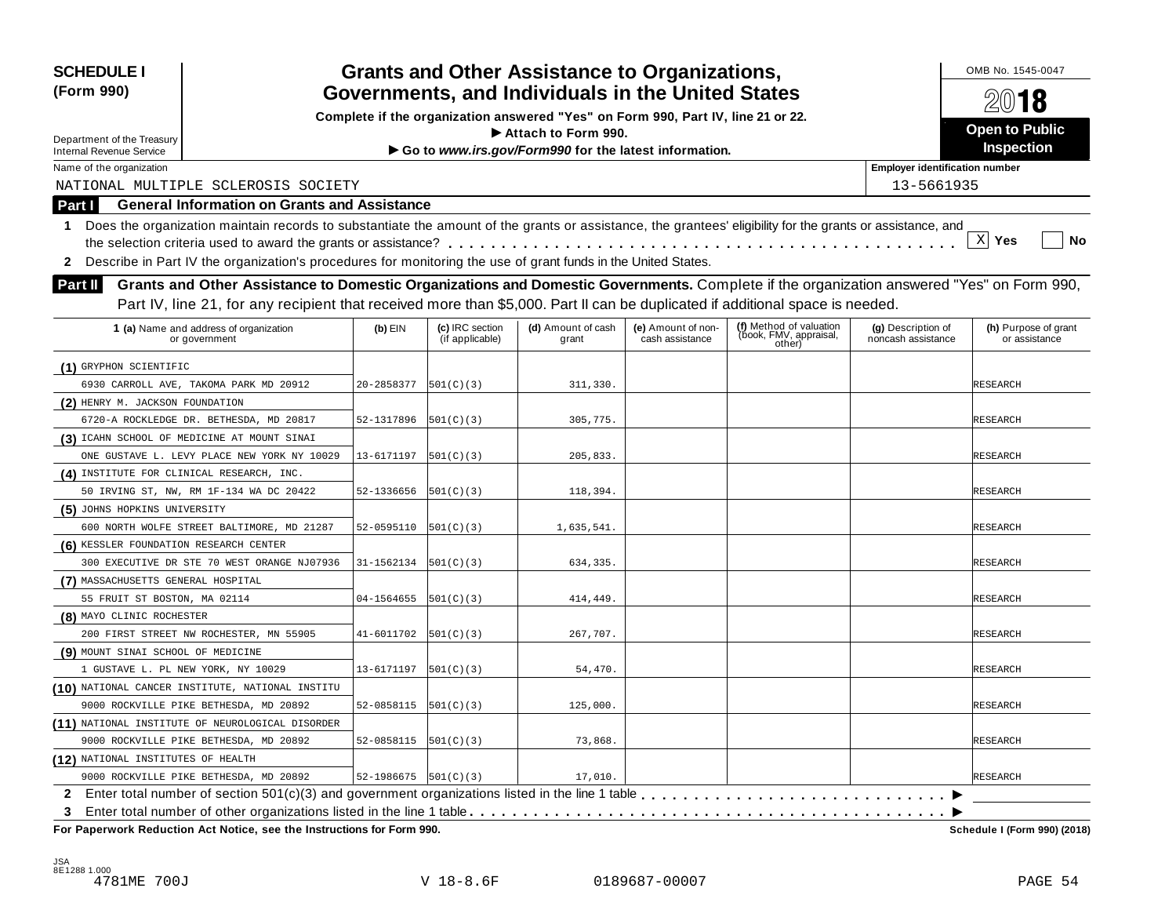| <b>SCHEDULE I</b><br>(Form 990)                                                                                                                                                                                                                                                                   |                          |                                    | <b>Grants and Other Assistance to Organizations,</b><br>Governments, and Individuals in the United States<br>Complete if the organization answered "Yes" on Form 990, Part IV, line 21 or 22. |                                       |                                                             |                                          | OMB No. 1545-0047<br>2018             |
|---------------------------------------------------------------------------------------------------------------------------------------------------------------------------------------------------------------------------------------------------------------------------------------------------|--------------------------|------------------------------------|-----------------------------------------------------------------------------------------------------------------------------------------------------------------------------------------------|---------------------------------------|-------------------------------------------------------------|------------------------------------------|---------------------------------------|
| Department of the Treasury                                                                                                                                                                                                                                                                        |                          |                                    | Attach to Form 990.                                                                                                                                                                           |                                       |                                                             |                                          | <b>Open to Public</b>                 |
| <b>Internal Revenue Service</b>                                                                                                                                                                                                                                                                   |                          |                                    | Go to www.irs.gov/Form990 for the latest information.                                                                                                                                         |                                       |                                                             |                                          | Inspection                            |
| Name of the organization                                                                                                                                                                                                                                                                          |                          |                                    |                                                                                                                                                                                               |                                       |                                                             | <b>Employer identification number</b>    |                                       |
| NATIONAL MULTIPLE SCLEROSIS SOCIETY                                                                                                                                                                                                                                                               |                          |                                    |                                                                                                                                                                                               |                                       |                                                             | 13-5661935                               |                                       |
| <b>General Information on Grants and Assistance</b><br>Part I                                                                                                                                                                                                                                     |                          |                                    |                                                                                                                                                                                               |                                       |                                                             |                                          |                                       |
| Does the organization maintain records to substantiate the amount of the grants or assistance, the grantees' eligibility for the grants or assistance, and<br>1.<br>Describe in Part IV the organization's procedures for monitoring the use of grant funds in the United States.<br>$\mathbf{2}$ |                          |                                    |                                                                                                                                                                                               |                                       |                                                             |                                          | $\mathbf{x}$<br>Yes<br>No             |
| Grants and Other Assistance to Domestic Organizations and Domestic Governments. Complete if the organization answered "Yes" on Form 990,<br>Part II                                                                                                                                               |                          |                                    |                                                                                                                                                                                               |                                       |                                                             |                                          |                                       |
| Part IV, line 21, for any recipient that received more than \$5,000. Part II can be duplicated if additional space is needed.                                                                                                                                                                     |                          |                                    |                                                                                                                                                                                               |                                       |                                                             |                                          |                                       |
| 1 (a) Name and address of organization<br>or government                                                                                                                                                                                                                                           | $(b)$ EIN                | (c) IRC section<br>(if applicable) | (d) Amount of cash<br>grant                                                                                                                                                                   | (e) Amount of non-<br>cash assistance | (f) Method of valuation<br>(book, FMV, appraisal,<br>other) | (g) Description of<br>noncash assistance | (h) Purpose of grant<br>or assistance |
| (1) GRYPHON SCIENTIFIC                                                                                                                                                                                                                                                                            |                          |                                    |                                                                                                                                                                                               |                                       |                                                             |                                          |                                       |
| 6930 CARROLL AVE, TAKOMA PARK MD 20912                                                                                                                                                                                                                                                            | 20-2858377               | 501(C)(3)                          | 311,330.                                                                                                                                                                                      |                                       |                                                             |                                          | RESEARCH                              |
| (2) HENRY M. JACKSON FOUNDATION                                                                                                                                                                                                                                                                   |                          |                                    |                                                                                                                                                                                               |                                       |                                                             |                                          |                                       |
| 6720-A ROCKLEDGE DR. BETHESDA, MD 20817                                                                                                                                                                                                                                                           | 52-1317896               | 501(C)(3)                          | 305,775.                                                                                                                                                                                      |                                       |                                                             |                                          | RESEARCH                              |
| (3) ICAHN SCHOOL OF MEDICINE AT MOUNT SINAI                                                                                                                                                                                                                                                       |                          |                                    |                                                                                                                                                                                               |                                       |                                                             |                                          |                                       |
| ONE GUSTAVE L. LEVY PLACE NEW YORK NY 10029                                                                                                                                                                                                                                                       | 13-6171197               | 501(C)(3)                          | 205,833.                                                                                                                                                                                      |                                       |                                                             |                                          | RESEARCH                              |
| (4) INSTITUTE FOR CLINICAL RESEARCH, INC.                                                                                                                                                                                                                                                         |                          |                                    |                                                                                                                                                                                               |                                       |                                                             |                                          |                                       |
| 50 IRVING ST, NW, RM 1F-134 WA DC 20422                                                                                                                                                                                                                                                           | 52-1336656               | 501(C)(3)                          | 118,394.                                                                                                                                                                                      |                                       |                                                             |                                          | RESEARCH                              |
| (5) JOHNS HOPKINS UNIVERSITY                                                                                                                                                                                                                                                                      |                          |                                    |                                                                                                                                                                                               |                                       |                                                             |                                          |                                       |
| 600 NORTH WOLFE STREET BALTIMORE, MD 21287                                                                                                                                                                                                                                                        | 52-0595110               | 501(C)(3)                          | 1,635,541.                                                                                                                                                                                    |                                       |                                                             |                                          | RESEARCH                              |
| (6) KESSLER FOUNDATION RESEARCH CENTER                                                                                                                                                                                                                                                            |                          |                                    |                                                                                                                                                                                               |                                       |                                                             |                                          |                                       |
| 300 EXECUTIVE DR STE 70 WEST ORANGE NJ07936                                                                                                                                                                                                                                                       | 31-1562134               | 501(C)(3)                          | 634,335.                                                                                                                                                                                      |                                       |                                                             |                                          | RESEARCH                              |
| (7) MASSACHUSETTS GENERAL HOSPITAL                                                                                                                                                                                                                                                                |                          |                                    |                                                                                                                                                                                               |                                       |                                                             |                                          |                                       |
| 55 FRUIT ST BOSTON, MA 02114                                                                                                                                                                                                                                                                      | 04-1564655               | 501(C)(3)                          | 414,449.                                                                                                                                                                                      |                                       |                                                             |                                          | RESEARCH                              |
| (8) MAYO CLINIC ROCHESTER                                                                                                                                                                                                                                                                         |                          |                                    |                                                                                                                                                                                               |                                       |                                                             |                                          |                                       |
| 200 FIRST STREET NW ROCHESTER, MN 55905                                                                                                                                                                                                                                                           | 41-6011702               | 501(C)(3)                          | 267,707.                                                                                                                                                                                      |                                       |                                                             |                                          | RESEARCH                              |
| (9) MOUNT SINAI SCHOOL OF MEDICINE                                                                                                                                                                                                                                                                |                          |                                    |                                                                                                                                                                                               |                                       |                                                             |                                          |                                       |
| 1 GUSTAVE L. PL NEW YORK, NY 10029                                                                                                                                                                                                                                                                | 13-6171197               | 501(C)(3)                          | 54,470.                                                                                                                                                                                       |                                       |                                                             |                                          | RESEARCH                              |
| (10) NATIONAL CANCER INSTITUTE, NATIONAL INSTITU                                                                                                                                                                                                                                                  |                          |                                    |                                                                                                                                                                                               |                                       |                                                             |                                          |                                       |
| 9000 ROCKVILLE PIKE BETHESDA, MD 20892                                                                                                                                                                                                                                                            | 52-0858115               | 501(C)(3)                          | 125,000.                                                                                                                                                                                      |                                       |                                                             |                                          | <b>RESEARCH</b>                       |
| (11) NATIONAL INSTITUTE OF NEUROLOGICAL DISORDER                                                                                                                                                                                                                                                  |                          |                                    |                                                                                                                                                                                               |                                       |                                                             |                                          |                                       |
| 9000 ROCKVILLE PIKE BETHESDA, MD 20892                                                                                                                                                                                                                                                            | 52-0858115               | 501(C)(3)                          | 73,868.                                                                                                                                                                                       |                                       |                                                             |                                          | RESEARCH                              |
| (12) NATIONAL INSTITUTES OF HEALTH                                                                                                                                                                                                                                                                |                          |                                    |                                                                                                                                                                                               |                                       |                                                             |                                          |                                       |
| 9000 ROCKVILLE PIKE BETHESDA, MD 20892                                                                                                                                                                                                                                                            | 52-1986675 $ 501(C)(3) $ |                                    | 17,010.                                                                                                                                                                                       |                                       |                                                             |                                          | RESEARCH                              |
|                                                                                                                                                                                                                                                                                                   |                          |                                    |                                                                                                                                                                                               |                                       |                                                             |                                          |                                       |
| 3                                                                                                                                                                                                                                                                                                 |                          |                                    |                                                                                                                                                                                               |                                       |                                                             |                                          |                                       |

 $F$  **Paperwork Reduction Act Notice, see the Instructions for Form 990.** 

Schedule I (Form 990) (2018)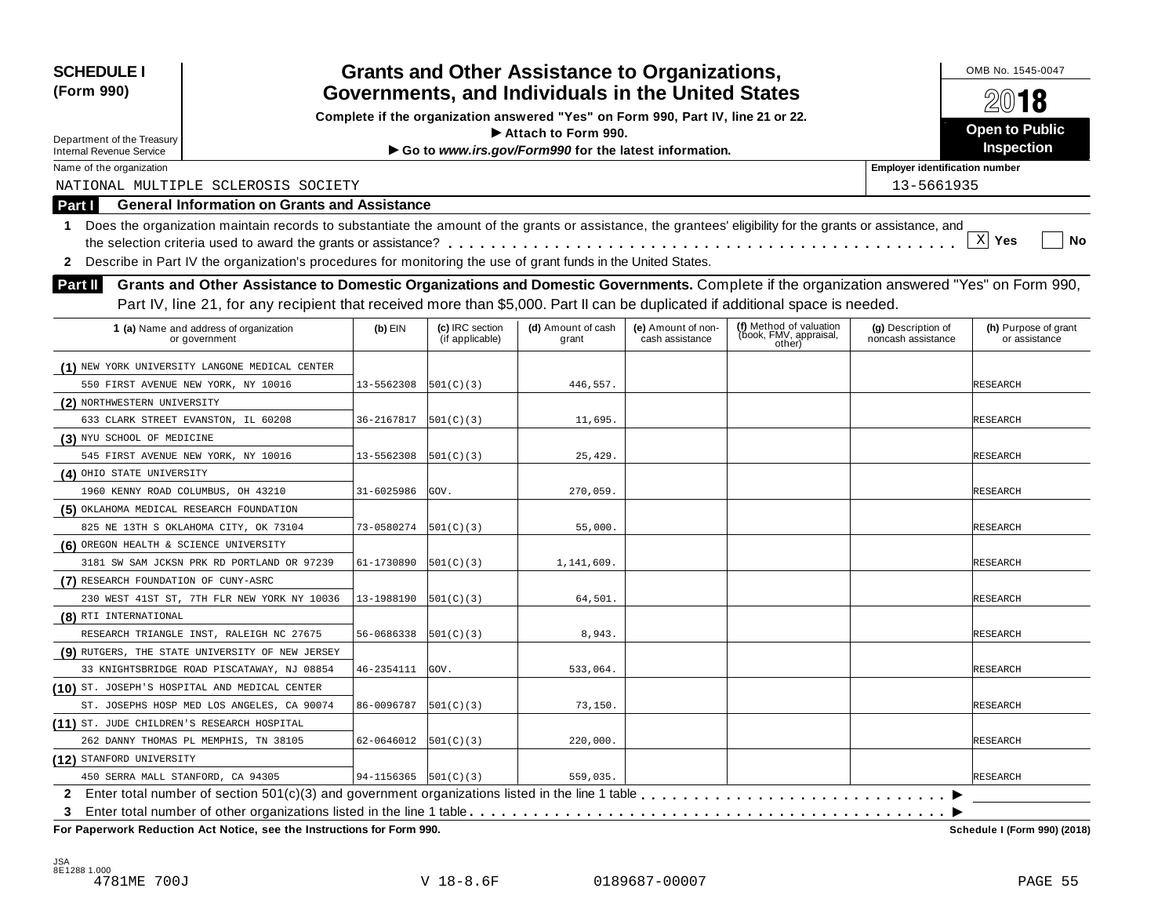| <b>SCHEDULE I</b><br>(Form 990)                             |                                                                                                                                                            |                          |                                    | <b>Grants and Other Assistance to Organizations,</b><br>Governments, and Individuals in the United States |                                       |                                                             |                                          | OMB No. 1545-0047                     |
|-------------------------------------------------------------|------------------------------------------------------------------------------------------------------------------------------------------------------------|--------------------------|------------------------------------|-----------------------------------------------------------------------------------------------------------|---------------------------------------|-------------------------------------------------------------|------------------------------------------|---------------------------------------|
|                                                             |                                                                                                                                                            |                          |                                    |                                                                                                           |                                       |                                                             |                                          | 2018                                  |
|                                                             |                                                                                                                                                            |                          |                                    | Complete if the organization answered "Yes" on Form 990, Part IV, line 21 or 22.                          |                                       |                                                             |                                          | Open to Public                        |
| Department of the Treasury                                  |                                                                                                                                                            |                          |                                    | $\blacktriangleright$ Attach to Form 990.                                                                 |                                       |                                                             |                                          | Inspection                            |
| <b>Internal Revenue Service</b><br>Name of the organization |                                                                                                                                                            |                          |                                    | Go to www.irs.gov/Form990 for the latest information.                                                     |                                       |                                                             | <b>Employer identification number</b>    |                                       |
|                                                             | NATIONAL MULTIPLE SCLEROSIS SOCIETY                                                                                                                        |                          |                                    |                                                                                                           |                                       |                                                             | 13-5661935                               |                                       |
|                                                             | <b>General Information on Grants and Assistance</b>                                                                                                        |                          |                                    |                                                                                                           |                                       |                                                             |                                          |                                       |
| Part I                                                      |                                                                                                                                                            |                          |                                    |                                                                                                           |                                       |                                                             |                                          |                                       |
| 1                                                           | Does the organization maintain records to substantiate the amount of the grants or assistance, the grantees' eligibility for the grants or assistance, and |                          |                                    |                                                                                                           |                                       |                                                             |                                          | X Yes<br>No                           |
|                                                             |                                                                                                                                                            |                          |                                    |                                                                                                           |                                       |                                                             |                                          |                                       |
| $\mathbf{2}$                                                | Describe in Part IV the organization's procedures for monitoring the use of grant funds in the United States.                                              |                          |                                    |                                                                                                           |                                       |                                                             |                                          |                                       |
| <b>Part II</b>                                              | Grants and Other Assistance to Domestic Organizations and Domestic Governments. Complete if the organization answered "Yes" on Form 990,                   |                          |                                    |                                                                                                           |                                       |                                                             |                                          |                                       |
|                                                             | Part IV, line 21, for any recipient that received more than \$5,000. Part II can be duplicated if additional space is needed.                              |                          |                                    |                                                                                                           |                                       |                                                             |                                          |                                       |
|                                                             | 1 (a) Name and address of organization<br>or government                                                                                                    | $(b)$ EIN                | (c) IRC section<br>(if applicable) | (d) Amount of cash<br>grant                                                                               | (e) Amount of non-<br>cash assistance | (f) Method of valuation<br>(book, FMV, appraisal,<br>other) | (g) Description of<br>noncash assistance | (h) Purpose of grant<br>or assistance |
|                                                             | (1) NEW YORK UNIVERSITY LANGONE MEDICAL CENTER                                                                                                             |                          |                                    |                                                                                                           |                                       |                                                             |                                          |                                       |
|                                                             | 550 FIRST AVENUE NEW YORK, NY 10016                                                                                                                        | 13-5562308               | 501(C)(3)                          | 446.557.                                                                                                  |                                       |                                                             |                                          | RESEARCH                              |
| (2) NORTHWESTERN UNIVERSITY                                 |                                                                                                                                                            |                          |                                    |                                                                                                           |                                       |                                                             |                                          |                                       |
|                                                             | 633 CLARK STREET EVANSTON, IL 60208                                                                                                                        | 36-2167817               | 501(C)(3)                          | 11.695.                                                                                                   |                                       |                                                             |                                          | RESEARCH                              |
| (3) NYU SCHOOL OF MEDICINE                                  |                                                                                                                                                            |                          |                                    |                                                                                                           |                                       |                                                             |                                          |                                       |
|                                                             | 545 FIRST AVENUE NEW YORK, NY 10016                                                                                                                        | 13-5562308               | 501(C)(3)                          | 25,429.                                                                                                   |                                       |                                                             |                                          | RESEARCH                              |
| (4) OHIO STATE UNIVERSITY                                   |                                                                                                                                                            |                          |                                    |                                                                                                           |                                       |                                                             |                                          |                                       |
| 1960 KENNY ROAD COLUMBUS, OH 43210                          |                                                                                                                                                            | 31-6025986               | GOV.                               | 270,059.                                                                                                  |                                       |                                                             |                                          | RESEARCH                              |
| (5) OKLAHOMA MEDICAL RESEARCH FOUNDATION                    |                                                                                                                                                            |                          |                                    |                                                                                                           |                                       |                                                             |                                          |                                       |
|                                                             | 825 NE 13TH S OKLAHOMA CITY, OK 73104                                                                                                                      | 73-0580274               | 501(C)(3)                          | 55,000.                                                                                                   |                                       |                                                             |                                          | RESEARCH                              |
| (6) OREGON HEALTH & SCIENCE UNIVERSITY                      |                                                                                                                                                            |                          |                                    |                                                                                                           |                                       |                                                             |                                          |                                       |
|                                                             | 3181 SW SAM JCKSN PRK RD PORTLAND OR 97239                                                                                                                 | 61-1730890               | 501(C)(3)                          | 1,141,609.                                                                                                |                                       |                                                             |                                          | RESEARCH                              |
| (7) RESEARCH FOUNDATION OF CUNY-ASRC                        |                                                                                                                                                            |                          |                                    |                                                                                                           |                                       |                                                             |                                          |                                       |
|                                                             | 230 WEST 41ST ST, 7TH FLR NEW YORK NY 10036                                                                                                                | 13-1988190               | 501(C)(3)                          | 64,501.                                                                                                   |                                       |                                                             |                                          | RESEARCH                              |
| (8) RTI INTERNATIONAL                                       |                                                                                                                                                            |                          |                                    |                                                                                                           |                                       |                                                             |                                          |                                       |
|                                                             | RESEARCH TRIANGLE INST, RALEIGH NC 27675                                                                                                                   | 56-0686338               | 501(C)(3)                          | 8,943.                                                                                                    |                                       |                                                             |                                          | <b>RESEARCH</b>                       |
|                                                             | (9) RUTGERS, THE STATE UNIVERSITY OF NEW JERSEY                                                                                                            |                          |                                    |                                                                                                           |                                       |                                                             |                                          |                                       |
|                                                             | 33 KNIGHTSBRIDGE ROAD PISCATAWAY, NJ 08854                                                                                                                 | 46-2354111               | GOV.                               | 533,064.                                                                                                  |                                       |                                                             |                                          | <b>RESEARCH</b>                       |
|                                                             | (10) ST. JOSEPH'S HOSPITAL AND MEDICAL CENTER                                                                                                              |                          |                                    |                                                                                                           |                                       |                                                             |                                          |                                       |
|                                                             | ST. JOSEPHS HOSP MED LOS ANGELES, CA 90074                                                                                                                 | 86-0096787               | 501(C)(3)                          | 73,150.                                                                                                   |                                       |                                                             |                                          | RESEARCH                              |
| (11) ST. JUDE CHILDREN'S RESEARCH HOSPITAL                  |                                                                                                                                                            |                          |                                    |                                                                                                           |                                       |                                                             |                                          |                                       |
|                                                             | 262 DANNY THOMAS PL MEMPHIS, TN 38105                                                                                                                      | 62-0646012               | 501(C)(3)                          | 220,000.                                                                                                  |                                       |                                                             |                                          | RESEARCH                              |
| (12) STANFORD UNIVERSITY                                    |                                                                                                                                                            |                          |                                    |                                                                                                           |                                       |                                                             |                                          |                                       |
| 450 SERRA MALL STANFORD, CA 94305                           |                                                                                                                                                            | $94-1156365$ $501(C)(3)$ |                                    | 559,035.                                                                                                  |                                       |                                                             |                                          | <b>RESEARCH</b>                       |
|                                                             |                                                                                                                                                            |                          |                                    |                                                                                                           |                                       |                                                             |                                          |                                       |
| 3                                                           |                                                                                                                                                            |                          |                                    |                                                                                                           |                                       |                                                             |                                          |                                       |
|                                                             | For Paperwork Reduction Act Notice, see the Instructions for Form 990.                                                                                     |                          |                                    |                                                                                                           |                                       |                                                             |                                          | Schedule I (Form 990) (2018)          |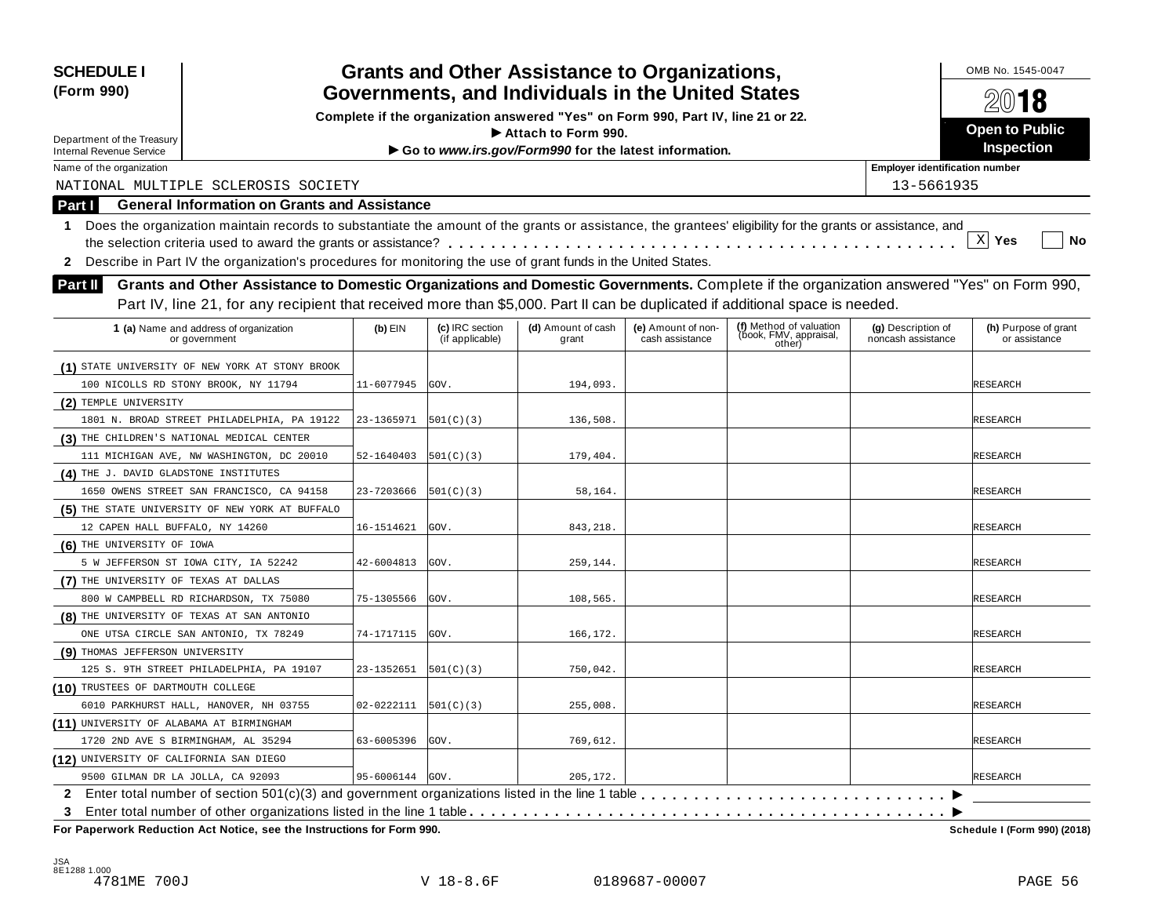| <b>SCHEDULE I</b><br>(Form 990)                               |                                                                                                                                                            |                 |                                    | <b>Grants and Other Assistance to Organizations,</b><br>Governments, and Individuals in the United States |                                       |                                                             |                                          | OMB No. 1545-0047                     |
|---------------------------------------------------------------|------------------------------------------------------------------------------------------------------------------------------------------------------------|-----------------|------------------------------------|-----------------------------------------------------------------------------------------------------------|---------------------------------------|-------------------------------------------------------------|------------------------------------------|---------------------------------------|
|                                                               |                                                                                                                                                            |                 |                                    | Complete if the organization answered "Yes" on Form 990, Part IV, line 21 or 22.                          |                                       |                                                             |                                          | 2018                                  |
|                                                               |                                                                                                                                                            |                 |                                    | $\blacktriangleright$ Attach to Form 990.                                                                 |                                       |                                                             |                                          | Open to Public                        |
| Department of the Treasury<br><b>Internal Revenue Service</b> |                                                                                                                                                            |                 |                                    | Go to www.irs.gov/Form990 for the latest information.                                                     |                                       |                                                             |                                          | Inspection                            |
| Name of the organization                                      |                                                                                                                                                            |                 |                                    |                                                                                                           |                                       |                                                             | <b>Employer identification number</b>    |                                       |
|                                                               | NATIONAL MULTIPLE SCLEROSIS SOCIETY                                                                                                                        |                 |                                    |                                                                                                           |                                       |                                                             | 13-5661935                               |                                       |
| Part I                                                        | <b>General Information on Grants and Assistance</b>                                                                                                        |                 |                                    |                                                                                                           |                                       |                                                             |                                          |                                       |
| 1.                                                            | Does the organization maintain records to substantiate the amount of the grants or assistance, the grantees' eligibility for the grants or assistance, and |                 |                                    |                                                                                                           |                                       |                                                             |                                          |                                       |
|                                                               |                                                                                                                                                            |                 |                                    |                                                                                                           |                                       |                                                             |                                          | $X$ Yes<br>No                         |
| $\mathbf{2}$                                                  | Describe in Part IV the organization's procedures for monitoring the use of grant funds in the United States.                                              |                 |                                    |                                                                                                           |                                       |                                                             |                                          |                                       |
| <b>Part II</b>                                                | Grants and Other Assistance to Domestic Organizations and Domestic Governments. Complete if the organization answered "Yes" on Form 990,                   |                 |                                    |                                                                                                           |                                       |                                                             |                                          |                                       |
|                                                               |                                                                                                                                                            |                 |                                    |                                                                                                           |                                       |                                                             |                                          |                                       |
|                                                               | Part IV, line 21, for any recipient that received more than \$5,000. Part II can be duplicated if additional space is needed.                              |                 |                                    |                                                                                                           |                                       |                                                             |                                          |                                       |
|                                                               | 1 (a) Name and address of organization<br>or government                                                                                                    | $(b)$ EIN       | (c) IRC section<br>(if applicable) | (d) Amount of cash<br>grant                                                                               | (e) Amount of non-<br>cash assistance | (f) Method of valuation<br>(book, FMV, appraisal,<br>other) | (g) Description of<br>noncash assistance | (h) Purpose of grant<br>or assistance |
|                                                               | (1) STATE UNIVERSITY OF NEW YORK AT STONY BROOK                                                                                                            |                 |                                    |                                                                                                           |                                       |                                                             |                                          |                                       |
|                                                               | 100 NICOLLS RD STONY BROOK, NY 11794                                                                                                                       | 11-6077945      | GOV.                               | 194,093.                                                                                                  |                                       |                                                             |                                          | RESEARCH                              |
| (2) TEMPLE UNIVERSITY                                         |                                                                                                                                                            |                 |                                    |                                                                                                           |                                       |                                                             |                                          |                                       |
|                                                               | 1801 N. BROAD STREET PHILADELPHIA, PA 19122                                                                                                                | 23-1365971      | 501(C)(3)                          | 136,508.                                                                                                  |                                       |                                                             |                                          | RESEARCH                              |
|                                                               | (3) THE CHILDREN'S NATIONAL MEDICAL CENTER                                                                                                                 |                 |                                    |                                                                                                           |                                       |                                                             |                                          |                                       |
|                                                               | 111 MICHIGAN AVE, NW WASHINGTON, DC 20010                                                                                                                  | 52-1640403      | [501(C)(3)                         | 179,404.                                                                                                  |                                       |                                                             |                                          | RESEARCH                              |
| (4) THE J. DAVID GLADSTONE INSTITUTES                         |                                                                                                                                                            |                 |                                    |                                                                                                           |                                       |                                                             |                                          |                                       |
|                                                               | 1650 OWENS STREET SAN FRANCISCO, CA 94158                                                                                                                  | 23-7203666      | [501(C)(3)                         | 58,164.                                                                                                   |                                       |                                                             |                                          | RESEARCH                              |
|                                                               | (5) THE STATE UNIVERSITY OF NEW YORK AT BUFFALO                                                                                                            |                 |                                    |                                                                                                           |                                       |                                                             |                                          |                                       |
| 12 CAPEN HALL BUFFALO, NY 14260                               |                                                                                                                                                            | 16-1514621      | GOV.                               | 843,218.                                                                                                  |                                       |                                                             |                                          | RESEARCH                              |
| (6) THE UNIVERSITY OF IOWA                                    |                                                                                                                                                            |                 |                                    |                                                                                                           |                                       |                                                             |                                          |                                       |
|                                                               | 5 W JEFFERSON ST IOWA CITY, IA 52242                                                                                                                       | 42-6004813      | GOV.                               | 259,144.                                                                                                  |                                       |                                                             |                                          | RESEARCH                              |
| (7) THE UNIVERSITY OF TEXAS AT DALLAS                         |                                                                                                                                                            |                 |                                    |                                                                                                           |                                       |                                                             |                                          |                                       |
|                                                               | 800 W CAMPBELL RD RICHARDSON, TX 75080                                                                                                                     | 75-1305566      | GOV.                               | 108,565.                                                                                                  |                                       |                                                             |                                          | RESEARCH                              |
|                                                               | (8) THE UNIVERSITY OF TEXAS AT SAN ANTONIO                                                                                                                 |                 |                                    |                                                                                                           |                                       |                                                             |                                          |                                       |
|                                                               | ONE UTSA CIRCLE SAN ANTONIO, TX 78249                                                                                                                      | 74-1717115      | GOV.                               | 166,172.                                                                                                  |                                       |                                                             |                                          | RESEARCH                              |
| (9) THOMAS JEFFERSON UNIVERSITY                               |                                                                                                                                                            |                 |                                    |                                                                                                           |                                       |                                                             |                                          |                                       |
|                                                               | 125 S. 9TH STREET PHILADELPHIA, PA 19107                                                                                                                   | 23-1352651      | [501(C)(3)                         | 750,042.                                                                                                  |                                       |                                                             |                                          | RESEARCH                              |
| (10) TRUSTEES OF DARTMOUTH COLLEGE                            |                                                                                                                                                            |                 |                                    |                                                                                                           |                                       |                                                             |                                          |                                       |
|                                                               | 6010 PARKHURST HALL, HANOVER, NH 03755                                                                                                                     | 02-0222111      | 501(C)(3)                          | 255,008.                                                                                                  |                                       |                                                             |                                          | <b>RESEARCH</b>                       |
| (11) UNIVERSITY OF ALABAMA AT BIRMINGHAM                      |                                                                                                                                                            |                 |                                    |                                                                                                           |                                       |                                                             |                                          |                                       |
|                                                               | 1720 2ND AVE S BIRMINGHAM, AL 35294                                                                                                                        | 63-6005396      | GOV.                               | 769,612.                                                                                                  |                                       |                                                             |                                          | RESEARCH                              |
| (12) UNIVERSITY OF CALIFORNIA SAN DIEGO                       |                                                                                                                                                            |                 |                                    |                                                                                                           |                                       |                                                             |                                          |                                       |
| 9500 GILMAN DR LA JOLLA, CA 92093                             |                                                                                                                                                            | 95-6006144 GOV. |                                    | 205,172.                                                                                                  |                                       |                                                             |                                          | <b>RESEARCH</b>                       |
|                                                               |                                                                                                                                                            |                 |                                    |                                                                                                           |                                       |                                                             |                                          |                                       |
| 3                                                             |                                                                                                                                                            |                 |                                    |                                                                                                           |                                       |                                                             |                                          |                                       |
|                                                               | For Paperwork Reduction Act Notice, see the Instructions for Form 990.                                                                                     |                 |                                    |                                                                                                           |                                       |                                                             |                                          | Schedule I (Form 990) (2018)          |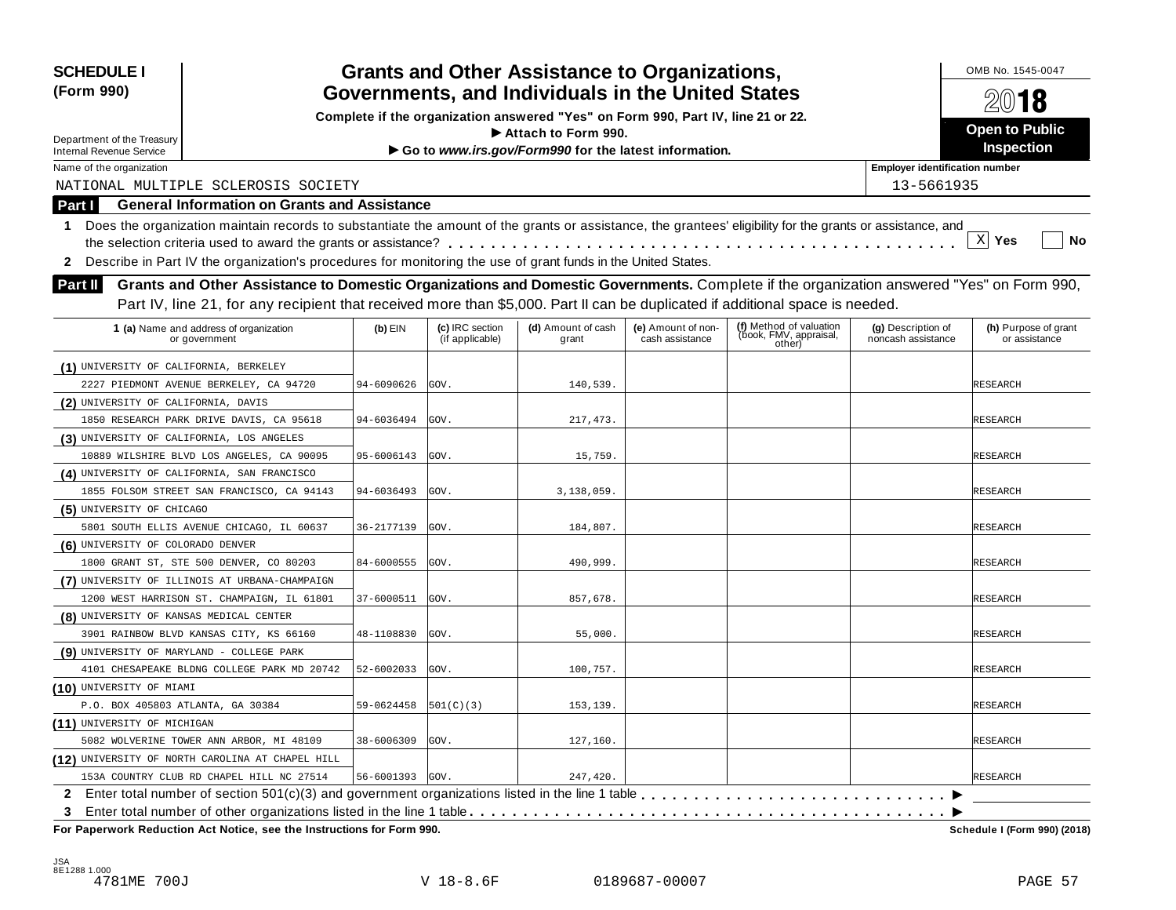| <b>SCHEDULE I</b><br>(Form 990)           |                                                                                                                                                            |                 |                                    | <b>Grants and Other Assistance to Organizations,</b>                             |                                       |                                                             |                                          | OMB No. 1545-0047                     |
|-------------------------------------------|------------------------------------------------------------------------------------------------------------------------------------------------------------|-----------------|------------------------------------|----------------------------------------------------------------------------------|---------------------------------------|-------------------------------------------------------------|------------------------------------------|---------------------------------------|
|                                           |                                                                                                                                                            |                 |                                    | Governments, and Individuals in the United States                                |                                       |                                                             |                                          | 2018                                  |
|                                           |                                                                                                                                                            |                 |                                    | Complete if the organization answered "Yes" on Form 990, Part IV, line 21 or 22. |                                       |                                                             |                                          | Open to Public                        |
| Department of the Treasury                |                                                                                                                                                            |                 |                                    | $\blacktriangleright$ Attach to Form 990.                                        |                                       |                                                             |                                          | Inspection                            |
| <b>Internal Revenue Service</b>           |                                                                                                                                                            |                 |                                    | Go to www.irs.gov/Form990 for the latest information.                            |                                       |                                                             | <b>Employer identification number</b>    |                                       |
| Name of the organization                  | NATIONAL MULTIPLE SCLEROSIS SOCIETY                                                                                                                        |                 |                                    |                                                                                  |                                       |                                                             | 13-5661935                               |                                       |
|                                           | <b>General Information on Grants and Assistance</b>                                                                                                        |                 |                                    |                                                                                  |                                       |                                                             |                                          |                                       |
| Part I                                    |                                                                                                                                                            |                 |                                    |                                                                                  |                                       |                                                             |                                          |                                       |
| 1.                                        | Does the organization maintain records to substantiate the amount of the grants or assistance, the grantees' eligibility for the grants or assistance, and |                 |                                    |                                                                                  |                                       |                                                             |                                          | $X$ Yes<br>No                         |
|                                           |                                                                                                                                                            |                 |                                    |                                                                                  |                                       |                                                             |                                          |                                       |
| $\mathbf{2}$                              | Describe in Part IV the organization's procedures for monitoring the use of grant funds in the United States.                                              |                 |                                    |                                                                                  |                                       |                                                             |                                          |                                       |
| <b>Part II</b>                            | Grants and Other Assistance to Domestic Organizations and Domestic Governments. Complete if the organization answered "Yes" on Form 990,                   |                 |                                    |                                                                                  |                                       |                                                             |                                          |                                       |
|                                           | Part IV, line 21, for any recipient that received more than \$5,000. Part II can be duplicated if additional space is needed.                              |                 |                                    |                                                                                  |                                       |                                                             |                                          |                                       |
|                                           | 1 (a) Name and address of organization<br>or government                                                                                                    | $(b)$ EIN       | (c) IRC section<br>(if applicable) | (d) Amount of cash<br>grant                                                      | (e) Amount of non-<br>cash assistance | (f) Method of valuation<br>(book, FMV, appraisal,<br>other) | (g) Description of<br>noncash assistance | (h) Purpose of grant<br>or assistance |
| (1) UNIVERSITY OF CALIFORNIA, BERKELEY    |                                                                                                                                                            |                 |                                    |                                                                                  |                                       |                                                             |                                          |                                       |
|                                           | 2227 PIEDMONT AVENUE BERKELEY, CA 94720                                                                                                                    | 94-6090626      | GOV.                               | 140,539.                                                                         |                                       |                                                             |                                          | RESEARCH                              |
| (2) UNIVERSITY OF CALIFORNIA, DAVIS       |                                                                                                                                                            |                 |                                    |                                                                                  |                                       |                                                             |                                          |                                       |
|                                           | 1850 RESEARCH PARK DRIVE DAVIS, CA 95618                                                                                                                   | 94-6036494      | GOV.                               | 217,473.                                                                         |                                       |                                                             |                                          | RESEARCH                              |
| (3) UNIVERSITY OF CALIFORNIA, LOS ANGELES |                                                                                                                                                            |                 |                                    |                                                                                  |                                       |                                                             |                                          |                                       |
|                                           | 10889 WILSHIRE BLVD LOS ANGELES, CA 90095                                                                                                                  | 95-6006143      | GOV.                               | 15,759.                                                                          |                                       |                                                             |                                          | RESEARCH                              |
|                                           | (4) UNIVERSITY OF CALIFORNIA, SAN FRANCISCO                                                                                                                |                 |                                    |                                                                                  |                                       |                                                             |                                          |                                       |
|                                           | 1855 FOLSOM STREET SAN FRANCISCO, CA 94143                                                                                                                 | 94-6036493      | GOV.                               | 3,138,059.                                                                       |                                       |                                                             |                                          | RESEARCH                              |
| (5) UNIVERSITY OF CHICAGO                 |                                                                                                                                                            |                 |                                    |                                                                                  |                                       |                                                             |                                          |                                       |
|                                           | 5801 SOUTH ELLIS AVENUE CHICAGO, IL 60637                                                                                                                  | 36-2177139      | GOV.                               | 184,807.                                                                         |                                       |                                                             |                                          | RESEARCH                              |
| (6) UNIVERSITY OF COLORADO DENVER         |                                                                                                                                                            |                 |                                    |                                                                                  |                                       |                                                             |                                          |                                       |
|                                           | 1800 GRANT ST, STE 500 DENVER, CO 80203                                                                                                                    | 84-6000555      | GOV.                               | 490,999.                                                                         |                                       |                                                             |                                          | RESEARCH                              |
|                                           | (7) UNIVERSITY OF ILLINOIS AT URBANA-CHAMPAIGN                                                                                                             |                 |                                    |                                                                                  |                                       |                                                             |                                          |                                       |
|                                           | 1200 WEST HARRISON ST. CHAMPAIGN, IL 61801                                                                                                                 | 37-6000511      | GOV.                               | 857,678.                                                                         |                                       |                                                             |                                          | RESEARCH                              |
| (8) UNIVERSITY OF KANSAS MEDICAL CENTER   |                                                                                                                                                            |                 |                                    |                                                                                  |                                       |                                                             |                                          |                                       |
|                                           | 3901 RAINBOW BLVD KANSAS CITY, KS 66160                                                                                                                    | 48-1108830      | GOV.                               | 55,000.                                                                          |                                       |                                                             |                                          | RESEARCH                              |
| (9) UNIVERSITY OF MARYLAND - COLLEGE PARK |                                                                                                                                                            |                 |                                    |                                                                                  |                                       |                                                             |                                          |                                       |
|                                           | 4101 CHESAPEAKE BLDNG COLLEGE PARK MD 20742                                                                                                                | 52-6002033      | GOV.                               | 100,757.                                                                         |                                       |                                                             |                                          | RESEARCH                              |
| (10) UNIVERSITY OF MIAMI                  |                                                                                                                                                            |                 |                                    |                                                                                  |                                       |                                                             |                                          |                                       |
| P.O. BOX 405803 ATLANTA, GA 30384         |                                                                                                                                                            | 59-0624458      | 501(C)(3)                          | 153,139.                                                                         |                                       |                                                             |                                          | <b>RESEARCH</b>                       |
| (11) UNIVERSITY OF MICHIGAN               |                                                                                                                                                            |                 |                                    |                                                                                  |                                       |                                                             |                                          |                                       |
|                                           | 5082 WOLVERINE TOWER ANN ARBOR, MI 48109                                                                                                                   | 38-6006309      | GOV.                               | 127,160.                                                                         |                                       |                                                             |                                          | RESEARCH                              |
|                                           | (12) UNIVERSITY OF NORTH CAROLINA AT CHAPEL HILL                                                                                                           |                 |                                    |                                                                                  |                                       |                                                             |                                          |                                       |
|                                           | 153A COUNTRY CLUB RD CHAPEL HILL NC 27514                                                                                                                  | 56-6001393 GOV. |                                    | 247,420.                                                                         |                                       |                                                             |                                          | <b>RESEARCH</b>                       |
|                                           | 2 Enter total number of section 501(c)(3) and government organizations listed in the line 1 table                                                          |                 |                                    |                                                                                  |                                       |                                                             |                                          |                                       |
| 3                                         |                                                                                                                                                            |                 |                                    |                                                                                  |                                       |                                                             |                                          |                                       |
|                                           | For Paperwork Reduction Act Notice, see the Instructions for Form 990.                                                                                     |                 |                                    |                                                                                  |                                       |                                                             |                                          | Schedule I (Form 990) (2018)          |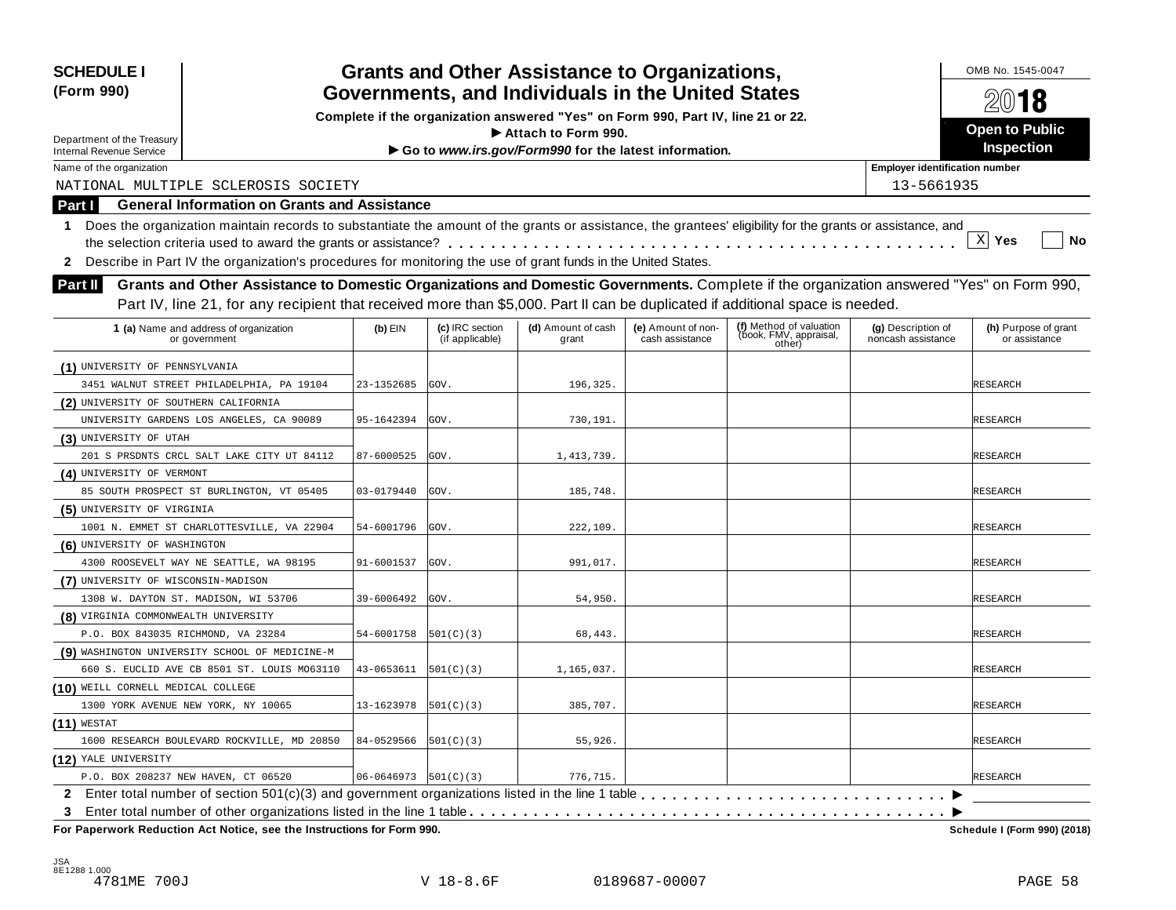| <b>SCHEDULE I</b><br>(Form 990)                                                                                                                                  |                          |                                    | <b>Grants and Other Assistance to Organizations,</b><br>Governments, and Individuals in the United States |                                       |                                                             |                                          | OMB No. 1545-0047<br>2018             |
|------------------------------------------------------------------------------------------------------------------------------------------------------------------|--------------------------|------------------------------------|-----------------------------------------------------------------------------------------------------------|---------------------------------------|-------------------------------------------------------------|------------------------------------------|---------------------------------------|
|                                                                                                                                                                  |                          |                                    | Complete if the organization answered "Yes" on Form 990, Part IV, line 21 or 22.                          |                                       |                                                             |                                          |                                       |
| Department of the Treasury                                                                                                                                       |                          |                                    | Attach to Form 990.                                                                                       |                                       |                                                             |                                          | <b>Open to Public</b>                 |
| <b>Internal Revenue Service</b>                                                                                                                                  |                          |                                    | Go to www.irs.gov/Form990 for the latest information.                                                     |                                       |                                                             |                                          | Inspection                            |
| Name of the organization                                                                                                                                         |                          |                                    |                                                                                                           |                                       |                                                             | <b>Employer identification number</b>    |                                       |
| NATIONAL MULTIPLE SCLEROSIS SOCIETY                                                                                                                              |                          |                                    |                                                                                                           |                                       |                                                             | 13-5661935                               |                                       |
| <b>General Information on Grants and Assistance</b><br>Part I                                                                                                    |                          |                                    |                                                                                                           |                                       |                                                             |                                          |                                       |
| Does the organization maintain records to substantiate the amount of the grants or assistance, the grantees' eligibility for the grants or assistance, and<br>1. |                          |                                    |                                                                                                           |                                       |                                                             |                                          |                                       |
|                                                                                                                                                                  |                          |                                    |                                                                                                           |                                       |                                                             |                                          | $\mathbf{x}$<br>Yes<br>No             |
| Describe in Part IV the organization's procedures for monitoring the use of grant funds in the United States.<br>$\mathbf{2}$                                    |                          |                                    |                                                                                                           |                                       |                                                             |                                          |                                       |
| Grants and Other Assistance to Domestic Organizations and Domestic Governments. Complete if the organization answered "Yes" on Form 990,<br><b>Part II</b>       |                          |                                    |                                                                                                           |                                       |                                                             |                                          |                                       |
| Part IV, line 21, for any recipient that received more than \$5,000. Part II can be duplicated if additional space is needed.                                    |                          |                                    |                                                                                                           |                                       |                                                             |                                          |                                       |
|                                                                                                                                                                  |                          |                                    |                                                                                                           |                                       |                                                             |                                          |                                       |
| 1 (a) Name and address of organization<br>or government                                                                                                          | $(b)$ EIN                | (c) IRC section<br>(if applicable) | (d) Amount of cash<br>grant                                                                               | (e) Amount of non-<br>cash assistance | (f) Method of valuation<br>(book, FMV, appraisal,<br>other) | (g) Description of<br>noncash assistance | (h) Purpose of grant<br>or assistance |
| (1) UNIVERSITY OF PENNSYLVANIA                                                                                                                                   |                          |                                    |                                                                                                           |                                       |                                                             |                                          |                                       |
| 3451 WALNUT STREET PHILADELPHIA, PA 19104                                                                                                                        | 23-1352685               | GOV.                               | 196,325.                                                                                                  |                                       |                                                             |                                          | RESEARCH                              |
| (2) UNIVERSITY OF SOUTHERN CALIFORNIA                                                                                                                            |                          |                                    |                                                                                                           |                                       |                                                             |                                          |                                       |
| UNIVERSITY GARDENS LOS ANGELES, CA 90089                                                                                                                         | 95-1642394               | GOV.                               | 730,191.                                                                                                  |                                       |                                                             |                                          | RESEARCH                              |
| (3) UNIVERSITY OF UTAH                                                                                                                                           |                          |                                    |                                                                                                           |                                       |                                                             |                                          |                                       |
| 201 S PRSDNTS CRCL SALT LAKE CITY UT 84112                                                                                                                       | 87-6000525               | GOV.                               | 1,413,739.                                                                                                |                                       |                                                             |                                          | RESEARCH                              |
| (4) UNIVERSITY OF VERMONT                                                                                                                                        |                          |                                    |                                                                                                           |                                       |                                                             |                                          |                                       |
| 85 SOUTH PROSPECT ST BURLINGTON, VT 05405                                                                                                                        | 03-0179440               | GOV.                               | 185,748.                                                                                                  |                                       |                                                             |                                          | RESEARCH                              |
| (5) UNIVERSITY OF VIRGINIA                                                                                                                                       |                          |                                    |                                                                                                           |                                       |                                                             |                                          |                                       |
| 1001 N. EMMET ST CHARLOTTESVILLE, VA 22904                                                                                                                       | 54-6001796               | GOV.                               | 222,109.                                                                                                  |                                       |                                                             |                                          | RESEARCH                              |
| (6) UNIVERSITY OF WASHINGTON                                                                                                                                     |                          |                                    |                                                                                                           |                                       |                                                             |                                          |                                       |
| 4300 ROOSEVELT WAY NE SEATTLE, WA 98195                                                                                                                          | 91-6001537               | GOV.                               | 991,017.                                                                                                  |                                       |                                                             |                                          | RESEARCH                              |
| (7) UNIVERSITY OF WISCONSIN-MADISON                                                                                                                              |                          |                                    |                                                                                                           |                                       |                                                             |                                          |                                       |
| 1308 W. DAYTON ST. MADISON, WI 53706                                                                                                                             | 39-6006492               | GOV.                               | 54,950.                                                                                                   |                                       |                                                             |                                          | RESEARCH                              |
| (8) VIRGINIA COMMONWEALTH UNIVERSITY                                                                                                                             |                          |                                    |                                                                                                           |                                       |                                                             |                                          |                                       |
| P.O. BOX 843035 RICHMOND, VA 23284                                                                                                                               | 54-6001758               | 501(C)(3)                          | 68,443.                                                                                                   |                                       |                                                             |                                          | RESEARCH                              |
| (9) WASHINGTON UNIVERSITY SCHOOL OF MEDICINE-M                                                                                                                   |                          |                                    |                                                                                                           |                                       |                                                             |                                          |                                       |
| 660 S. EUCLID AVE CB 8501 ST. LOUIS MO63110                                                                                                                      | 43-0653611               | 501(C)(3)                          | 1,165,037.                                                                                                |                                       |                                                             |                                          | <b>RESEARCH</b>                       |
| (10) WEILL CORNELL MEDICAL COLLEGE                                                                                                                               |                          |                                    |                                                                                                           |                                       |                                                             |                                          |                                       |
| 1300 YORK AVENUE NEW YORK, NY 10065                                                                                                                              | 13-1623978               | 501(C)(3)                          | 385,707.                                                                                                  |                                       |                                                             |                                          | <b>RESEARCH</b>                       |
| $(11)$ WESTAT                                                                                                                                                    |                          |                                    |                                                                                                           |                                       |                                                             |                                          |                                       |
| 1600 RESEARCH BOULEVARD ROCKVILLE, MD 20850                                                                                                                      | 84-0529566               | 501(C)(3)                          | 55,926.                                                                                                   |                                       |                                                             |                                          | RESEARCH                              |
| (12) YALE UNIVERSITY                                                                                                                                             |                          |                                    |                                                                                                           |                                       |                                                             |                                          |                                       |
| P.O. BOX 208237 NEW HAVEN, CT 06520                                                                                                                              | $06 - 0646973$ 501(C)(3) |                                    | 776,715.                                                                                                  |                                       |                                                             |                                          | <b>RESEARCH</b>                       |
|                                                                                                                                                                  |                          |                                    |                                                                                                           |                                       |                                                             |                                          |                                       |
| 3<br>For Paperwork Reduction Act Notice, see the Instructions for Form 990.                                                                                      |                          |                                    |                                                                                                           |                                       |                                                             |                                          | Schedule I (Form 990) (2018)          |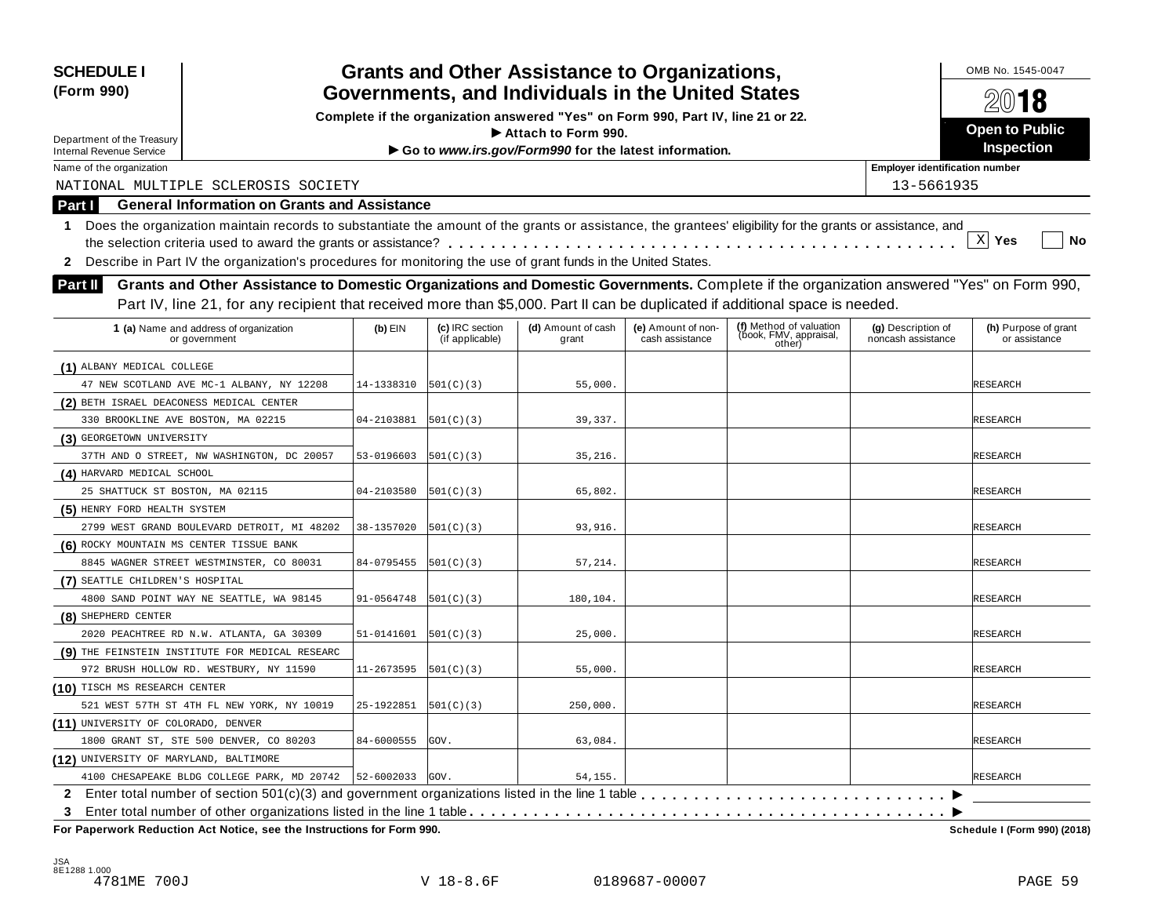| <b>SCHEDULE I</b>                        |                                                                                                                                                            |            | <b>Grants and Other Assistance to Organizations,</b><br>Governments, and Individuals in the United States |                                                                                  |                                       |                                                   |                                          |                                       |  |  |
|------------------------------------------|------------------------------------------------------------------------------------------------------------------------------------------------------------|------------|-----------------------------------------------------------------------------------------------------------|----------------------------------------------------------------------------------|---------------------------------------|---------------------------------------------------|------------------------------------------|---------------------------------------|--|--|
| (Form 990)                               |                                                                                                                                                            |            |                                                                                                           |                                                                                  |                                       |                                                   |                                          | 2018                                  |  |  |
|                                          |                                                                                                                                                            |            |                                                                                                           | Complete if the organization answered "Yes" on Form 990, Part IV, line 21 or 22. |                                       |                                                   |                                          |                                       |  |  |
| Department of the Treasury               |                                                                                                                                                            |            |                                                                                                           | $\blacktriangleright$ Attach to Form 990.                                        |                                       |                                                   |                                          | Open to Public<br>Inspection          |  |  |
| <b>Internal Revenue Service</b>          |                                                                                                                                                            |            |                                                                                                           | Go to www.irs.gov/Form990 for the latest information.                            |                                       |                                                   |                                          |                                       |  |  |
| Name of the organization                 |                                                                                                                                                            |            |                                                                                                           |                                                                                  |                                       |                                                   | <b>Employer identification number</b>    |                                       |  |  |
|                                          | NATIONAL MULTIPLE SCLEROSIS SOCIETY                                                                                                                        |            |                                                                                                           |                                                                                  |                                       |                                                   | 13-5661935                               |                                       |  |  |
| Part I                                   | <b>General Information on Grants and Assistance</b>                                                                                                        |            |                                                                                                           |                                                                                  |                                       |                                                   |                                          |                                       |  |  |
| 1.                                       | Does the organization maintain records to substantiate the amount of the grants or assistance, the grantees' eligibility for the grants or assistance, and |            |                                                                                                           |                                                                                  |                                       |                                                   |                                          |                                       |  |  |
|                                          |                                                                                                                                                            |            |                                                                                                           |                                                                                  |                                       |                                                   |                                          | $\mathbf{x}$<br>Yes<br>No             |  |  |
| $\mathbf{z}$                             | Describe in Part IV the organization's procedures for monitoring the use of grant funds in the United States.                                              |            |                                                                                                           |                                                                                  |                                       |                                                   |                                          |                                       |  |  |
| <b>Part II</b>                           | Grants and Other Assistance to Domestic Organizations and Domestic Governments. Complete if the organization answered "Yes" on Form 990,                   |            |                                                                                                           |                                                                                  |                                       |                                                   |                                          |                                       |  |  |
|                                          | Part IV, line 21, for any recipient that received more than \$5,000. Part II can be duplicated if additional space is needed.                              |            |                                                                                                           |                                                                                  |                                       |                                                   |                                          |                                       |  |  |
|                                          | 1 (a) Name and address of organization<br>or government                                                                                                    | $(b)$ EIN  | (c) IRC section<br>(if applicable)                                                                        | (d) Amount of cash<br>grant                                                      | (e) Amount of non-<br>cash assistance | (f) Method of valuation<br>(book, FMV, appraisal, | (g) Description of<br>noncash assistance | (h) Purpose of grant<br>or assistance |  |  |
|                                          |                                                                                                                                                            |            |                                                                                                           |                                                                                  |                                       | other)                                            |                                          |                                       |  |  |
| (1) ALBANY MEDICAL COLLEGE               |                                                                                                                                                            |            |                                                                                                           |                                                                                  |                                       |                                                   |                                          |                                       |  |  |
|                                          | 47 NEW SCOTLAND AVE MC-1 ALBANY, NY 12208                                                                                                                  | 14-1338310 | [501(C)(3)                                                                                                | 55,000.                                                                          |                                       |                                                   |                                          | RESEARCH                              |  |  |
| (2) BETH ISRAEL DEACONESS MEDICAL CENTER |                                                                                                                                                            |            |                                                                                                           |                                                                                  |                                       |                                                   |                                          |                                       |  |  |
| 330 BROOKLINE AVE BOSTON, MA 02215       |                                                                                                                                                            | 04-2103881 | [501(C)(3)                                                                                                | 39,337.                                                                          |                                       |                                                   |                                          | RESEARCH                              |  |  |
| (3) GEORGETOWN UNIVERSITY                |                                                                                                                                                            |            |                                                                                                           |                                                                                  |                                       |                                                   |                                          |                                       |  |  |
|                                          | 37TH AND O STREET, NW WASHINGTON, DC 20057                                                                                                                 | 53-0196603 | [501(C)(3)                                                                                                | 35,216.                                                                          |                                       |                                                   |                                          | RESEARCH                              |  |  |
| (4) HARVARD MEDICAL SCHOOL               |                                                                                                                                                            |            |                                                                                                           |                                                                                  |                                       |                                                   |                                          |                                       |  |  |
| 25 SHATTUCK ST BOSTON, MA 02115          |                                                                                                                                                            | 04-2103580 | [501(C)(3)                                                                                                | 65,802.                                                                          |                                       |                                                   |                                          | RESEARCH                              |  |  |
| (5) HENRY FORD HEALTH SYSTEM             |                                                                                                                                                            |            |                                                                                                           |                                                                                  |                                       |                                                   |                                          |                                       |  |  |
|                                          | 2799 WEST GRAND BOULEVARD DETROIT, MI 48202                                                                                                                | 38-1357020 | [501(C)(3)                                                                                                | 93,916.                                                                          |                                       |                                                   |                                          | RESEARCH                              |  |  |
| (6) ROCKY MOUNTAIN MS CENTER TISSUE BANK |                                                                                                                                                            |            |                                                                                                           |                                                                                  |                                       |                                                   |                                          |                                       |  |  |
|                                          | 8845 WAGNER STREET WESTMINSTER, CO 80031                                                                                                                   | 84-0795455 | [501(C)(3)                                                                                                | 57,214.                                                                          |                                       |                                                   |                                          | RESEARCH                              |  |  |
| (7) SEATTLE CHILDREN'S HOSPITAL          |                                                                                                                                                            |            |                                                                                                           |                                                                                  |                                       |                                                   |                                          |                                       |  |  |
|                                          | 4800 SAND POINT WAY NE SEATTLE, WA 98145                                                                                                                   | 91-0564748 | [501(C)(3)                                                                                                | 180,104.                                                                         |                                       |                                                   |                                          | RESEARCH                              |  |  |
| (8) SHEPHERD CENTER                      |                                                                                                                                                            |            |                                                                                                           |                                                                                  |                                       |                                                   |                                          |                                       |  |  |
|                                          | 2020 PEACHTREE RD N.W. ATLANTA, GA 30309                                                                                                                   | 51-0141601 | 501(C)(3)                                                                                                 | 25,000.                                                                          |                                       |                                                   |                                          | RESEARCH                              |  |  |
|                                          | (9) THE FEINSTEIN INSTITUTE FOR MEDICAL RESEARC                                                                                                            |            |                                                                                                           |                                                                                  |                                       |                                                   |                                          |                                       |  |  |
|                                          | 972 BRUSH HOLLOW RD. WESTBURY, NY 11590                                                                                                                    | 11-2673595 | [501(C)(3)                                                                                                | 55,000.                                                                          |                                       |                                                   |                                          | RESEARCH                              |  |  |
| (10) TISCH MS RESEARCH CENTER            |                                                                                                                                                            |            |                                                                                                           |                                                                                  |                                       |                                                   |                                          |                                       |  |  |
|                                          | 521 WEST 57TH ST 4TH FL NEW YORK, NY 10019                                                                                                                 | 25-1922851 | 501(C)(3)                                                                                                 | 250,000.                                                                         |                                       |                                                   |                                          | <b>RESEARCH</b>                       |  |  |
| (11) UNIVERSITY OF COLORADO, DENVER      |                                                                                                                                                            |            |                                                                                                           |                                                                                  |                                       |                                                   |                                          |                                       |  |  |
|                                          | 1800 GRANT ST, STE 500 DENVER, CO 80203                                                                                                                    | 84-6000555 | GOV.                                                                                                      | 63,084.                                                                          |                                       |                                                   |                                          | RESEARCH                              |  |  |
| (12) UNIVERSITY OF MARYLAND, BALTIMORE   |                                                                                                                                                            |            |                                                                                                           |                                                                                  |                                       |                                                   |                                          |                                       |  |  |
|                                          | 4100 CHESAPEAKE BLDG COLLEGE PARK, MD 20742   52-6002033 GOV.                                                                                              |            |                                                                                                           | 54,155.                                                                          |                                       |                                                   |                                          | <b>RESEARCH</b>                       |  |  |
|                                          |                                                                                                                                                            |            |                                                                                                           |                                                                                  |                                       |                                                   |                                          |                                       |  |  |
| 3                                        |                                                                                                                                                            |            |                                                                                                           |                                                                                  |                                       |                                                   |                                          |                                       |  |  |
|                                          | For Paperwork Reduction Act Notice, see the Instructions for Form 990.                                                                                     |            |                                                                                                           |                                                                                  |                                       |                                                   |                                          | Schedule I (Form 990) (2018)          |  |  |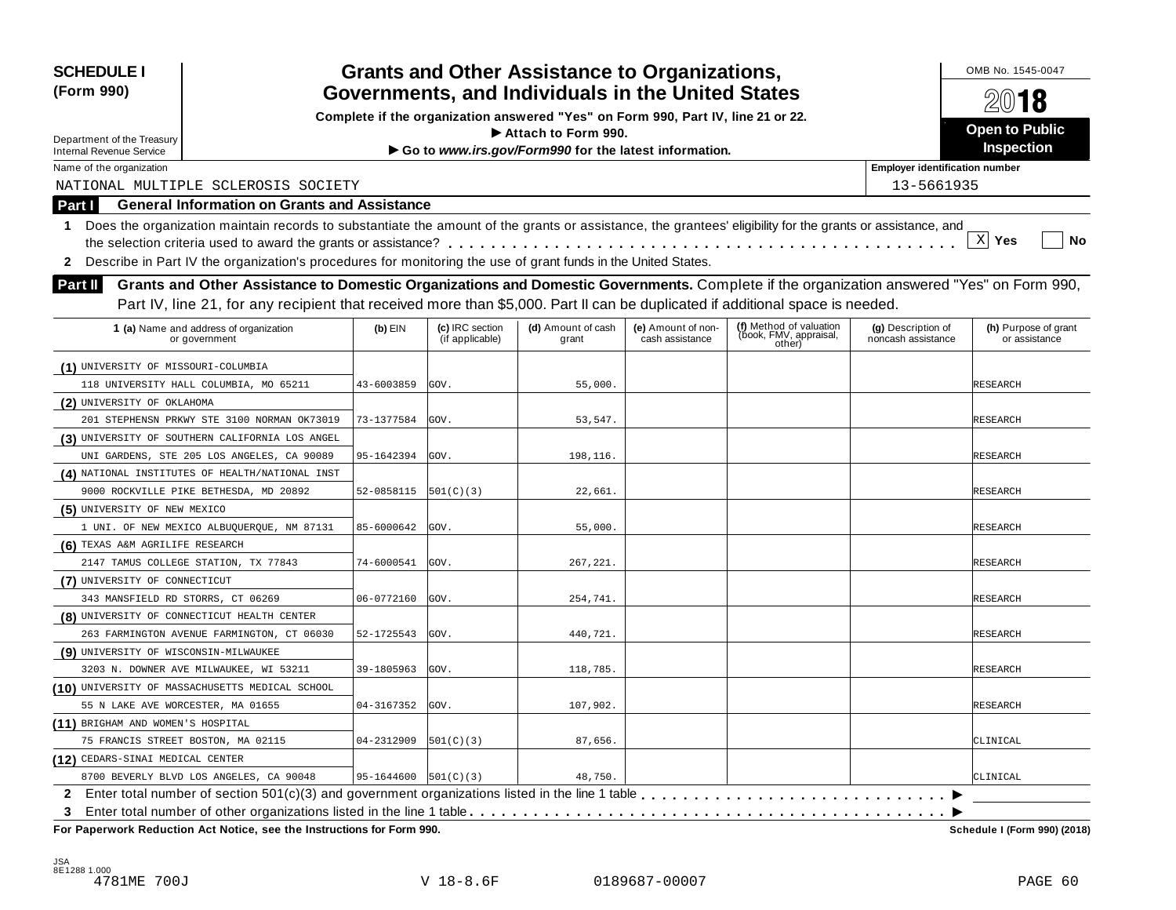| <b>SCHEDULE I</b><br>(Form 990)       |                                                                                                                                                            |                          | <b>Grants and Other Assistance to Organizations,</b><br>Governments, and Individuals in the United States |                                                                                  |                    |                                  |                                       |                              |  |  |
|---------------------------------------|------------------------------------------------------------------------------------------------------------------------------------------------------------|--------------------------|-----------------------------------------------------------------------------------------------------------|----------------------------------------------------------------------------------|--------------------|----------------------------------|---------------------------------------|------------------------------|--|--|
|                                       |                                                                                                                                                            |                          |                                                                                                           |                                                                                  |                    |                                  |                                       | 2018                         |  |  |
|                                       |                                                                                                                                                            |                          |                                                                                                           | Complete if the organization answered "Yes" on Form 990, Part IV, line 21 or 22. |                    |                                  |                                       | Open to Public               |  |  |
| Department of the Treasury            |                                                                                                                                                            |                          |                                                                                                           | $\blacktriangleright$ Attach to Form 990.                                        |                    |                                  |                                       | Inspection                   |  |  |
| <b>Internal Revenue Service</b>       |                                                                                                                                                            |                          |                                                                                                           | Go to www.irs.gov/Form990 for the latest information.                            |                    |                                  |                                       |                              |  |  |
| Name of the organization              |                                                                                                                                                            |                          |                                                                                                           |                                                                                  |                    |                                  | <b>Employer identification number</b> |                              |  |  |
|                                       | NATIONAL MULTIPLE SCLEROSIS SOCIETY                                                                                                                        |                          |                                                                                                           |                                                                                  |                    |                                  | 13-5661935                            |                              |  |  |
| Part I                                | <b>General Information on Grants and Assistance</b>                                                                                                        |                          |                                                                                                           |                                                                                  |                    |                                  |                                       |                              |  |  |
| 1.                                    | Does the organization maintain records to substantiate the amount of the grants or assistance, the grantees' eligibility for the grants or assistance, and |                          |                                                                                                           |                                                                                  |                    |                                  |                                       |                              |  |  |
|                                       |                                                                                                                                                            |                          |                                                                                                           |                                                                                  |                    |                                  |                                       | $\mathbf{x}$<br>Yes<br>No    |  |  |
| $\mathbf{z}$                          | Describe in Part IV the organization's procedures for monitoring the use of grant funds in the United States.                                              |                          |                                                                                                           |                                                                                  |                    |                                  |                                       |                              |  |  |
| <b>Part II</b>                        | Grants and Other Assistance to Domestic Organizations and Domestic Governments. Complete if the organization answered "Yes" on Form 990,                   |                          |                                                                                                           |                                                                                  |                    |                                  |                                       |                              |  |  |
|                                       | Part IV, line 21, for any recipient that received more than \$5,000. Part II can be duplicated if additional space is needed.                              |                          |                                                                                                           |                                                                                  |                    |                                  |                                       |                              |  |  |
|                                       |                                                                                                                                                            |                          | (c) IRC section                                                                                           | (d) Amount of cash                                                               | (e) Amount of non- | (f) Method of valuation          | (g) Description of                    | (h) Purpose of grant         |  |  |
|                                       | 1 (a) Name and address of organization<br>or government                                                                                                    | $(b)$ EIN                | (if applicable)                                                                                           | grant                                                                            | cash assistance    | (book, FMV, appraisal,<br>other) | noncash assistance                    | or assistance                |  |  |
| (1) UNIVERSITY OF MISSOURI-COLUMBIA   |                                                                                                                                                            |                          |                                                                                                           |                                                                                  |                    |                                  |                                       |                              |  |  |
|                                       | 118 UNIVERSITY HALL COLUMBIA, MO 65211                                                                                                                     | 43-6003859               | GOV.                                                                                                      | 55,000.                                                                          |                    |                                  |                                       | RESEARCH                     |  |  |
| (2) UNIVERSITY OF OKLAHOMA            |                                                                                                                                                            |                          |                                                                                                           |                                                                                  |                    |                                  |                                       |                              |  |  |
|                                       | 201 STEPHENSN PRKWY STE 3100 NORMAN OK73019                                                                                                                | 73-1377584               | GOV.                                                                                                      | 53,547.                                                                          |                    |                                  |                                       | RESEARCH                     |  |  |
|                                       | (3) UNIVERSITY OF SOUTHERN CALIFORNIA LOS ANGEL                                                                                                            |                          |                                                                                                           |                                                                                  |                    |                                  |                                       |                              |  |  |
|                                       | UNI GARDENS, STE 205 LOS ANGELES, CA 90089                                                                                                                 | 95-1642394               | GOV.                                                                                                      | 198,116.                                                                         |                    |                                  |                                       | RESEARCH                     |  |  |
|                                       | (4) NATIONAL INSTITUTES OF HEALTH/NATIONAL INST                                                                                                            |                          |                                                                                                           |                                                                                  |                    |                                  |                                       |                              |  |  |
|                                       | 9000 ROCKVILLE PIKE BETHESDA, MD 20892                                                                                                                     | 52-0858115               | [501(C)(3)                                                                                                | 22,661.                                                                          |                    |                                  |                                       | RESEARCH                     |  |  |
| (5) UNIVERSITY OF NEW MEXICO          |                                                                                                                                                            |                          |                                                                                                           |                                                                                  |                    |                                  |                                       |                              |  |  |
|                                       | 1 UNI. OF NEW MEXICO ALBUQUERQUE, NM 87131                                                                                                                 | 85-6000642               | GOV.                                                                                                      | 55,000.                                                                          |                    |                                  |                                       | RESEARCH                     |  |  |
| (6) TEXAS A&M AGRILIFE RESEARCH       |                                                                                                                                                            |                          |                                                                                                           |                                                                                  |                    |                                  |                                       |                              |  |  |
|                                       | 2147 TAMUS COLLEGE STATION, TX 77843                                                                                                                       | 74-6000541               | GOV.                                                                                                      | 267,221.                                                                         |                    |                                  |                                       | RESEARCH                     |  |  |
| (7) UNIVERSITY OF CONNECTICUT         |                                                                                                                                                            |                          |                                                                                                           |                                                                                  |                    |                                  |                                       |                              |  |  |
| 343 MANSFIELD RD STORRS, CT 06269     |                                                                                                                                                            | 06-0772160               | GOV.                                                                                                      | 254,741.                                                                         |                    |                                  |                                       | RESEARCH                     |  |  |
|                                       | (8) UNIVERSITY OF CONNECTICUT HEALTH CENTER                                                                                                                |                          |                                                                                                           |                                                                                  |                    |                                  |                                       |                              |  |  |
|                                       | 263 FARMINGTON AVENUE FARMINGTON, CT 06030                                                                                                                 | 52-1725543               | GOV.                                                                                                      | 440.721.                                                                         |                    |                                  |                                       | RESEARCH                     |  |  |
| (9) UNIVERSITY OF WISCONSIN-MILWAUKEE |                                                                                                                                                            |                          |                                                                                                           |                                                                                  |                    |                                  |                                       |                              |  |  |
|                                       | 3203 N. DOWNER AVE MILWAUKEE, WI 53211                                                                                                                     | 39-1805963               | GOV.                                                                                                      | 118,785.                                                                         |                    |                                  |                                       | RESEARCH                     |  |  |
|                                       | (10) UNIVERSITY OF MASSACHUSETTS MEDICAL SCHOOL                                                                                                            |                          |                                                                                                           |                                                                                  |                    |                                  |                                       |                              |  |  |
| 55 N LAKE AVE WORCESTER, MA 01655     |                                                                                                                                                            | 04-3167352               | GOV.                                                                                                      | 107,902.                                                                         |                    |                                  |                                       | <b>RESEARCH</b>              |  |  |
| (11) BRIGHAM AND WOMEN'S HOSPITAL     |                                                                                                                                                            |                          |                                                                                                           |                                                                                  |                    |                                  |                                       |                              |  |  |
|                                       | 75 FRANCIS STREET BOSTON, MA 02115                                                                                                                         | 04-2312909               | 501(C)(3)                                                                                                 | 87,656.                                                                          |                    |                                  |                                       | CLINICAL                     |  |  |
| (12) CEDARS-SINAI MEDICAL CENTER      |                                                                                                                                                            |                          |                                                                                                           |                                                                                  |                    |                                  |                                       |                              |  |  |
|                                       | 8700 BEVERLY BLVD LOS ANGELES, CA 90048                                                                                                                    | $95-1644600$ $501(C)(3)$ |                                                                                                           | 48,750.                                                                          |                    |                                  |                                       | CLINICAL                     |  |  |
|                                       |                                                                                                                                                            |                          |                                                                                                           |                                                                                  |                    |                                  |                                       |                              |  |  |
| 3                                     |                                                                                                                                                            |                          |                                                                                                           |                                                                                  |                    |                                  |                                       |                              |  |  |
|                                       | For Paperwork Reduction Act Notice, see the Instructions for Form 990.                                                                                     |                          |                                                                                                           |                                                                                  |                    |                                  |                                       | Schedule I (Form 990) (2018) |  |  |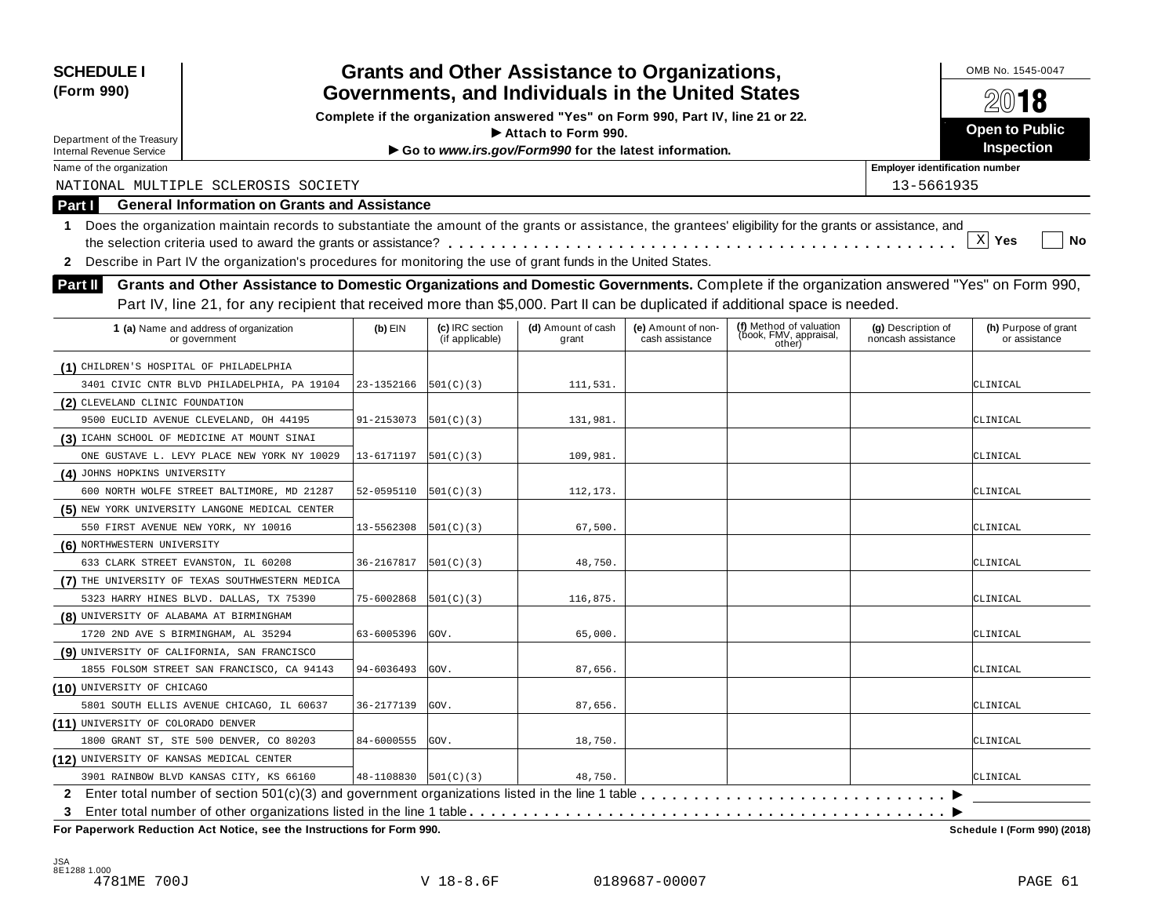| <b>SCHEDULE I</b><br>(Form 990)                                                                                                                                  |                                                                                  | <b>Grants and Other Assistance to Organizations,</b><br>Governments, and Individuals in the United States |                                                       |                                       |                                                             |                                          |                                       |  |  |
|------------------------------------------------------------------------------------------------------------------------------------------------------------------|----------------------------------------------------------------------------------|-----------------------------------------------------------------------------------------------------------|-------------------------------------------------------|---------------------------------------|-------------------------------------------------------------|------------------------------------------|---------------------------------------|--|--|
|                                                                                                                                                                  |                                                                                  |                                                                                                           |                                                       |                                       |                                                             |                                          | 2018                                  |  |  |
|                                                                                                                                                                  | Complete if the organization answered "Yes" on Form 990, Part IV, line 21 or 22. |                                                                                                           |                                                       |                                       |                                                             |                                          | Open to Public                        |  |  |
| Department of the Treasury                                                                                                                                       |                                                                                  |                                                                                                           | $\blacktriangleright$ Attach to Form 990.             |                                       |                                                             |                                          | Inspection                            |  |  |
| <b>Internal Revenue Service</b>                                                                                                                                  |                                                                                  |                                                                                                           | Go to www.irs.gov/Form990 for the latest information. |                                       |                                                             | <b>Employer identification number</b>    |                                       |  |  |
| Name of the organization<br>NATIONAL MULTIPLE SCLEROSIS SOCIETY                                                                                                  |                                                                                  |                                                                                                           |                                                       |                                       |                                                             | 13-5661935                               |                                       |  |  |
|                                                                                                                                                                  |                                                                                  |                                                                                                           |                                                       |                                       |                                                             |                                          |                                       |  |  |
| <b>General Information on Grants and Assistance</b><br>Part I                                                                                                    |                                                                                  |                                                                                                           |                                                       |                                       |                                                             |                                          |                                       |  |  |
| Does the organization maintain records to substantiate the amount of the grants or assistance, the grantees' eligibility for the grants or assistance, and<br>1. |                                                                                  |                                                                                                           |                                                       |                                       |                                                             |                                          | $X$ Yes                               |  |  |
|                                                                                                                                                                  |                                                                                  |                                                                                                           |                                                       |                                       |                                                             |                                          | No                                    |  |  |
| Describe in Part IV the organization's procedures for monitoring the use of grant funds in the United States.<br>$\mathbf{2}$                                    |                                                                                  |                                                                                                           |                                                       |                                       |                                                             |                                          |                                       |  |  |
| Grants and Other Assistance to Domestic Organizations and Domestic Governments. Complete if the organization answered "Yes" on Form 990,<br><b>Part II</b>       |                                                                                  |                                                                                                           |                                                       |                                       |                                                             |                                          |                                       |  |  |
| Part IV, line 21, for any recipient that received more than \$5,000. Part II can be duplicated if additional space is needed.                                    |                                                                                  |                                                                                                           |                                                       |                                       |                                                             |                                          |                                       |  |  |
| 1 (a) Name and address of organization<br>or government                                                                                                          | $(b)$ EIN                                                                        | (c) IRC section<br>(if applicable)                                                                        | (d) Amount of cash<br>grant                           | (e) Amount of non-<br>cash assistance | (f) Method of valuation<br>(book, FMV, appraisal,<br>other) | (g) Description of<br>noncash assistance | (h) Purpose of grant<br>or assistance |  |  |
| (1) CHILDREN'S HOSPITAL OF PHILADELPHIA                                                                                                                          |                                                                                  |                                                                                                           |                                                       |                                       |                                                             |                                          |                                       |  |  |
| 3401 CIVIC CNTR BLVD PHILADELPHIA, PA 19104                                                                                                                      | 23-1352166                                                                       | [501(C)(3)                                                                                                | 111,531.                                              |                                       |                                                             |                                          | CLINICAL                              |  |  |
| (2) CLEVELAND CLINIC FOUNDATION                                                                                                                                  |                                                                                  |                                                                                                           |                                                       |                                       |                                                             |                                          |                                       |  |  |
| 9500 EUCLID AVENUE CLEVELAND, OH 44195                                                                                                                           | 91-2153073                                                                       | [501(C)(3)                                                                                                | 131,981.                                              |                                       |                                                             |                                          | CLINICAL                              |  |  |
| (3) ICAHN SCHOOL OF MEDICINE AT MOUNT SINAI                                                                                                                      |                                                                                  |                                                                                                           |                                                       |                                       |                                                             |                                          |                                       |  |  |
| ONE GUSTAVE L. LEVY PLACE NEW YORK NY 10029                                                                                                                      | 13-6171197                                                                       | [501(C)(3)                                                                                                | 109,981.                                              |                                       |                                                             |                                          | CLINICAL                              |  |  |
| (4) JOHNS HOPKINS UNIVERSITY                                                                                                                                     |                                                                                  |                                                                                                           |                                                       |                                       |                                                             |                                          |                                       |  |  |
| 600 NORTH WOLFE STREET BALTIMORE, MD 21287                                                                                                                       | 52-0595110                                                                       | [501(C)(3)                                                                                                | 112,173.                                              |                                       |                                                             |                                          | CLINICAL                              |  |  |
| (5) NEW YORK UNIVERSITY LANGONE MEDICAL CENTER                                                                                                                   |                                                                                  |                                                                                                           |                                                       |                                       |                                                             |                                          |                                       |  |  |
| 550 FIRST AVENUE NEW YORK, NY 10016                                                                                                                              | 13-5562308                                                                       | [501(C)(3)                                                                                                | 67,500.                                               |                                       |                                                             |                                          | CLINICAL                              |  |  |
| (6) NORTHWESTERN UNIVERSITY                                                                                                                                      |                                                                                  |                                                                                                           |                                                       |                                       |                                                             |                                          |                                       |  |  |
| 633 CLARK STREET EVANSTON, IL 60208                                                                                                                              | 36-2167817                                                                       | 501(C)(3)                                                                                                 | 48,750.                                               |                                       |                                                             |                                          | CLINICAL                              |  |  |
| (7) THE UNIVERSITY OF TEXAS SOUTHWESTERN MEDICA                                                                                                                  |                                                                                  |                                                                                                           |                                                       |                                       |                                                             |                                          |                                       |  |  |
| 5323 HARRY HINES BLVD. DALLAS, TX 75390                                                                                                                          | 75-6002868                                                                       | 501(C)(3)                                                                                                 | 116,875.                                              |                                       |                                                             |                                          | CLINICAL                              |  |  |
| (8) UNIVERSITY OF ALABAMA AT BIRMINGHAM                                                                                                                          |                                                                                  |                                                                                                           |                                                       |                                       |                                                             |                                          |                                       |  |  |
| 1720 2ND AVE S BIRMINGHAM, AL 35294                                                                                                                              | 63-6005396                                                                       | GOV.                                                                                                      | 65,000.                                               |                                       |                                                             |                                          | CLINICAL                              |  |  |
| (9) UNIVERSITY OF CALIFORNIA, SAN FRANCISCO                                                                                                                      |                                                                                  |                                                                                                           |                                                       |                                       |                                                             |                                          |                                       |  |  |
| 1855 FOLSOM STREET SAN FRANCISCO, CA 94143                                                                                                                       | 94-6036493                                                                       | GOV.                                                                                                      | 87,656.                                               |                                       |                                                             |                                          | CLINICAL                              |  |  |
| (10) UNIVERSITY OF CHICAGO                                                                                                                                       |                                                                                  |                                                                                                           |                                                       |                                       |                                                             |                                          |                                       |  |  |
| 5801 SOUTH ELLIS AVENUE CHICAGO, IL 60637                                                                                                                        | 36-2177139                                                                       | GOV.                                                                                                      | 87,656.                                               |                                       |                                                             |                                          | CLINICAL                              |  |  |
| (11) UNIVERSITY OF COLORADO DENVER                                                                                                                               |                                                                                  |                                                                                                           |                                                       |                                       |                                                             |                                          |                                       |  |  |
| 1800 GRANT ST, STE 500 DENVER, CO 80203                                                                                                                          | 84-6000555                                                                       | GOV.                                                                                                      | 18,750.                                               |                                       |                                                             |                                          | CLINICAL                              |  |  |
| (12) UNIVERSITY OF KANSAS MEDICAL CENTER                                                                                                                         |                                                                                  |                                                                                                           |                                                       |                                       |                                                             |                                          |                                       |  |  |
| 3901 RAINBOW BLVD KANSAS CITY, KS 66160                                                                                                                          | $48-1108830$ $501(C)(3)$                                                         |                                                                                                           | 48,750.                                               |                                       |                                                             |                                          | CLINICAL                              |  |  |
|                                                                                                                                                                  |                                                                                  |                                                                                                           |                                                       |                                       |                                                             |                                          |                                       |  |  |
| 3                                                                                                                                                                |                                                                                  |                                                                                                           |                                                       |                                       |                                                             |                                          |                                       |  |  |
| For Paperwork Reduction Act Notice, see the Instructions for Form 990.                                                                                           |                                                                                  |                                                                                                           |                                                       |                                       |                                                             |                                          | Schedule I (Form 990) (2018)          |  |  |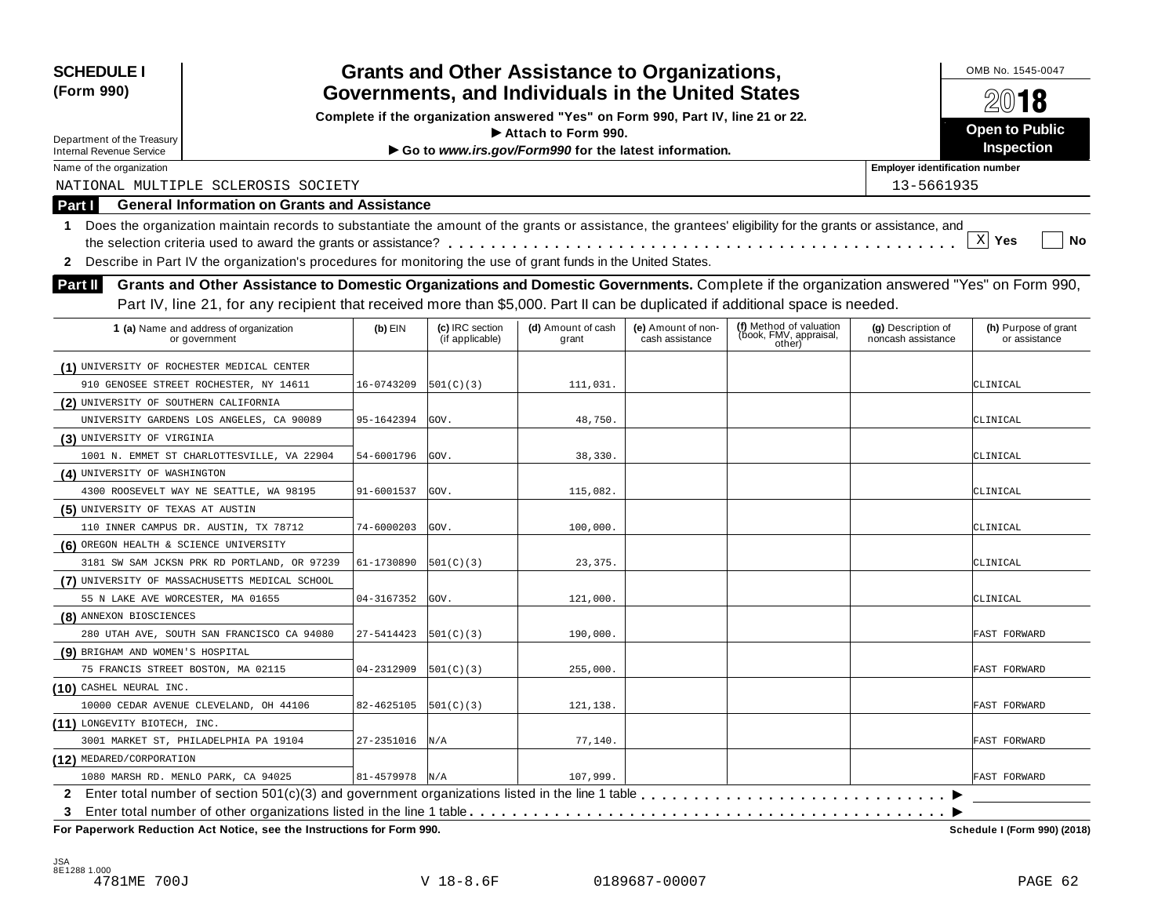| Governments, and Individuals in the United States<br>Complete if the organization answered "Yes" on Form 990, Part IV, line 21 or 22.<br>Open to Public<br>$\blacktriangleright$ Attach to Form 990.<br>Inspection<br>Go to www.irs.gov/Form990 for the latest information.<br><b>Internal Revenue Service</b><br><b>Employer identification number</b><br>Name of the organization<br>NATIONAL MULTIPLE SCLEROSIS SOCIETY<br>13-5661935<br><b>General Information on Grants and Assistance</b><br>Part I<br>Does the organization maintain records to substantiate the amount of the grants or assistance, the grantees' eligibility for the grants or assistance, and<br>1.<br>$X$ Yes<br>No<br>Describe in Part IV the organization's procedures for monitoring the use of grant funds in the United States.<br>Grants and Other Assistance to Domestic Organizations and Domestic Governments. Complete if the organization answered "Yes" on Form 990,<br>Part IV, line 21, for any recipient that received more than \$5,000. Part II can be duplicated if additional space is needed.<br>(f) Method of valuation<br>(c) IRC section<br>(d) Amount of cash<br>(h) Purpose of grant<br>$(b)$ EIN<br>(e) Amount of non-<br>(g) Description of<br>1 (a) Name and address of organization<br>(book, FMV, appraisal,<br>(if applicable)<br>cash assistance<br>noncash assistance<br>grant<br>or assistance<br>or government<br>other)<br>(1) UNIVERSITY OF ROCHESTER MEDICAL CENTER<br>111,031.<br>910 GENOSEE STREET ROCHESTER, NY 14611<br>16-0743209<br>[501(C)(3)<br>CLINICAL<br>(2) UNIVERSITY OF SOUTHERN CALIFORNIA<br>GOV.<br>48,750.<br>UNIVERSITY GARDENS LOS ANGELES, CA 90089<br>95-1642394<br>CLINICAL<br>(3) UNIVERSITY OF VIRGINIA<br>1001 N. EMMET ST CHARLOTTESVILLE, VA 22904<br>GOV.<br>54-6001796<br>38,330.<br>CLINICAL<br>(4) UNIVERSITY OF WASHINGTON<br>115,082.<br>4300 ROOSEVELT WAY NE SEATTLE, WA 98195<br>91-6001537<br>GOV.<br>CLINICAL<br>(5) UNIVERSITY OF TEXAS AT AUSTIN<br>100,000.<br>110 INNER CAMPUS DR. AUSTIN, TX 78712<br>74-6000203<br>GOV.<br>CLINICAL<br>(6) OREGON HEALTH & SCIENCE UNIVERSITY<br>3181 SW SAM JCKSN PRK RD PORTLAND, OR 97239<br>61-1730890<br> 501(C)(3) <br>23,375.<br>CLINICAL<br>(7) UNIVERSITY OF MASSACHUSETTS MEDICAL SCHOOL<br>04-3167352<br>GOV.<br>121,000.<br>55 N LAKE AVE WORCESTER, MA 01655<br>CLINICAL<br>(8) ANNEXON BIOSCIENCES<br>27-5414423<br>190,000.<br>280 UTAH AVE, SOUTH SAN FRANCISCO CA 94080<br>[501(C)(3)<br>FAST FORWARD<br>(9) BRIGHAM AND WOMEN'S HOSPITAL<br>75 FRANCIS STREET BOSTON, MA 02115<br>04-2312909<br>255,000.<br>FAST FORWARD<br>[501(C)(3)<br>10000 CEDAR AVENUE CLEVELAND, OH 44106<br>82-4625105<br> 501(C)(3) <br>121,138.<br>FAST FORWARD<br>(11) LONGEVITY BIOTECH, INC.<br>27-2351016<br>77,140.<br>3001 MARKET ST, PHILADELPHIA PA 19104<br>N/A<br>FAST FORWARD<br>(12) MEDARED/CORPORATION<br>$81 - 4579978$ N/A<br>1080 MARSH RD. MENLO PARK, CA 94025<br>107,999.<br>FAST FORWARD | <b>SCHEDULE I</b>          |  | <b>Grants and Other Assistance to Organizations,</b> |  |  |  |  |      |  |  |
|----------------------------------------------------------------------------------------------------------------------------------------------------------------------------------------------------------------------------------------------------------------------------------------------------------------------------------------------------------------------------------------------------------------------------------------------------------------------------------------------------------------------------------------------------------------------------------------------------------------------------------------------------------------------------------------------------------------------------------------------------------------------------------------------------------------------------------------------------------------------------------------------------------------------------------------------------------------------------------------------------------------------------------------------------------------------------------------------------------------------------------------------------------------------------------------------------------------------------------------------------------------------------------------------------------------------------------------------------------------------------------------------------------------------------------------------------------------------------------------------------------------------------------------------------------------------------------------------------------------------------------------------------------------------------------------------------------------------------------------------------------------------------------------------------------------------------------------------------------------------------------------------------------------------------------------------------------------------------------------------------------------------------------------------------------------------------------------------------------------------------------------------------------------------------------------------------------------------------------------------------------------------------------------------------------------------------------------------------------------------------------------------------------------------------------------------------------------------------------------------------------------------------------------------------------------------------------------------------------------------------------------------------------------------------------------------------------------------------------------------------------------------------------------------------------------------------------------------------------------------------------------------------------------------------------------------------------------------------------------------------------|----------------------------|--|------------------------------------------------------|--|--|--|--|------|--|--|
|                                                                                                                                                                                                                                                                                                                                                                                                                                                                                                                                                                                                                                                                                                                                                                                                                                                                                                                                                                                                                                                                                                                                                                                                                                                                                                                                                                                                                                                                                                                                                                                                                                                                                                                                                                                                                                                                                                                                                                                                                                                                                                                                                                                                                                                                                                                                                                                                                                                                                                                                                                                                                                                                                                                                                                                                                                                                                                                                                                                                          | (Form 990)                 |  |                                                      |  |  |  |  | 2018 |  |  |
|                                                                                                                                                                                                                                                                                                                                                                                                                                                                                                                                                                                                                                                                                                                                                                                                                                                                                                                                                                                                                                                                                                                                                                                                                                                                                                                                                                                                                                                                                                                                                                                                                                                                                                                                                                                                                                                                                                                                                                                                                                                                                                                                                                                                                                                                                                                                                                                                                                                                                                                                                                                                                                                                                                                                                                                                                                                                                                                                                                                                          |                            |  |                                                      |  |  |  |  |      |  |  |
|                                                                                                                                                                                                                                                                                                                                                                                                                                                                                                                                                                                                                                                                                                                                                                                                                                                                                                                                                                                                                                                                                                                                                                                                                                                                                                                                                                                                                                                                                                                                                                                                                                                                                                                                                                                                                                                                                                                                                                                                                                                                                                                                                                                                                                                                                                                                                                                                                                                                                                                                                                                                                                                                                                                                                                                                                                                                                                                                                                                                          | Department of the Treasury |  |                                                      |  |  |  |  |      |  |  |
|                                                                                                                                                                                                                                                                                                                                                                                                                                                                                                                                                                                                                                                                                                                                                                                                                                                                                                                                                                                                                                                                                                                                                                                                                                                                                                                                                                                                                                                                                                                                                                                                                                                                                                                                                                                                                                                                                                                                                                                                                                                                                                                                                                                                                                                                                                                                                                                                                                                                                                                                                                                                                                                                                                                                                                                                                                                                                                                                                                                                          |                            |  |                                                      |  |  |  |  |      |  |  |
|                                                                                                                                                                                                                                                                                                                                                                                                                                                                                                                                                                                                                                                                                                                                                                                                                                                                                                                                                                                                                                                                                                                                                                                                                                                                                                                                                                                                                                                                                                                                                                                                                                                                                                                                                                                                                                                                                                                                                                                                                                                                                                                                                                                                                                                                                                                                                                                                                                                                                                                                                                                                                                                                                                                                                                                                                                                                                                                                                                                                          |                            |  |                                                      |  |  |  |  |      |  |  |
|                                                                                                                                                                                                                                                                                                                                                                                                                                                                                                                                                                                                                                                                                                                                                                                                                                                                                                                                                                                                                                                                                                                                                                                                                                                                                                                                                                                                                                                                                                                                                                                                                                                                                                                                                                                                                                                                                                                                                                                                                                                                                                                                                                                                                                                                                                                                                                                                                                                                                                                                                                                                                                                                                                                                                                                                                                                                                                                                                                                                          |                            |  |                                                      |  |  |  |  |      |  |  |
|                                                                                                                                                                                                                                                                                                                                                                                                                                                                                                                                                                                                                                                                                                                                                                                                                                                                                                                                                                                                                                                                                                                                                                                                                                                                                                                                                                                                                                                                                                                                                                                                                                                                                                                                                                                                                                                                                                                                                                                                                                                                                                                                                                                                                                                                                                                                                                                                                                                                                                                                                                                                                                                                                                                                                                                                                                                                                                                                                                                                          |                            |  |                                                      |  |  |  |  |      |  |  |
|                                                                                                                                                                                                                                                                                                                                                                                                                                                                                                                                                                                                                                                                                                                                                                                                                                                                                                                                                                                                                                                                                                                                                                                                                                                                                                                                                                                                                                                                                                                                                                                                                                                                                                                                                                                                                                                                                                                                                                                                                                                                                                                                                                                                                                                                                                                                                                                                                                                                                                                                                                                                                                                                                                                                                                                                                                                                                                                                                                                                          |                            |  |                                                      |  |  |  |  |      |  |  |
|                                                                                                                                                                                                                                                                                                                                                                                                                                                                                                                                                                                                                                                                                                                                                                                                                                                                                                                                                                                                                                                                                                                                                                                                                                                                                                                                                                                                                                                                                                                                                                                                                                                                                                                                                                                                                                                                                                                                                                                                                                                                                                                                                                                                                                                                                                                                                                                                                                                                                                                                                                                                                                                                                                                                                                                                                                                                                                                                                                                                          |                            |  |                                                      |  |  |  |  |      |  |  |
|                                                                                                                                                                                                                                                                                                                                                                                                                                                                                                                                                                                                                                                                                                                                                                                                                                                                                                                                                                                                                                                                                                                                                                                                                                                                                                                                                                                                                                                                                                                                                                                                                                                                                                                                                                                                                                                                                                                                                                                                                                                                                                                                                                                                                                                                                                                                                                                                                                                                                                                                                                                                                                                                                                                                                                                                                                                                                                                                                                                                          | $\mathbf{2}$               |  |                                                      |  |  |  |  |      |  |  |
|                                                                                                                                                                                                                                                                                                                                                                                                                                                                                                                                                                                                                                                                                                                                                                                                                                                                                                                                                                                                                                                                                                                                                                                                                                                                                                                                                                                                                                                                                                                                                                                                                                                                                                                                                                                                                                                                                                                                                                                                                                                                                                                                                                                                                                                                                                                                                                                                                                                                                                                                                                                                                                                                                                                                                                                                                                                                                                                                                                                                          | <b>Part II</b>             |  |                                                      |  |  |  |  |      |  |  |
|                                                                                                                                                                                                                                                                                                                                                                                                                                                                                                                                                                                                                                                                                                                                                                                                                                                                                                                                                                                                                                                                                                                                                                                                                                                                                                                                                                                                                                                                                                                                                                                                                                                                                                                                                                                                                                                                                                                                                                                                                                                                                                                                                                                                                                                                                                                                                                                                                                                                                                                                                                                                                                                                                                                                                                                                                                                                                                                                                                                                          |                            |  |                                                      |  |  |  |  |      |  |  |
|                                                                                                                                                                                                                                                                                                                                                                                                                                                                                                                                                                                                                                                                                                                                                                                                                                                                                                                                                                                                                                                                                                                                                                                                                                                                                                                                                                                                                                                                                                                                                                                                                                                                                                                                                                                                                                                                                                                                                                                                                                                                                                                                                                                                                                                                                                                                                                                                                                                                                                                                                                                                                                                                                                                                                                                                                                                                                                                                                                                                          |                            |  |                                                      |  |  |  |  |      |  |  |
|                                                                                                                                                                                                                                                                                                                                                                                                                                                                                                                                                                                                                                                                                                                                                                                                                                                                                                                                                                                                                                                                                                                                                                                                                                                                                                                                                                                                                                                                                                                                                                                                                                                                                                                                                                                                                                                                                                                                                                                                                                                                                                                                                                                                                                                                                                                                                                                                                                                                                                                                                                                                                                                                                                                                                                                                                                                                                                                                                                                                          |                            |  |                                                      |  |  |  |  |      |  |  |
|                                                                                                                                                                                                                                                                                                                                                                                                                                                                                                                                                                                                                                                                                                                                                                                                                                                                                                                                                                                                                                                                                                                                                                                                                                                                                                                                                                                                                                                                                                                                                                                                                                                                                                                                                                                                                                                                                                                                                                                                                                                                                                                                                                                                                                                                                                                                                                                                                                                                                                                                                                                                                                                                                                                                                                                                                                                                                                                                                                                                          |                            |  |                                                      |  |  |  |  |      |  |  |
|                                                                                                                                                                                                                                                                                                                                                                                                                                                                                                                                                                                                                                                                                                                                                                                                                                                                                                                                                                                                                                                                                                                                                                                                                                                                                                                                                                                                                                                                                                                                                                                                                                                                                                                                                                                                                                                                                                                                                                                                                                                                                                                                                                                                                                                                                                                                                                                                                                                                                                                                                                                                                                                                                                                                                                                                                                                                                                                                                                                                          |                            |  |                                                      |  |  |  |  |      |  |  |
|                                                                                                                                                                                                                                                                                                                                                                                                                                                                                                                                                                                                                                                                                                                                                                                                                                                                                                                                                                                                                                                                                                                                                                                                                                                                                                                                                                                                                                                                                                                                                                                                                                                                                                                                                                                                                                                                                                                                                                                                                                                                                                                                                                                                                                                                                                                                                                                                                                                                                                                                                                                                                                                                                                                                                                                                                                                                                                                                                                                                          |                            |  |                                                      |  |  |  |  |      |  |  |
|                                                                                                                                                                                                                                                                                                                                                                                                                                                                                                                                                                                                                                                                                                                                                                                                                                                                                                                                                                                                                                                                                                                                                                                                                                                                                                                                                                                                                                                                                                                                                                                                                                                                                                                                                                                                                                                                                                                                                                                                                                                                                                                                                                                                                                                                                                                                                                                                                                                                                                                                                                                                                                                                                                                                                                                                                                                                                                                                                                                                          |                            |  |                                                      |  |  |  |  |      |  |  |
|                                                                                                                                                                                                                                                                                                                                                                                                                                                                                                                                                                                                                                                                                                                                                                                                                                                                                                                                                                                                                                                                                                                                                                                                                                                                                                                                                                                                                                                                                                                                                                                                                                                                                                                                                                                                                                                                                                                                                                                                                                                                                                                                                                                                                                                                                                                                                                                                                                                                                                                                                                                                                                                                                                                                                                                                                                                                                                                                                                                                          |                            |  |                                                      |  |  |  |  |      |  |  |
|                                                                                                                                                                                                                                                                                                                                                                                                                                                                                                                                                                                                                                                                                                                                                                                                                                                                                                                                                                                                                                                                                                                                                                                                                                                                                                                                                                                                                                                                                                                                                                                                                                                                                                                                                                                                                                                                                                                                                                                                                                                                                                                                                                                                                                                                                                                                                                                                                                                                                                                                                                                                                                                                                                                                                                                                                                                                                                                                                                                                          |                            |  |                                                      |  |  |  |  |      |  |  |
|                                                                                                                                                                                                                                                                                                                                                                                                                                                                                                                                                                                                                                                                                                                                                                                                                                                                                                                                                                                                                                                                                                                                                                                                                                                                                                                                                                                                                                                                                                                                                                                                                                                                                                                                                                                                                                                                                                                                                                                                                                                                                                                                                                                                                                                                                                                                                                                                                                                                                                                                                                                                                                                                                                                                                                                                                                                                                                                                                                                                          |                            |  |                                                      |  |  |  |  |      |  |  |
|                                                                                                                                                                                                                                                                                                                                                                                                                                                                                                                                                                                                                                                                                                                                                                                                                                                                                                                                                                                                                                                                                                                                                                                                                                                                                                                                                                                                                                                                                                                                                                                                                                                                                                                                                                                                                                                                                                                                                                                                                                                                                                                                                                                                                                                                                                                                                                                                                                                                                                                                                                                                                                                                                                                                                                                                                                                                                                                                                                                                          |                            |  |                                                      |  |  |  |  |      |  |  |
|                                                                                                                                                                                                                                                                                                                                                                                                                                                                                                                                                                                                                                                                                                                                                                                                                                                                                                                                                                                                                                                                                                                                                                                                                                                                                                                                                                                                                                                                                                                                                                                                                                                                                                                                                                                                                                                                                                                                                                                                                                                                                                                                                                                                                                                                                                                                                                                                                                                                                                                                                                                                                                                                                                                                                                                                                                                                                                                                                                                                          |                            |  |                                                      |  |  |  |  |      |  |  |
|                                                                                                                                                                                                                                                                                                                                                                                                                                                                                                                                                                                                                                                                                                                                                                                                                                                                                                                                                                                                                                                                                                                                                                                                                                                                                                                                                                                                                                                                                                                                                                                                                                                                                                                                                                                                                                                                                                                                                                                                                                                                                                                                                                                                                                                                                                                                                                                                                                                                                                                                                                                                                                                                                                                                                                                                                                                                                                                                                                                                          |                            |  |                                                      |  |  |  |  |      |  |  |
|                                                                                                                                                                                                                                                                                                                                                                                                                                                                                                                                                                                                                                                                                                                                                                                                                                                                                                                                                                                                                                                                                                                                                                                                                                                                                                                                                                                                                                                                                                                                                                                                                                                                                                                                                                                                                                                                                                                                                                                                                                                                                                                                                                                                                                                                                                                                                                                                                                                                                                                                                                                                                                                                                                                                                                                                                                                                                                                                                                                                          |                            |  |                                                      |  |  |  |  |      |  |  |
|                                                                                                                                                                                                                                                                                                                                                                                                                                                                                                                                                                                                                                                                                                                                                                                                                                                                                                                                                                                                                                                                                                                                                                                                                                                                                                                                                                                                                                                                                                                                                                                                                                                                                                                                                                                                                                                                                                                                                                                                                                                                                                                                                                                                                                                                                                                                                                                                                                                                                                                                                                                                                                                                                                                                                                                                                                                                                                                                                                                                          |                            |  |                                                      |  |  |  |  |      |  |  |
|                                                                                                                                                                                                                                                                                                                                                                                                                                                                                                                                                                                                                                                                                                                                                                                                                                                                                                                                                                                                                                                                                                                                                                                                                                                                                                                                                                                                                                                                                                                                                                                                                                                                                                                                                                                                                                                                                                                                                                                                                                                                                                                                                                                                                                                                                                                                                                                                                                                                                                                                                                                                                                                                                                                                                                                                                                                                                                                                                                                                          |                            |  |                                                      |  |  |  |  |      |  |  |
|                                                                                                                                                                                                                                                                                                                                                                                                                                                                                                                                                                                                                                                                                                                                                                                                                                                                                                                                                                                                                                                                                                                                                                                                                                                                                                                                                                                                                                                                                                                                                                                                                                                                                                                                                                                                                                                                                                                                                                                                                                                                                                                                                                                                                                                                                                                                                                                                                                                                                                                                                                                                                                                                                                                                                                                                                                                                                                                                                                                                          |                            |  |                                                      |  |  |  |  |      |  |  |
|                                                                                                                                                                                                                                                                                                                                                                                                                                                                                                                                                                                                                                                                                                                                                                                                                                                                                                                                                                                                                                                                                                                                                                                                                                                                                                                                                                                                                                                                                                                                                                                                                                                                                                                                                                                                                                                                                                                                                                                                                                                                                                                                                                                                                                                                                                                                                                                                                                                                                                                                                                                                                                                                                                                                                                                                                                                                                                                                                                                                          |                            |  |                                                      |  |  |  |  |      |  |  |
|                                                                                                                                                                                                                                                                                                                                                                                                                                                                                                                                                                                                                                                                                                                                                                                                                                                                                                                                                                                                                                                                                                                                                                                                                                                                                                                                                                                                                                                                                                                                                                                                                                                                                                                                                                                                                                                                                                                                                                                                                                                                                                                                                                                                                                                                                                                                                                                                                                                                                                                                                                                                                                                                                                                                                                                                                                                                                                                                                                                                          |                            |  |                                                      |  |  |  |  |      |  |  |
|                                                                                                                                                                                                                                                                                                                                                                                                                                                                                                                                                                                                                                                                                                                                                                                                                                                                                                                                                                                                                                                                                                                                                                                                                                                                                                                                                                                                                                                                                                                                                                                                                                                                                                                                                                                                                                                                                                                                                                                                                                                                                                                                                                                                                                                                                                                                                                                                                                                                                                                                                                                                                                                                                                                                                                                                                                                                                                                                                                                                          |                            |  |                                                      |  |  |  |  |      |  |  |
|                                                                                                                                                                                                                                                                                                                                                                                                                                                                                                                                                                                                                                                                                                                                                                                                                                                                                                                                                                                                                                                                                                                                                                                                                                                                                                                                                                                                                                                                                                                                                                                                                                                                                                                                                                                                                                                                                                                                                                                                                                                                                                                                                                                                                                                                                                                                                                                                                                                                                                                                                                                                                                                                                                                                                                                                                                                                                                                                                                                                          | (10) CASHEL NEURAL INC.    |  |                                                      |  |  |  |  |      |  |  |
|                                                                                                                                                                                                                                                                                                                                                                                                                                                                                                                                                                                                                                                                                                                                                                                                                                                                                                                                                                                                                                                                                                                                                                                                                                                                                                                                                                                                                                                                                                                                                                                                                                                                                                                                                                                                                                                                                                                                                                                                                                                                                                                                                                                                                                                                                                                                                                                                                                                                                                                                                                                                                                                                                                                                                                                                                                                                                                                                                                                                          |                            |  |                                                      |  |  |  |  |      |  |  |
|                                                                                                                                                                                                                                                                                                                                                                                                                                                                                                                                                                                                                                                                                                                                                                                                                                                                                                                                                                                                                                                                                                                                                                                                                                                                                                                                                                                                                                                                                                                                                                                                                                                                                                                                                                                                                                                                                                                                                                                                                                                                                                                                                                                                                                                                                                                                                                                                                                                                                                                                                                                                                                                                                                                                                                                                                                                                                                                                                                                                          |                            |  |                                                      |  |  |  |  |      |  |  |
|                                                                                                                                                                                                                                                                                                                                                                                                                                                                                                                                                                                                                                                                                                                                                                                                                                                                                                                                                                                                                                                                                                                                                                                                                                                                                                                                                                                                                                                                                                                                                                                                                                                                                                                                                                                                                                                                                                                                                                                                                                                                                                                                                                                                                                                                                                                                                                                                                                                                                                                                                                                                                                                                                                                                                                                                                                                                                                                                                                                                          |                            |  |                                                      |  |  |  |  |      |  |  |
|                                                                                                                                                                                                                                                                                                                                                                                                                                                                                                                                                                                                                                                                                                                                                                                                                                                                                                                                                                                                                                                                                                                                                                                                                                                                                                                                                                                                                                                                                                                                                                                                                                                                                                                                                                                                                                                                                                                                                                                                                                                                                                                                                                                                                                                                                                                                                                                                                                                                                                                                                                                                                                                                                                                                                                                                                                                                                                                                                                                                          |                            |  |                                                      |  |  |  |  |      |  |  |
|                                                                                                                                                                                                                                                                                                                                                                                                                                                                                                                                                                                                                                                                                                                                                                                                                                                                                                                                                                                                                                                                                                                                                                                                                                                                                                                                                                                                                                                                                                                                                                                                                                                                                                                                                                                                                                                                                                                                                                                                                                                                                                                                                                                                                                                                                                                                                                                                                                                                                                                                                                                                                                                                                                                                                                                                                                                                                                                                                                                                          |                            |  |                                                      |  |  |  |  |      |  |  |
|                                                                                                                                                                                                                                                                                                                                                                                                                                                                                                                                                                                                                                                                                                                                                                                                                                                                                                                                                                                                                                                                                                                                                                                                                                                                                                                                                                                                                                                                                                                                                                                                                                                                                                                                                                                                                                                                                                                                                                                                                                                                                                                                                                                                                                                                                                                                                                                                                                                                                                                                                                                                                                                                                                                                                                                                                                                                                                                                                                                                          |                            |  |                                                      |  |  |  |  |      |  |  |
| For Paperwork Reduction Act Notice, see the Instructions for Form 990.                                                                                                                                                                                                                                                                                                                                                                                                                                                                                                                                                                                                                                                                                                                                                                                                                                                                                                                                                                                                                                                                                                                                                                                                                                                                                                                                                                                                                                                                                                                                                                                                                                                                                                                                                                                                                                                                                                                                                                                                                                                                                                                                                                                                                                                                                                                                                                                                                                                                                                                                                                                                                                                                                                                                                                                                                                                                                                                                   | 3                          |  |                                                      |  |  |  |  |      |  |  |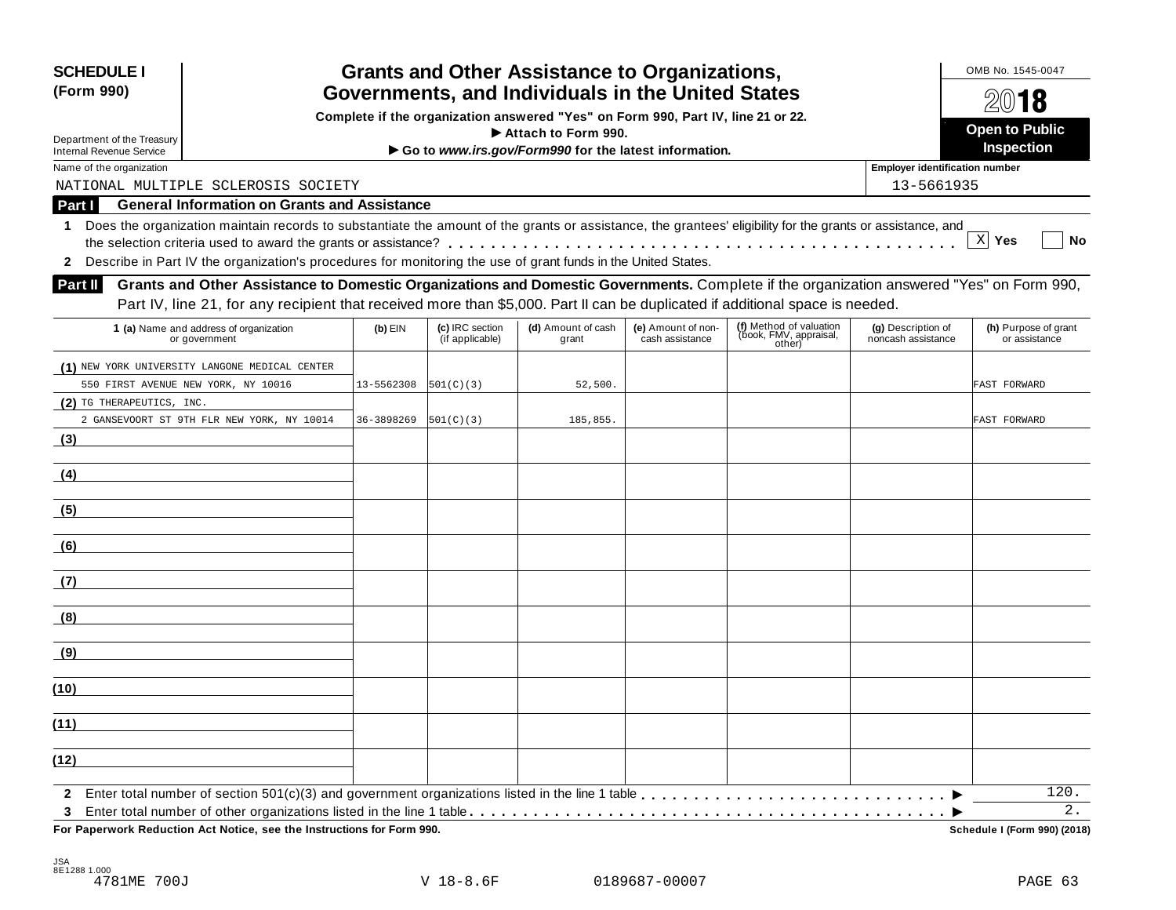| <b>SCHEDULE I</b><br>(Form 990)                               |                                                                                                                                                            |            | <b>Grants and Other Assistance to Organizations,</b><br>Governments, and Individuals in the United States |                                                                                  |                    |                                  |                                          |                              |  |  |
|---------------------------------------------------------------|------------------------------------------------------------------------------------------------------------------------------------------------------------|------------|-----------------------------------------------------------------------------------------------------------|----------------------------------------------------------------------------------|--------------------|----------------------------------|------------------------------------------|------------------------------|--|--|
|                                                               |                                                                                                                                                            |            |                                                                                                           | Complete if the organization answered "Yes" on Form 990, Part IV, line 21 or 22. |                    |                                  |                                          | 2018                         |  |  |
|                                                               |                                                                                                                                                            |            |                                                                                                           | Attach to Form 990.                                                              |                    |                                  |                                          | <b>Open to Public</b>        |  |  |
| Department of the Treasury<br><b>Internal Revenue Service</b> |                                                                                                                                                            |            |                                                                                                           | Go to www.irs.gov/Form990 for the latest information.                            |                    |                                  |                                          | Inspection                   |  |  |
| Name of the organization                                      |                                                                                                                                                            |            |                                                                                                           |                                                                                  |                    |                                  | <b>Employer identification number</b>    |                              |  |  |
|                                                               | NATIONAL MULTIPLE SCLEROSIS SOCIETY                                                                                                                        |            |                                                                                                           |                                                                                  |                    |                                  | 13-5661935                               |                              |  |  |
| Part I                                                        | <b>General Information on Grants and Assistance</b>                                                                                                        |            |                                                                                                           |                                                                                  |                    |                                  |                                          |                              |  |  |
| 1.                                                            | Does the organization maintain records to substantiate the amount of the grants or assistance, the grantees' eligibility for the grants or assistance, and |            |                                                                                                           |                                                                                  |                    |                                  |                                          |                              |  |  |
|                                                               |                                                                                                                                                            |            |                                                                                                           |                                                                                  |                    |                                  |                                          | $X$ Yes<br>No                |  |  |
| $\mathbf{2}$                                                  | Describe in Part IV the organization's procedures for monitoring the use of grant funds in the United States.                                              |            |                                                                                                           |                                                                                  |                    |                                  |                                          |                              |  |  |
| <b>Part II</b>                                                | Grants and Other Assistance to Domestic Organizations and Domestic Governments. Complete if the organization answered "Yes" on Form 990,                   |            |                                                                                                           |                                                                                  |                    |                                  |                                          |                              |  |  |
|                                                               | Part IV, line 21, for any recipient that received more than \$5,000. Part II can be duplicated if additional space is needed.                              |            |                                                                                                           |                                                                                  |                    |                                  |                                          |                              |  |  |
|                                                               |                                                                                                                                                            |            | (c) IRC section                                                                                           | (d) Amount of cash                                                               | (e) Amount of non- | (f) Method of valuation          |                                          | (h) Purpose of grant         |  |  |
|                                                               | 1 (a) Name and address of organization<br>or government                                                                                                    | $(b)$ EIN  | (if applicable)                                                                                           | grant                                                                            | cash assistance    | (book, FMV, appraisal,<br>other) | (g) Description of<br>noncash assistance | or assistance                |  |  |
|                                                               | (1) NEW YORK UNIVERSITY LANGONE MEDICAL CENTER                                                                                                             |            |                                                                                                           |                                                                                  |                    |                                  |                                          |                              |  |  |
| 550 FIRST AVENUE NEW YORK, NY 10016                           |                                                                                                                                                            | 13-5562308 | 501(C)(3)                                                                                                 | 52,500.                                                                          |                    |                                  |                                          | FAST FORWARD                 |  |  |
| (2) TG THERAPEUTICS, INC.                                     |                                                                                                                                                            |            |                                                                                                           |                                                                                  |                    |                                  |                                          |                              |  |  |
|                                                               | 2 GANSEVOORT ST 9TH FLR NEW YORK, NY 10014                                                                                                                 | 36-3898269 | 501(C)(3)                                                                                                 | 185,855.                                                                         |                    |                                  |                                          | FAST FORWARD                 |  |  |
| (3)                                                           |                                                                                                                                                            |            |                                                                                                           |                                                                                  |                    |                                  |                                          |                              |  |  |
|                                                               |                                                                                                                                                            |            |                                                                                                           |                                                                                  |                    |                                  |                                          |                              |  |  |
| (4)                                                           |                                                                                                                                                            |            |                                                                                                           |                                                                                  |                    |                                  |                                          |                              |  |  |
|                                                               |                                                                                                                                                            |            |                                                                                                           |                                                                                  |                    |                                  |                                          |                              |  |  |
| (5)                                                           |                                                                                                                                                            |            |                                                                                                           |                                                                                  |                    |                                  |                                          |                              |  |  |
|                                                               |                                                                                                                                                            |            |                                                                                                           |                                                                                  |                    |                                  |                                          |                              |  |  |
| (6)                                                           |                                                                                                                                                            |            |                                                                                                           |                                                                                  |                    |                                  |                                          |                              |  |  |
| (7)                                                           |                                                                                                                                                            |            |                                                                                                           |                                                                                  |                    |                                  |                                          |                              |  |  |
|                                                               |                                                                                                                                                            |            |                                                                                                           |                                                                                  |                    |                                  |                                          |                              |  |  |
| (8)                                                           |                                                                                                                                                            |            |                                                                                                           |                                                                                  |                    |                                  |                                          |                              |  |  |
|                                                               |                                                                                                                                                            |            |                                                                                                           |                                                                                  |                    |                                  |                                          |                              |  |  |
| (9)                                                           |                                                                                                                                                            |            |                                                                                                           |                                                                                  |                    |                                  |                                          |                              |  |  |
|                                                               |                                                                                                                                                            |            |                                                                                                           |                                                                                  |                    |                                  |                                          |                              |  |  |
| (10)                                                          |                                                                                                                                                            |            |                                                                                                           |                                                                                  |                    |                                  |                                          |                              |  |  |
|                                                               |                                                                                                                                                            |            |                                                                                                           |                                                                                  |                    |                                  |                                          |                              |  |  |
| (11)                                                          |                                                                                                                                                            |            |                                                                                                           |                                                                                  |                    |                                  |                                          |                              |  |  |
|                                                               |                                                                                                                                                            |            |                                                                                                           |                                                                                  |                    |                                  |                                          |                              |  |  |
| (12)                                                          |                                                                                                                                                            |            |                                                                                                           |                                                                                  |                    |                                  |                                          |                              |  |  |
| $\mathbf{2}$                                                  |                                                                                                                                                            |            |                                                                                                           |                                                                                  |                    |                                  |                                          | 120.                         |  |  |
| 3                                                             |                                                                                                                                                            |            |                                                                                                           |                                                                                  |                    |                                  |                                          | $2$ .                        |  |  |
|                                                               | For Paperwork Reduction Act Notice, see the Instructions for Form 990.                                                                                     |            |                                                                                                           |                                                                                  |                    |                                  |                                          | Schedule I (Form 990) (2018) |  |  |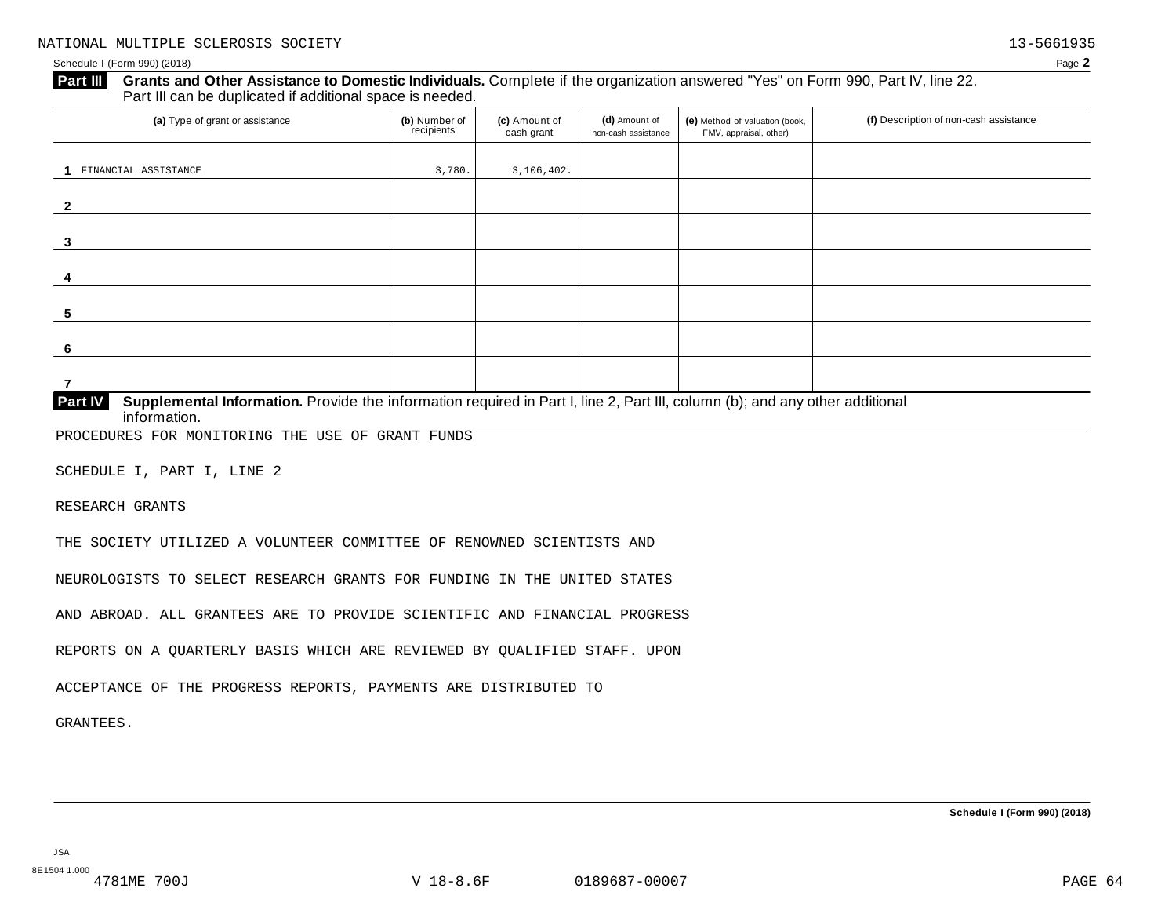#### Schedule I (Form 990) (2018) Page **2**

#### **Grants and Other Assistance to Domestic Individuals.** Complete ifthe organization answered "Yes" on Form 990, Part IV, line 22. **Part III** Grants and Other Assistance to Domestic Individuals<br>Part III can be duplicated if additional space is needed.

| (a) Type of grant or assistance                                                                                                     | (b) Number of<br>recipients | (c) Amount of<br>cash grant | (d) Amount of<br>non-cash assistance | (e) Method of valuation (book,<br>FMV, appraisal, other) | (f) Description of non-cash assistance |
|-------------------------------------------------------------------------------------------------------------------------------------|-----------------------------|-----------------------------|--------------------------------------|----------------------------------------------------------|----------------------------------------|
|                                                                                                                                     |                             |                             |                                      |                                                          |                                        |
| FINANCIAL ASSISTANCE                                                                                                                | 3,780.                      | 3,106,402.                  |                                      |                                                          |                                        |
| $\overline{2}$                                                                                                                      |                             |                             |                                      |                                                          |                                        |
| 3                                                                                                                                   |                             |                             |                                      |                                                          |                                        |
| 4                                                                                                                                   |                             |                             |                                      |                                                          |                                        |
| 5                                                                                                                                   |                             |                             |                                      |                                                          |                                        |
| 6                                                                                                                                   |                             |                             |                                      |                                                          |                                        |
| 7                                                                                                                                   |                             |                             |                                      |                                                          |                                        |
| PartW<br>Supplemental Information, Provide the information required in Part Lline 2, Part III, column (b); and any other additional |                             |                             |                                      |                                                          |                                        |

**Supplemental Information.** Provide the information required in Part I, line 2, Part III, column (b); and any other additional information. **Part IV**

PROCEDURES FOR MONITORING THE USE OF GRANT FUNDS

SCHEDULE I, PART I, LINE 2

RESEARCH GRANTS

THE SOCIETY UTILIZED A VOLUNTEER COMMITTEE OF RENOWNED SCIENTISTS AND

NEUROLOGISTS TO SELECT RESEARCH GRANTS FOR FUNDING IN THE UNITED STATES

AND ABROAD. ALL GRANTEES ARE TO PROVIDE SCIENTIFIC AND FINANCIAL PROGRESS

REPORTS ON A QUARTERLY BASIS WHICH ARE REVIEWED BY QUALIFIED STAFF. UPON

ACCEPTANCE OF THE PROGRESS REPORTS, PAYMENTS ARE DISTRIBUTED TO

GRANTEES.

**Schedule I (Form 990) (2018)**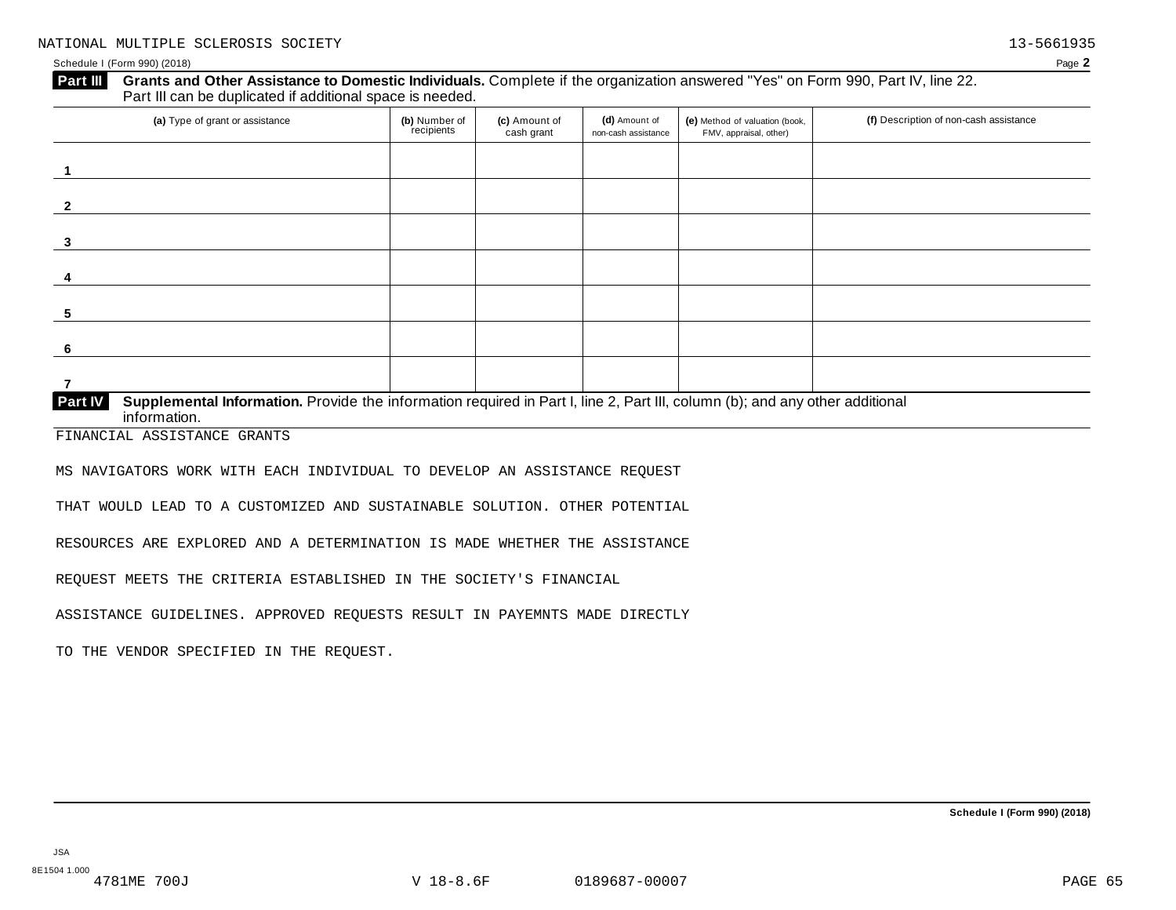#### Schedule I (Form 990) (2018) Page **2**

#### **Grants and Other Assistance to Domestic Individuals.** Complete ifthe organization answered "Yes" on Form 990, Part IV, line 22. **Part III** Grants and Other Assistance to Domestic Individuals<br>Part III can be duplicated if additional space is needed.

| (a) Type of grant or assistance                                                                                                                         | (b) Number of<br>recipients | (c) Amount of<br>cash grant | (d) Amount of<br>non-cash assistance | (e) Method of valuation (book,<br>FMV, appraisal, other) | (f) Description of non-cash assistance |
|---------------------------------------------------------------------------------------------------------------------------------------------------------|-----------------------------|-----------------------------|--------------------------------------|----------------------------------------------------------|----------------------------------------|
|                                                                                                                                                         |                             |                             |                                      |                                                          |                                        |
|                                                                                                                                                         |                             |                             |                                      |                                                          |                                        |
| 3                                                                                                                                                       |                             |                             |                                      |                                                          |                                        |
|                                                                                                                                                         |                             |                             |                                      |                                                          |                                        |
| -5                                                                                                                                                      |                             |                             |                                      |                                                          |                                        |
| -6                                                                                                                                                      |                             |                             |                                      |                                                          |                                        |
|                                                                                                                                                         |                             |                             |                                      |                                                          |                                        |
| Supplemental Information. Provide the information required in Part I, line 2, Part III, column (b); and any other additional<br>Part IV<br>information. |                             |                             |                                      |                                                          |                                        |

FINANCIAL ASSISTANCE GRANTS

MS NAVIGATORS WORK WITH EACH INDIVIDUAL TO DEVELOP AN ASSISTANCE REQUEST

THAT WOULD LEAD TO A CUSTOMIZED AND SUSTAINABLE SOLUTION. OTHER POTENTIAL

RESOURCES ARE EXPLORED AND A DETERMINATION IS MADE WHETHER THE ASSISTANCE

REQUEST MEETS THE CRITERIA ESTABLISHED IN THE SOCIETY'S FINANCIAL

ASSISTANCE GUIDELINES. APPROVED REQUESTS RESULT IN PAYEMNTS MADE DIRECTLY

TO THE VENDOR SPECIFIED IN THE REQUEST.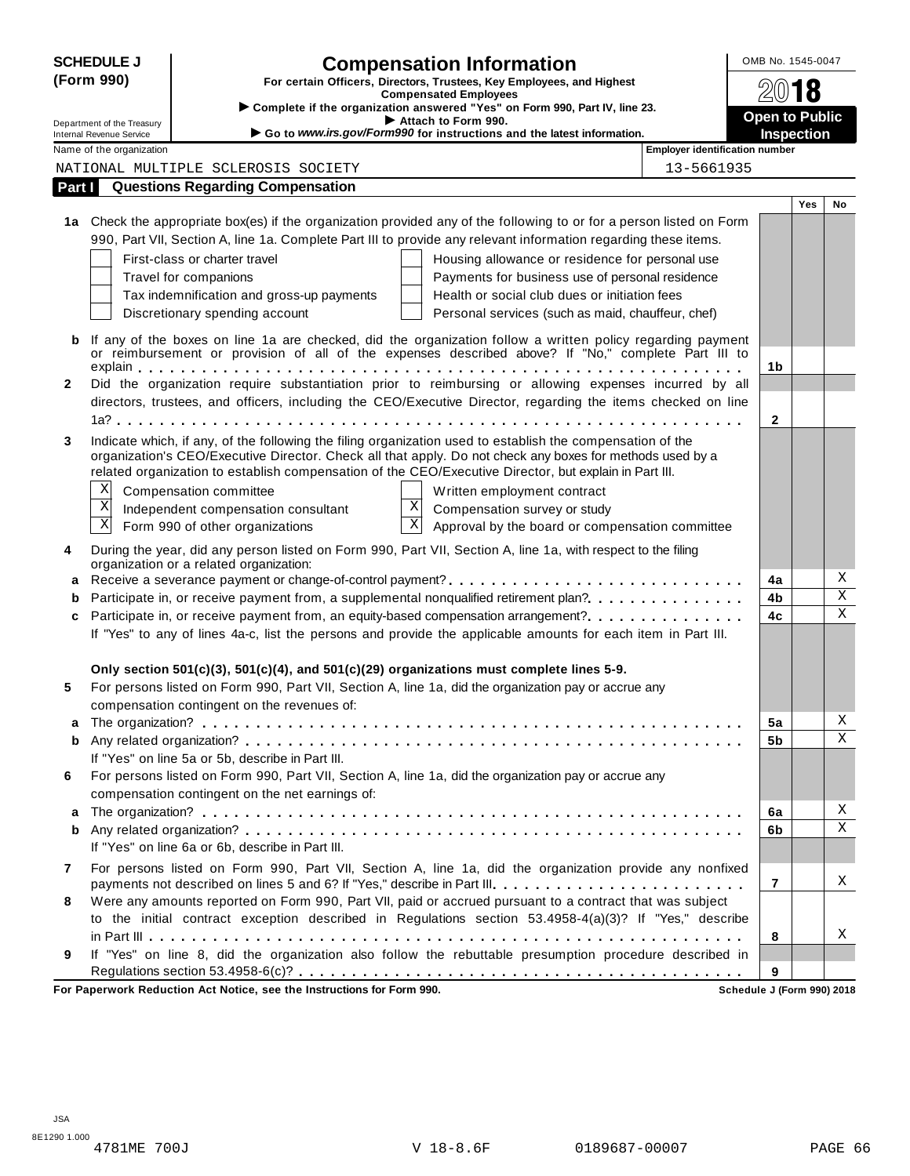|                | <b>SCHEDULE J</b>                                      | <b>Compensation Information</b>                                                                                                                                                                                     |                                | OMB No. 1545-0047          |     |                         |
|----------------|--------------------------------------------------------|---------------------------------------------------------------------------------------------------------------------------------------------------------------------------------------------------------------------|--------------------------------|----------------------------|-----|-------------------------|
|                | (Form 990)                                             | For certain Officers, Directors, Trustees, Key Employees, and Highest                                                                                                                                               |                                | 2018                       |     |                         |
|                |                                                        | <b>Compensated Employees</b><br>Complete if the organization answered "Yes" on Form 990, Part IV, line 23.                                                                                                          |                                |                            |     |                         |
|                | Department of the Treasury<br>Internal Revenue Service | Attach to Form 990.<br>Go to www.irs.gov/Form990 for instructions and the latest information.                                                                                                                       |                                | <b>Open to Public</b>      |     |                         |
|                | Name of the organization                               |                                                                                                                                                                                                                     | Employer identification number | <b>Inspection</b>          |     |                         |
|                |                                                        | NATIONAL MULTIPLE SCLEROSIS SOCIETY                                                                                                                                                                                 | 13-5661935                     |                            |     |                         |
| Part I         |                                                        | <b>Questions Regarding Compensation</b>                                                                                                                                                                             |                                |                            |     |                         |
|                |                                                        |                                                                                                                                                                                                                     |                                |                            | Yes | No                      |
|                |                                                        | 1a Check the appropriate box(es) if the organization provided any of the following to or for a person listed on Form                                                                                                |                                |                            |     |                         |
|                |                                                        | 990, Part VII, Section A, line 1a. Complete Part III to provide any relevant information regarding these items.                                                                                                     |                                |                            |     |                         |
|                |                                                        | First-class or charter travel<br>Housing allowance or residence for personal use                                                                                                                                    |                                |                            |     |                         |
|                |                                                        | Travel for companions<br>Payments for business use of personal residence                                                                                                                                            |                                |                            |     |                         |
|                |                                                        | Health or social club dues or initiation fees<br>Tax indemnification and gross-up payments                                                                                                                          |                                |                            |     |                         |
|                |                                                        | Discretionary spending account<br>Personal services (such as maid, chauffeur, chef)                                                                                                                                 |                                |                            |     |                         |
| b              |                                                        | If any of the boxes on line 1a are checked, did the organization follow a written policy regarding payment                                                                                                          |                                |                            |     |                         |
|                |                                                        | or reimbursement or provision of all of the expenses described above? If "No," complete Part III to                                                                                                                 |                                |                            |     |                         |
|                |                                                        |                                                                                                                                                                                                                     |                                | 1b                         |     |                         |
| 2              |                                                        | Did the organization require substantiation prior to reimbursing or allowing expenses incurred by all                                                                                                               |                                |                            |     |                         |
|                |                                                        | directors, trustees, and officers, including the CEO/Executive Director, regarding the items checked on line                                                                                                        |                                |                            |     |                         |
|                |                                                        |                                                                                                                                                                                                                     |                                | $\mathbf{2}$               |     |                         |
| 3              |                                                        | Indicate which, if any, of the following the filing organization used to establish the compensation of the                                                                                                          |                                |                            |     |                         |
|                |                                                        | organization's CEO/Executive Director. Check all that apply. Do not check any boxes for methods used by a<br>related organization to establish compensation of the CEO/Executive Director, but explain in Part III. |                                |                            |     |                         |
|                | X                                                      |                                                                                                                                                                                                                     |                                |                            |     |                         |
|                | $\boldsymbol{\mathrm{X}}$                              | Compensation committee<br>Written employment contract<br>X<br>Compensation survey or study                                                                                                                          |                                |                            |     |                         |
|                | $\mathbf X$                                            | Independent compensation consultant<br>$\mathbf{X}$<br>Form 990 of other organizations<br>Approval by the board or compensation committee                                                                           |                                |                            |     |                         |
|                |                                                        |                                                                                                                                                                                                                     |                                |                            |     |                         |
| 4              |                                                        | During the year, did any person listed on Form 990, Part VII, Section A, line 1a, with respect to the filing<br>organization or a related organization:                                                             |                                |                            |     |                         |
|                |                                                        | a Receive a severance payment or change-of-control payment?                                                                                                                                                         |                                | 4a                         |     | Χ                       |
|                |                                                        | Participate in, or receive payment from, a supplemental nonqualified retirement plan?                                                                                                                               |                                | 4b                         |     | $\overline{\mathbf{x}}$ |
| c              |                                                        | Participate in, or receive payment from, an equity-based compensation arrangement?                                                                                                                                  |                                | 4 <sub>c</sub>             |     | $\mathbf X$             |
|                |                                                        | If "Yes" to any of lines 4a-c, list the persons and provide the applicable amounts for each item in Part III.                                                                                                       |                                |                            |     |                         |
|                |                                                        |                                                                                                                                                                                                                     |                                |                            |     |                         |
|                |                                                        | Only section 501(c)(3), 501(c)(4), and 501(c)(29) organizations must complete lines 5-9.                                                                                                                            |                                |                            |     |                         |
| 5              |                                                        | For persons listed on Form 990, Part VII, Section A, line 1a, did the organization pay or accrue any                                                                                                                |                                |                            |     |                         |
|                |                                                        | compensation contingent on the revenues of:                                                                                                                                                                         |                                |                            |     |                         |
|                |                                                        |                                                                                                                                                                                                                     |                                | 5a                         |     | Χ                       |
| b              |                                                        |                                                                                                                                                                                                                     |                                | 5b                         |     | X                       |
|                |                                                        | If "Yes" on line 5a or 5b, describe in Part III.                                                                                                                                                                    |                                |                            |     |                         |
| 6              |                                                        | For persons listed on Form 990, Part VII, Section A, line 1a, did the organization pay or accrue any                                                                                                                |                                |                            |     |                         |
|                |                                                        | compensation contingent on the net earnings of:                                                                                                                                                                     |                                |                            |     |                         |
| a              |                                                        |                                                                                                                                                                                                                     |                                | 6a                         |     | Χ                       |
| b              |                                                        |                                                                                                                                                                                                                     |                                | 6b                         |     | Χ                       |
|                |                                                        | If "Yes" on line 6a or 6b, describe in Part III.                                                                                                                                                                    |                                |                            |     |                         |
| $\overline{7}$ |                                                        | For persons listed on Form 990, Part VII, Section A, line 1a, did the organization provide any nonfixed                                                                                                             |                                |                            |     |                         |
|                |                                                        | payments not described on lines 5 and 6? If "Yes," describe in Part III.                                                                                                                                            |                                | 7                          |     | Χ                       |
| 8              |                                                        | Were any amounts reported on Form 990, Part VII, paid or accrued pursuant to a contract that was subject                                                                                                            |                                |                            |     |                         |
|                |                                                        | to the initial contract exception described in Regulations section 53.4958-4(a)(3)? If "Yes," describe                                                                                                              |                                |                            |     | X                       |
| 9              |                                                        | If "Yes" on line 8, did the organization also follow the rebuttable presumption procedure described in                                                                                                              |                                | 8                          |     |                         |
|                |                                                        |                                                                                                                                                                                                                     |                                | 9                          |     |                         |
|                |                                                        | For Paperwork Reduction Act Notice, see the Instructions for Form 990.                                                                                                                                              |                                | Schedule J (Form 990) 2018 |     |                         |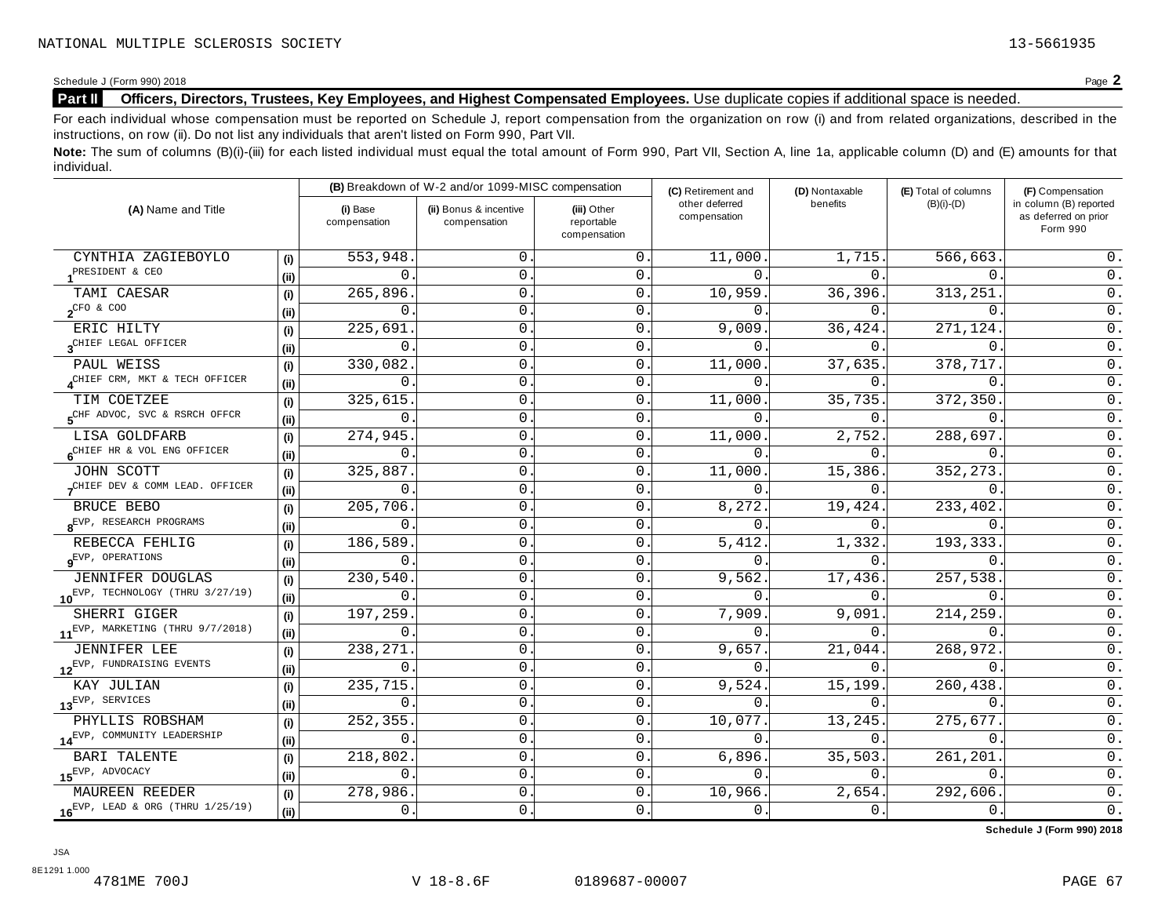#### Schedule J (Form 990) 2018<br>**Part II** Officers, Directors, Trustees, Key Employees, and Highest Compensated Employees. Use duplicate copies if additional space is needed. **Part II Officers, Directors, Trustees, Key Employees, and Highest Compensated Employees.** Use duplicate copies ifadditional space is needed.

For each individual whose compensation must be reported on Schedule J, report compensation from the organization on row (i) and from related organizations, described in the instructions, on row (ii). Do not list any individuals that aren't listed on Form 990, Part VII.

Note: The sum of columns (B)(i)-(iii) for each listed individual must equal the total amount of Form 990, Part VII, Section A, line 1a, applicable column (D) and (E) amounts for that individual.

|                                               |      |                          | (B) Breakdown of W-2 and/or 1099-MISC compensation |                                           | (C) Retirement and             | (D) Nontaxable | (E) Total of columns | (F) Compensation                                           |  |
|-----------------------------------------------|------|--------------------------|----------------------------------------------------|-------------------------------------------|--------------------------------|----------------|----------------------|------------------------------------------------------------|--|
| (A) Name and Title                            |      | (i) Base<br>compensation | (ii) Bonus & incentive<br>compensation             | (iii) Other<br>reportable<br>compensation | other deferred<br>compensation | benefits       | $(B)(i)-(D)$         | in column (B) reported<br>as deferred on prior<br>Form 990 |  |
| CYNTHIA ZAGIEBOYLO                            | (i)  | 553,948                  | $\mathbf 0$ .                                      | 0                                         | 11,000                         | 1,715.         | 566,663.             | $0$ .                                                      |  |
| PRESIDENT & CEO                               | (ii) | 0                        | 0.                                                 | $\mathbf 0$                               | $\Omega$ .                     | 0.             | $0$ .                | $0$ .                                                      |  |
| TAMI CAESAR                                   | (i)  | 265,896                  | 0.                                                 | 0                                         | 10,959                         | 36,396.        | 313,251              | $0$ .                                                      |  |
| $2^{\text{CFO} & \text{COO}}$                 | (ii) | 0                        | $\mathsf{0}$ .                                     | 0                                         | $\Omega$                       | 0.             | 0                    | $\overline{0}$ .                                           |  |
| ERIC HILTY                                    | (i)  | 225,691                  | 0.                                                 | 0                                         | 9,009                          | 36,424.        | 271,124.             | $0$ .                                                      |  |
| 3 <sup>CHIEF</sup> LEGAL OFFICER              |      | 0                        | 0.                                                 | 0                                         | $\Omega$                       | 0.             | $\Omega$ .           | $0$ .                                                      |  |
| PAUL WEISS                                    | (i)  | 330,082                  | $0\,$ .                                            | 0                                         | 11,000                         | 37,635.        | 378,717.             | $\mathsf 0$ .                                              |  |
| CHIEF CRM, MKT & TECH OFFICER                 | (ii) | 0                        | 0.                                                 | 0                                         | $\mathbf 0$ .                  | 0.             | $\mathbf{0}$ .       | $0$ .                                                      |  |
| TIM COETZEE                                   | (i)  | 325,615                  | $\mathsf{0}$ .                                     | 0                                         | 11,000                         | 35,735.        | 372,350              | $0$ .                                                      |  |
| S <sup>CHF</sup> ADVOC, SVC & RSRCH OFFCR     | (ii) | 0                        | $\mathsf{0}$ .                                     | 0                                         | $\mathbf 0$ .                  | 0.             | $\mathbf{0}$ .       | $0$ .                                                      |  |
| LISA GOLDFARB                                 |      | 274,945                  | 0.                                                 | 0                                         | 11,000                         | 2,752.         | 288,697.             | $\overline{0}$ .                                           |  |
| CHIEF HR & VOL ENG OFFICER                    | (ii) | 0                        | 0.                                                 | 0                                         | $\Omega$                       | 0.             | $\mathbf{0}$ .       | $\overline{0}$ .                                           |  |
| JOHN SCOTT                                    | (i)  | 325,887                  | 0.                                                 | 0                                         | 11,000                         | 15,386.        | 352, 273.            | $\overline{0}$ .                                           |  |
| CHIEF DEV & COMM LEAD. OFFICER                | (ii) | 0                        | 0                                                  | 0                                         | $\Omega$                       | 0.             | $\mathbf{0}$ .       | $0$ .                                                      |  |
| BRUCE BEBO                                    | (i)  | 205,706.                 | 0                                                  | 0                                         | 8,272.                         | 19,424.        | 233,402.             | $\overline{0}$ .                                           |  |
| $\mathbf{g}^{\text{EVP}}$ , RESEARCH PROGRAMS | (ii) | $\Omega$                 | $0\,$ .                                            | 0                                         | $\Omega$                       | 0.             | $\Omega$ .           | $\overline{0}$ .                                           |  |
| REBECCA FEHLIG                                | (i)  | 186,589                  | $0\,$ .                                            | 0                                         | 5,412.                         | 1,332.         | 193,333.             | $\overline{0}$ .                                           |  |
| $9^{EVP}$ , OPERATIONS                        | (ii) | 0                        | 0.                                                 | 0                                         | $\Omega$                       | 0.             | 0                    | $\mathsf 0$ .                                              |  |
| <b>JENNIFER DOUGLAS</b>                       | (i)  | 230,540                  | 0.                                                 | 0                                         | 9,562.                         | 17,436.        | 257,538              | $0$ .                                                      |  |
| $10^{EVP}$ , TECHNOLOGY (THRU 3/27/19)        | (ii) | $\Omega$                 | $\mathsf{O}$                                       | 0                                         | $\Omega$                       | 0.             | $\mathbf{0}$ .       | $0$ .                                                      |  |
| SHERRI GIGER                                  | (i)  | 197,259                  | 0.                                                 | 0                                         | 7,909                          | 9,091.         | 214,259              | $0$ .                                                      |  |
| $11^{EVP}$ , MARKETING (THRU 9/7/2018)        | (ii) | 0                        | 0.                                                 | 0                                         | $\Omega$                       | 0.             | $\mathbf 0$ .        | $\overline{0}$ .                                           |  |
| <b>JENNIFER LEE</b>                           | (i)  | 238,271                  | $\mathsf{0}$ .                                     | 0                                         | 9,657.                         | 21,044.        | 268,972.             | $\overline{0}$ .                                           |  |
| 12EVP, FUNDRAISING EVENTS                     | (ii) | 0                        | 0.                                                 | 0                                         | $\sigma$                       | 0.             | $\mathbf 0$ .        | $\mathsf 0$ .                                              |  |
| KAY JULIAN                                    | (i)  | 235,715                  | 0.                                                 | 0                                         | 9,524                          | 15,199.        | 260,438              | $\mathsf 0$ .                                              |  |
| 13EVP, SERVICES                               | (ii) | 0                        | $\mathsf{O}\,$ .                                   | 0                                         | $\Omega$                       | 0.             | $\mathsf{O}$ .       | $\overline{0}$ .                                           |  |
| PHYLLIS ROBSHAM                               | (i)  | 252,355                  | 0.                                                 | $\mathbf 0$                               | 10,077                         | 13,245.        | 275,677.             | 0.                                                         |  |
| 14EVP, COMMUNITY LEADERSHIP                   | (ii) | 0                        | $\mathsf{0}$ .                                     | 0                                         | $\Omega$ .                     | 0.             | $0$ .                | $0$ .                                                      |  |
| <b>BARI TALENTE</b>                           | (i)  | 218,802                  | $\mathsf{O}\,$ .                                   | 0                                         | 6,896                          | 35,503.        | 261,201              | $\overline{0}$ .                                           |  |
| $15^{\text{EVP}}$ , ADVOCACY                  | (ii) | 0                        | 0.                                                 | 0                                         | 0                              | 0.             | $\mathbf 0$ .        | $0$ .                                                      |  |
| <b>MAUREEN REEDER</b>                         | (i)  | 278,986                  | $\mathsf{0}$ .                                     | 0                                         | 10,966.                        | 2,654.         | 292,606.             | $\mathsf 0$ .                                              |  |
| $16^{EVP}$ , LEAD & ORG (THRU 1/25/19)        | (ii) | 0.                       | 0.                                                 | $\overline{0}$                            | $0$ .                          | $0$ .          | 0.                   | $\overline{0}$ .                                           |  |

**Schedule J (Form 990) 2018**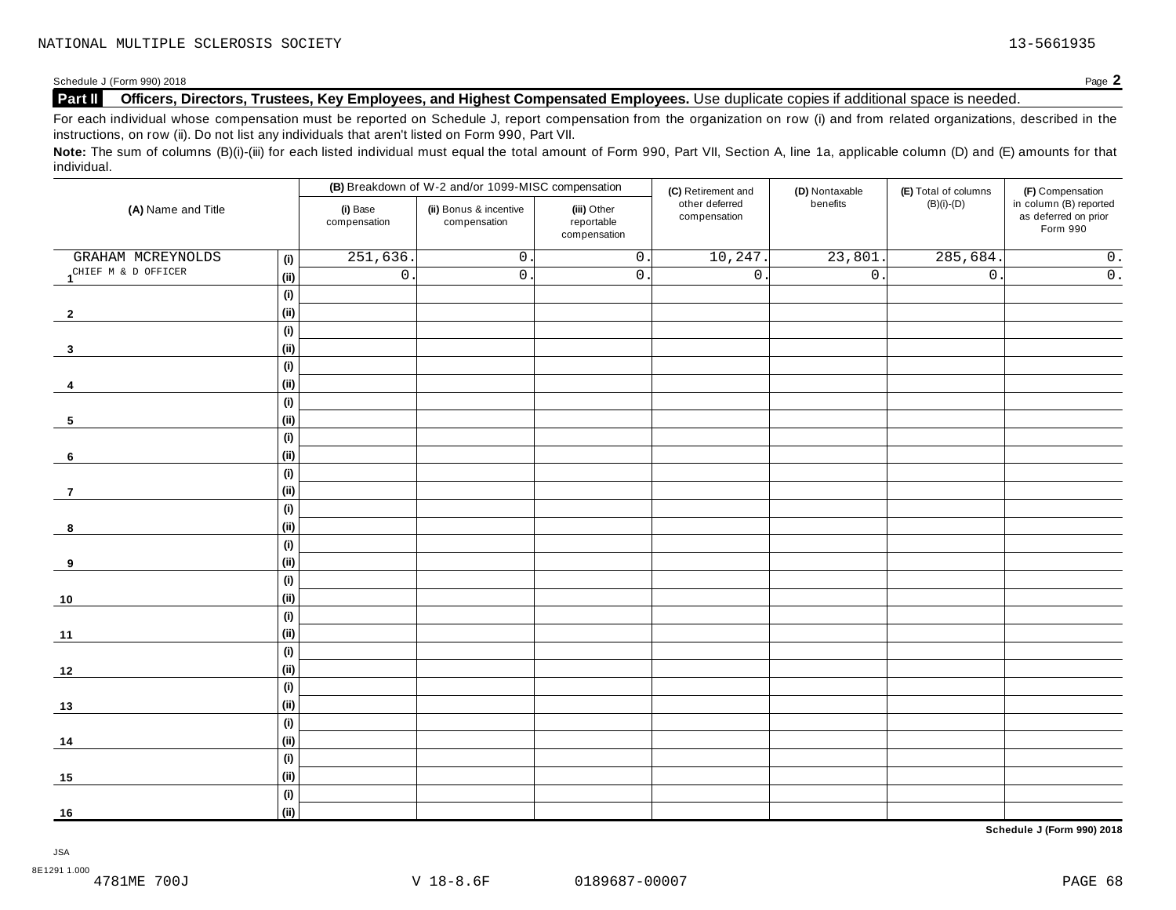#### Schedule J (Form 990) 2018<br>**Part II** Officers, Directors, Trustees, Key Employees, and Highest Compensated Employees. Use duplicate copies if additional space is needed. **Part II Officers, Directors, Trustees, Key Employees, and Highest Compensated Employees.** Use duplicate copies ifadditional space is needed.

For each individual whose compensation must be reported on Schedule J, report compensation from the organization on row (i) and from related organizations, described in the instructions, on row (ii). Do not list any individuals that aren't listed on Form 990, Part VII.

Note: The sum of columns (B)(i)-(iii) for each listed individual must equal the total amount of Form 990, Part VII, Section A, line 1a, applicable column (D) and (E) amounts for that individual.

|                     |                              |                          | (B) Breakdown of W-2 and/or 1099-MISC compensation |                                           | (C) Retirement and             | (D) Nontaxable   | (E) Total of columns | (F) Compensation                                           |
|---------------------|------------------------------|--------------------------|----------------------------------------------------|-------------------------------------------|--------------------------------|------------------|----------------------|------------------------------------------------------------|
| (A) Name and Title  |                              | (i) Base<br>compensation | (ii) Bonus & incentive<br>compensation             | (iii) Other<br>reportable<br>compensation | other deferred<br>compensation | benefits         | $(B)(i)-(D)$         | in column (B) reported<br>as deferred on prior<br>Form 990 |
| GRAHAM MCREYNOLDS   | (i)                          | 251,636                  | $0$ .                                              | $\overline{0}$ .                          | 10, 247.                       | 23,801.          | 285,684.             | $\overline{0}$ .                                           |
| CHIEF M & D OFFICER | (ii)                         | $\overline{0}$           | $0$ .                                              | $\overline{0}$ .                          | $\overline{0}$ .               | $\overline{0}$ . | $\overline{0}$ .     | $\overline{0}$ .                                           |
|                     | (i)                          |                          |                                                    |                                           |                                |                  |                      |                                                            |
| $\overline{2}$      | (ii)                         |                          |                                                    |                                           |                                |                  |                      |                                                            |
|                     | (i)                          |                          |                                                    |                                           |                                |                  |                      |                                                            |
| $\mathbf{3}$        | (ii)                         |                          |                                                    |                                           |                                |                  |                      |                                                            |
|                     | (i)                          |                          |                                                    |                                           |                                |                  |                      |                                                            |
| 4                   | (ii)                         |                          |                                                    |                                           |                                |                  |                      |                                                            |
|                     | (i)                          |                          |                                                    |                                           |                                |                  |                      |                                                            |
| 5                   | (ii)                         |                          |                                                    |                                           |                                |                  |                      |                                                            |
|                     | $\qquad \qquad \textbf{(i)}$ |                          |                                                    |                                           |                                |                  |                      |                                                            |
| 6                   | (ii)                         |                          |                                                    |                                           |                                |                  |                      |                                                            |
|                     | (i)                          |                          |                                                    |                                           |                                |                  |                      |                                                            |
| $\overline{7}$      | (ii)                         |                          |                                                    |                                           |                                |                  |                      |                                                            |
|                     | (i)                          |                          |                                                    |                                           |                                |                  |                      |                                                            |
| 8                   | (ii)                         |                          |                                                    |                                           |                                |                  |                      |                                                            |
|                     | (i)                          |                          |                                                    |                                           |                                |                  |                      |                                                            |
| 9                   | (ii)                         |                          |                                                    |                                           |                                |                  |                      |                                                            |
|                     | (i)                          |                          |                                                    |                                           |                                |                  |                      |                                                            |
| $10$                | (ii)                         |                          |                                                    |                                           |                                |                  |                      |                                                            |
|                     | (i)                          |                          |                                                    |                                           |                                |                  |                      |                                                            |
| 11                  | (ii)                         |                          |                                                    |                                           |                                |                  |                      |                                                            |
|                     | $\qquad \qquad \textbf{(i)}$ |                          |                                                    |                                           |                                |                  |                      |                                                            |
| 12                  | (ii)                         |                          |                                                    |                                           |                                |                  |                      |                                                            |
|                     | (i)                          |                          |                                                    |                                           |                                |                  |                      |                                                            |
| 13                  | (ii)                         |                          |                                                    |                                           |                                |                  |                      |                                                            |
|                     | (i)                          |                          |                                                    |                                           |                                |                  |                      |                                                            |
| 14                  | (ii)                         |                          |                                                    |                                           |                                |                  |                      |                                                            |
|                     | (i)                          |                          |                                                    |                                           |                                |                  |                      |                                                            |
| 15                  | (ii)                         |                          |                                                    |                                           |                                |                  |                      |                                                            |
|                     | (i)                          |                          |                                                    |                                           |                                |                  |                      |                                                            |
| 16                  | (ii)                         |                          |                                                    |                                           |                                |                  |                      |                                                            |

**Schedule J (Form 990) 2018**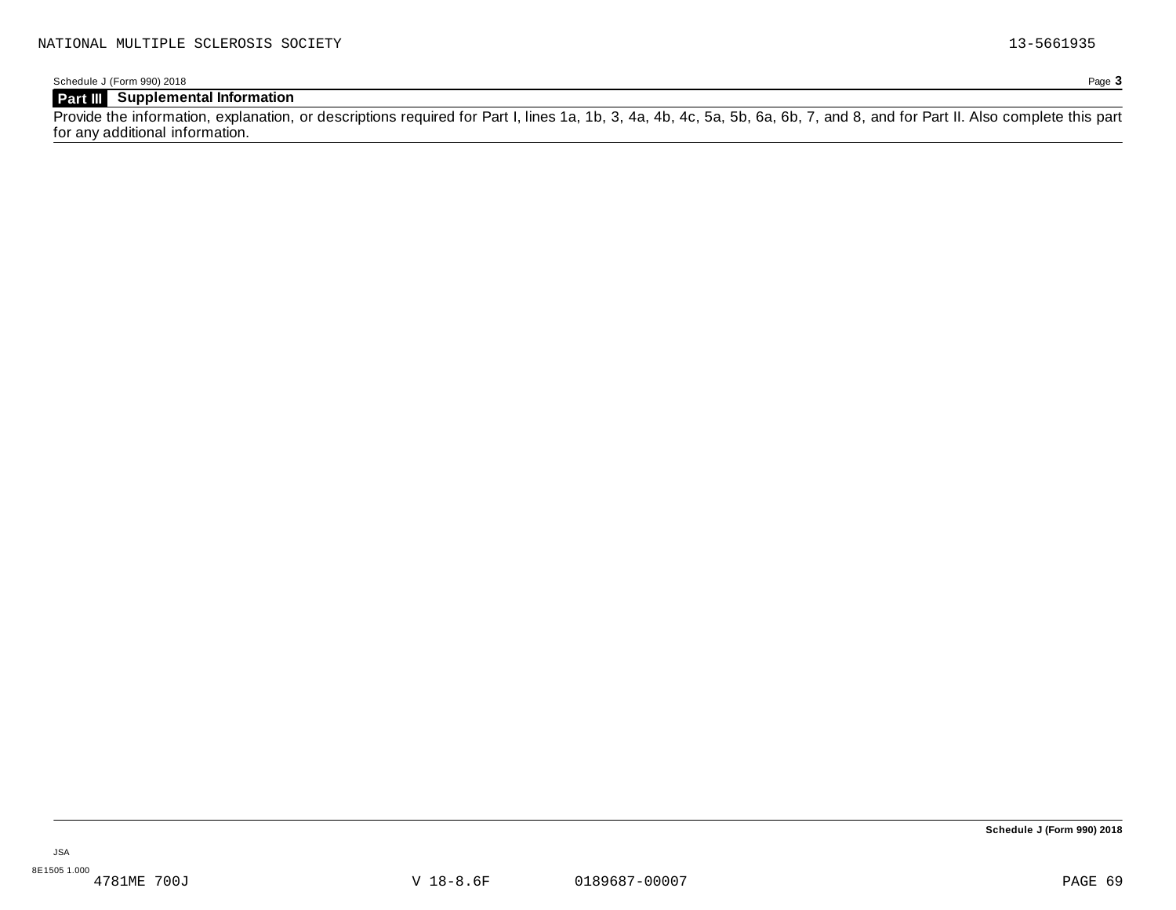Schedule J (Form 990) 2018 Page **3**

# **Part III Supplemental Information**

Provide the information, explanation, or descriptions required for Part I, lines 1a, 1b, 3, 4a, 4b, 4c, 5a, 5b, 6a, 6b, 7, and 8, and for Part II. Also complete this part for any additional information.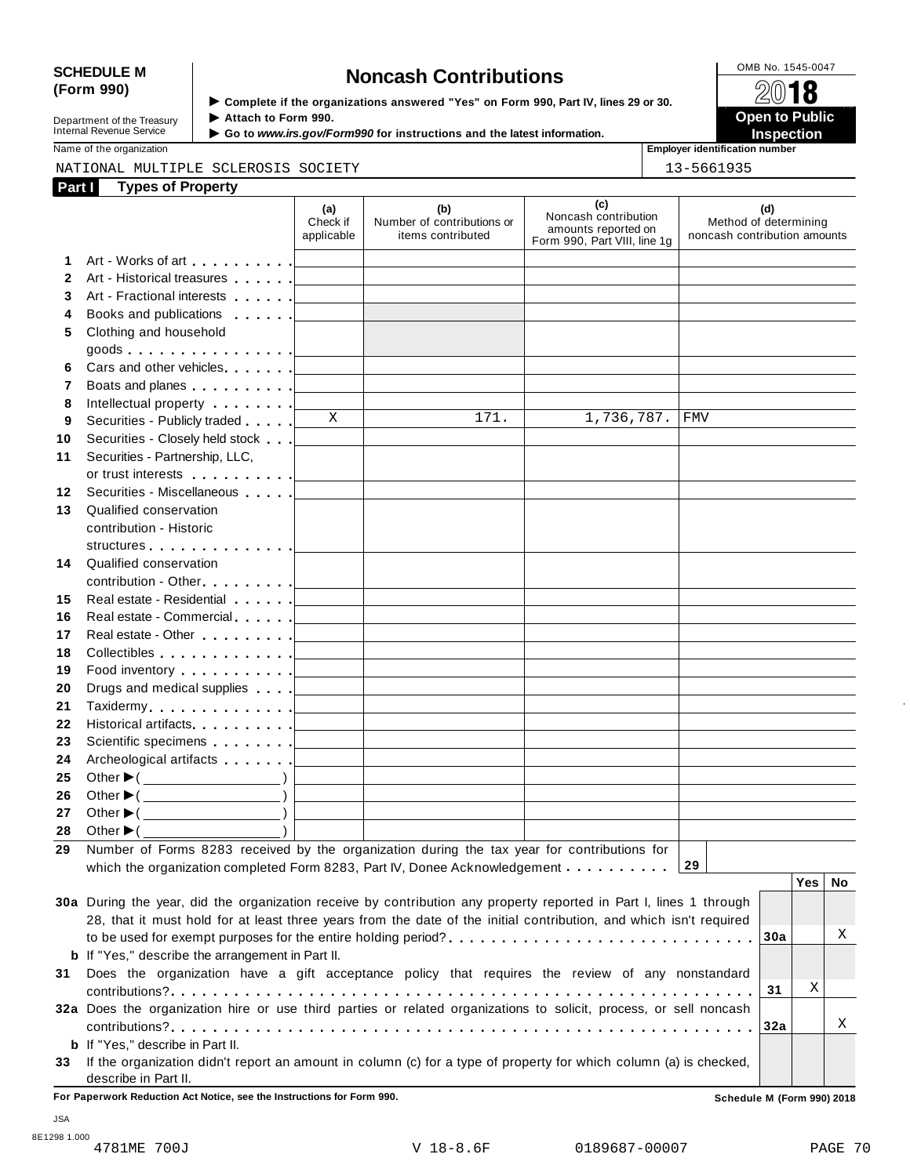# SCHEDULE M<br>
(Form 990) **Supplementary of the organizations answered** "Yes" on Form 990 Part IV lines 29 or 30

**Department of the Treasury<br>Internal Revenue Service** 

**Examplete** if the organizations answered "Yes" on Form 990, Part IV, lines 29 or 30. △<del>Ⅳ</del><br>▶ Attach to Form 990. **Department of the Treasury ▶ Attach to Form 990.**<br>Internal Revenue Service ▶ Go to *www.irs.gov/Form990* for instructions and the latest information.<br>Nome of the organization aumhor

Name of the organization **intervalse of the organization intervalse of the organization <b>intervalse of the organization intervalse of the organization intervalse of the organization intervalse of the organization**

### NATIONAL MULTIPLE SCLEROSIS SOCIETY 13-5661935

| Part I       | <b>Types of Property</b>                                                                                                                                                                                                       |                               |                                                                            |                                                                                    |                                                              |     |    |
|--------------|--------------------------------------------------------------------------------------------------------------------------------------------------------------------------------------------------------------------------------|-------------------------------|----------------------------------------------------------------------------|------------------------------------------------------------------------------------|--------------------------------------------------------------|-----|----|
|              |                                                                                                                                                                                                                                | (a)<br>Check if<br>applicable | (b)<br>Number of contributions or<br>items contributed                     | (c)<br>Noncash contribution<br>amounts reported on<br>Form 990, Part VIII, line 1g | (d)<br>Method of determining<br>noncash contribution amounts |     |    |
| 1.           |                                                                                                                                                                                                                                |                               | <u> 1989 - Johann Stein, mars an deus Amerikaansk kommunister (</u>        |                                                                                    |                                                              |     |    |
| $\mathbf{2}$ |                                                                                                                                                                                                                                |                               |                                                                            |                                                                                    |                                                              |     |    |
| 3            |                                                                                                                                                                                                                                |                               |                                                                            |                                                                                    |                                                              |     |    |
| 4            |                                                                                                                                                                                                                                |                               | the control of the control of the control of the control of the control of |                                                                                    |                                                              |     |    |
| 5            | Clothing and household                                                                                                                                                                                                         |                               |                                                                            |                                                                                    |                                                              |     |    |
|              |                                                                                                                                                                                                                                |                               |                                                                            |                                                                                    |                                                              |     |    |
| 6            |                                                                                                                                                                                                                                |                               |                                                                            |                                                                                    |                                                              |     |    |
| 7            |                                                                                                                                                                                                                                |                               |                                                                            |                                                                                    |                                                              |     |    |
| 8            | Intellectual property [                                                                                                                                                                                                        |                               |                                                                            |                                                                                    |                                                              |     |    |
| 9            | Securities - Publicly traded                                                                                                                                                                                                   | $\mathbf{X}$                  | 171.                                                                       | 1,736,787.                                                                         | <b>FMV</b>                                                   |     |    |
| 10           |                                                                                                                                                                                                                                |                               |                                                                            |                                                                                    |                                                              |     |    |
| 11           | Securities - Partnership, LLC,                                                                                                                                                                                                 |                               |                                                                            |                                                                                    |                                                              |     |    |
|              |                                                                                                                                                                                                                                |                               |                                                                            |                                                                                    |                                                              |     |    |
| 12           | Securities - Miscellaneous                                                                                                                                                                                                     |                               |                                                                            |                                                                                    |                                                              |     |    |
| 13           | Qualified conservation                                                                                                                                                                                                         |                               |                                                                            |                                                                                    |                                                              |     |    |
|              | contribution - Historic                                                                                                                                                                                                        |                               |                                                                            |                                                                                    |                                                              |     |    |
|              | structures [19]                                                                                                                                                                                                                |                               |                                                                            |                                                                                    |                                                              |     |    |
| 14           | Qualified conservation                                                                                                                                                                                                         |                               |                                                                            |                                                                                    |                                                              |     |    |
|              |                                                                                                                                                                                                                                |                               |                                                                            |                                                                                    |                                                              |     |    |
| 15           |                                                                                                                                                                                                                                |                               |                                                                            | the control of the control of the control of the control of the control of         |                                                              |     |    |
| 16           | Real estate - Commercial example and the commercial and the commercial and the commercial and the commercial and the commercial and the commercial and the commercial and the commercial and the commercial and commercial and |                               |                                                                            | the control of the control of the control of the control of the control of         |                                                              |     |    |
| 17           |                                                                                                                                                                                                                                |                               |                                                                            | the control of the control of the control of the control of the control of         |                                                              |     |    |
| 18           |                                                                                                                                                                                                                                |                               |                                                                            | the control of the control of the control of the control of the control of         |                                                              |     |    |
| 19           | Food inventory $\ldots \ldots \ldots$ . $\qquad \qquad$                                                                                                                                                                        |                               |                                                                            | the control of the control of the control of the control of the control of         |                                                              |     |    |
| 20           |                                                                                                                                                                                                                                |                               |                                                                            | the control of the control of the control of the control of the control of         |                                                              |     |    |
| 21           |                                                                                                                                                                                                                                |                               |                                                                            |                                                                                    |                                                              |     |    |
| 22           |                                                                                                                                                                                                                                |                               |                                                                            |                                                                                    |                                                              |     |    |
| 23           |                                                                                                                                                                                                                                |                               |                                                                            |                                                                                    |                                                              |     |    |
| 24           |                                                                                                                                                                                                                                |                               |                                                                            |                                                                                    |                                                              |     |    |
| 25           | Other $\blacktriangleright$ ( $\qquad \qquad$ )                                                                                                                                                                                |                               | <u> 1989 - Johann John Stein, mars eta inperiodo</u>                       |                                                                                    |                                                              |     |    |
| 26           | Other $\blacktriangleright$ ( $\_\_\_\_\_\_\_\_\$ )                                                                                                                                                                            |                               | <u> 1989 - Johann Barbara, martxa alemaniar a</u>                          |                                                                                    |                                                              |     |    |
| 27           | Other $\blacktriangleright$ ( $\_\_\_\_\_\_\_\_$ )                                                                                                                                                                             |                               |                                                                            |                                                                                    |                                                              |     |    |
|              | 28 Other $\blacktriangleright$ (                                                                                                                                                                                               |                               |                                                                            |                                                                                    |                                                              |     |    |
|              | 29 Number of Forms 8283 received by the organization during the tax year for contributions for                                                                                                                                 |                               |                                                                            |                                                                                    |                                                              |     |    |
|              | which the organization completed Form 8283, Part IV, Donee Acknowledgement                                                                                                                                                     |                               |                                                                            |                                                                                    | 29                                                           |     |    |
|              |                                                                                                                                                                                                                                |                               |                                                                            |                                                                                    |                                                              | Yes | No |
|              | 30a During the year, did the organization receive by contribution any property reported in Part I, lines 1 through                                                                                                             |                               |                                                                            |                                                                                    |                                                              |     |    |
|              | 28, that it must hold for at least three years from the date of the initial contribution, and which isn't required                                                                                                             |                               |                                                                            |                                                                                    |                                                              |     |    |
|              |                                                                                                                                                                                                                                |                               |                                                                            |                                                                                    | 30a                                                          |     | Χ  |
|              | <b>b</b> If "Yes," describe the arrangement in Part II.                                                                                                                                                                        |                               |                                                                            |                                                                                    |                                                              |     |    |
| 31           | Does the organization have a gift acceptance policy that requires the review of any nonstandard                                                                                                                                |                               |                                                                            |                                                                                    |                                                              |     |    |
|              |                                                                                                                                                                                                                                |                               |                                                                            |                                                                                    | 31                                                           | Χ   |    |
|              | 32a Does the organization hire or use third parties or related organizations to solicit, process, or sell noncash                                                                                                              |                               |                                                                            |                                                                                    |                                                              |     |    |
|              |                                                                                                                                                                                                                                |                               |                                                                            |                                                                                    | 32a                                                          |     | Χ  |
|              | <b>b</b> If "Yes," describe in Part II.                                                                                                                                                                                        |                               |                                                                            |                                                                                    |                                                              |     |    |
| 33           | If the organization didn't report an amount in column (c) for a type of property for which column (a) is checked,                                                                                                              |                               |                                                                            |                                                                                    |                                                              |     |    |
|              | describe in Part II.                                                                                                                                                                                                           |                               |                                                                            |                                                                                    |                                                              |     |    |

**For Paperwork Reduction Act Notice, see the Instructions for Form 990. Schedule M (Form 990) 2018**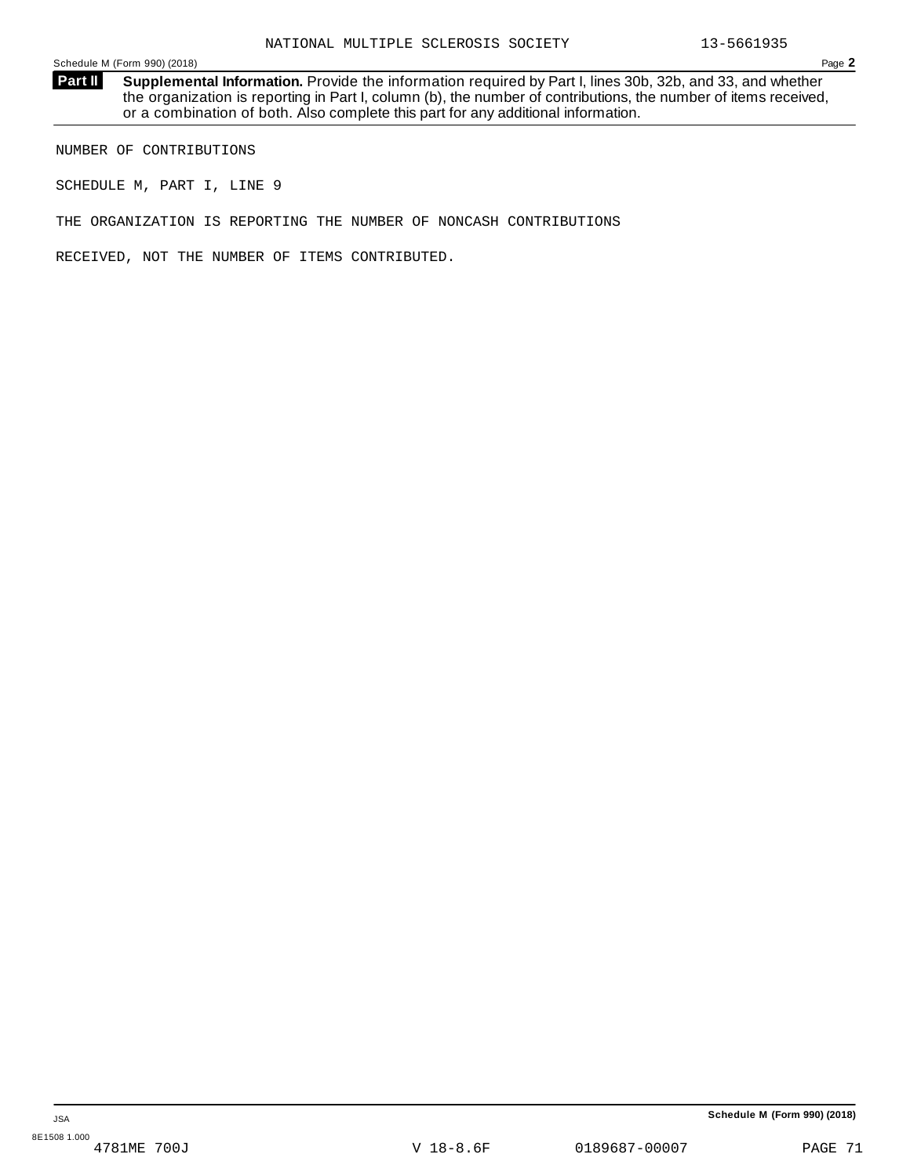**Supplemental Information.** Provide the information required by Part I, lines 30b, 32b, and 33, and whether the organization is reporting in Part I, column (b), the number of contributions, the number of items received, or a combination of both. Also complete this part for any additional information. **Part II**

NUMBER OF CONTRIBUTIONS

SCHEDULE M, PART I, LINE 9

THE ORGANIZATION IS REPORTING THE NUMBER OF NONCASH CONTRIBUTIONS

RECEIVED, NOT THE NUMBER OF ITEMS CONTRIBUTED.

V 18-8.6F 0189687-00007 PAGE 71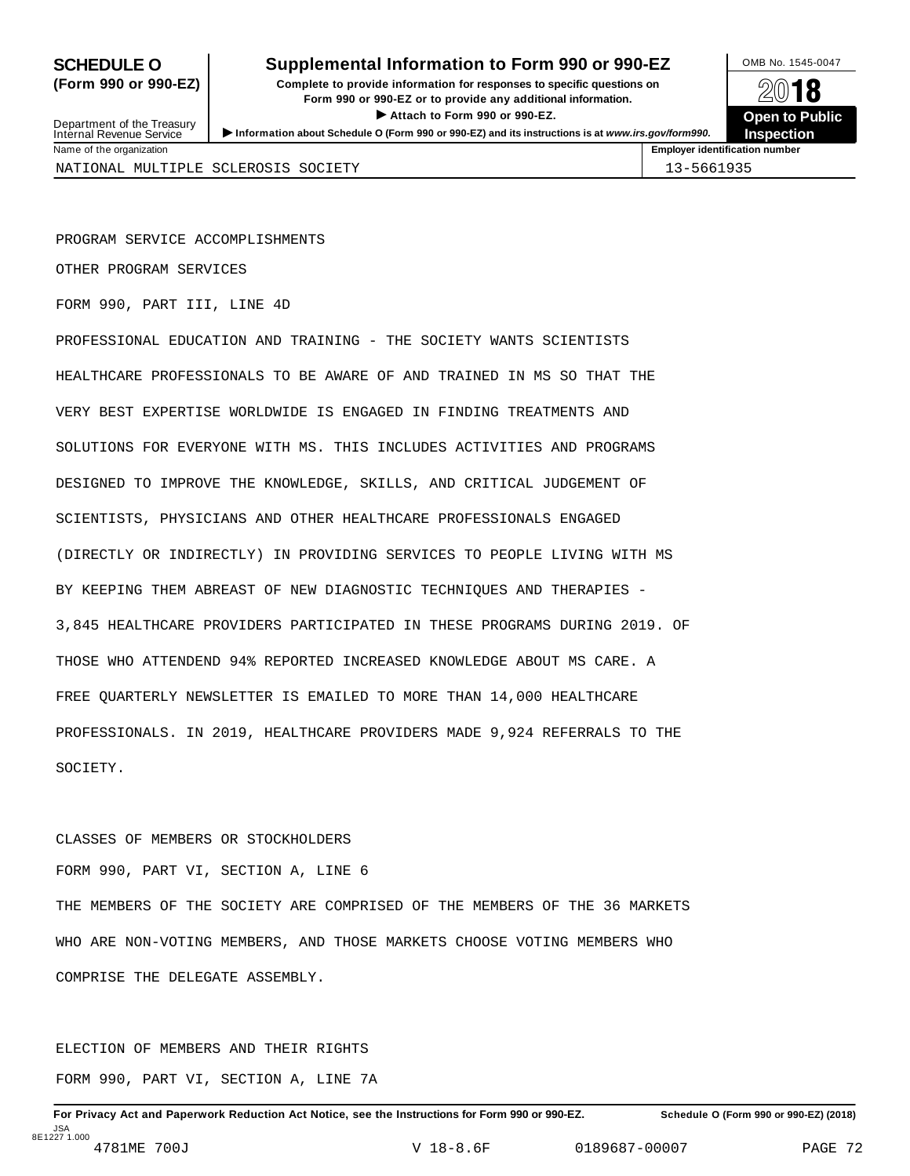# **SCHEDULE O** Supplemental Information to Form 990 or 990-EZ DAMB No. 1545-0047

**(Form 990 or 990-EZ) Complete to provide information for responses to specific questions on** plete to provide information for responses to specific questions on  $\mathbb{Z}^{0}$  **18 EV TO**<br>
■ Attach to Form 990 or 990-EZ. Depen to Public<br>
■ Public Corporation of the Security of the Security of the Security of the Security of the Security of the Security of the Security of the Security of the Securit Department of the Treasury <br>Depen to Public<br>Name of the organization<br>Name of the organization<br>Name of the organization<br>Name of the organization<br>Inspection



Department of the Treasury<br>Internal Revenue Service

PROGRAM SERVICE ACCOMPLISHMENTS

OTHER PROGRAM SERVICES

FORM 990, PART III, LINE 4D

PROFESSIONAL EDUCATION AND TRAINING - THE SOCIETY WANTS SCIENTISTS HEALTHCARE PROFESSIONALS TO BE AWARE OF AND TRAINED IN MS SO THAT THE VERY BEST EXPERTISE WORLDWIDE IS ENGAGED IN FINDING TREATMENTS AND SOLUTIONS FOR EVERYONE WITH MS. THIS INCLUDES ACTIVITIES AND PROGRAMS DESIGNED TO IMPROVE THE KNOWLEDGE, SKILLS, AND CRITICAL JUDGEMENT OF SCIENTISTS, PHYSICIANS AND OTHER HEALTHCARE PROFESSIONALS ENGAGED (DIRECTLY OR INDIRECTLY) IN PROVIDING SERVICES TO PEOPLE LIVING WITH MS BY KEEPING THEM ABREAST OF NEW DIAGNOSTIC TECHNIQUES AND THERAPIES - 3,845 HEALTHCARE PROVIDERS PARTICIPATED IN THESE PROGRAMS DURING 2019. OF THOSE WHO ATTENDEND 94% REPORTED INCREASED KNOWLEDGE ABOUT MS CARE. A FREE QUARTERLY NEWSLETTER IS EMAILED TO MORE THAN 14,000 HEALTHCARE PROFESSIONALS. IN 2019, HEALTHCARE PROVIDERS MADE 9,924 REFERRALS TO THE SOCIETY.

# CLASSES OF MEMBERS OR STOCKHOLDERS

FORM 990, PART VI, SECTION A, LINE 6

THE MEMBERS OF THE SOCIETY ARE COMPRISED OF THE MEMBERS OF THE 36 MARKETS WHO ARE NON-VOTING MEMBERS, AND THOSE MARKETS CHOOSE VOTING MEMBERS WHO COMPRISE THE DELEGATE ASSEMBLY.

ELECTION OF MEMBERS AND THEIR RIGHTS FORM 990, PART VI, SECTION A, LINE 7A

For Privacy Act and Paperwork Reduction Act Notice, see the Instructions for Form 990 or 990-EZ. Schedule O (Form 990 or 990-EZ) (2018) JSA 8E1227 1.000 4781ME 700J V 18-8.6F 0189687-00007 PAGE 72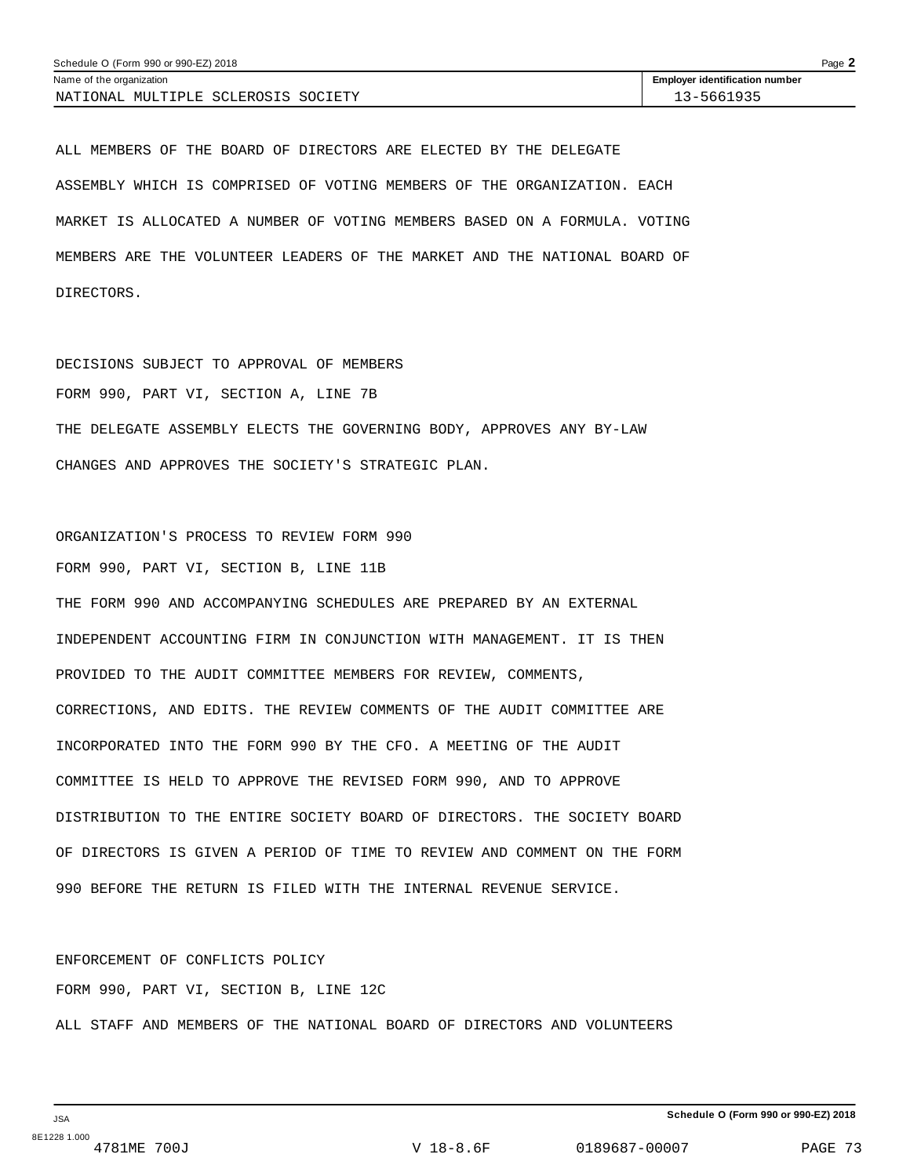| Page $\blacktriangle$<br>Schedule O (Form 990 or 990-EZ) 2018 |                                       |  |  |  |  |  |
|---------------------------------------------------------------|---------------------------------------|--|--|--|--|--|
| Name of the organization                                      | <b>Employer identification number</b> |  |  |  |  |  |
| NATIONAL MULTIPLE SCLEROSIS SOCIETY                           | '3-5661935                            |  |  |  |  |  |

ALL MEMBERS OF THE BOARD OF DIRECTORS ARE ELECTED BY THE DELEGATE ASSEMBLY WHICH IS COMPRISED OF VOTING MEMBERS OF THE ORGANIZATION. EACH MARKET IS ALLOCATED A NUMBER OF VOTING MEMBERS BASED ON A FORMULA. VOTING MEMBERS ARE THE VOLUNTEER LEADERS OF THE MARKET AND THE NATIONAL BOARD OF DIRECTORS.

DECISIONS SUBJECT TO APPROVAL OF MEMBERS FORM 990, PART VI, SECTION A, LINE 7B THE DELEGATE ASSEMBLY ELECTS THE GOVERNING BODY, APPROVES ANY BY-LAW CHANGES AND APPROVES THE SOCIETY'S STRATEGIC PLAN.

ORGANIZATION'S PROCESS TO REVIEW FORM 990 FORM 990, PART VI, SECTION B, LINE 11B THE FORM 990 AND ACCOMPANYING SCHEDULES ARE PREPARED BY AN EXTERNAL INDEPENDENT ACCOUNTING FIRM IN CONJUNCTION WITH MANAGEMENT. IT IS THEN PROVIDED TO THE AUDIT COMMITTEE MEMBERS FOR REVIEW, COMMENTS, CORRECTIONS, AND EDITS. THE REVIEW COMMENTS OF THE AUDIT COMMITTEE ARE INCORPORATED INTO THE FORM 990 BY THE CFO. A MEETING OF THE AUDIT COMMITTEE IS HELD TO APPROVE THE REVISED FORM 990, AND TO APPROVE DISTRIBUTION TO THE ENTIRE SOCIETY BOARD OF DIRECTORS. THE SOCIETY BOARD OF DIRECTORS IS GIVEN A PERIOD OF TIME TO REVIEW AND COMMENT ON THE FORM 990 BEFORE THE RETURN IS FILED WITH THE INTERNAL REVENUE SERVICE.

ENFORCEMENT OF CONFLICTS POLICY FORM 990, PART VI, SECTION B, LINE 12C ALL STAFF AND MEMBERS OF THE NATIONAL BOARD OF DIRECTORS AND VOLUNTEERS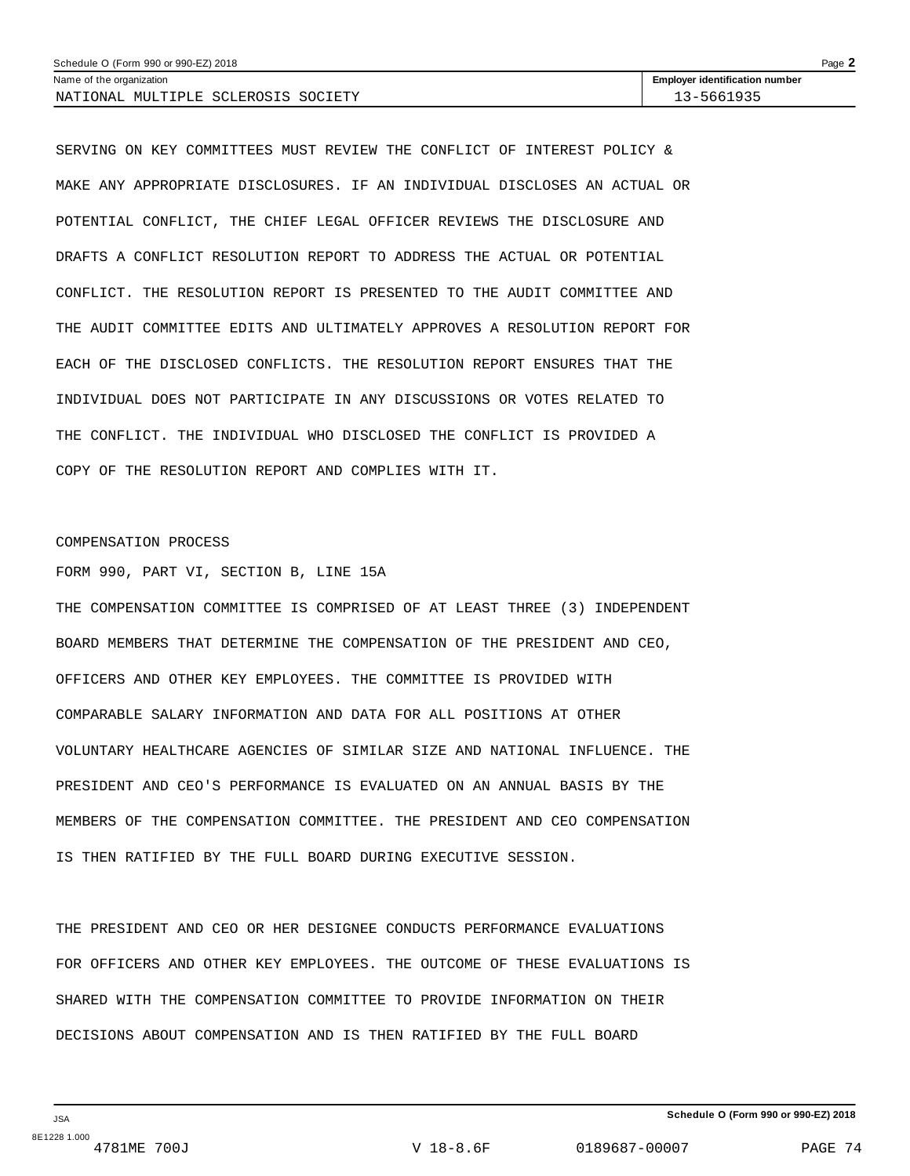| Schedule O (Form 990 or 990-EZ) 2018<br>Page $\blacktriangle$ |                                       |  |  |  |  |  |
|---------------------------------------------------------------|---------------------------------------|--|--|--|--|--|
| Name of the organization                                      | <b>Employer identification number</b> |  |  |  |  |  |
| NATIONAL MULTIPLE SCLEROSIS SOCIETY                           | 13–5661935                            |  |  |  |  |  |

SERVING ON KEY COMMITTEES MUST REVIEW THE CONFLICT OF INTEREST POLICY & MAKE ANY APPROPRIATE DISCLOSURES. IF AN INDIVIDUAL DISCLOSES AN ACTUAL OR POTENTIAL CONFLICT, THE CHIEF LEGAL OFFICER REVIEWS THE DISCLOSURE AND DRAFTS A CONFLICT RESOLUTION REPORT TO ADDRESS THE ACTUAL OR POTENTIAL CONFLICT. THE RESOLUTION REPORT IS PRESENTED TO THE AUDIT COMMITTEE AND THE AUDIT COMMITTEE EDITS AND ULTIMATELY APPROVES A RESOLUTION REPORT FOR EACH OF THE DISCLOSED CONFLICTS. THE RESOLUTION REPORT ENSURES THAT THE INDIVIDUAL DOES NOT PARTICIPATE IN ANY DISCUSSIONS OR VOTES RELATED TO THE CONFLICT. THE INDIVIDUAL WHO DISCLOSED THE CONFLICT IS PROVIDED A COPY OF THE RESOLUTION REPORT AND COMPLIES WITH IT.

### COMPENSATION PROCESS

FORM 990, PART VI, SECTION B, LINE 15A

THE COMPENSATION COMMITTEE IS COMPRISED OF AT LEAST THREE (3) INDEPENDENT BOARD MEMBERS THAT DETERMINE THE COMPENSATION OF THE PRESIDENT AND CEO, OFFICERS AND OTHER KEY EMPLOYEES. THE COMMITTEE IS PROVIDED WITH COMPARABLE SALARY INFORMATION AND DATA FOR ALL POSITIONS AT OTHER VOLUNTARY HEALTHCARE AGENCIES OF SIMILAR SIZE AND NATIONAL INFLUENCE. THE PRESIDENT AND CEO'S PERFORMANCE IS EVALUATED ON AN ANNUAL BASIS BY THE MEMBERS OF THE COMPENSATION COMMITTEE. THE PRESIDENT AND CEO COMPENSATION IS THEN RATIFIED BY THE FULL BOARD DURING EXECUTIVE SESSION.

THE PRESIDENT AND CEO OR HER DESIGNEE CONDUCTS PERFORMANCE EVALUATIONS FOR OFFICERS AND OTHER KEY EMPLOYEES. THE OUTCOME OF THESE EVALUATIONS IS SHARED WITH THE COMPENSATION COMMITTEE TO PROVIDE INFORMATION ON THEIR DECISIONS ABOUT COMPENSATION AND IS THEN RATIFIED BY THE FULL BOARD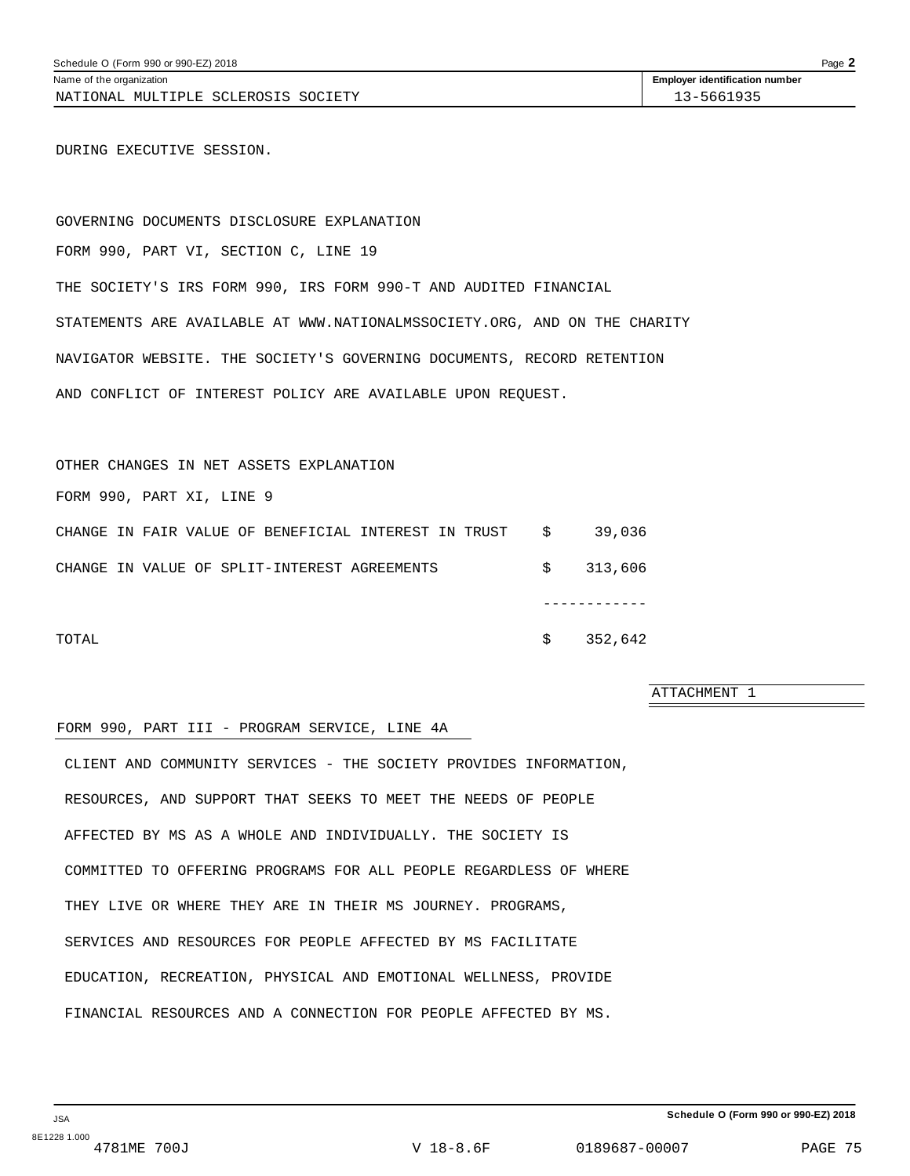NATIONAL MULTIPLE SCLEROSIS SOCIETY 13-5661935

DURING EXECUTIVE SESSION.

GOVERNING DOCUMENTS DISCLOSURE EXPLANATION FORM 990, PART VI, SECTION C, LINE 19 THE SOCIETY'S IRS FORM 990, IRS FORM 990-T AND AUDITED FINANCIAL STATEMENTS ARE AVAILABLE AT WWW.NATIONALMSSOCIETY.ORG, AND ON THE CHARITY NAVIGATOR WEBSITE. THE SOCIETY'S GOVERNING DOCUMENTS, RECORD RETENTION AND CONFLICT OF INTEREST POLICY ARE AVAILABLE UPON REQUEST.

OTHER CHANGES IN NET ASSETS EXPLANATION

FORM 990, PART XI, LINE 9

|       |  |  | CHANGE IN FAIR VALUE OF BENEFICIAL INTEREST IN TRUST \$ |  |  |    | 39,036    |
|-------|--|--|---------------------------------------------------------|--|--|----|-----------|
|       |  |  | CHANGE IN VALUE OF SPLIT-INTEREST AGREEMENTS            |  |  |    | \$313,606 |
|       |  |  |                                                         |  |  |    |           |
| TOTAL |  |  |                                                         |  |  | S. | 352,642   |

ATTACHMENT 1

### FORM 990, PART III - PROGRAM SERVICE, LINE 4A

CLIENT AND COMMUNITY SERVICES - THE SOCIETY PROVIDES INFORMATION, RESOURCES, AND SUPPORT THAT SEEKS TO MEET THE NEEDS OF PEOPLE AFFECTED BY MS AS A WHOLE AND INDIVIDUALLY. THE SOCIETY IS COMMITTED TO OFFERING PROGRAMS FOR ALL PEOPLE REGARDLESS OF WHERE THEY LIVE OR WHERE THEY ARE IN THEIR MS JOURNEY. PROGRAMS, SERVICES AND RESOURCES FOR PEOPLE AFFECTED BY MS FACILITATE EDUCATION, RECREATION, PHYSICAL AND EMOTIONAL WELLNESS, PROVIDE FINANCIAL RESOURCES AND A CONNECTION FOR PEOPLE AFFECTED BY MS.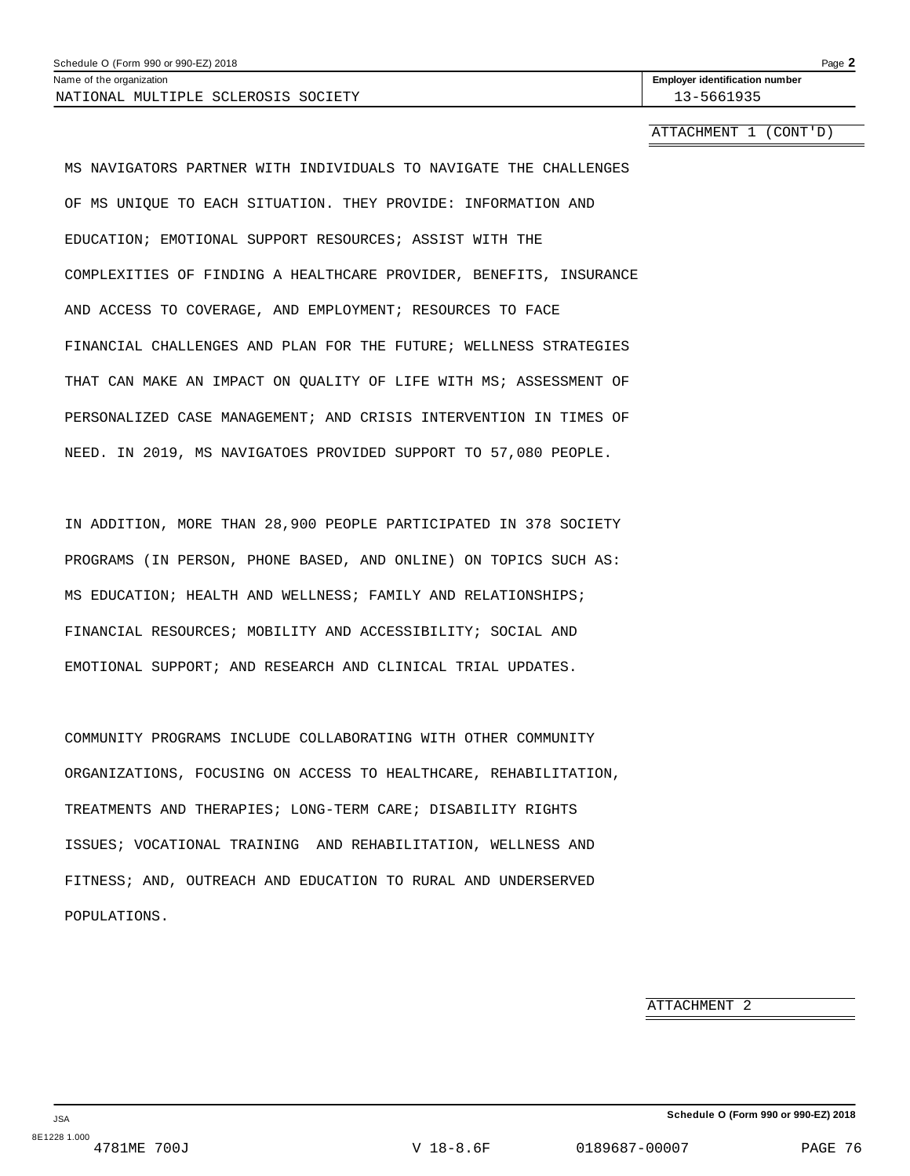NATIONAL MULTIPLE SCLEROSIS SOCIETY 13-5661935

Name of the organization **intervalse of the organization <b>intervalse intervalse intervalse in the set of the organization intervalse intervalse in the set of the organization number** 

ATTACHMENT 1 (CONT'D)

MS NAVIGATORS PARTNER WITH INDIVIDUALS TO NAVIGATE THE CHALLENGES OF MS UNIQUE TO EACH SITUATION. THEY PROVIDE: INFORMATION AND EDUCATION; EMOTIONAL SUPPORT RESOURCES; ASSIST WITH THE COMPLEXITIES OF FINDING A HEALTHCARE PROVIDER, BENEFITS, INSURANCE AND ACCESS TO COVERAGE, AND EMPLOYMENT; RESOURCES TO FACE FINANCIAL CHALLENGES AND PLAN FOR THE FUTURE; WELLNESS STRATEGIES THAT CAN MAKE AN IMPACT ON QUALITY OF LIFE WITH MS; ASSESSMENT OF PERSONALIZED CASE MANAGEMENT; AND CRISIS INTERVENTION IN TIMES OF NEED. IN 2019, MS NAVIGATOES PROVIDED SUPPORT TO 57,080 PEOPLE.

IN ADDITION, MORE THAN 28,900 PEOPLE PARTICIPATED IN 378 SOCIETY PROGRAMS (IN PERSON, PHONE BASED, AND ONLINE) ON TOPICS SUCH AS: MS EDUCATION; HEALTH AND WELLNESS; FAMILY AND RELATIONSHIPS; FINANCIAL RESOURCES; MOBILITY AND ACCESSIBILITY; SOCIAL AND EMOTIONAL SUPPORT; AND RESEARCH AND CLINICAL TRIAL UPDATES.

COMMUNITY PROGRAMS INCLUDE COLLABORATING WITH OTHER COMMUNITY ORGANIZATIONS, FOCUSING ON ACCESS TO HEALTHCARE, REHABILITATION, TREATMENTS AND THERAPIES; LONG-TERM CARE; DISABILITY RIGHTS ISSUES; VOCATIONAL TRAINING AND REHABILITATION, WELLNESS AND FITNESS; AND, OUTREACH AND EDUCATION TO RURAL AND UNDERSERVED POPULATIONS.

ATTACHMENT 2

JSA 8E1228 1.000<br>4781ME 700J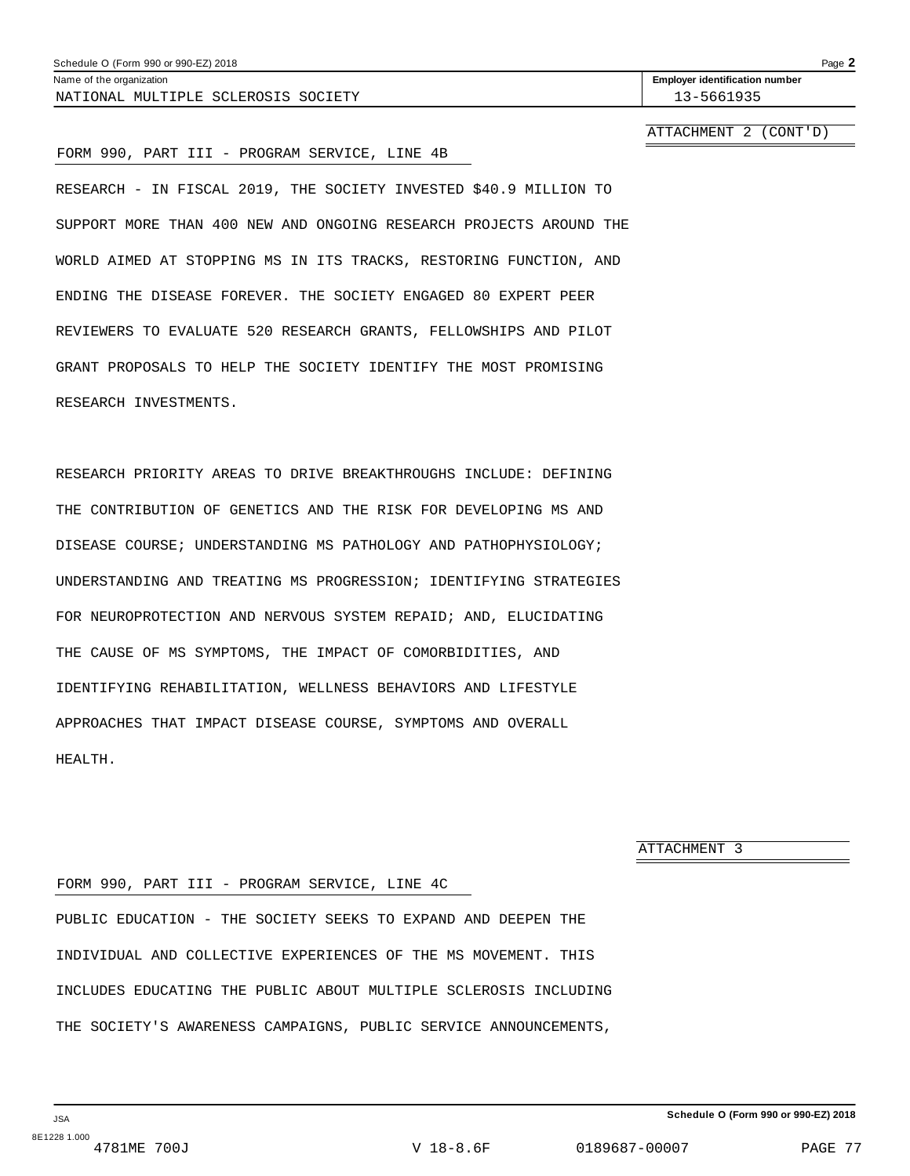### Schedule O (Form 990 or 990-EZ) 2018 Page 2

Name of the organization **intervalse of the organization <b>intervalse intervalse intervalse in the set of the organization intervalse intervalse in the set of the organization number** NATIONAL MULTIPLE SCLEROSIS SOCIETY 13-5661935

ATTACHMENT 2 (CONT'D)

### FORM 990, PART III - PROGRAM SERVICE, LINE 4B

RESEARCH - IN FISCAL 2019, THE SOCIETY INVESTED \$40.9 MILLION TO SUPPORT MORE THAN 400 NEW AND ONGOING RESEARCH PROJECTS AROUND THE WORLD AIMED AT STOPPING MS IN ITS TRACKS, RESTORING FUNCTION, AND ENDING THE DISEASE FOREVER. THE SOCIETY ENGAGED 80 EXPERT PEER REVIEWERS TO EVALUATE 520 RESEARCH GRANTS, FELLOWSHIPS AND PILOT GRANT PROPOSALS TO HELP THE SOCIETY IDENTIFY THE MOST PROMISING RESEARCH INVESTMENTS.

RESEARCH PRIORITY AREAS TO DRIVE BREAKTHROUGHS INCLUDE: DEFINING THE CONTRIBUTION OF GENETICS AND THE RISK FOR DEVELOPING MS AND DISEASE COURSE; UNDERSTANDING MS PATHOLOGY AND PATHOPHYSIOLOGY; UNDERSTANDING AND TREATING MS PROGRESSION; IDENTIFYING STRATEGIES FOR NEUROPROTECTION AND NERVOUS SYSTEM REPAID; AND, ELUCIDATING THE CAUSE OF MS SYMPTOMS, THE IMPACT OF COMORBIDITIES, AND IDENTIFYING REHABILITATION, WELLNESS BEHAVIORS AND LIFESTYLE APPROACHES THAT IMPACT DISEASE COURSE, SYMPTOMS AND OVERALL HEALTH.

ATTACHMENT 3

### FORM 990, PART III - PROGRAM SERVICE, LINE 4C

PUBLIC EDUCATION - THE SOCIETY SEEKS TO EXPAND AND DEEPEN THE INDIVIDUAL AND COLLECTIVE EXPERIENCES OF THE MS MOVEMENT. THIS INCLUDES EDUCATING THE PUBLIC ABOUT MULTIPLE SCLEROSIS INCLUDING THE SOCIETY'S AWARENESS CAMPAIGNS, PUBLIC SERVICE ANNOUNCEMENTS,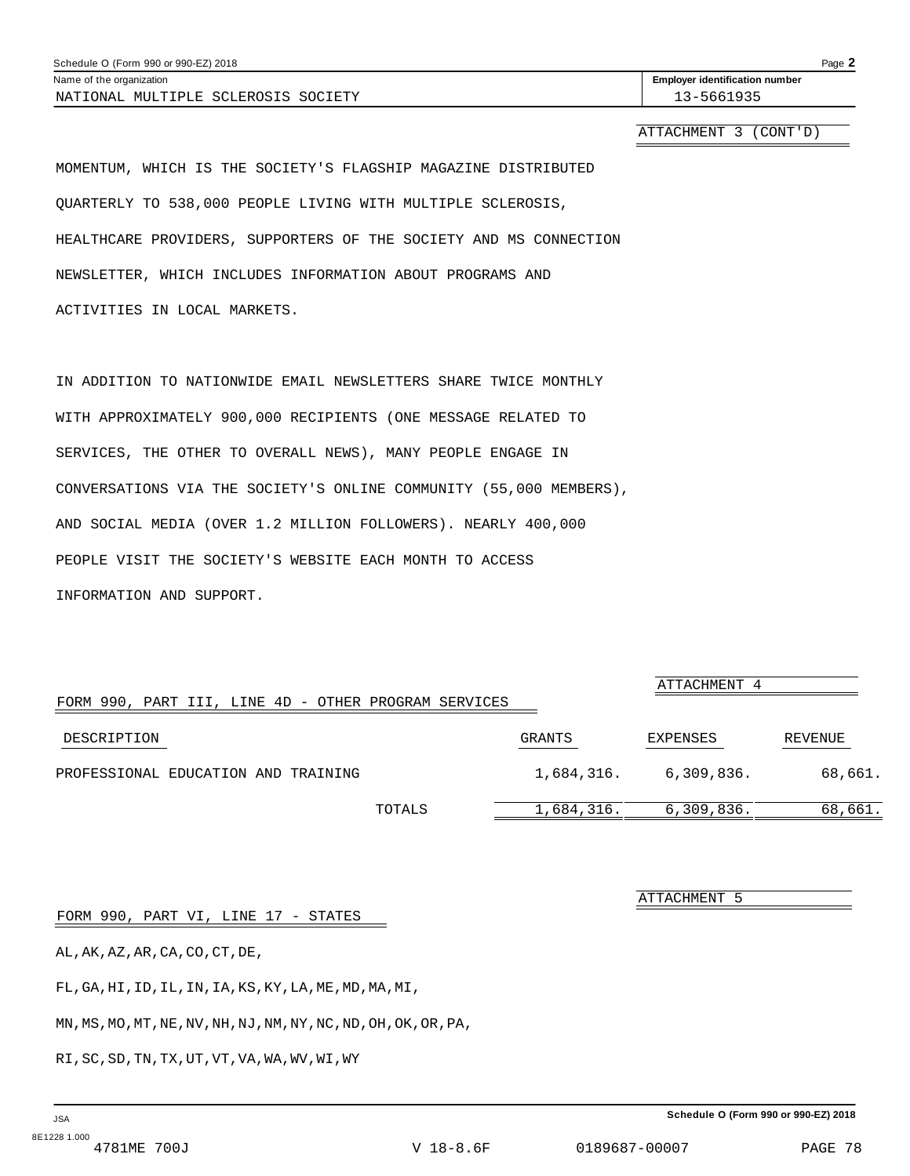ATTACHMENT 3 (CONT'D)

MOMENTUM, WHICH IS THE SOCIETY'S FLAGSHIP MAGAZINE DISTRIBUTED QUARTERLY TO 538,000 PEOPLE LIVING WITH MULTIPLE SCLEROSIS, HEALTHCARE PROVIDERS, SUPPORTERS OF THE SOCIETY AND MS CONNECTION NEWSLETTER, WHICH INCLUDES INFORMATION ABOUT PROGRAMS AND ACTIVITIES IN LOCAL MARKETS.

IN ADDITION TO NATIONWIDE EMAIL NEWSLETTERS SHARE TWICE MONTHLY WITH APPROXIMATELY 900,000 RECIPIENTS (ONE MESSAGE RELATED TO SERVICES, THE OTHER TO OVERALL NEWS), MANY PEOPLE ENGAGE IN CONVERSATIONS VIA THE SOCIETY'S ONLINE COMMUNITY (55,000 MEMBERS), AND SOCIAL MEDIA (OVER 1.2 MILLION FOLLOWERS). NEARLY 400,000 PEOPLE VISIT THE SOCIETY'S WEBSITE EACH MONTH TO ACCESS INFORMATION AND SUPPORT.

| FORM 990, PART III, LINE 4D - OTHER PROGRAM SERVICES |        |               | ATTACHMENT 4 |         |
|------------------------------------------------------|--------|---------------|--------------|---------|
| DESCRIPTION                                          |        | <b>GRANTS</b> | EXPENSES     | REVENUE |
| PROFESSIONAL EDUCATION AND TRAINING                  |        | 1,684,316.    | 6,309,836.   | 68,661. |
|                                                      | TOTALS | 1,684,316.    | 6,309,836.   | 68,661. |

FORM 990, PART VI, LINE 17 - STATES

AL,AK,AZ,AR,CA,CO,CT,DE,

FL,GA,HI,ID,IL,IN,IA,KS,KY,LA,ME,MD,MA,MI,

MN,MS,MO,MT,NE,NV,NH,NJ,NM,NY,NC,ND,OH,OK,OR,PA,

RI,SC,SD,TN,TX,UT,VT,VA,WA,WV,WI,WY

**Schedule O (Form 990 or 990-EZ) 2018**

ATTACHMENT 5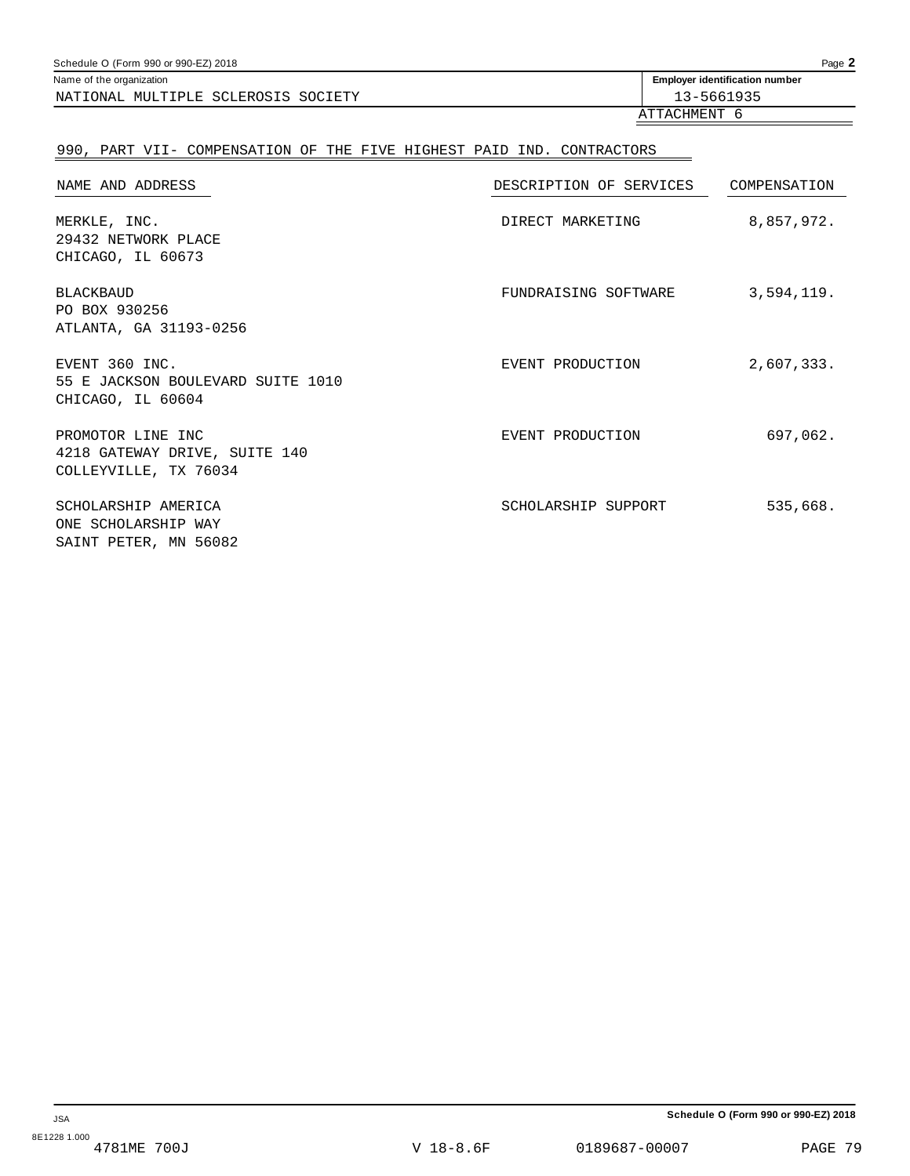| Schedule O (Form 990 or 990-EZ) 2018 | Page 2                                |
|--------------------------------------|---------------------------------------|
| Name of the organization             | <b>Employer identification number</b> |
| NATIONAL MULTIPLE SCLEROSIS SOCIETY  | 13-5661935                            |
|                                      | ATTACHMENT                            |

## 990, PART VII- COMPENSATION OF THE FIVE HIGHEST PAID IND. CONTRACTORS

| NAME AND ADDRESS                                                            | DESCRIPTION OF SERVICES | COMPENSATION |
|-----------------------------------------------------------------------------|-------------------------|--------------|
| MERKLE, INC.<br>29432 NETWORK PLACE<br>CHICAGO, IL 60673                    | DIRECT MARKETING        | 8,857,972.   |
| <b>BLACKBAUD</b><br>PO BOX 930256<br>ATLANTA, GA 31193-0256                 | FUNDRAISING SOFTWARE    | 3,594,119.   |
| EVENT 360 INC.<br>55 E JACKSON BOULEVARD SUITE 1010<br>CHICAGO, IL 60604    | EVENT PRODUCTION        | 2,607,333.   |
| PROMOTOR LINE INC<br>4218 GATEWAY DRIVE, SUITE 140<br>COLLEYVILLE, TX 76034 | EVENT PRODUCTION        | 697,062.     |
| SCHOLARSHIP AMERICA<br>ONE SCHOLARSHIP WAY<br>SAINT PETER, MN 56082         | SCHOLARSHIP SUPPORT     | 535,668.     |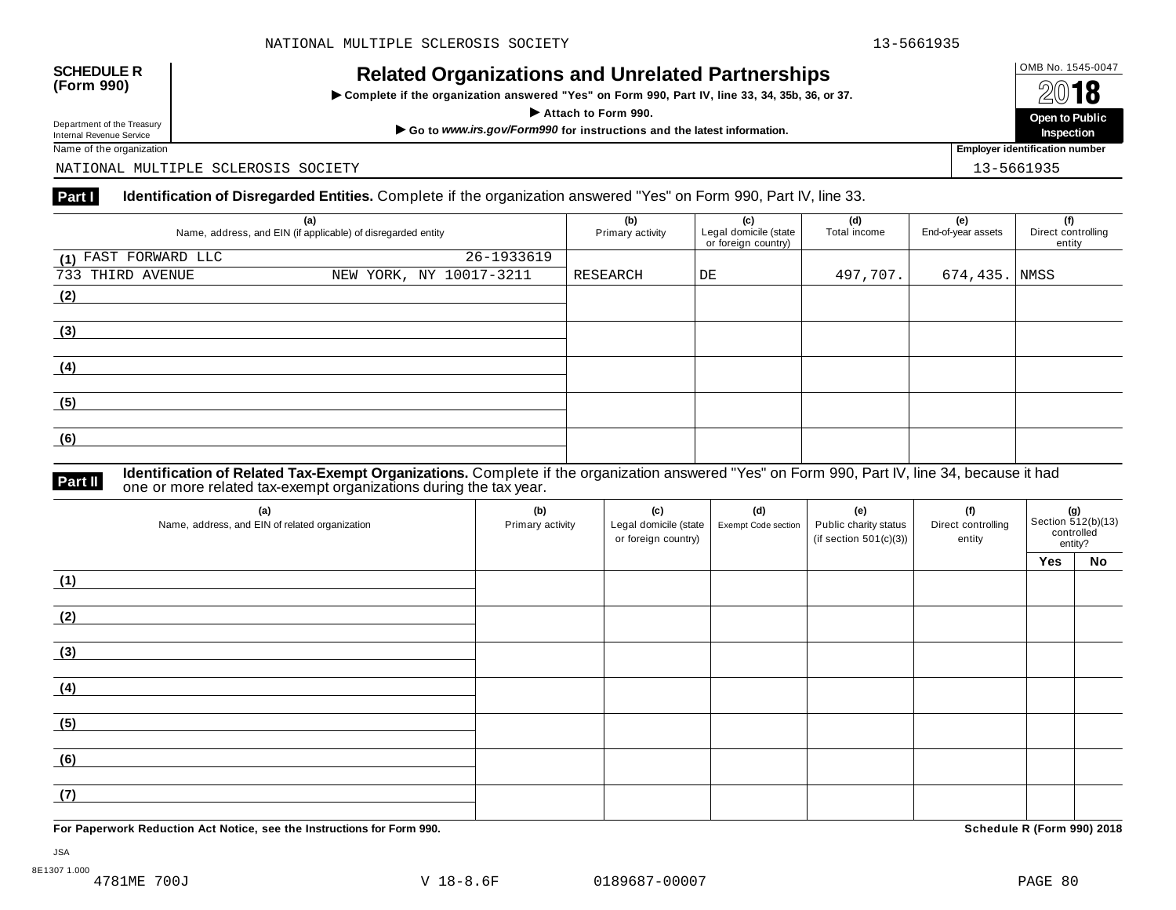## OMB No. 1545-0047 **SCHEDULE R (Form 990) Related Organizations and Unrelated Partnerships**

 $\triangleright$  Complete if the organization answered "Yes" on Form 990, Part IV, line 33, 34, 35b, 36, or 37.



Department of the Treasury<br>Internal Revenue Service

NATIONAL MULTIPLE SCLEROSIS SOCIETY 13-5661935

### **Part I Identification of Disregarded Entities.** Complete if the organization answered "Yes" on Form 990, Part IV, line 33.

|                      | (a)<br>Name, address, and EIN (if applicable) of disregarded entity | (b)<br>Primary activity | (c)<br>Legal domicile (state<br>or foreign country) | (d)<br>Total income | (e)<br>End-of-year assets | (f)<br>Direct controlling<br>entity |
|----------------------|---------------------------------------------------------------------|-------------------------|-----------------------------------------------------|---------------------|---------------------------|-------------------------------------|
| (1) FAST FORWARD LLC | 26-1933619                                                          |                         |                                                     |                     |                           |                                     |
| 733 THIRD AVENUE     | NEW YORK, NY 10017-3211                                             | RESEARCH                | DE                                                  | 497,707.            | $674, 435.$ NMSS          |                                     |
| (2)                  |                                                                     |                         |                                                     |                     |                           |                                     |
|                      |                                                                     |                         |                                                     |                     |                           |                                     |
| (3)                  |                                                                     |                         |                                                     |                     |                           |                                     |
|                      |                                                                     |                         |                                                     |                     |                           |                                     |
| (4)                  |                                                                     |                         |                                                     |                     |                           |                                     |
|                      |                                                                     |                         |                                                     |                     |                           |                                     |
| (5)                  |                                                                     |                         |                                                     |                     |                           |                                     |
|                      |                                                                     |                         |                                                     |                     |                           |                                     |
| (6)                  |                                                                     |                         |                                                     |                     |                           |                                     |
|                      |                                                                     |                         |                                                     |                     |                           |                                     |

### **Identification of Related Tax-Exempt Organizations.** Complete if the organization answered "Yes" on Form 990, Part IV, line 34, because it had **Part II** one or more related tax-exempt organizations during the tax year.

| (a)<br>Name, address, and EIN of related organization | (b)<br>Primary activity | (c)<br>Legal domicile (state  <br>or foreign country) | (d)<br>Exempt Code section | (e)<br>Public charity status<br>(if section $501(c)(3)$ ) | (f)<br>Direct controlling<br>entity | <b>(g)</b><br>Section 512(b)(13)<br>controlled<br>entity? |           |
|-------------------------------------------------------|-------------------------|-------------------------------------------------------|----------------------------|-----------------------------------------------------------|-------------------------------------|-----------------------------------------------------------|-----------|
|                                                       |                         |                                                       |                            |                                                           |                                     | Yes                                                       | <b>No</b> |
| (1)                                                   |                         |                                                       |                            |                                                           |                                     |                                                           |           |
| (2)                                                   |                         |                                                       |                            |                                                           |                                     |                                                           |           |
| (3)                                                   |                         |                                                       |                            |                                                           |                                     |                                                           |           |
| (4)                                                   |                         |                                                       |                            |                                                           |                                     |                                                           |           |
| (5)                                                   |                         |                                                       |                            |                                                           |                                     |                                                           |           |
| (6)                                                   |                         |                                                       |                            |                                                           |                                     |                                                           |           |
| (7)                                                   |                         |                                                       |                            |                                                           |                                     |                                                           |           |

**For Paperwork Reduction Act Notice, see the Instructions for Form 990. Schedule R (Form 990) 2018**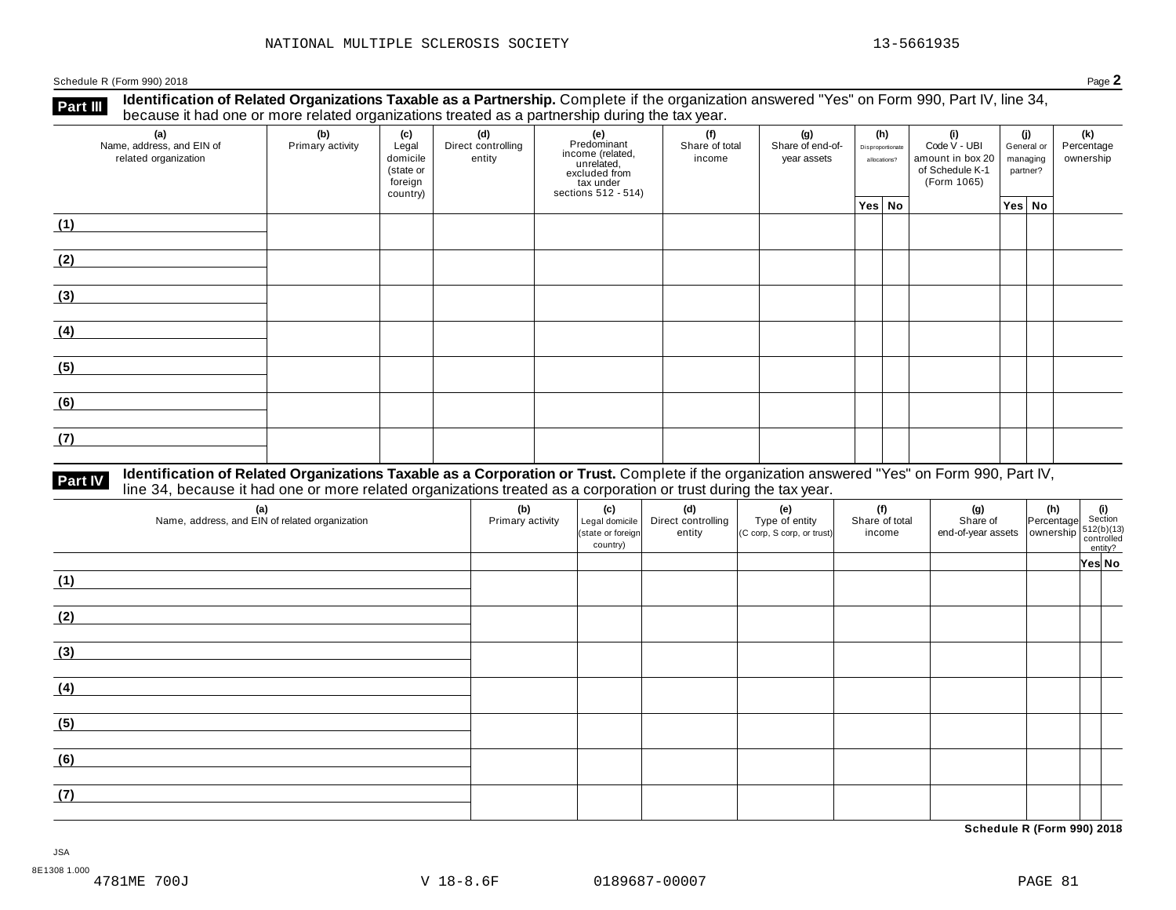Schedule <sup>R</sup> (Form 990) <sup>2018</sup> Page **2**

**Part III** Identification of Related Organizations Taxable as a Partnership. Complete if the organization answered "Yes" on Form 990, Part IV, line 34,<br>because it had one or more related organizations treated as a partners

| (a)<br>Name, address, and EIN of<br>related organization | ັ<br>(b)<br>Primary activity | (c)<br>Legal<br>domicile<br>(state or<br>foreign<br>country) | .<br>(d)<br>Direct controlling<br>entity | ັ<br>(e)<br>Predominant<br>Frecomman<br>income (related,<br>unrelated,<br>sccluded from<br>sections 512 - 514) | (f)<br>Share of total<br>income | (g)<br>Share of end-of-<br>year assets | (h)<br>Disproportionate<br>allocations? | (i)<br>Code V - UBI<br>amount in box 20<br>of Schedule K-1<br>(Form 1065) | (j)<br>General or<br>managing<br>partner? |        | (k)<br>Percentage<br>ownership |
|----------------------------------------------------------|------------------------------|--------------------------------------------------------------|------------------------------------------|----------------------------------------------------------------------------------------------------------------|---------------------------------|----------------------------------------|-----------------------------------------|---------------------------------------------------------------------------|-------------------------------------------|--------|--------------------------------|
|                                                          |                              |                                                              |                                          |                                                                                                                |                                 |                                        | Yes No                                  |                                                                           |                                           | Yes No |                                |
| (1)                                                      |                              |                                                              |                                          |                                                                                                                |                                 |                                        |                                         |                                                                           |                                           |        |                                |
| (2)                                                      |                              |                                                              |                                          |                                                                                                                |                                 |                                        |                                         |                                                                           |                                           |        |                                |
| (3)                                                      |                              |                                                              |                                          |                                                                                                                |                                 |                                        |                                         |                                                                           |                                           |        |                                |
| (4)                                                      |                              |                                                              |                                          |                                                                                                                |                                 |                                        |                                         |                                                                           |                                           |        |                                |
| (5)                                                      |                              |                                                              |                                          |                                                                                                                |                                 |                                        |                                         |                                                                           |                                           |        |                                |
| (6)                                                      |                              |                                                              |                                          |                                                                                                                |                                 |                                        |                                         |                                                                           |                                           |        |                                |
| (7)                                                      |                              |                                                              |                                          |                                                                                                                |                                 |                                        |                                         |                                                                           |                                           |        |                                |

# **Part IV** Identification of Related Organizations Taxable as a Corporation or Trust. Complete if the organization answered "Yes" on Form 990, Part IV,<br>line 34, because it had one or more related organizations treated as a

| (a)<br>Name, address, and EIN of related organization | (b)<br>Primary activity | (c)<br>Legal domicile<br>(state or foreign<br>country) | (d)<br>Direct controlling<br>entity | (e)<br>Type of entity<br>$ $ (C corp, S corp, or trust) $ $ | (f)<br>Share of total<br>income | (g)<br>Share of<br>Share of Percentage 512(b)(13)<br>end-of-year assets ownership $512(b)(13)$<br>controlled | $\begin{vmatrix} \n\textbf{(h)} \\ \n\text{Percentage} \n\end{vmatrix}$ Section | entity? |  |
|-------------------------------------------------------|-------------------------|--------------------------------------------------------|-------------------------------------|-------------------------------------------------------------|---------------------------------|--------------------------------------------------------------------------------------------------------------|---------------------------------------------------------------------------------|---------|--|
|                                                       |                         |                                                        |                                     |                                                             |                                 |                                                                                                              |                                                                                 | Yes No  |  |
| (1)                                                   |                         |                                                        |                                     |                                                             |                                 |                                                                                                              |                                                                                 |         |  |
| (2)                                                   |                         |                                                        |                                     |                                                             |                                 |                                                                                                              |                                                                                 |         |  |
| (3)                                                   |                         |                                                        |                                     |                                                             |                                 |                                                                                                              |                                                                                 |         |  |
| (4)                                                   |                         |                                                        |                                     |                                                             |                                 |                                                                                                              |                                                                                 |         |  |
| (5)                                                   |                         |                                                        |                                     |                                                             |                                 |                                                                                                              |                                                                                 |         |  |
| (6)                                                   |                         |                                                        |                                     |                                                             |                                 |                                                                                                              |                                                                                 |         |  |
| (7)                                                   |                         |                                                        |                                     |                                                             |                                 |                                                                                                              |                                                                                 |         |  |

**Schedule R (Form 990) 2018**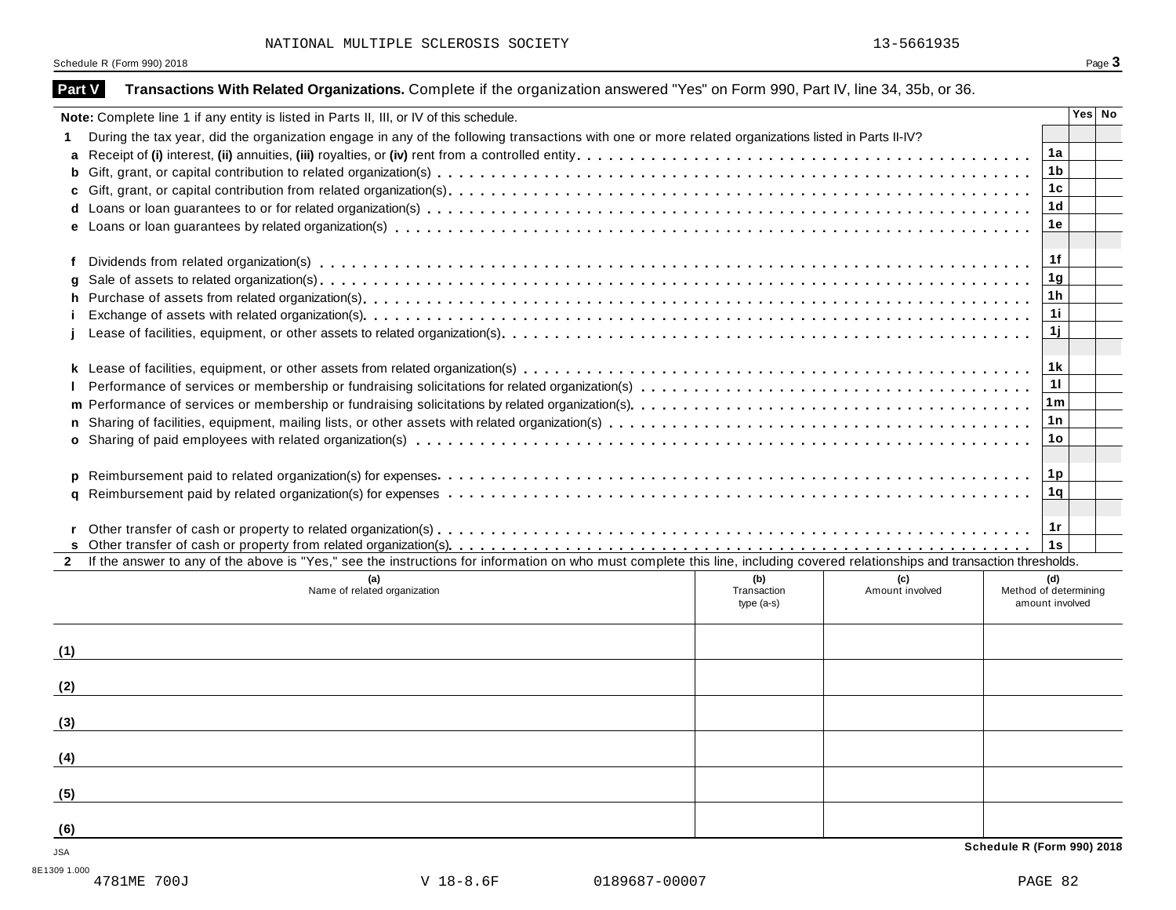Schedule R (Form 990) 2018 Page 3

| Part V       | Transactions With Related Organizations. Complete if the organization answered "Yes" on Form 990, Part IV, line 34, 35b, or 36.                                              |                |        |  |  |  |  |  |  |  |  |
|--------------|------------------------------------------------------------------------------------------------------------------------------------------------------------------------------|----------------|--------|--|--|--|--|--|--|--|--|
|              | Note: Complete line 1 if any entity is listed in Parts II, III, or IV of this schedule.                                                                                      |                | Yes No |  |  |  |  |  |  |  |  |
|              | During the tax year, did the organization engage in any of the following transactions with one or more related organizations listed in Parts II-IV?                          |                |        |  |  |  |  |  |  |  |  |
| a            |                                                                                                                                                                              | 1a             |        |  |  |  |  |  |  |  |  |
| b            |                                                                                                                                                                              | 1 <sub>b</sub> |        |  |  |  |  |  |  |  |  |
| C            |                                                                                                                                                                              | 1 <sub>c</sub> |        |  |  |  |  |  |  |  |  |
|              |                                                                                                                                                                              | 1 <sub>d</sub> |        |  |  |  |  |  |  |  |  |
|              |                                                                                                                                                                              | 1е             |        |  |  |  |  |  |  |  |  |
|              |                                                                                                                                                                              |                |        |  |  |  |  |  |  |  |  |
| f            |                                                                                                                                                                              | 1f             |        |  |  |  |  |  |  |  |  |
|              |                                                                                                                                                                              | 1 <sub>g</sub> |        |  |  |  |  |  |  |  |  |
| h.           |                                                                                                                                                                              | 1 <sub>h</sub> |        |  |  |  |  |  |  |  |  |
|              |                                                                                                                                                                              | 11             |        |  |  |  |  |  |  |  |  |
|              |                                                                                                                                                                              |                |        |  |  |  |  |  |  |  |  |
|              |                                                                                                                                                                              |                |        |  |  |  |  |  |  |  |  |
|              | 1 k                                                                                                                                                                          |                |        |  |  |  |  |  |  |  |  |
|              |                                                                                                                                                                              | 11             |        |  |  |  |  |  |  |  |  |
| m            | 1m                                                                                                                                                                           |                |        |  |  |  |  |  |  |  |  |
|              | 1n                                                                                                                                                                           |                |        |  |  |  |  |  |  |  |  |
|              |                                                                                                                                                                              | 1o             |        |  |  |  |  |  |  |  |  |
|              |                                                                                                                                                                              |                |        |  |  |  |  |  |  |  |  |
|              |                                                                                                                                                                              |                |        |  |  |  |  |  |  |  |  |
|              |                                                                                                                                                                              | 1q             |        |  |  |  |  |  |  |  |  |
|              |                                                                                                                                                                              |                |        |  |  |  |  |  |  |  |  |
|              |                                                                                                                                                                              | 1r             |        |  |  |  |  |  |  |  |  |
|              |                                                                                                                                                                              | 1s             |        |  |  |  |  |  |  |  |  |
| $\mathbf{2}$ | If the answer to any of the above is "Yes," see the instructions for information on who must complete this line, including covered relationships and transaction thresholds. |                |        |  |  |  |  |  |  |  |  |
|              | (b)<br>(c)<br>Name of related organization<br>Transaction<br>Amount involved<br>Method of determining<br>amount involved<br>$type(a-s)$                                      | (d)            |        |  |  |  |  |  |  |  |  |
| (1)          |                                                                                                                                                                              |                |        |  |  |  |  |  |  |  |  |
| (2)          |                                                                                                                                                                              |                |        |  |  |  |  |  |  |  |  |
| (3)          |                                                                                                                                                                              |                |        |  |  |  |  |  |  |  |  |
|              |                                                                                                                                                                              |                |        |  |  |  |  |  |  |  |  |
| (4)          |                                                                                                                                                                              |                |        |  |  |  |  |  |  |  |  |
| (5)          |                                                                                                                                                                              |                |        |  |  |  |  |  |  |  |  |
| (6)          |                                                                                                                                                                              |                |        |  |  |  |  |  |  |  |  |
| JSA          | Schedule R (Form 990) 2018                                                                                                                                                   |                |        |  |  |  |  |  |  |  |  |
|              |                                                                                                                                                                              |                |        |  |  |  |  |  |  |  |  |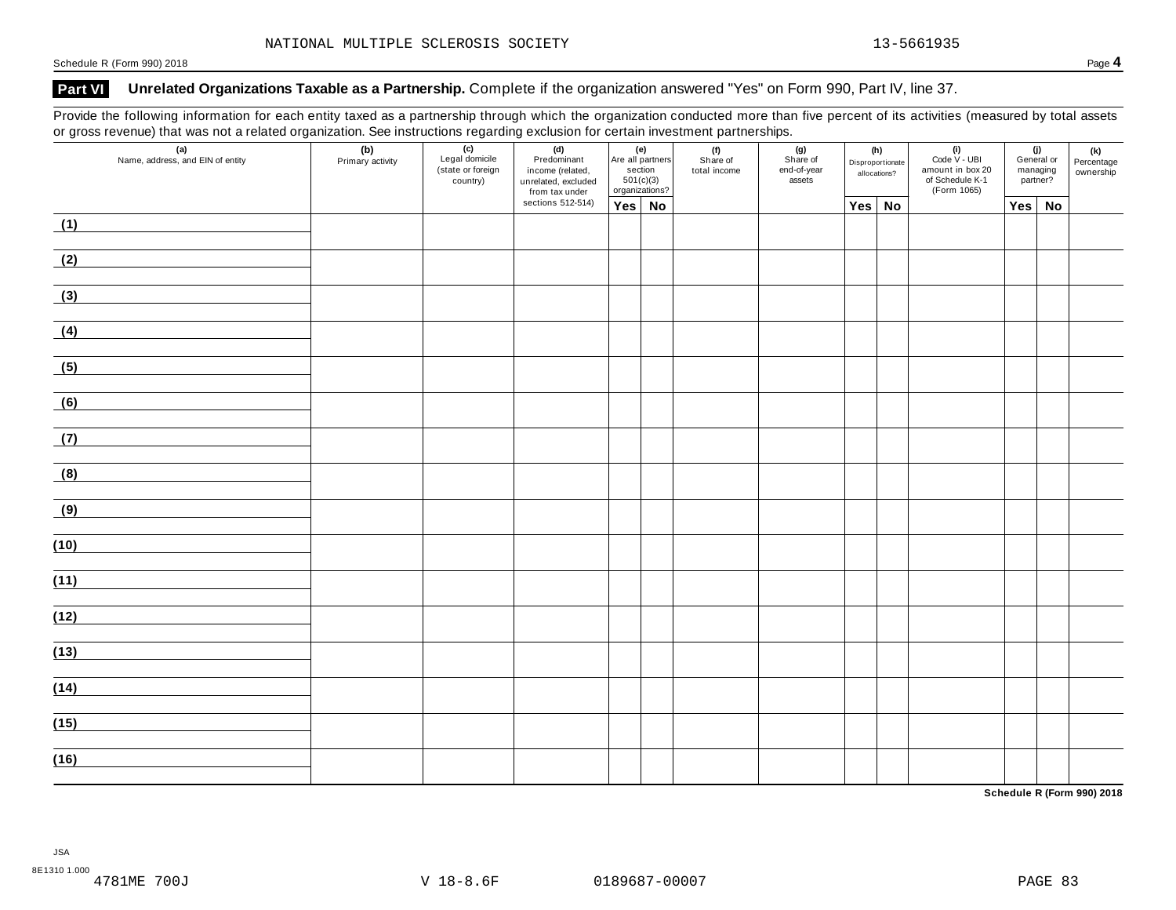### **Part VI Unrelated Organizations Taxable as a Partnership.** Complete if the organization answered "Yes" on Form 990, Part IV, line 37.

Provide the following information for each entity taxed as a partnership through which the organization conducted more than five percent of its activities (measured by total assets or gross revenue) that was not a related organization. See instructions regarding exclusion for certain investment partnerships.

| ັ    | $\overline{\phantom{a}}$<br>ັ<br>(a)<br>Name, address, and EIN of entity | (b)<br>Primary activity | ັ<br>$\overline{(c)}$<br>Legal domicile<br>(state or foreign<br>country) | ັ<br>(d)<br>Predominant<br>income (related,<br>unrelated, excluded<br>from tax under |               | (e)<br>Are all partners<br>section<br>501(c)(3)<br>organizations? | . .<br>(f)<br>Share of<br>total income | . .<br>(g)<br>Share of<br>end-of-year<br>assets | (h)<br>Disproportionate<br>allocations? |  | $(i)$<br>Code V - UBI<br>amount in box 20<br>of Schedule K-1<br>(Form 1065) |     | (j)<br>General or<br>managing<br>partner? | (k)<br>Percentage<br>ownership |
|------|--------------------------------------------------------------------------|-------------------------|--------------------------------------------------------------------------|--------------------------------------------------------------------------------------|---------------|-------------------------------------------------------------------|----------------------------------------|-------------------------------------------------|-----------------------------------------|--|-----------------------------------------------------------------------------|-----|-------------------------------------------|--------------------------------|
|      |                                                                          |                         |                                                                          | sections 512-514)                                                                    | $Yes \mid No$ |                                                                   |                                        |                                                 | Yes No                                  |  |                                                                             | Yes | No                                        |                                |
| (1)  |                                                                          |                         |                                                                          |                                                                                      |               |                                                                   |                                        |                                                 |                                         |  |                                                                             |     |                                           |                                |
| (2)  |                                                                          |                         |                                                                          |                                                                                      |               |                                                                   |                                        |                                                 |                                         |  |                                                                             |     |                                           |                                |
| (3)  |                                                                          |                         |                                                                          |                                                                                      |               |                                                                   |                                        |                                                 |                                         |  |                                                                             |     |                                           |                                |
| (4)  |                                                                          |                         |                                                                          |                                                                                      |               |                                                                   |                                        |                                                 |                                         |  |                                                                             |     |                                           |                                |
| (5)  |                                                                          |                         |                                                                          |                                                                                      |               |                                                                   |                                        |                                                 |                                         |  |                                                                             |     |                                           |                                |
| (6)  |                                                                          |                         |                                                                          |                                                                                      |               |                                                                   |                                        |                                                 |                                         |  |                                                                             |     |                                           |                                |
| (7)  |                                                                          |                         |                                                                          |                                                                                      |               |                                                                   |                                        |                                                 |                                         |  |                                                                             |     |                                           |                                |
| (8)  |                                                                          |                         |                                                                          |                                                                                      |               |                                                                   |                                        |                                                 |                                         |  |                                                                             |     |                                           |                                |
| (9)  |                                                                          |                         |                                                                          |                                                                                      |               |                                                                   |                                        |                                                 |                                         |  |                                                                             |     |                                           |                                |
| (10) |                                                                          |                         |                                                                          |                                                                                      |               |                                                                   |                                        |                                                 |                                         |  |                                                                             |     |                                           |                                |
| (11) |                                                                          |                         |                                                                          |                                                                                      |               |                                                                   |                                        |                                                 |                                         |  |                                                                             |     |                                           |                                |
| (12) |                                                                          |                         |                                                                          |                                                                                      |               |                                                                   |                                        |                                                 |                                         |  |                                                                             |     |                                           |                                |
| (13) |                                                                          |                         |                                                                          |                                                                                      |               |                                                                   |                                        |                                                 |                                         |  |                                                                             |     |                                           |                                |
| (14) |                                                                          |                         |                                                                          |                                                                                      |               |                                                                   |                                        |                                                 |                                         |  |                                                                             |     |                                           |                                |
|      |                                                                          |                         |                                                                          |                                                                                      |               |                                                                   |                                        |                                                 |                                         |  |                                                                             |     |                                           |                                |
| (15) |                                                                          |                         |                                                                          |                                                                                      |               |                                                                   |                                        |                                                 |                                         |  |                                                                             |     |                                           |                                |
| (16) |                                                                          |                         |                                                                          |                                                                                      |               |                                                                   |                                        |                                                 |                                         |  |                                                                             |     |                                           |                                |

**Schedule R (Form 990) 2018**